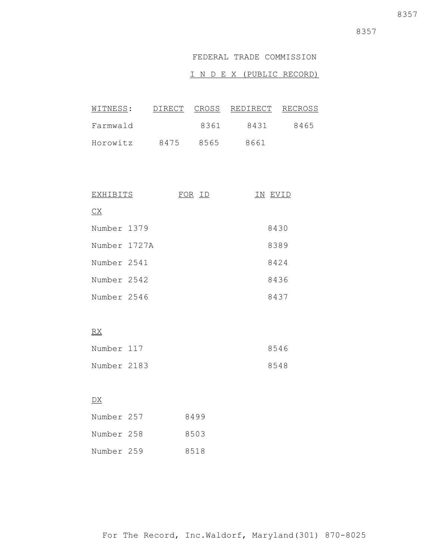### FEDERAL TRADE COMMISSION

### I N D E X (PUBLIC RECORD)

| WITNESS: |      |      | DIRECT CROSS REDIRECT | RECROSS |
|----------|------|------|-----------------------|---------|
| Farmwald |      | 8361 | 8431                  | 8465    |
| Horowitz | 8475 | 8565 | 8661                  |         |

| EXHIBITS               | FOR ID | ΙN | EVID |
|------------------------|--------|----|------|
| $\overline{\text{CX}}$ |        |    |      |
| Number 1379            |        |    | 8430 |
| Number 1727A           |        |    | 8389 |
| Number 2541            |        |    | 8424 |
| Number 2542            |        |    | 8436 |
| Number 2546            |        |    | 8437 |

# RX

| Number 117  | 8546 |
|-------------|------|
| Number 2183 | 8548 |

### DX

| Number 257 | 8499 |
|------------|------|
| Number 258 | 8503 |
| Number 259 | 8518 |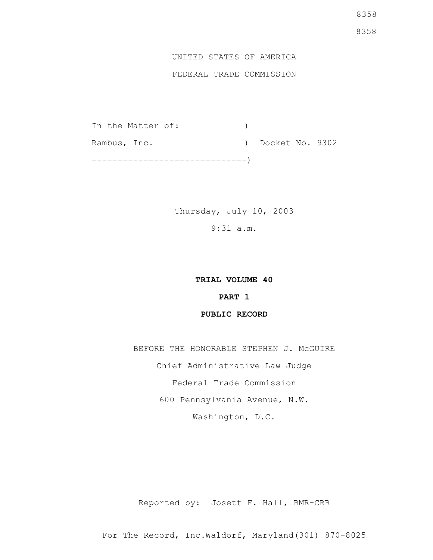## UNITED STATES OF AMERICA

### FEDERAL TRADE COMMISSION

In the Matter of: (1) Rambus, Inc. (a) Docket No. 9302 ------------------------------)

> Thursday, July 10, 2003 9:31 a.m.

### **TRIAL VOLUME 40**

### **PART 1**

### **PUBLIC RECORD**

BEFORE THE HONORABLE STEPHEN J. McGUIRE Chief Administrative Law Judge Federal Trade Commission 600 Pennsylvania Avenue, N.W. Washington, D.C.

Reported by: Josett F. Hall, RMR-CRR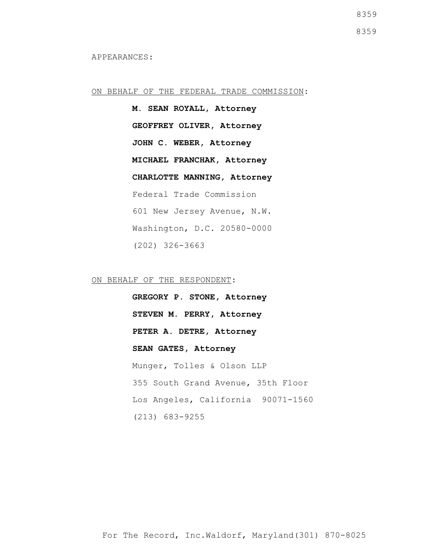ON BEHALF OF THE FEDERAL TRADE COMMISSION:

**M. SEAN ROYALL, Attorney GEOFFREY OLIVER, Attorney JOHN C. WEBER, Attorney MICHAEL FRANCHAK, Attorney CHARLOTTE MANNING, Attorney** Federal Trade Commission 601 New Jersey Avenue, N.W. Washington, D.C. 20580-0000 (202) 326-3663

ON BEHALF OF THE RESPONDENT:

**GREGORY P. STONE, Attorney STEVEN M. PERRY, Attorney PETER A. DETRE, Attorney SEAN GATES, Attorney** Munger, Tolles & Olson LLP 355 South Grand Avenue, 35th Floor Los Angeles, California 90071-1560 (213) 683-9255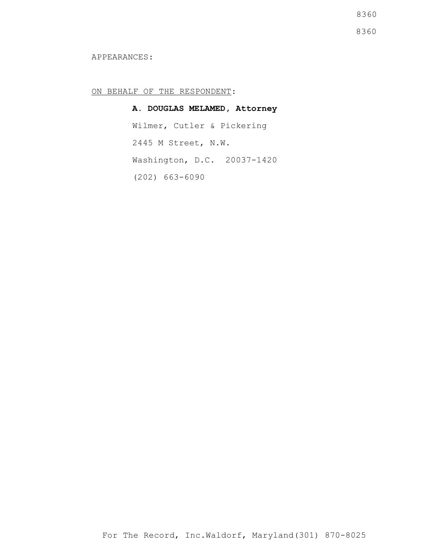8360

8360

#### APPEARANCES:

ON BEHALF OF THE RESPONDENT:

**A. DOUGLAS MELAMED, Attorney** Wilmer, Cutler & Pickering 2445 M Street, N.W. Washington, D.C. 20037-1420 (202) 663-6090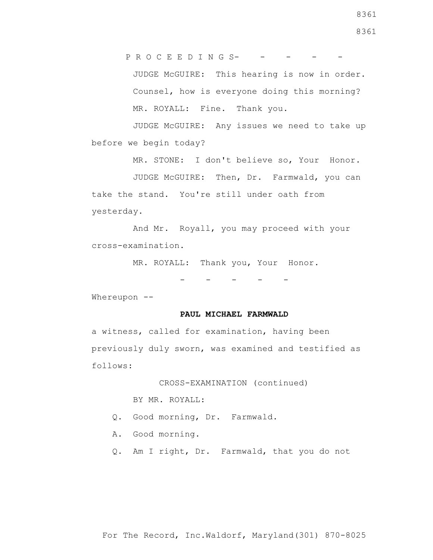P R O C E E D I N G S- - - - -

 JUDGE McGUIRE: This hearing is now in order. Counsel, how is everyone doing this morning? MR. ROYALL: Fine. Thank you.

 JUDGE McGUIRE: Any issues we need to take up before we begin today?

MR. STONE: I don't believe so, Your Honor.

 JUDGE McGUIRE: Then, Dr. Farmwald, you can take the stand. You're still under oath from yesterday.

 And Mr. Royall, you may proceed with your cross-examination.

MR. ROYALL: Thank you, Your Honor.

- - - - -

Whereupon --

#### **PAUL MICHAEL FARMWALD**

a witness, called for examination, having been previously duly sworn, was examined and testified as follows:

CROSS-EXAMINATION (continued)

BY MR. ROYALL:

- Q. Good morning, Dr. Farmwald.
- A. Good morning.
- Q. Am I right, Dr. Farmwald, that you do not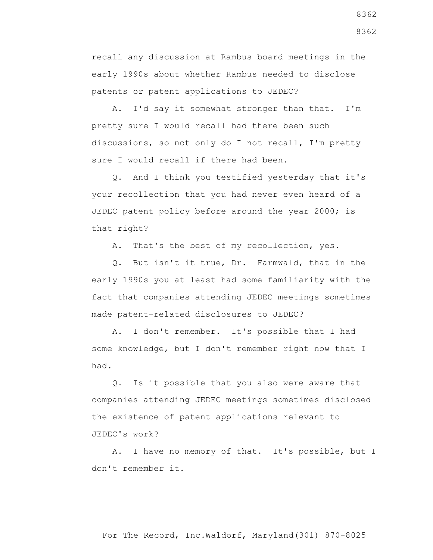recall any discussion at Rambus board meetings in the early 1990s about whether Rambus needed to disclose patents or patent applications to JEDEC?

 A. I'd say it somewhat stronger than that. I'm pretty sure I would recall had there been such discussions, so not only do I not recall, I'm pretty sure I would recall if there had been.

 Q. And I think you testified yesterday that it's your recollection that you had never even heard of a JEDEC patent policy before around the year 2000; is that right?

A. That's the best of my recollection, yes.

 Q. But isn't it true, Dr. Farmwald, that in the early 1990s you at least had some familiarity with the fact that companies attending JEDEC meetings sometimes made patent-related disclosures to JEDEC?

 A. I don't remember. It's possible that I had some knowledge, but I don't remember right now that I had.

 Q. Is it possible that you also were aware that companies attending JEDEC meetings sometimes disclosed the existence of patent applications relevant to JEDEC's work?

 A. I have no memory of that. It's possible, but I don't remember it.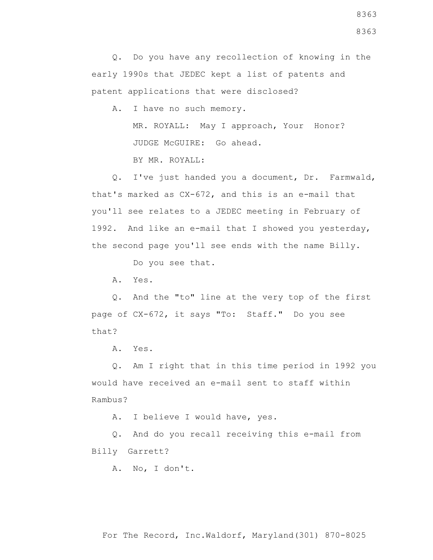Q. Do you have any recollection of knowing in the early 1990s that JEDEC kept a list of patents and patent applications that were disclosed?

A. I have no such memory.

 MR. ROYALL: May I approach, Your Honor? JUDGE McGUIRE: Go ahead.

BY MR. ROYALL:

 Q. I've just handed you a document, Dr. Farmwald, that's marked as CX-672, and this is an e-mail that you'll see relates to a JEDEC meeting in February of 1992. And like an e-mail that I showed you yesterday, the second page you'll see ends with the name Billy.

Do you see that.

A. Yes.

 Q. And the "to" line at the very top of the first page of CX-672, it says "To: Staff." Do you see that?

A. Yes.

 Q. Am I right that in this time period in 1992 you would have received an e-mail sent to staff within Rambus?

A. I believe I would have, yes.

 Q. And do you recall receiving this e-mail from Billy Garrett?

A. No, I don't.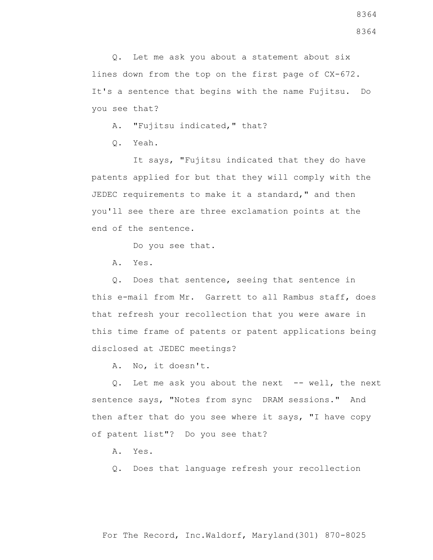Q. Let me ask you about a statement about six lines down from the top on the first page of CX-672. It's a sentence that begins with the name Fujitsu. Do you see that?

A. "Fujitsu indicated," that?

Q. Yeah.

 It says, "Fujitsu indicated that they do have patents applied for but that they will comply with the JEDEC requirements to make it a standard," and then you'll see there are three exclamation points at the end of the sentence.

Do you see that.

A. Yes.

 Q. Does that sentence, seeing that sentence in this e-mail from Mr. Garrett to all Rambus staff, does that refresh your recollection that you were aware in this time frame of patents or patent applications being disclosed at JEDEC meetings?

A. No, it doesn't.

Q. Let me ask you about the next -- well, the next sentence says, "Notes from sync DRAM sessions." And then after that do you see where it says, "I have copy of patent list"? Do you see that?

A. Yes.

Q. Does that language refresh your recollection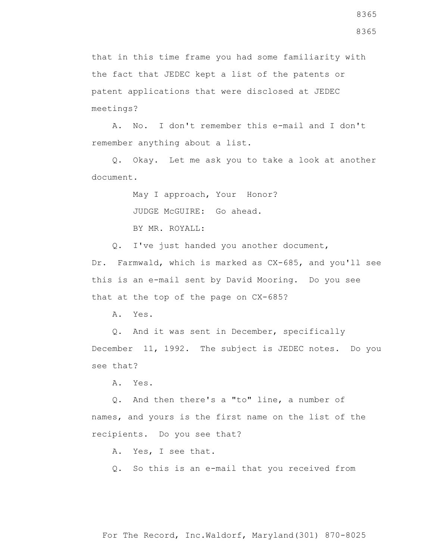that in this time frame you had some familiarity with the fact that JEDEC kept a list of the patents or patent applications that were disclosed at JEDEC meetings?

 A. No. I don't remember this e-mail and I don't remember anything about a list.

 Q. Okay. Let me ask you to take a look at another document.

May I approach, Your Honor?

JUDGE McGUIRE: Go ahead.

BY MR. ROYALL:

Q. I've just handed you another document,

Dr. Farmwald, which is marked as CX-685, and you'll see this is an e-mail sent by David Mooring. Do you see that at the top of the page on CX-685?

A. Yes.

 Q. And it was sent in December, specifically December 11, 1992. The subject is JEDEC notes. Do you see that?

A. Yes.

 Q. And then there's a "to" line, a number of names, and yours is the first name on the list of the recipients. Do you see that?

A. Yes, I see that.

Q. So this is an e-mail that you received from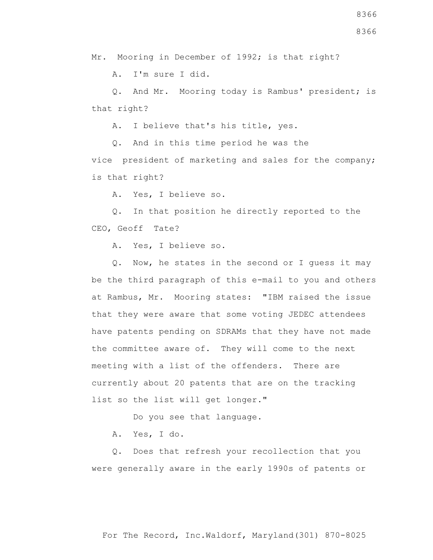Mr. Mooring in December of 1992; is that right?

A. I'm sure I did.

 Q. And Mr. Mooring today is Rambus' president; is that right?

A. I believe that's his title, yes.

 Q. And in this time period he was the vice president of marketing and sales for the company; is that right?

A. Yes, I believe so.

 Q. In that position he directly reported to the CEO, Geoff Tate?

A. Yes, I believe so.

 Q. Now, he states in the second or I guess it may be the third paragraph of this e-mail to you and others at Rambus, Mr. Mooring states: "IBM raised the issue that they were aware that some voting JEDEC attendees have patents pending on SDRAMs that they have not made the committee aware of. They will come to the next meeting with a list of the offenders. There are currently about 20 patents that are on the tracking list so the list will get longer."

Do you see that language.

A. Yes, I do.

 Q. Does that refresh your recollection that you were generally aware in the early 1990s of patents or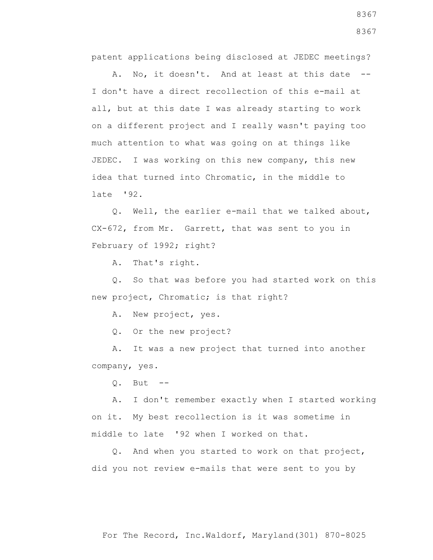patent applications being disclosed at JEDEC meetings?

A. No, it doesn't. And at least at this date --I don't have a direct recollection of this e-mail at all, but at this date I was already starting to work on a different project and I really wasn't paying too much attention to what was going on at things like JEDEC. I was working on this new company, this new idea that turned into Chromatic, in the middle to late '92.

 Q. Well, the earlier e-mail that we talked about, CX-672, from Mr. Garrett, that was sent to you in February of 1992; right?

A. That's right.

 Q. So that was before you had started work on this new project, Chromatic; is that right?

A. New project, yes.

Q. Or the new project?

 A. It was a new project that turned into another company, yes.

 $0.$  But  $-$ 

 A. I don't remember exactly when I started working on it. My best recollection is it was sometime in middle to late '92 when I worked on that.

 Q. And when you started to work on that project, did you not review e-mails that were sent to you by

8367 8367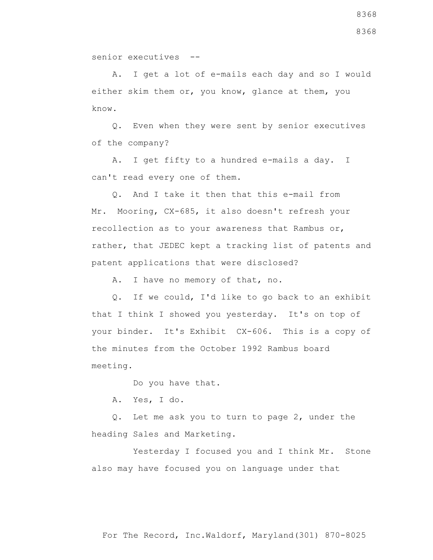A. I get a lot of e-mails each day and so I would either skim them or, you know, glance at them, you know.

 Q. Even when they were sent by senior executives of the company?

 A. I get fifty to a hundred e-mails a day. I can't read every one of them.

 Q. And I take it then that this e-mail from Mr. Mooring, CX-685, it also doesn't refresh your recollection as to your awareness that Rambus or, rather, that JEDEC kept a tracking list of patents and patent applications that were disclosed?

A. I have no memory of that, no.

 Q. If we could, I'd like to go back to an exhibit that I think I showed you yesterday. It's on top of your binder. It's Exhibit CX-606. This is a copy of the minutes from the October 1992 Rambus board meeting.

Do you have that.

A. Yes, I do.

 Q. Let me ask you to turn to page 2, under the heading Sales and Marketing.

Yesterday I focused you and I think Mr. Stone also may have focused you on language under that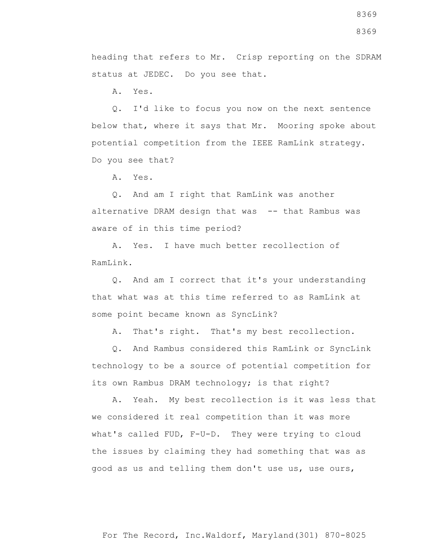heading that refers to Mr. Crisp reporting on the SDRAM status at JEDEC. Do you see that.

A. Yes.

 Q. I'd like to focus you now on the next sentence below that, where it says that Mr. Mooring spoke about potential competition from the IEEE RamLink strategy. Do you see that?

A. Yes.

 Q. And am I right that RamLink was another alternative DRAM design that was -- that Rambus was aware of in this time period?

 A. Yes. I have much better recollection of RamLink.

 Q. And am I correct that it's your understanding that what was at this time referred to as RamLink at some point became known as SyncLink?

A. That's right. That's my best recollection.

 Q. And Rambus considered this RamLink or SyncLink technology to be a source of potential competition for its own Rambus DRAM technology; is that right?

 A. Yeah. My best recollection is it was less that we considered it real competition than it was more what's called FUD, F-U-D. They were trying to cloud the issues by claiming they had something that was as good as us and telling them don't use us, use ours,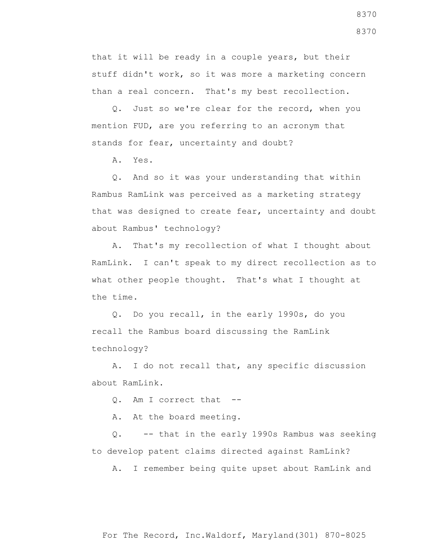that it will be ready in a couple years, but their stuff didn't work, so it was more a marketing concern than a real concern. That's my best recollection.

 Q. Just so we're clear for the record, when you mention FUD, are you referring to an acronym that stands for fear, uncertainty and doubt?

A. Yes.

 Q. And so it was your understanding that within Rambus RamLink was perceived as a marketing strategy that was designed to create fear, uncertainty and doubt about Rambus' technology?

 A. That's my recollection of what I thought about RamLink. I can't speak to my direct recollection as to what other people thought. That's what I thought at the time.

 Q. Do you recall, in the early 1990s, do you recall the Rambus board discussing the RamLink technology?

 A. I do not recall that, any specific discussion about RamLink.

Q. Am I correct that --

A. At the board meeting.

 Q. -- that in the early 1990s Rambus was seeking to develop patent claims directed against RamLink?

A. I remember being quite upset about RamLink and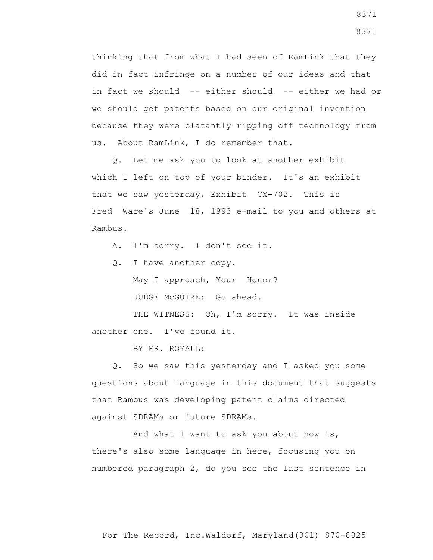thinking that from what I had seen of RamLink that they did in fact infringe on a number of our ideas and that in fact we should -- either should -- either we had or we should get patents based on our original invention because they were blatantly ripping off technology from us. About RamLink, I do remember that.

 Q. Let me ask you to look at another exhibit which I left on top of your binder. It's an exhibit that we saw yesterday, Exhibit CX-702. This is Fred Ware's June 18, 1993 e-mail to you and others at Rambus.

A. I'm sorry. I don't see it.

Q. I have another copy.

 May I approach, Your Honor? JUDGE McGUIRE: Go ahead.

THE WITNESS: Oh, I'm sorry. It was inside another one. I've found it.

BY MR. ROYALL:

 Q. So we saw this yesterday and I asked you some questions about language in this document that suggests that Rambus was developing patent claims directed against SDRAMs or future SDRAMs.

 And what I want to ask you about now is, there's also some language in here, focusing you on numbered paragraph 2, do you see the last sentence in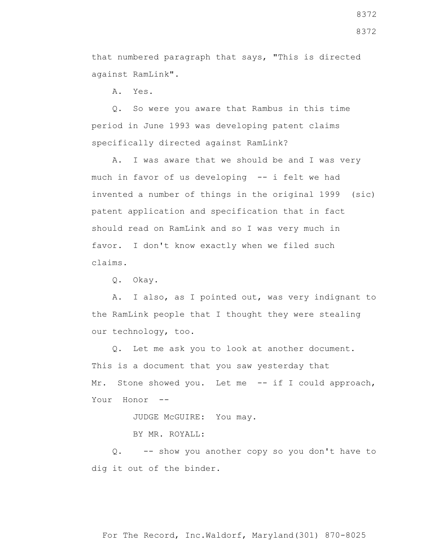that numbered paragraph that says, "This is directed against RamLink".

A. Yes.

 Q. So were you aware that Rambus in this time period in June 1993 was developing patent claims specifically directed against RamLink?

 A. I was aware that we should be and I was very much in favor of us developing -- i felt we had invented a number of things in the original 1999 (sic) patent application and specification that in fact should read on RamLink and so I was very much in favor. I don't know exactly when we filed such claims.

Q. Okay.

 A. I also, as I pointed out, was very indignant to the RamLink people that I thought they were stealing our technology, too.

 Q. Let me ask you to look at another document. This is a document that you saw yesterday that Mr. Stone showed you. Let me -- if I could approach, Your Honor --

JUDGE McGUIRE: You may.

BY MR. ROYALL:

 Q. -- show you another copy so you don't have to dig it out of the binder.

8372 8372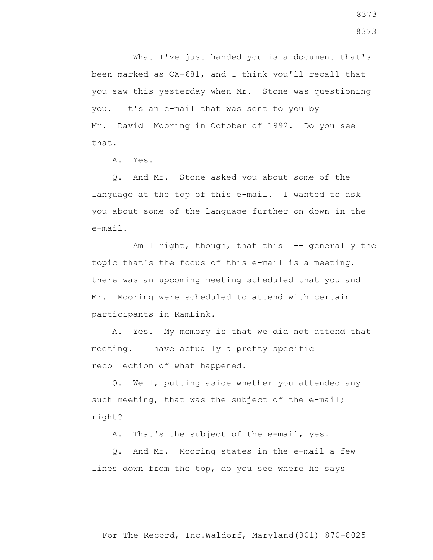What I've just handed you is a document that's been marked as CX-681, and I think you'll recall that you saw this yesterday when Mr. Stone was questioning you. It's an e-mail that was sent to you by Mr. David Mooring in October of 1992. Do you see that.

A. Yes.

 Q. And Mr. Stone asked you about some of the language at the top of this e-mail. I wanted to ask you about some of the language further on down in the e-mail.

Am I right, though, that this -- generally the topic that's the focus of this e-mail is a meeting, there was an upcoming meeting scheduled that you and Mr. Mooring were scheduled to attend with certain participants in RamLink.

 A. Yes. My memory is that we did not attend that meeting. I have actually a pretty specific recollection of what happened.

 Q. Well, putting aside whether you attended any such meeting, that was the subject of the e-mail; right?

A. That's the subject of the e-mail, yes.

 Q. And Mr. Mooring states in the e-mail a few lines down from the top, do you see where he says

For The Record, Inc.Waldorf, Maryland(301) 870-8025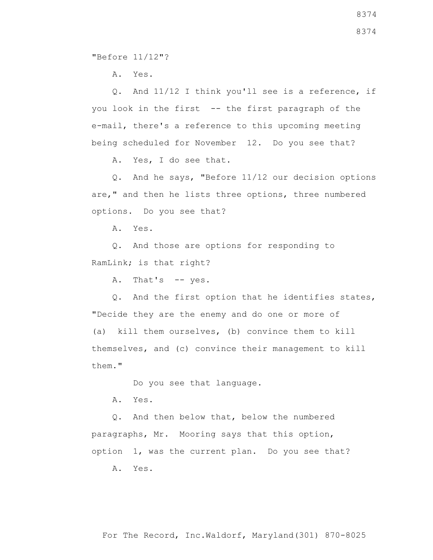"Before 11/12"?

A. Yes.

 Q. And 11/12 I think you'll see is a reference, if you look in the first -- the first paragraph of the e-mail, there's a reference to this upcoming meeting being scheduled for November 12. Do you see that?

A. Yes, I do see that.

 Q. And he says, "Before 11/12 our decision options are," and then he lists three options, three numbered options. Do you see that?

A. Yes.

 Q. And those are options for responding to RamLink; is that right?

A. That's -- yes.

 Q. And the first option that he identifies states, "Decide they are the enemy and do one or more of (a) kill them ourselves, (b) convince them to kill themselves, and (c) convince their management to kill them."

Do you see that language.

A. Yes.

 Q. And then below that, below the numbered paragraphs, Mr. Mooring says that this option, option 1, was the current plan. Do you see that?

A. Yes.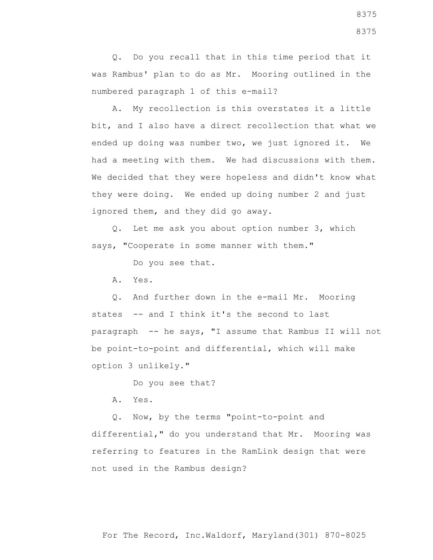Q. Do you recall that in this time period that it was Rambus' plan to do as Mr. Mooring outlined in the numbered paragraph 1 of this e-mail?

 A. My recollection is this overstates it a little bit, and I also have a direct recollection that what we ended up doing was number two, we just ignored it. We had a meeting with them. We had discussions with them. We decided that they were hopeless and didn't know what they were doing. We ended up doing number 2 and just ignored them, and they did go away.

 Q. Let me ask you about option number 3, which says, "Cooperate in some manner with them."

Do you see that.

A. Yes.

 Q. And further down in the e-mail Mr. Mooring states -- and I think it's the second to last paragraph -- he says, "I assume that Rambus II will not be point-to-point and differential, which will make option 3 unlikely."

Do you see that?

A. Yes.

 Q. Now, by the terms "point-to-point and differential," do you understand that Mr. Mooring was referring to features in the RamLink design that were not used in the Rambus design?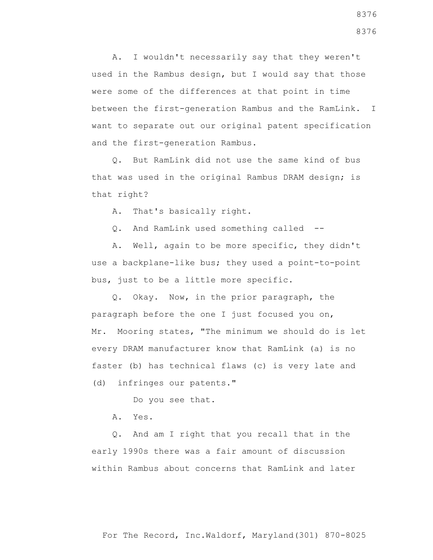A. I wouldn't necessarily say that they weren't used in the Rambus design, but I would say that those were some of the differences at that point in time between the first-generation Rambus and the RamLink. I want to separate out our original patent specification and the first-generation Rambus.

 Q. But RamLink did not use the same kind of bus that was used in the original Rambus DRAM design; is that right?

A. That's basically right.

Q. And RamLink used something called --

 A. Well, again to be more specific, they didn't use a backplane-like bus; they used a point-to-point bus, just to be a little more specific.

 Q. Okay. Now, in the prior paragraph, the paragraph before the one I just focused you on, Mr. Mooring states, "The minimum we should do is let every DRAM manufacturer know that RamLink (a) is no faster (b) has technical flaws (c) is very late and (d) infringes our patents."

Do you see that.

A. Yes.

 Q. And am I right that you recall that in the early 1990s there was a fair amount of discussion within Rambus about concerns that RamLink and later

For The Record, Inc.Waldorf, Maryland(301) 870-8025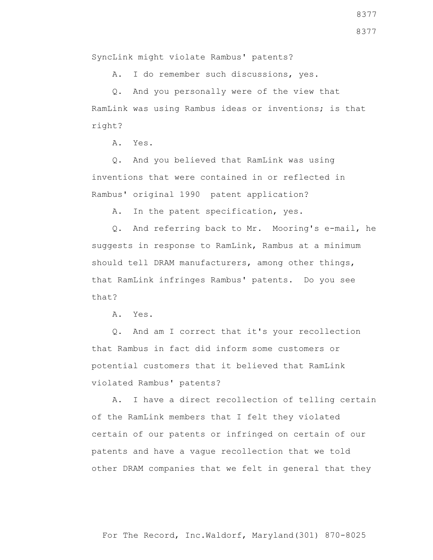SyncLink might violate Rambus' patents?

A. I do remember such discussions, yes.

 Q. And you personally were of the view that RamLink was using Rambus ideas or inventions; is that right?

A. Yes.

 Q. And you believed that RamLink was using inventions that were contained in or reflected in Rambus' original 1990 patent application?

A. In the patent specification, yes.

 Q. And referring back to Mr. Mooring's e-mail, he suggests in response to RamLink, Rambus at a minimum should tell DRAM manufacturers, among other things, that RamLink infringes Rambus' patents. Do you see that?

A. Yes.

 Q. And am I correct that it's your recollection that Rambus in fact did inform some customers or potential customers that it believed that RamLink violated Rambus' patents?

 A. I have a direct recollection of telling certain of the RamLink members that I felt they violated certain of our patents or infringed on certain of our patents and have a vague recollection that we told other DRAM companies that we felt in general that they

8377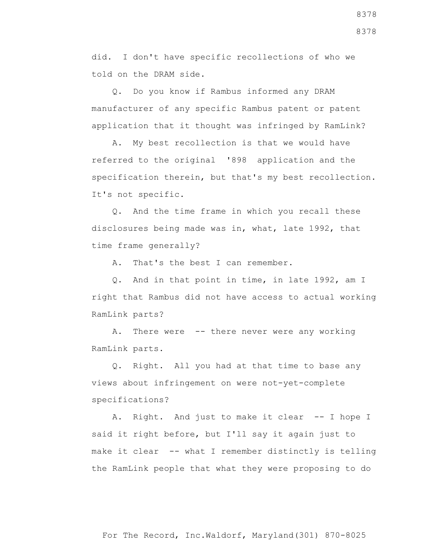did. I don't have specific recollections of who we told on the DRAM side.

 Q. Do you know if Rambus informed any DRAM manufacturer of any specific Rambus patent or patent application that it thought was infringed by RamLink?

 A. My best recollection is that we would have referred to the original '898 application and the specification therein, but that's my best recollection. It's not specific.

 Q. And the time frame in which you recall these disclosures being made was in, what, late 1992, that time frame generally?

A. That's the best I can remember.

 Q. And in that point in time, in late 1992, am I right that Rambus did not have access to actual working RamLink parts?

 A. There were -- there never were any working RamLink parts.

 Q. Right. All you had at that time to base any views about infringement on were not-yet-complete specifications?

 A. Right. And just to make it clear -- I hope I said it right before, but I'll say it again just to make it clear -- what I remember distinctly is telling the RamLink people that what they were proposing to do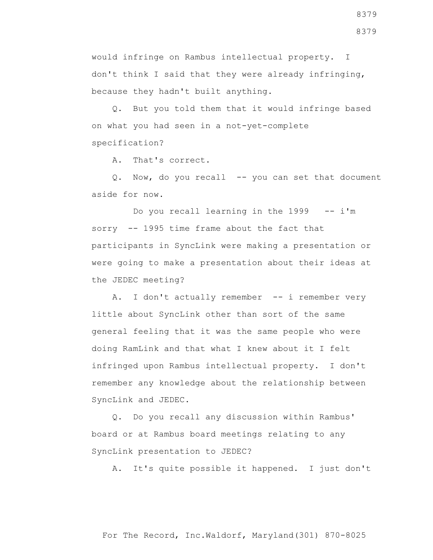would infringe on Rambus intellectual property. I don't think I said that they were already infringing, because they hadn't built anything.

 Q. But you told them that it would infringe based on what you had seen in a not-yet-complete specification?

A. That's correct.

Q. Now, do you recall -- you can set that document aside for now.

Do you recall learning in the  $1999 - - i$ 'm sorry -- 1995 time frame about the fact that participants in SyncLink were making a presentation or were going to make a presentation about their ideas at the JEDEC meeting?

A. I don't actually remember -- i remember very little about SyncLink other than sort of the same general feeling that it was the same people who were doing RamLink and that what I knew about it I felt infringed upon Rambus intellectual property. I don't remember any knowledge about the relationship between SyncLink and JEDEC.

 Q. Do you recall any discussion within Rambus' board or at Rambus board meetings relating to any SyncLink presentation to JEDEC?

A. It's quite possible it happened. I just don't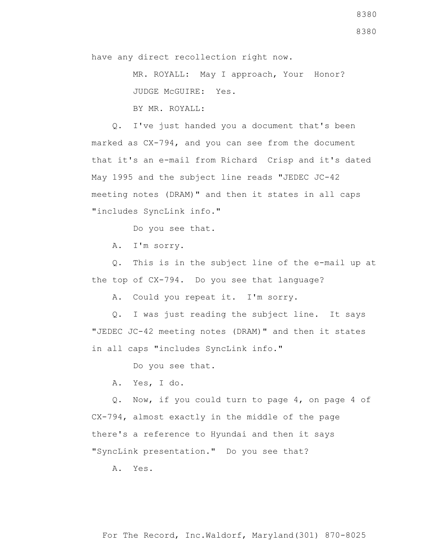MR. ROYALL: May I approach, Your Honor? JUDGE McGUIRE: Yes. BY MR. ROYALL:

 Q. I've just handed you a document that's been marked as CX-794, and you can see from the document that it's an e-mail from Richard Crisp and it's dated May 1995 and the subject line reads "JEDEC JC-42 meeting notes (DRAM)" and then it states in all caps "includes SyncLink info."

Do you see that.

A. I'm sorry.

 Q. This is in the subject line of the e-mail up at the top of CX-794. Do you see that language?

A. Could you repeat it. I'm sorry.

 Q. I was just reading the subject line. It says "JEDEC JC-42 meeting notes (DRAM)" and then it states in all caps "includes SyncLink info."

Do you see that.

A. Yes, I do.

 Q. Now, if you could turn to page 4, on page 4 of CX-794, almost exactly in the middle of the page there's a reference to Hyundai and then it says "SyncLink presentation." Do you see that?

A. Yes.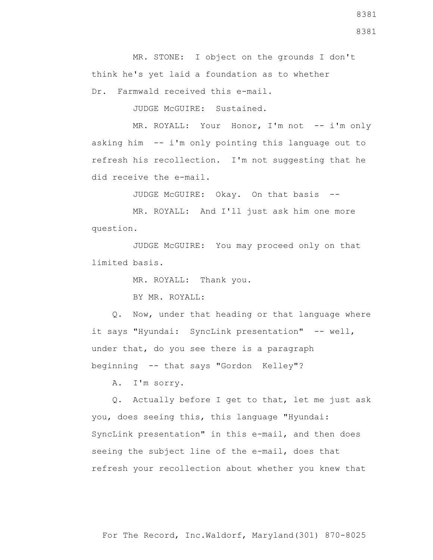MR. STONE: I object on the grounds I don't think he's yet laid a foundation as to whether Dr. Farmwald received this e-mail.

JUDGE McGUIRE: Sustained.

MR. ROYALL: Your Honor, I'm not -- i'm only asking him -- i'm only pointing this language out to refresh his recollection. I'm not suggesting that he did receive the e-mail.

JUDGE McGUIRE: Okay. On that basis --

 MR. ROYALL: And I'll just ask him one more question.

 JUDGE McGUIRE: You may proceed only on that limited basis.

MR. ROYALL: Thank you.

BY MR. ROYALL:

 Q. Now, under that heading or that language where it says "Hyundai: SyncLink presentation" -- well, under that, do you see there is a paragraph beginning -- that says "Gordon Kelley"?

A. I'm sorry.

 Q. Actually before I get to that, let me just ask you, does seeing this, this language "Hyundai: SyncLink presentation" in this e-mail, and then does seeing the subject line of the e-mail, does that refresh your recollection about whether you knew that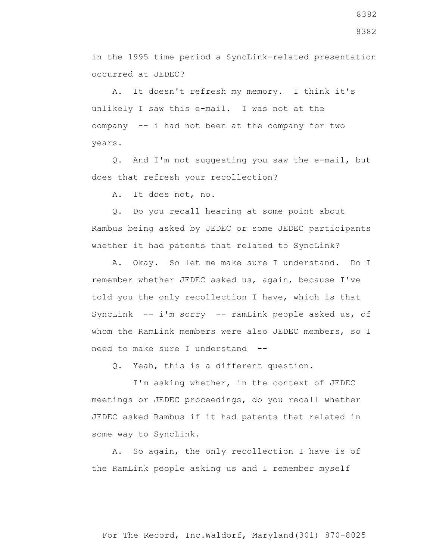in the 1995 time period a SyncLink-related presentation occurred at JEDEC?

 A. It doesn't refresh my memory. I think it's unlikely I saw this e-mail. I was not at the company -- i had not been at the company for two years.

 Q. And I'm not suggesting you saw the e-mail, but does that refresh your recollection?

A. It does not, no.

 Q. Do you recall hearing at some point about Rambus being asked by JEDEC or some JEDEC participants whether it had patents that related to SyncLink?

 A. Okay. So let me make sure I understand. Do I remember whether JEDEC asked us, again, because I've told you the only recollection I have, which is that SyncLink -- i'm sorry -- ramLink people asked us, of whom the RamLink members were also JEDEC members, so I need to make sure I understand --

Q. Yeah, this is a different question.

 I'm asking whether, in the context of JEDEC meetings or JEDEC proceedings, do you recall whether JEDEC asked Rambus if it had patents that related in some way to SyncLink.

 A. So again, the only recollection I have is of the RamLink people asking us and I remember myself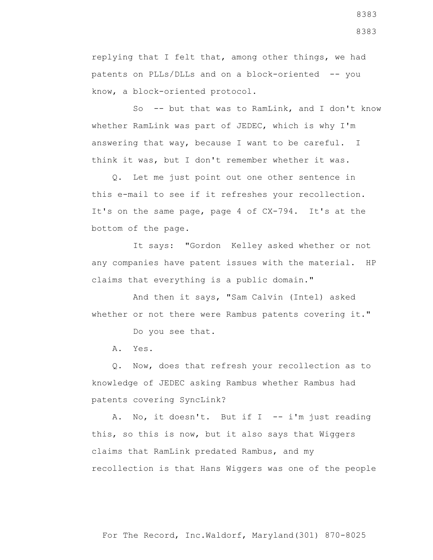replying that I felt that, among other things, we had patents on PLLs/DLLs and on a block-oriented -- you know, a block-oriented protocol.

 So -- but that was to RamLink, and I don't know whether RamLink was part of JEDEC, which is why I'm answering that way, because I want to be careful. I think it was, but I don't remember whether it was.

 Q. Let me just point out one other sentence in this e-mail to see if it refreshes your recollection. It's on the same page, page 4 of CX-794. It's at the bottom of the page.

 It says: "Gordon Kelley asked whether or not any companies have patent issues with the material. HP claims that everything is a public domain."

 And then it says, "Sam Calvin (Intel) asked whether or not there were Rambus patents covering it."

Do you see that.

A. Yes.

 Q. Now, does that refresh your recollection as to knowledge of JEDEC asking Rambus whether Rambus had patents covering SyncLink?

A. No, it doesn't. But if I -- i'm just reading this, so this is now, but it also says that Wiggers claims that RamLink predated Rambus, and my recollection is that Hans Wiggers was one of the people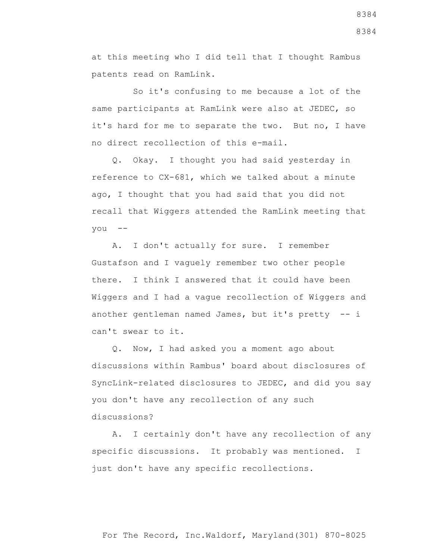at this meeting who I did tell that I thought Rambus patents read on RamLink.

 So it's confusing to me because a lot of the same participants at RamLink were also at JEDEC, so it's hard for me to separate the two. But no, I have no direct recollection of this e-mail.

 Q. Okay. I thought you had said yesterday in reference to CX-681, which we talked about a minute ago, I thought that you had said that you did not recall that Wiggers attended the RamLink meeting that you --

 A. I don't actually for sure. I remember Gustafson and I vaguely remember two other people there. I think I answered that it could have been Wiggers and I had a vague recollection of Wiggers and another gentleman named James, but it's pretty -- i can't swear to it.

 Q. Now, I had asked you a moment ago about discussions within Rambus' board about disclosures of SyncLink-related disclosures to JEDEC, and did you say you don't have any recollection of any such discussions?

 A. I certainly don't have any recollection of any specific discussions. It probably was mentioned. I just don't have any specific recollections.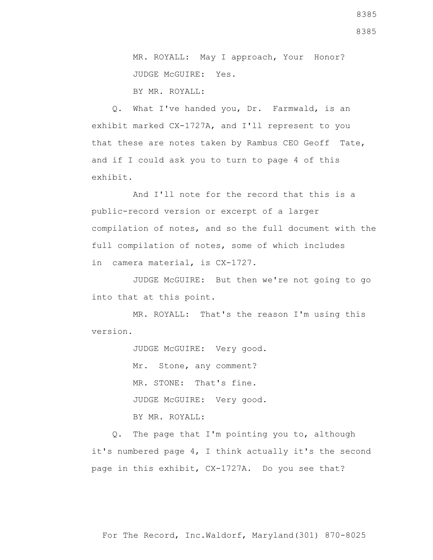BY MR. ROYALL:

 Q. What I've handed you, Dr. Farmwald, is an exhibit marked CX-1727A, and I'll represent to you that these are notes taken by Rambus CEO Geoff Tate, and if I could ask you to turn to page 4 of this exhibit.

 And I'll note for the record that this is a public-record version or excerpt of a larger compilation of notes, and so the full document with the full compilation of notes, some of which includes in camera material, is CX-1727.

 JUDGE McGUIRE: But then we're not going to go into that at this point.

 MR. ROYALL: That's the reason I'm using this version.

> JUDGE McGUIRE: Very good. Mr. Stone, any comment? MR. STONE: That's fine. JUDGE McGUIRE: Very good. BY MR. ROYALL:

 Q. The page that I'm pointing you to, although it's numbered page 4, I think actually it's the second page in this exhibit, CX-1727A. Do you see that?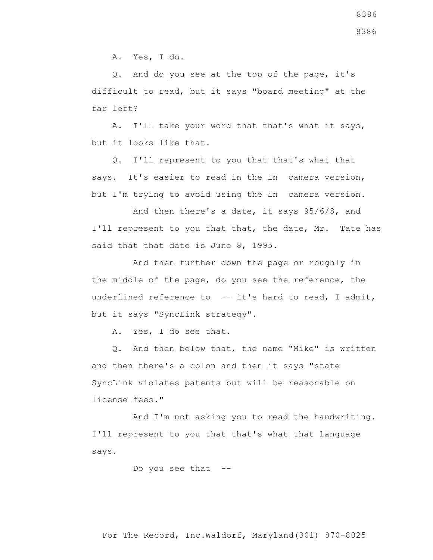A. Yes, I do.

 Q. And do you see at the top of the page, it's difficult to read, but it says "board meeting" at the far left?

 A. I'll take your word that that's what it says, but it looks like that.

 Q. I'll represent to you that that's what that says. It's easier to read in the in camera version, but I'm trying to avoid using the in camera version.

 And then there's a date, it says 95/6/8, and I'll represent to you that that, the date, Mr. Tate has said that that date is June 8, 1995.

 And then further down the page or roughly in the middle of the page, do you see the reference, the underlined reference to -- it's hard to read, I admit, but it says "SyncLink strategy".

A. Yes, I do see that.

 Q. And then below that, the name "Mike" is written and then there's a colon and then it says "state SyncLink violates patents but will be reasonable on license fees."

 And I'm not asking you to read the handwriting. I'll represent to you that that's what that language says.

Do you see that --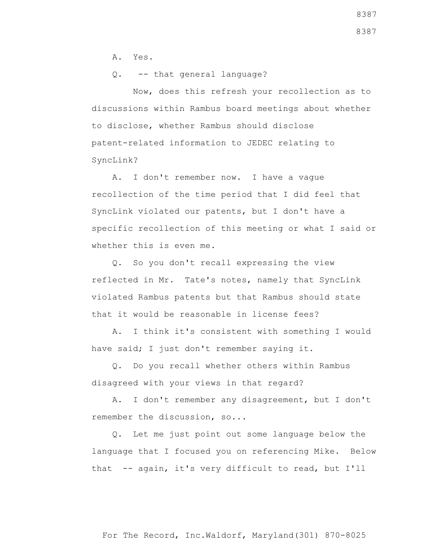A. Yes.

Q. -- that general language?

 Now, does this refresh your recollection as to discussions within Rambus board meetings about whether to disclose, whether Rambus should disclose patent-related information to JEDEC relating to SyncLink?

 A. I don't remember now. I have a vague recollection of the time period that I did feel that SyncLink violated our patents, but I don't have a specific recollection of this meeting or what I said or whether this is even me.

 Q. So you don't recall expressing the view reflected in Mr. Tate's notes, namely that SyncLink violated Rambus patents but that Rambus should state that it would be reasonable in license fees?

 A. I think it's consistent with something I would have said; I just don't remember saying it.

 Q. Do you recall whether others within Rambus disagreed with your views in that regard?

 A. I don't remember any disagreement, but I don't remember the discussion, so...

 Q. Let me just point out some language below the language that I focused you on referencing Mike. Below that -- again, it's very difficult to read, but I'll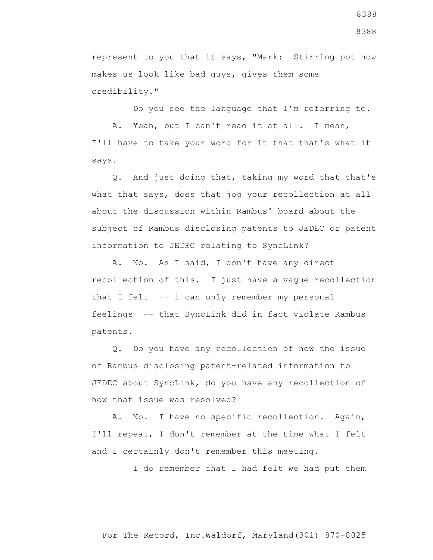represent to you that it says, "Mark: Stirring pot now makes us look like bad guys, gives them some credibility."

 Do you see the language that I'm referring to. A. Yeah, but I can't read it at all. I mean, I'll have to take your word for it that that's what it says.

 Q. And just doing that, taking my word that that's what that says, does that jog your recollection at all about the discussion within Rambus' board about the subject of Rambus disclosing patents to JEDEC or patent information to JEDEC relating to SyncLink?

 A. No. As I said, I don't have any direct recollection of this. I just have a vague recollection that I felt -- i can only remember my personal feelings -- that SyncLink did in fact violate Rambus patents.

 Q. Do you have any recollection of how the issue of Rambus disclosing patent-related information to JEDEC about SyncLink, do you have any recollection of how that issue was resolved?

 A. No. I have no specific recollection. Again, I'll repeat, I don't remember at the time what I felt and I certainly don't remember this meeting.

I do remember that I had felt we had put them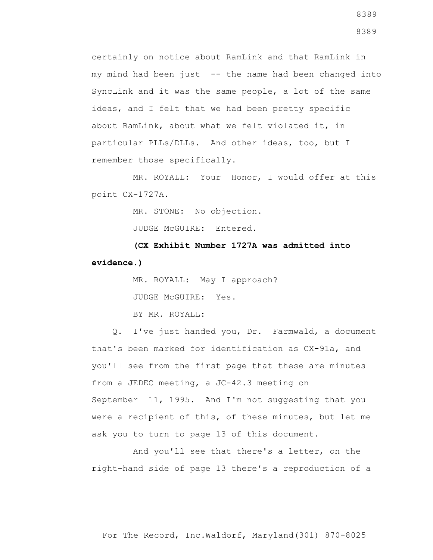certainly on notice about RamLink and that RamLink in my mind had been just -- the name had been changed into SyncLink and it was the same people, a lot of the same ideas, and I felt that we had been pretty specific about RamLink, about what we felt violated it, in particular PLLs/DLLs. And other ideas, too, but I remember those specifically.

 MR. ROYALL: Your Honor, I would offer at this point CX-1727A.

MR. STONE: No objection.

JUDGE McGUIRE: Entered.

 **(CX Exhibit Number 1727A was admitted into evidence.)**

> MR. ROYALL: May I approach? JUDGE McGUIRE: Yes. BY MR. ROYALL:

 Q. I've just handed you, Dr. Farmwald, a document that's been marked for identification as CX-91a, and you'll see from the first page that these are minutes from a JEDEC meeting, a JC-42.3 meeting on September 11, 1995. And I'm not suggesting that you were a recipient of this, of these minutes, but let me ask you to turn to page 13 of this document.

 And you'll see that there's a letter, on the right-hand side of page 13 there's a reproduction of a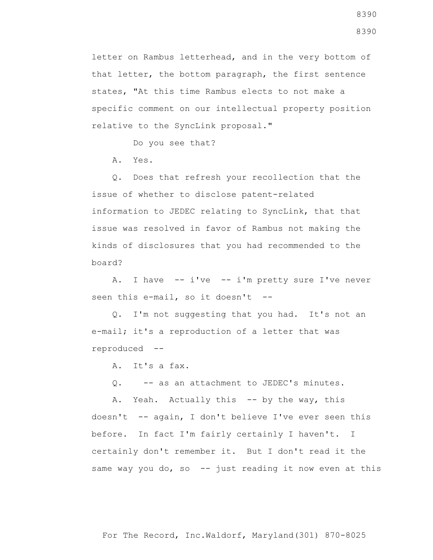letter on Rambus letterhead, and in the very bottom of that letter, the bottom paragraph, the first sentence states, "At this time Rambus elects to not make a specific comment on our intellectual property position relative to the SyncLink proposal."

Do you see that?

A. Yes.

 Q. Does that refresh your recollection that the issue of whether to disclose patent-related information to JEDEC relating to SyncLink, that that issue was resolved in favor of Rambus not making the kinds of disclosures that you had recommended to the board?

 A. I have -- i've -- i'm pretty sure I've never seen this e-mail, so it doesn't --

 Q. I'm not suggesting that you had. It's not an e-mail; it's a reproduction of a letter that was reproduced --

A. It's a fax.

Q. -- as an attachment to JEDEC's minutes.

A. Yeah. Actually this -- by the way, this doesn't -- again, I don't believe I've ever seen this before. In fact I'm fairly certainly I haven't. I certainly don't remember it. But I don't read it the same way you do, so  $-$ - just reading it now even at this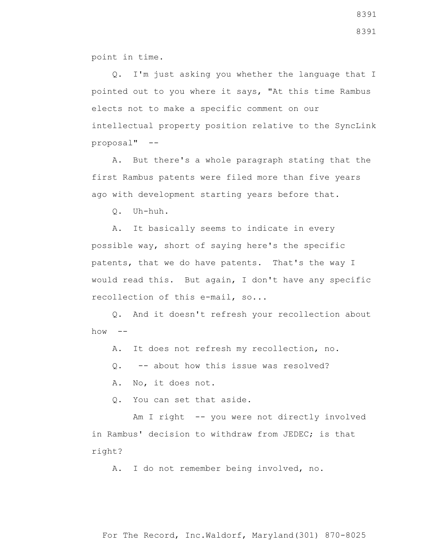point in time.

 Q. I'm just asking you whether the language that I pointed out to you where it says, "At this time Rambus elects not to make a specific comment on our intellectual property position relative to the SyncLink proposal" --

 A. But there's a whole paragraph stating that the first Rambus patents were filed more than five years ago with development starting years before that.

Q. Uh-huh.

 A. It basically seems to indicate in every possible way, short of saying here's the specific patents, that we do have patents. That's the way I would read this. But again, I don't have any specific recollection of this e-mail, so...

 Q. And it doesn't refresh your recollection about  $how \leftarrow$ 

A. It does not refresh my recollection, no.

Q. -- about how this issue was resolved?

A. No, it does not.

Q. You can set that aside.

Am I right -- you were not directly involved in Rambus' decision to withdraw from JEDEC; is that right?

A. I do not remember being involved, no.

8391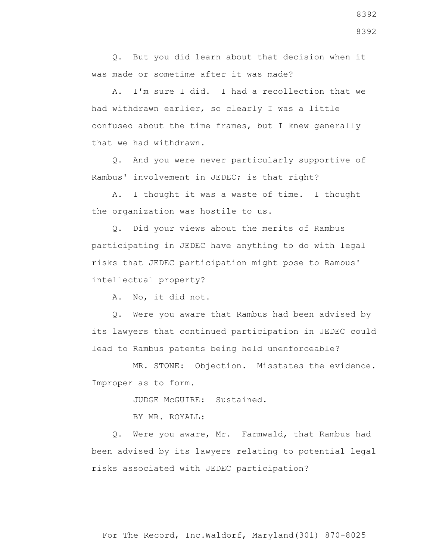Q. But you did learn about that decision when it was made or sometime after it was made?

 A. I'm sure I did. I had a recollection that we had withdrawn earlier, so clearly I was a little confused about the time frames, but I knew generally that we had withdrawn.

 Q. And you were never particularly supportive of Rambus' involvement in JEDEC; is that right?

 A. I thought it was a waste of time. I thought the organization was hostile to us.

 Q. Did your views about the merits of Rambus participating in JEDEC have anything to do with legal risks that JEDEC participation might pose to Rambus' intellectual property?

A. No, it did not.

 Q. Were you aware that Rambus had been advised by its lawyers that continued participation in JEDEC could lead to Rambus patents being held unenforceable?

 MR. STONE: Objection. Misstates the evidence. Improper as to form.

JUDGE McGUIRE: Sustained.

BY MR. ROYALL:

 Q. Were you aware, Mr. Farmwald, that Rambus had been advised by its lawyers relating to potential legal risks associated with JEDEC participation?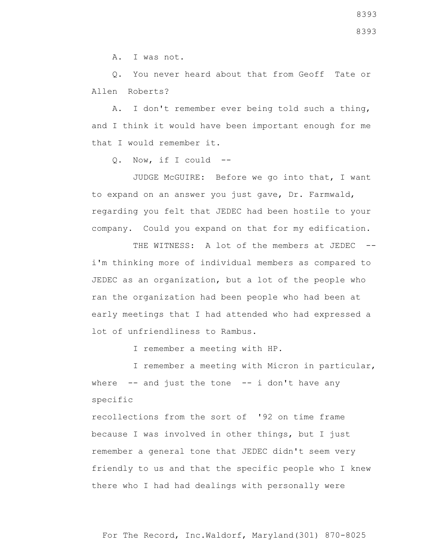A. I was not.

 Q. You never heard about that from Geoff Tate or Allen Roberts?

 A. I don't remember ever being told such a thing, and I think it would have been important enough for me that I would remember it.

Q. Now, if I could --

 JUDGE McGUIRE: Before we go into that, I want to expand on an answer you just gave, Dr. Farmwald, regarding you felt that JEDEC had been hostile to your company. Could you expand on that for my edification.

THE WITNESS: A lot of the members at JEDEC -i'm thinking more of individual members as compared to JEDEC as an organization, but a lot of the people who ran the organization had been people who had been at early meetings that I had attended who had expressed a lot of unfriendliness to Rambus.

I remember a meeting with HP.

 I remember a meeting with Micron in particular, where  $-$  and just the tone  $-$  i don't have any specific

recollections from the sort of '92 on time frame because I was involved in other things, but I just remember a general tone that JEDEC didn't seem very friendly to us and that the specific people who I knew there who I had had dealings with personally were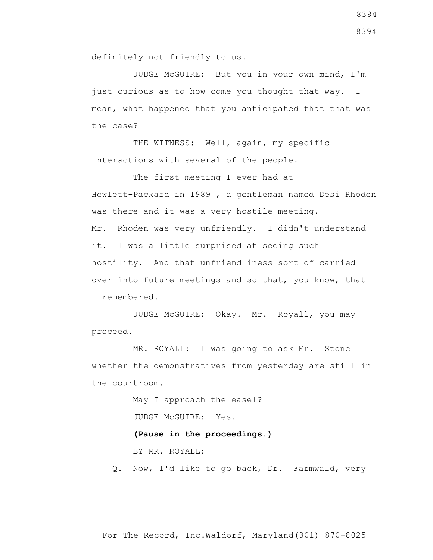JUDGE McGUIRE: But you in your own mind, I'm just curious as to how come you thought that way. I mean, what happened that you anticipated that that was the case?

THE WITNESS: Well, again, my specific interactions with several of the people.

 The first meeting I ever had at Hewlett-Packard in 1989 , a gentleman named Desi Rhoden was there and it was a very hostile meeting. Mr. Rhoden was very unfriendly. I didn't understand it. I was a little surprised at seeing such hostility. And that unfriendliness sort of carried over into future meetings and so that, you know, that I remembered.

 JUDGE McGUIRE: Okay. Mr. Royall, you may proceed.

 MR. ROYALL: I was going to ask Mr. Stone whether the demonstratives from yesterday are still in the courtroom.

> May I approach the easel? JUDGE McGUIRE: Yes.

## **(Pause in the proceedings.)**

BY MR. ROYALL:

Q. Now, I'd like to go back, Dr. Farmwald, very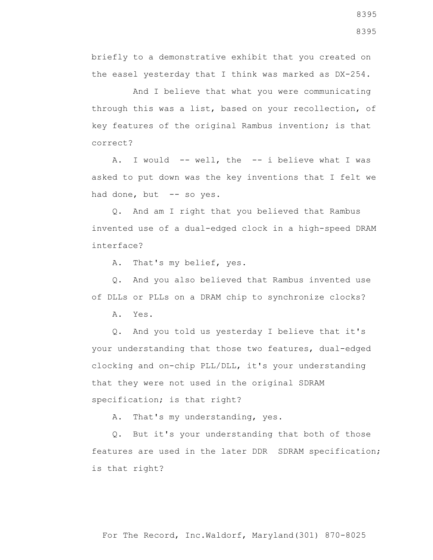briefly to a demonstrative exhibit that you created on the easel yesterday that I think was marked as DX-254.

 And I believe that what you were communicating through this was a list, based on your recollection, of key features of the original Rambus invention; is that correct?

A. I would -- well, the -- i believe what I was asked to put down was the key inventions that I felt we had done, but -- so yes.

 Q. And am I right that you believed that Rambus invented use of a dual-edged clock in a high-speed DRAM interface?

A. That's my belief, yes.

 Q. And you also believed that Rambus invented use of DLLs or PLLs on a DRAM chip to synchronize clocks?

A. Yes.

 Q. And you told us yesterday I believe that it's your understanding that those two features, dual-edged clocking and on-chip PLL/DLL, it's your understanding that they were not used in the original SDRAM specification; is that right?

A. That's my understanding, yes.

 Q. But it's your understanding that both of those features are used in the later DDR SDRAM specification; is that right?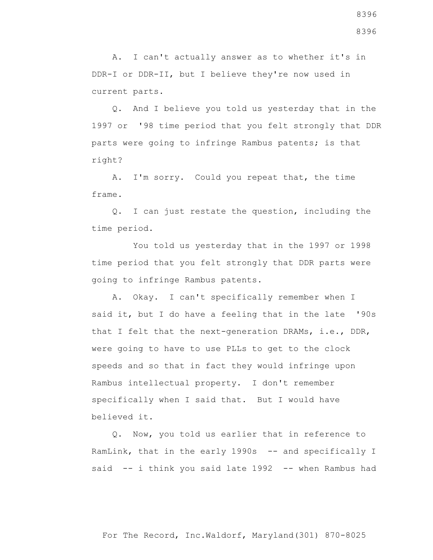A. I can't actually answer as to whether it's in DDR-I or DDR-II, but I believe they're now used in current parts.

 Q. And I believe you told us yesterday that in the 1997 or '98 time period that you felt strongly that DDR parts were going to infringe Rambus patents; is that right?

 A. I'm sorry. Could you repeat that, the time frame.

 Q. I can just restate the question, including the time period.

 You told us yesterday that in the 1997 or 1998 time period that you felt strongly that DDR parts were going to infringe Rambus patents.

 A. Okay. I can't specifically remember when I said it, but I do have a feeling that in the late '90s that I felt that the next-generation DRAMs, i.e., DDR, were going to have to use PLLs to get to the clock speeds and so that in fact they would infringe upon Rambus intellectual property. I don't remember specifically when I said that. But I would have believed it.

 Q. Now, you told us earlier that in reference to RamLink, that in the early 1990s -- and specifically I said -- i think you said late 1992 -- when Rambus had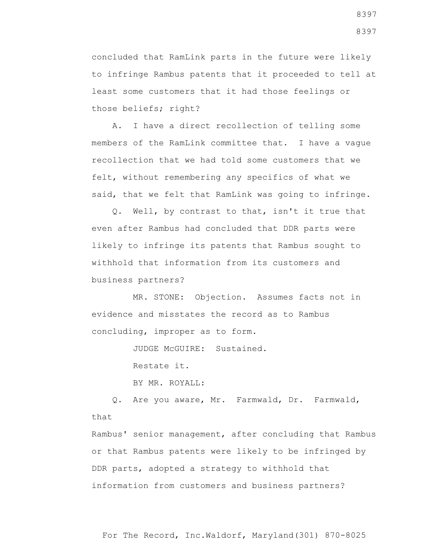concluded that RamLink parts in the future were likely to infringe Rambus patents that it proceeded to tell at least some customers that it had those feelings or those beliefs; right?

 A. I have a direct recollection of telling some members of the RamLink committee that. I have a vague recollection that we had told some customers that we felt, without remembering any specifics of what we said, that we felt that RamLink was going to infringe.

 Q. Well, by contrast to that, isn't it true that even after Rambus had concluded that DDR parts were likely to infringe its patents that Rambus sought to withhold that information from its customers and business partners?

 MR. STONE: Objection. Assumes facts not in evidence and misstates the record as to Rambus concluding, improper as to form.

JUDGE McGUIRE: Sustained.

Restate it.

BY MR. ROYALL:

 Q. Are you aware, Mr. Farmwald, Dr. Farmwald, that

Rambus' senior management, after concluding that Rambus or that Rambus patents were likely to be infringed by DDR parts, adopted a strategy to withhold that information from customers and business partners?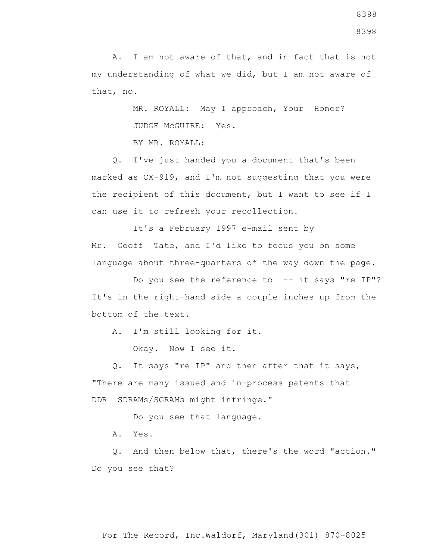A. I am not aware of that, and in fact that is not my understanding of what we did, but I am not aware of that, no.

> MR. ROYALL: May I approach, Your Honor? JUDGE McGUIRE: Yes.

BY MR. ROYALL:

 Q. I've just handed you a document that's been marked as CX-919, and I'm not suggesting that you were the recipient of this document, but I want to see if I can use it to refresh your recollection.

 It's a February 1997 e-mail sent by Mr. Geoff Tate, and I'd like to focus you on some language about three-quarters of the way down the page.

Do you see the reference to -- it says "re IP"? It's in the right-hand side a couple inches up from the bottom of the text.

A. I'm still looking for it.

Okay. Now I see it.

 Q. It says "re IP" and then after that it says, "There are many issued and in-process patents that DDR SDRAMs/SGRAMs might infringe."

Do you see that language.

A. Yes.

 Q. And then below that, there's the word "action." Do you see that?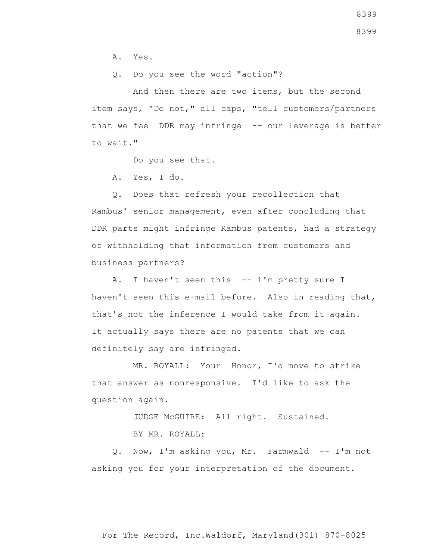A. Yes.

Q. Do you see the word "action"?

 And then there are two items, but the second item says, "Do not," all caps, "tell customers/partners that we feel DDR may infringe -- our leverage is better to wait."

Do you see that.

A. Yes, I do.

 Q. Does that refresh your recollection that Rambus' senior management, even after concluding that DDR parts might infringe Rambus patents, had a strategy of withholding that information from customers and business partners?

 A. I haven't seen this -- i'm pretty sure I haven't seen this e-mail before. Also in reading that, that's not the inference I would take from it again. It actually says there are no patents that we can definitely say are infringed.

 MR. ROYALL: Your Honor, I'd move to strike that answer as nonresponsive. I'd like to ask the question again.

JUDGE McGUIRE: All right. Sustained.

BY MR. ROYALL:

 Q. Now, I'm asking you, Mr. Farmwald -- I'm not asking you for your interpretation of the document.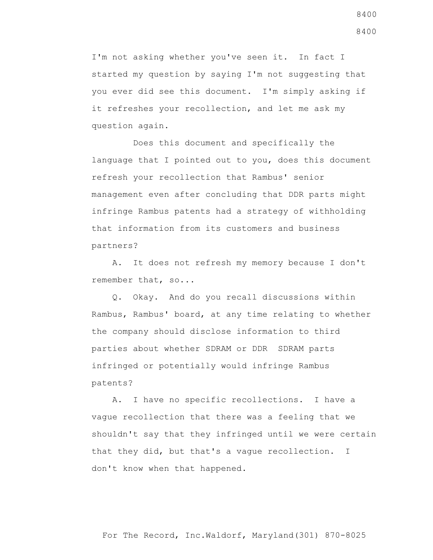I'm not asking whether you've seen it. In fact I started my question by saying I'm not suggesting that you ever did see this document. I'm simply asking if it refreshes your recollection, and let me ask my question again.

 Does this document and specifically the language that I pointed out to you, does this document refresh your recollection that Rambus' senior management even after concluding that DDR parts might infringe Rambus patents had a strategy of withholding that information from its customers and business partners?

 A. It does not refresh my memory because I don't remember that, so...

 Q. Okay. And do you recall discussions within Rambus, Rambus' board, at any time relating to whether the company should disclose information to third parties about whether SDRAM or DDR SDRAM parts infringed or potentially would infringe Rambus patents?

 A. I have no specific recollections. I have a vague recollection that there was a feeling that we shouldn't say that they infringed until we were certain that they did, but that's a vague recollection. I don't know when that happened.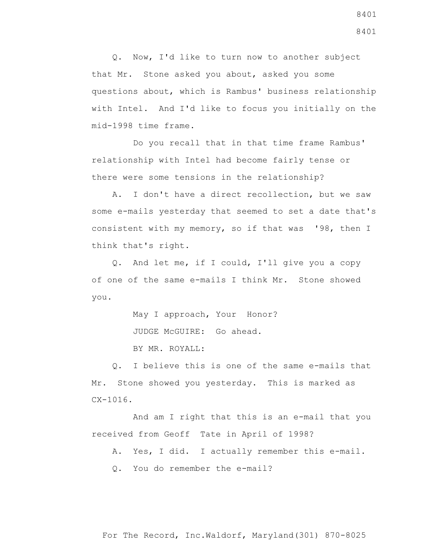Q. Now, I'd like to turn now to another subject that Mr. Stone asked you about, asked you some questions about, which is Rambus' business relationship with Intel. And I'd like to focus you initially on the mid-1998 time frame.

 Do you recall that in that time frame Rambus' relationship with Intel had become fairly tense or there were some tensions in the relationship?

 A. I don't have a direct recollection, but we saw some e-mails yesterday that seemed to set a date that's consistent with my memory, so if that was '98, then I think that's right.

 Q. And let me, if I could, I'll give you a copy of one of the same e-mails I think Mr. Stone showed you.

May I approach, Your Honor?

JUDGE McGUIRE: Go ahead.

BY MR. ROYALL:

 Q. I believe this is one of the same e-mails that Mr. Stone showed you yesterday. This is marked as  $CX-1016$ .

 And am I right that this is an e-mail that you received from Geoff Tate in April of 1998?

A. Yes, I did. I actually remember this e-mail.

Q. You do remember the e-mail?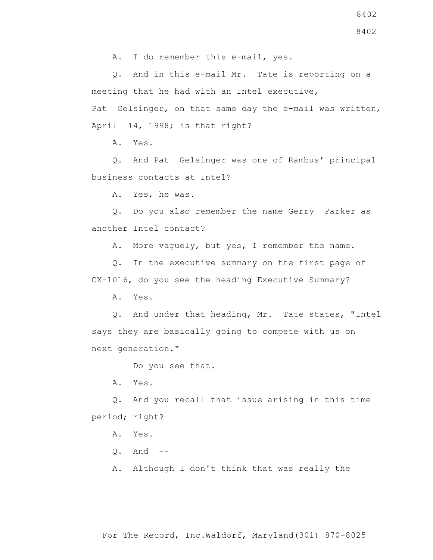8402

A. I do remember this e-mail, yes.

 Q. And in this e-mail Mr. Tate is reporting on a meeting that he had with an Intel executive,

Pat Gelsinger, on that same day the e-mail was written, April 14, 1998; is that right?

A. Yes.

 Q. And Pat Gelsinger was one of Rambus' principal business contacts at Intel?

A. Yes, he was.

 Q. Do you also remember the name Gerry Parker as another Intel contact?

A. More vaguely, but yes, I remember the name.

 Q. In the executive summary on the first page of CX-1016, do you see the heading Executive Summary?

A. Yes.

 Q. And under that heading, Mr. Tate states, "Intel says they are basically going to compete with us on next generation."

Do you see that.

A. Yes.

 Q. And you recall that issue arising in this time period; right?

A. Yes.

Q. And --

A. Although I don't think that was really the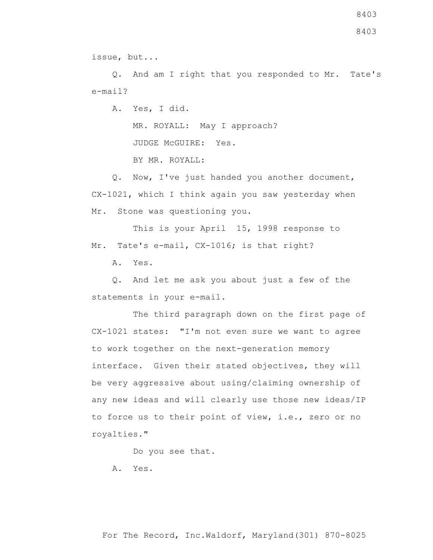issue, but...

 Q. And am I right that you responded to Mr. Tate's e-mail?

A. Yes, I did.

MR. ROYALL: May I approach?

JUDGE McGUIRE: Yes.

BY MR. ROYALL:

 Q. Now, I've just handed you another document, CX-1021, which I think again you saw yesterday when Mr. Stone was questioning you.

 This is your April 15, 1998 response to Mr. Tate's e-mail, CX-1016; is that right?

A. Yes.

 Q. And let me ask you about just a few of the statements in your e-mail.

 The third paragraph down on the first page of CX-1021 states: "I'm not even sure we want to agree to work together on the next-generation memory interface. Given their stated objectives, they will be very aggressive about using/claiming ownership of any new ideas and will clearly use those new ideas/IP to force us to their point of view, i.e., zero or no royalties."

Do you see that.

A. Yes.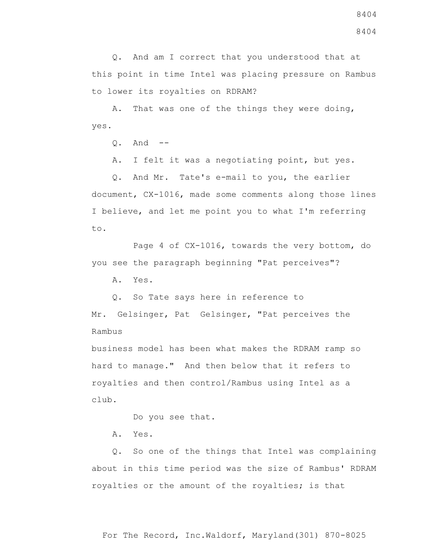Q. And am I correct that you understood that at this point in time Intel was placing pressure on Rambus to lower its royalties on RDRAM?

 A. That was one of the things they were doing, yes.

Q. And --

A. I felt it was a negotiating point, but yes.

 Q. And Mr. Tate's e-mail to you, the earlier document, CX-1016, made some comments along those lines I believe, and let me point you to what I'm referring to.

 Page 4 of CX-1016, towards the very bottom, do you see the paragraph beginning "Pat perceives"?

A. Yes.

Q. So Tate says here in reference to

Mr. Gelsinger, Pat Gelsinger, "Pat perceives the Rambus

business model has been what makes the RDRAM ramp so hard to manage." And then below that it refers to royalties and then control/Rambus using Intel as a club.

Do you see that.

A. Yes.

 Q. So one of the things that Intel was complaining about in this time period was the size of Rambus' RDRAM royalties or the amount of the royalties; is that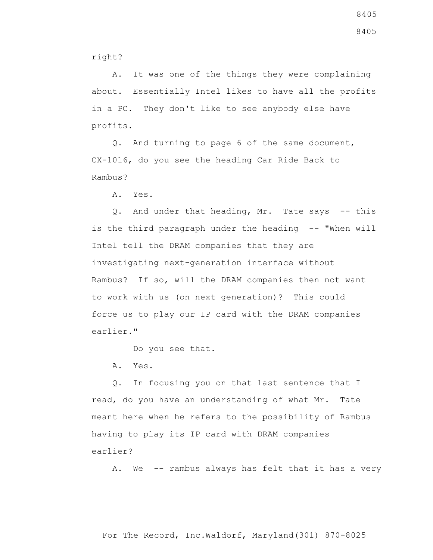right?

 A. It was one of the things they were complaining about. Essentially Intel likes to have all the profits in a PC. They don't like to see anybody else have profits.

 Q. And turning to page 6 of the same document, CX-1016, do you see the heading Car Ride Back to Rambus?

A. Yes.

Q. And under that heading, Mr. Tate says -- this is the third paragraph under the heading -- "When will Intel tell the DRAM companies that they are investigating next-generation interface without Rambus? If so, will the DRAM companies then not want to work with us (on next generation)? This could force us to play our IP card with the DRAM companies earlier."

Do you see that.

A. Yes.

 Q. In focusing you on that last sentence that I read, do you have an understanding of what Mr. Tate meant here when he refers to the possibility of Rambus having to play its IP card with DRAM companies earlier?

A. We -- rambus always has felt that it has a very

8405 8405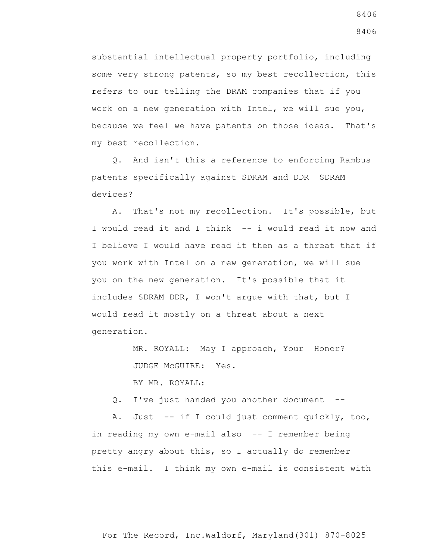substantial intellectual property portfolio, including some very strong patents, so my best recollection, this refers to our telling the DRAM companies that if you work on a new generation with Intel, we will sue you, because we feel we have patents on those ideas. That's my best recollection.

 Q. And isn't this a reference to enforcing Rambus patents specifically against SDRAM and DDR SDRAM devices?

 A. That's not my recollection. It's possible, but I would read it and I think -- i would read it now and I believe I would have read it then as a threat that if you work with Intel on a new generation, we will sue you on the new generation. It's possible that it includes SDRAM DDR, I won't argue with that, but I would read it mostly on a threat about a next generation.

> MR. ROYALL: May I approach, Your Honor? JUDGE McGUIRE: Yes.

BY MR. ROYALL:

Q. I've just handed you another document --

 A. Just -- if I could just comment quickly, too, in reading my own e-mail also -- I remember being pretty angry about this, so I actually do remember this e-mail. I think my own e-mail is consistent with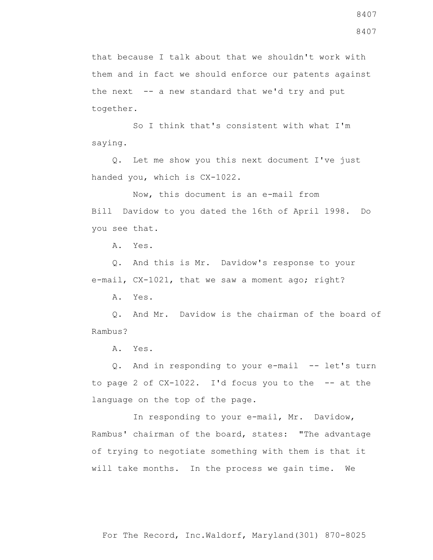that because I talk about that we shouldn't work with them and in fact we should enforce our patents against the next  $-$  a new standard that we'd try and put together.

 So I think that's consistent with what I'm saying.

 Q. Let me show you this next document I've just handed you, which is CX-1022.

 Now, this document is an e-mail from Bill Davidow to you dated the 16th of April 1998. Do you see that.

A. Yes.

 Q. And this is Mr. Davidow's response to your e-mail, CX-1021, that we saw a moment ago; right?

A. Yes.

 Q. And Mr. Davidow is the chairman of the board of Rambus?

A. Yes.

 Q. And in responding to your e-mail -- let's turn to page 2 of CX-1022. I'd focus you to the -- at the language on the top of the page.

In responding to your e-mail, Mr. Davidow, Rambus' chairman of the board, states: "The advantage of trying to negotiate something with them is that it will take months. In the process we gain time. We

8407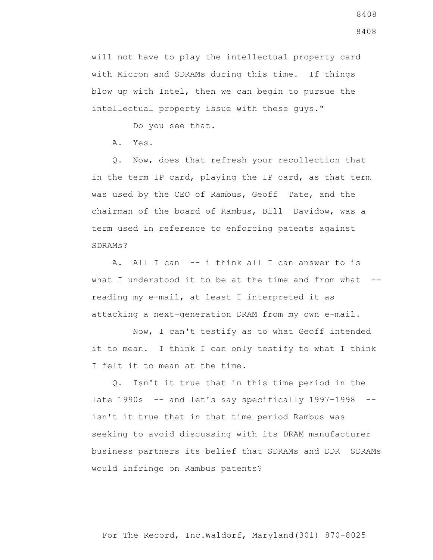will not have to play the intellectual property card with Micron and SDRAMs during this time. If things blow up with Intel, then we can begin to pursue the intellectual property issue with these guys."

Do you see that.

A. Yes.

 Q. Now, does that refresh your recollection that in the term IP card, playing the IP card, as that term was used by the CEO of Rambus, Geoff Tate, and the chairman of the board of Rambus, Bill Davidow, was a term used in reference to enforcing patents against SDRAMs?

 A. All I can -- i think all I can answer to is what I understood it to be at the time and from what -reading my e-mail, at least I interpreted it as attacking a next-generation DRAM from my own e-mail.

 Now, I can't testify as to what Geoff intended it to mean. I think I can only testify to what I think I felt it to mean at the time.

 Q. Isn't it true that in this time period in the late 1990s -- and let's say specifically 1997-1998 - isn't it true that in that time period Rambus was seeking to avoid discussing with its DRAM manufacturer business partners its belief that SDRAMs and DDR SDRAMs would infringe on Rambus patents?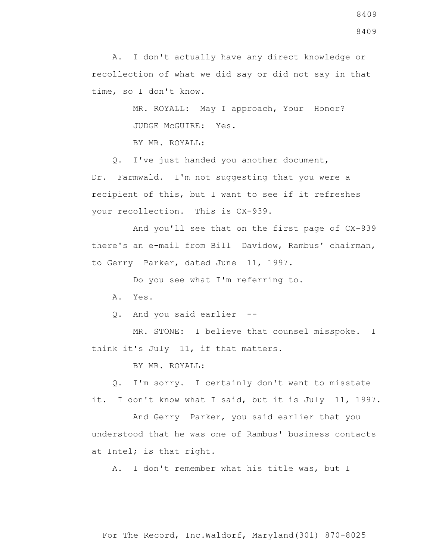A. I don't actually have any direct knowledge or recollection of what we did say or did not say in that time, so I don't know.

> MR. ROYALL: May I approach, Your Honor? JUDGE McGUIRE: Yes.

BY MR. ROYALL:

 Q. I've just handed you another document, Dr. Farmwald. I'm not suggesting that you were a recipient of this, but I want to see if it refreshes your recollection. This is CX-939.

 And you'll see that on the first page of CX-939 there's an e-mail from Bill Davidow, Rambus' chairman, to Gerry Parker, dated June 11, 1997.

Do you see what I'm referring to.

A. Yes.

Q. And you said earlier --

 MR. STONE: I believe that counsel misspoke. I think it's July 11, if that matters.

BY MR. ROYALL:

 Q. I'm sorry. I certainly don't want to misstate it. I don't know what I said, but it is July 11, 1997.

 And Gerry Parker, you said earlier that you understood that he was one of Rambus' business contacts at Intel; is that right.

A. I don't remember what his title was, but I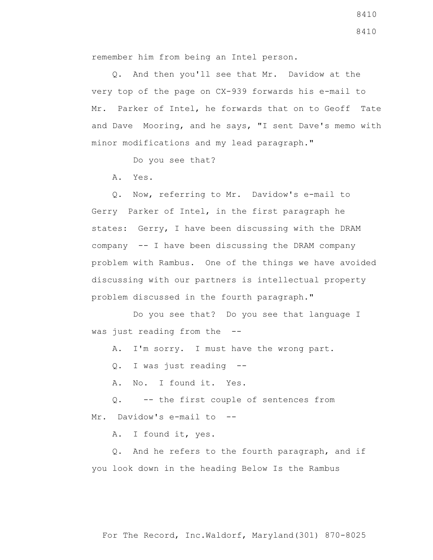remember him from being an Intel person.

 Q. And then you'll see that Mr. Davidow at the very top of the page on CX-939 forwards his e-mail to Mr. Parker of Intel, he forwards that on to Geoff Tate and Dave Mooring, and he says, "I sent Dave's memo with minor modifications and my lead paragraph."

Do you see that?

A. Yes.

 Q. Now, referring to Mr. Davidow's e-mail to Gerry Parker of Intel, in the first paragraph he states: Gerry, I have been discussing with the DRAM company -- I have been discussing the DRAM company problem with Rambus. One of the things we have avoided discussing with our partners is intellectual property problem discussed in the fourth paragraph."

 Do you see that? Do you see that language I was just reading from the --

A. I'm sorry. I must have the wrong part.

Q. I was just reading --

A. No. I found it. Yes.

 Q. -- the first couple of sentences from Mr. Davidow's e-mail to --

A. I found it, yes.

 Q. And he refers to the fourth paragraph, and if you look down in the heading Below Is the Rambus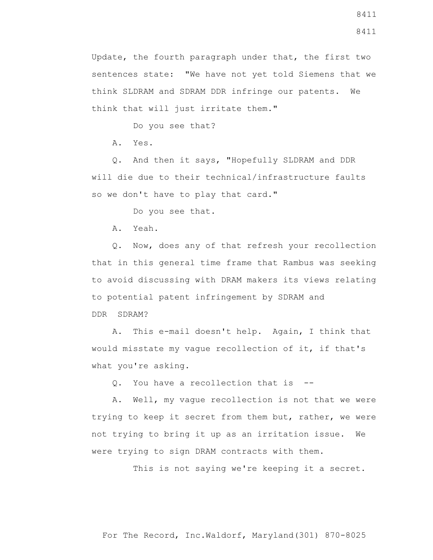think SLDRAM and SDRAM DDR infringe our patents. We think that will just irritate them."

Do you see that?

A. Yes.

 Q. And then it says, "Hopefully SLDRAM and DDR will die due to their technical/infrastructure faults so we don't have to play that card."

Do you see that.

A. Yeah.

 Q. Now, does any of that refresh your recollection that in this general time frame that Rambus was seeking to avoid discussing with DRAM makers its views relating to potential patent infringement by SDRAM and DDR SDRAM?

 A. This e-mail doesn't help. Again, I think that would misstate my vague recollection of it, if that's what you're asking.

Q. You have a recollection that is --

 A. Well, my vague recollection is not that we were trying to keep it secret from them but, rather, we were not trying to bring it up as an irritation issue. We were trying to sign DRAM contracts with them.

This is not saying we're keeping it a secret.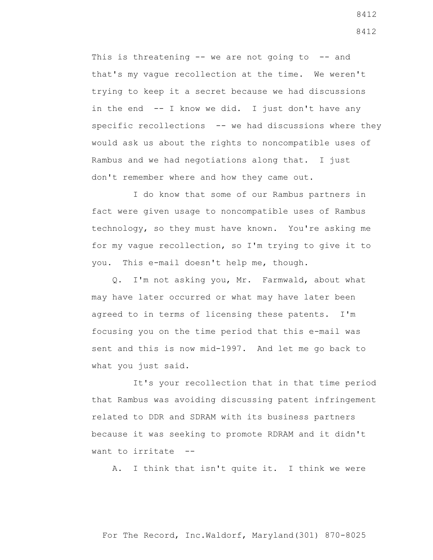This is threatening  $--$  we are not going to  $--$  and that's my vague recollection at the time. We weren't trying to keep it a secret because we had discussions in the end -- I know we did. I just don't have any specific recollections -- we had discussions where they would ask us about the rights to noncompatible uses of Rambus and we had negotiations along that. I just don't remember where and how they came out.

 I do know that some of our Rambus partners in fact were given usage to noncompatible uses of Rambus technology, so they must have known. You're asking me for my vague recollection, so I'm trying to give it to you. This e-mail doesn't help me, though.

 Q. I'm not asking you, Mr. Farmwald, about what may have later occurred or what may have later been agreed to in terms of licensing these patents. I'm focusing you on the time period that this e-mail was sent and this is now mid-1997. And let me go back to what you just said.

 It's your recollection that in that time period that Rambus was avoiding discussing patent infringement related to DDR and SDRAM with its business partners because it was seeking to promote RDRAM and it didn't want to irritate --

A. I think that isn't quite it. I think we were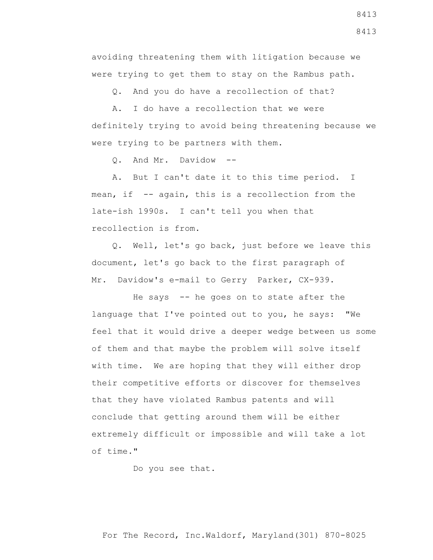avoiding threatening them with litigation because we were trying to get them to stay on the Rambus path.

Q. And you do have a recollection of that?

 A. I do have a recollection that we were definitely trying to avoid being threatening because we were trying to be partners with them.

Q. And Mr. Davidow --

 A. But I can't date it to this time period. I mean, if -- again, this is a recollection from the late-ish 1990s. I can't tell you when that recollection is from.

 Q. Well, let's go back, just before we leave this document, let's go back to the first paragraph of Mr. Davidow's e-mail to Gerry Parker, CX-939.

 He says -- he goes on to state after the language that I've pointed out to you, he says: "We feel that it would drive a deeper wedge between us some of them and that maybe the problem will solve itself with time. We are hoping that they will either drop their competitive efforts or discover for themselves that they have violated Rambus patents and will conclude that getting around them will be either extremely difficult or impossible and will take a lot of time."

Do you see that.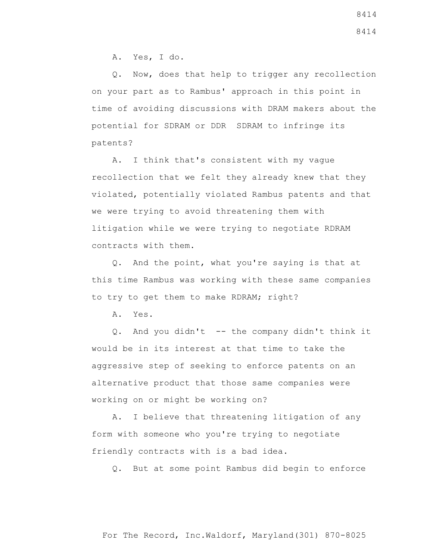A. Yes, I do.

 Q. Now, does that help to trigger any recollection on your part as to Rambus' approach in this point in time of avoiding discussions with DRAM makers about the potential for SDRAM or DDR SDRAM to infringe its patents?

 A. I think that's consistent with my vague recollection that we felt they already knew that they violated, potentially violated Rambus patents and that we were trying to avoid threatening them with litigation while we were trying to negotiate RDRAM contracts with them.

 Q. And the point, what you're saying is that at this time Rambus was working with these same companies to try to get them to make RDRAM; right?

A. Yes.

 Q. And you didn't -- the company didn't think it would be in its interest at that time to take the aggressive step of seeking to enforce patents on an alternative product that those same companies were working on or might be working on?

 A. I believe that threatening litigation of any form with someone who you're trying to negotiate friendly contracts with is a bad idea.

Q. But at some point Rambus did begin to enforce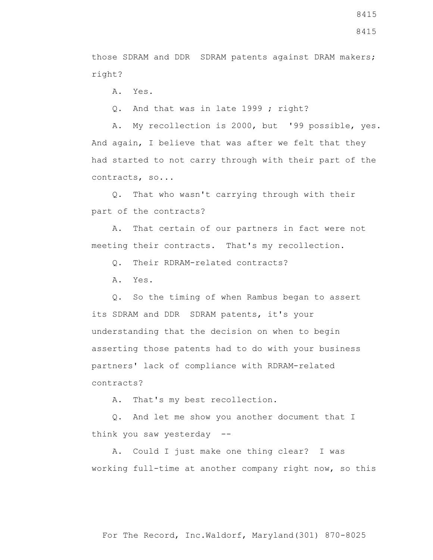8415

those SDRAM and DDR SDRAM patents against DRAM makers; right?

A. Yes.

Q. And that was in late 1999 ; right?

 A. My recollection is 2000, but '99 possible, yes. And again, I believe that was after we felt that they had started to not carry through with their part of the contracts, so...

 Q. That who wasn't carrying through with their part of the contracts?

 A. That certain of our partners in fact were not meeting their contracts. That's my recollection.

Q. Their RDRAM-related contracts?

A. Yes.

 Q. So the timing of when Rambus began to assert its SDRAM and DDR SDRAM patents, it's your understanding that the decision on when to begin asserting those patents had to do with your business partners' lack of compliance with RDRAM-related contracts?

A. That's my best recollection.

 Q. And let me show you another document that I think you saw yesterday --

 A. Could I just make one thing clear? I was working full-time at another company right now, so this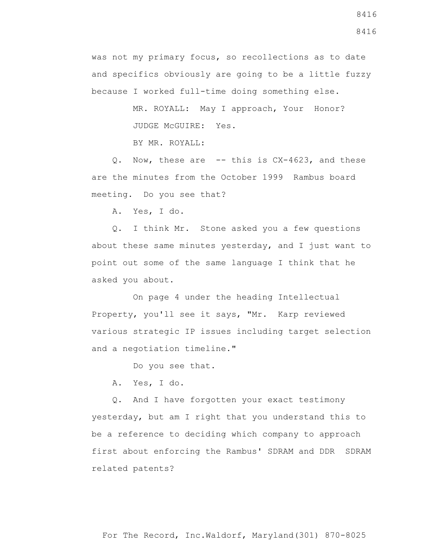was not my primary focus, so recollections as to date and specifics obviously are going to be a little fuzzy because I worked full-time doing something else.

> MR. ROYALL: May I approach, Your Honor? JUDGE McGUIRE: Yes.

BY MR. ROYALL:

0. Now, these are -- this is CX-4623, and these are the minutes from the October 1999 Rambus board meeting. Do you see that?

A. Yes, I do.

 Q. I think Mr. Stone asked you a few questions about these same minutes yesterday, and I just want to point out some of the same language I think that he asked you about.

 On page 4 under the heading Intellectual Property, you'll see it says, "Mr. Karp reviewed various strategic IP issues including target selection and a negotiation timeline."

Do you see that.

A. Yes, I do.

 Q. And I have forgotten your exact testimony yesterday, but am I right that you understand this to be a reference to deciding which company to approach first about enforcing the Rambus' SDRAM and DDR SDRAM related patents?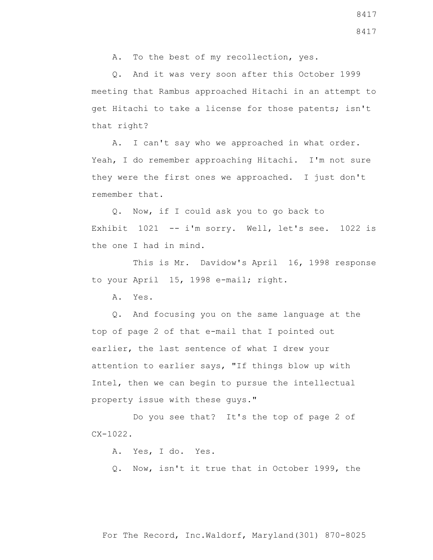A. To the best of my recollection, yes.

 Q. And it was very soon after this October 1999 meeting that Rambus approached Hitachi in an attempt to get Hitachi to take a license for those patents; isn't that right?

 A. I can't say who we approached in what order. Yeah, I do remember approaching Hitachi. I'm not sure they were the first ones we approached. I just don't remember that.

 Q. Now, if I could ask you to go back to Exhibit 1021 -- i'm sorry. Well, let's see. 1022 is the one I had in mind.

 This is Mr. Davidow's April 16, 1998 response to your April 15, 1998 e-mail; right.

A. Yes.

 Q. And focusing you on the same language at the top of page 2 of that e-mail that I pointed out earlier, the last sentence of what I drew your attention to earlier says, "If things blow up with Intel, then we can begin to pursue the intellectual property issue with these guys."

 Do you see that? It's the top of page 2 of CX-1022.

A. Yes, I do. Yes.

Q. Now, isn't it true that in October 1999, the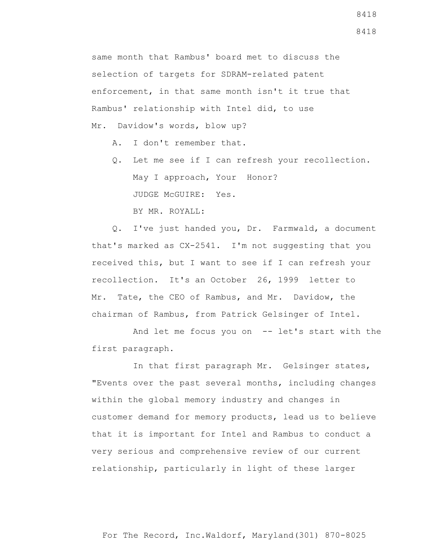same month that Rambus' board met to discuss the selection of targets for SDRAM-related patent enforcement, in that same month isn't it true that Rambus' relationship with Intel did, to use Mr. Davidow's words, blow up?

- A. I don't remember that.
- Q. Let me see if I can refresh your recollection. May I approach, Your Honor? JUDGE McGUIRE: Yes. BY MR. ROYALL:

 Q. I've just handed you, Dr. Farmwald, a document that's marked as CX-2541. I'm not suggesting that you received this, but I want to see if I can refresh your recollection. It's an October 26, 1999 letter to Mr. Tate, the CEO of Rambus, and Mr. Davidow, the chairman of Rambus, from Patrick Gelsinger of Intel.

 And let me focus you on -- let's start with the first paragraph.

 In that first paragraph Mr. Gelsinger states, "Events over the past several months, including changes within the global memory industry and changes in customer demand for memory products, lead us to believe that it is important for Intel and Rambus to conduct a very serious and comprehensive review of our current relationship, particularly in light of these larger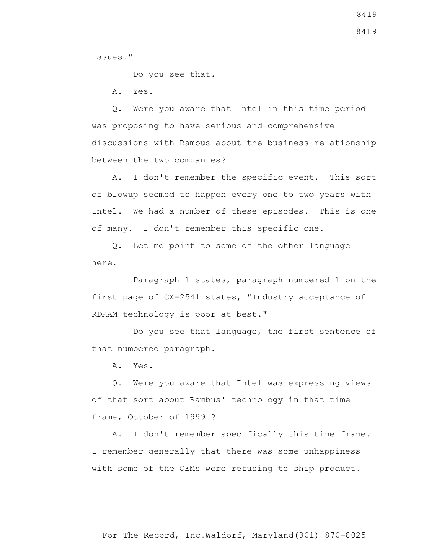8419

issues."

Do you see that.

A. Yes.

 Q. Were you aware that Intel in this time period was proposing to have serious and comprehensive discussions with Rambus about the business relationship between the two companies?

 A. I don't remember the specific event. This sort of blowup seemed to happen every one to two years with Intel. We had a number of these episodes. This is one of many. I don't remember this specific one.

 Q. Let me point to some of the other language here.

 Paragraph 1 states, paragraph numbered 1 on the first page of CX-2541 states, "Industry acceptance of RDRAM technology is poor at best."

 Do you see that language, the first sentence of that numbered paragraph.

A. Yes.

 Q. Were you aware that Intel was expressing views of that sort about Rambus' technology in that time frame, October of 1999 ?

 A. I don't remember specifically this time frame. I remember generally that there was some unhappiness with some of the OEMs were refusing to ship product.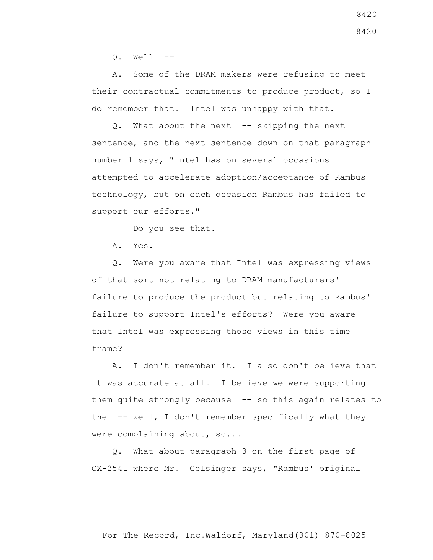$O.$  Well  $--$ 

 A. Some of the DRAM makers were refusing to meet their contractual commitments to produce product, so I do remember that. Intel was unhappy with that.

 Q. What about the next -- skipping the next sentence, and the next sentence down on that paragraph number 1 says, "Intel has on several occasions attempted to accelerate adoption/acceptance of Rambus technology, but on each occasion Rambus has failed to support our efforts."

Do you see that.

A. Yes.

 Q. Were you aware that Intel was expressing views of that sort not relating to DRAM manufacturers' failure to produce the product but relating to Rambus' failure to support Intel's efforts? Were you aware that Intel was expressing those views in this time frame?

 A. I don't remember it. I also don't believe that it was accurate at all. I believe we were supporting them quite strongly because -- so this again relates to the -- well, I don't remember specifically what they were complaining about, so...

 Q. What about paragraph 3 on the first page of CX-2541 where Mr. Gelsinger says, "Rambus' original

For The Record, Inc.Waldorf, Maryland(301) 870-8025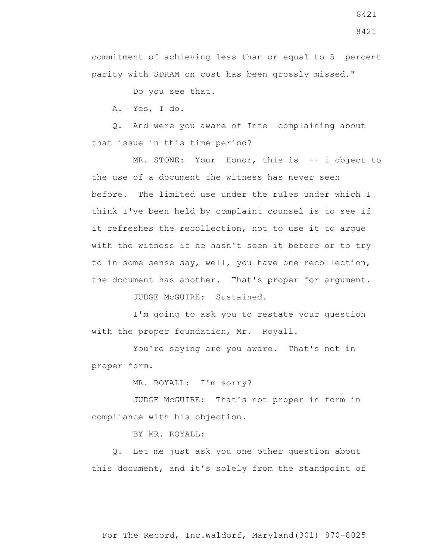commitment of achieving less than or equal to 5 percent parity with SDRAM on cost has been grossly missed."

Do you see that.

A. Yes, I do.

 Q. And were you aware of Intel complaining about that issue in this time period?

 MR. STONE: Your Honor, this is -- i object to the use of a document the witness has never seen before. The limited use under the rules under which I think I've been held by complaint counsel is to see if it refreshes the recollection, not to use it to argue with the witness if he hasn't seen it before or to try to in some sense say, well, you have one recollection, the document has another. That's proper for argument.

JUDGE McGUIRE: Sustained.

 I'm going to ask you to restate your question with the proper foundation, Mr. Royall.

 You're saying are you aware. That's not in proper form.

MR. ROYALL: I'm sorry?

 JUDGE McGUIRE: That's not proper in form in compliance with his objection.

BY MR. ROYALL:

 Q. Let me just ask you one other question about this document, and it's solely from the standpoint of

8421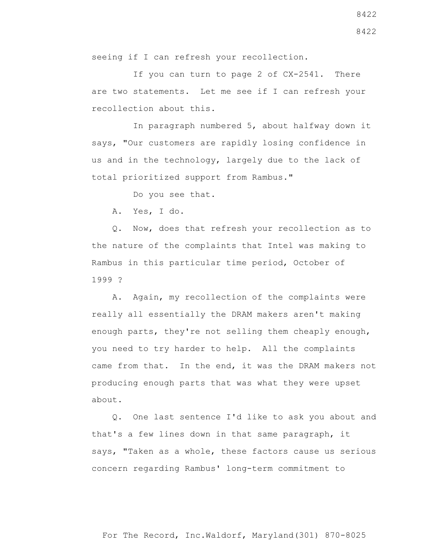seeing if I can refresh your recollection.

 If you can turn to page 2 of CX-2541. There are two statements. Let me see if I can refresh your recollection about this.

 In paragraph numbered 5, about halfway down it says, "Our customers are rapidly losing confidence in us and in the technology, largely due to the lack of total prioritized support from Rambus."

Do you see that.

A. Yes, I do.

 Q. Now, does that refresh your recollection as to the nature of the complaints that Intel was making to Rambus in this particular time period, October of 1999 ?

 A. Again, my recollection of the complaints were really all essentially the DRAM makers aren't making enough parts, they're not selling them cheaply enough, you need to try harder to help. All the complaints came from that. In the end, it was the DRAM makers not producing enough parts that was what they were upset about.

 Q. One last sentence I'd like to ask you about and that's a few lines down in that same paragraph, it says, "Taken as a whole, these factors cause us serious concern regarding Rambus' long-term commitment to

8422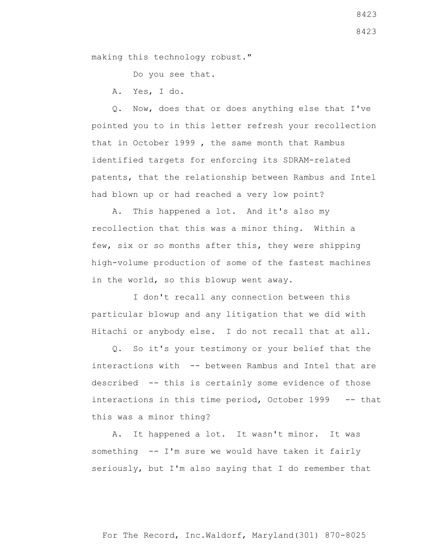making this technology robust."

Do you see that.

A. Yes, I do.

 Q. Now, does that or does anything else that I've pointed you to in this letter refresh your recollection that in October 1999 , the same month that Rambus identified targets for enforcing its SDRAM-related patents, that the relationship between Rambus and Intel had blown up or had reached a very low point?

 A. This happened a lot. And it's also my recollection that this was a minor thing. Within a few, six or so months after this, they were shipping high-volume production of some of the fastest machines in the world, so this blowup went away.

 I don't recall any connection between this particular blowup and any litigation that we did with Hitachi or anybody else. I do not recall that at all.

 Q. So it's your testimony or your belief that the interactions with -- between Rambus and Intel that are described -- this is certainly some evidence of those interactions in this time period, October 1999 -- that this was a minor thing?

 A. It happened a lot. It wasn't minor. It was something -- I'm sure we would have taken it fairly seriously, but I'm also saying that I do remember that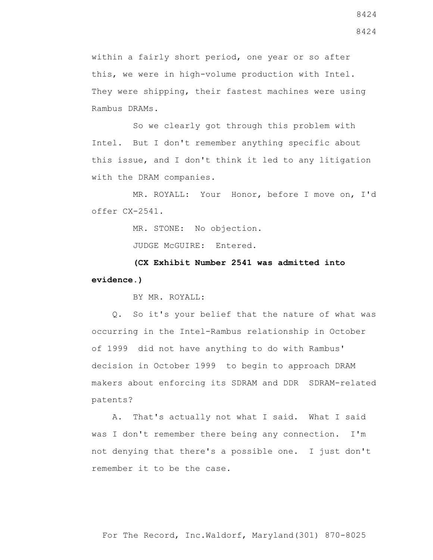within a fairly short period, one year or so after this, we were in high-volume production with Intel. They were shipping, their fastest machines were using Rambus DRAMs.

 So we clearly got through this problem with Intel. But I don't remember anything specific about this issue, and I don't think it led to any litigation with the DRAM companies.

 MR. ROYALL: Your Honor, before I move on, I'd offer CX-2541.

MR. STONE: No objection.

JUDGE McGUIRE: Entered.

 **(CX Exhibit Number 2541 was admitted into evidence.)**

BY MR. ROYALL:

 Q. So it's your belief that the nature of what was occurring in the Intel-Rambus relationship in October of 1999 did not have anything to do with Rambus' decision in October 1999 to begin to approach DRAM makers about enforcing its SDRAM and DDR SDRAM-related patents?

 A. That's actually not what I said. What I said was I don't remember there being any connection. I'm not denying that there's a possible one. I just don't remember it to be the case.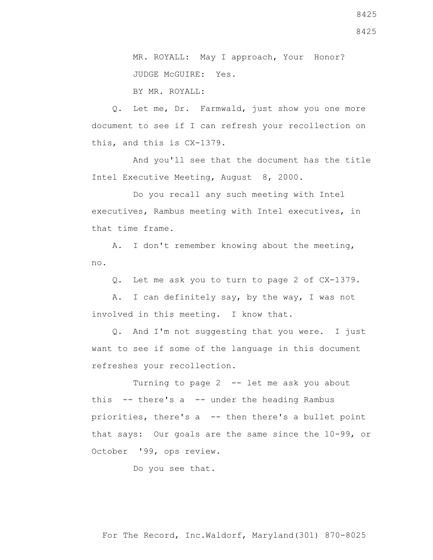8425

 MR. ROYALL: May I approach, Your Honor? JUDGE McGUIRE: Yes.

BY MR. ROYALL:

 Q. Let me, Dr. Farmwald, just show you one more document to see if I can refresh your recollection on this, and this is CX-1379.

 And you'll see that the document has the title Intel Executive Meeting, August 8, 2000.

 Do you recall any such meeting with Intel executives, Rambus meeting with Intel executives, in that time frame.

 A. I don't remember knowing about the meeting, no.

Q. Let me ask you to turn to page 2 of CX-1379.

 A. I can definitely say, by the way, I was not involved in this meeting. I know that.

 Q. And I'm not suggesting that you were. I just want to see if some of the language in this document refreshes your recollection.

 Turning to page 2 -- let me ask you about this  $-$ - there's a  $-$ - under the heading Rambus priorities, there's a -- then there's a bullet point that says: Our goals are the same since the 10-99, or October '99, ops review.

Do you see that.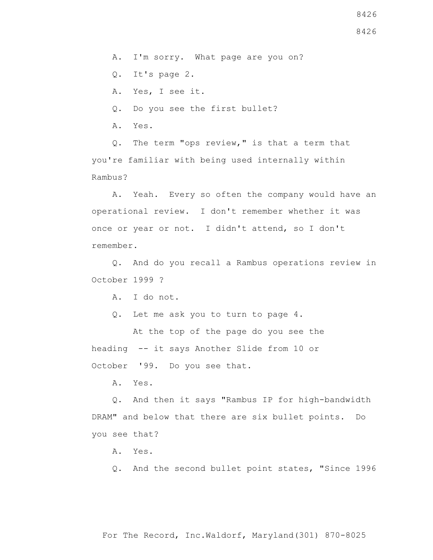A. I'm sorry. What page are you on?

Q. It's page 2.

A. Yes, I see it.

Q. Do you see the first bullet?

A. Yes.

 Q. The term "ops review," is that a term that you're familiar with being used internally within Rambus?

 A. Yeah. Every so often the company would have an operational review. I don't remember whether it was once or year or not. I didn't attend, so I don't remember.

 Q. And do you recall a Rambus operations review in October 1999 ?

A. I do not.

Q. Let me ask you to turn to page 4.

 At the top of the page do you see the heading -- it says Another Slide from 10 or October '99. Do you see that.

A. Yes.

 Q. And then it says "Rambus IP for high-bandwidth DRAM" and below that there are six bullet points. Do you see that?

A. Yes.

Q. And the second bullet point states, "Since 1996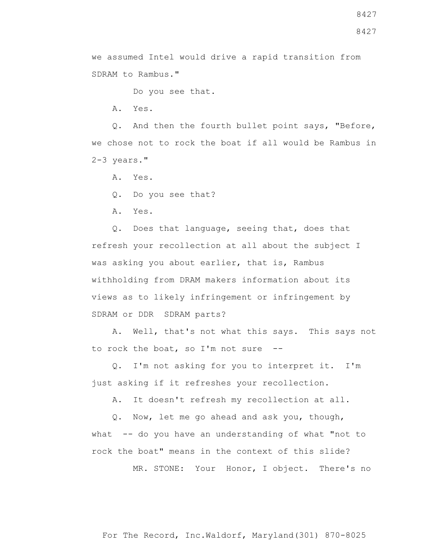8427

we assumed Intel would drive a rapid transition from SDRAM to Rambus."

Do you see that.

A. Yes.

 Q. And then the fourth bullet point says, "Before, we chose not to rock the boat if all would be Rambus in 2-3 years."

A. Yes.

Q. Do you see that?

A. Yes.

 Q. Does that language, seeing that, does that refresh your recollection at all about the subject I was asking you about earlier, that is, Rambus withholding from DRAM makers information about its views as to likely infringement or infringement by SDRAM or DDR SDRAM parts?

 A. Well, that's not what this says. This says not to rock the boat, so I'm not sure --

 Q. I'm not asking for you to interpret it. I'm just asking if it refreshes your recollection.

A. It doesn't refresh my recollection at all.

 Q. Now, let me go ahead and ask you, though, what -- do you have an understanding of what "not to rock the boat" means in the context of this slide?

MR. STONE: Your Honor, I object. There's no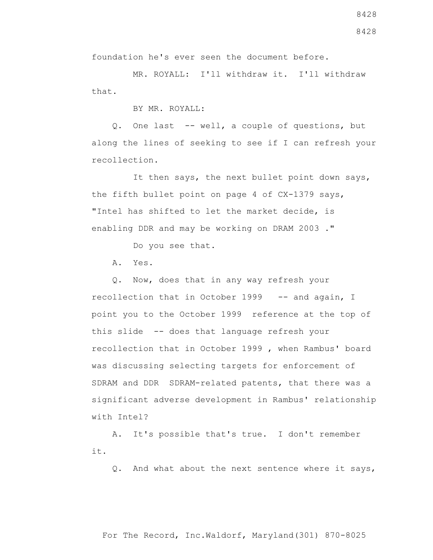For The Record, Inc.Waldorf, Maryland(301) 870-8025

foundation he's ever seen the document before.

 MR. ROYALL: I'll withdraw it. I'll withdraw that.

BY MR. ROYALL:

 Q. One last -- well, a couple of questions, but along the lines of seeking to see if I can refresh your recollection.

 It then says, the next bullet point down says, the fifth bullet point on page 4 of CX-1379 says, "Intel has shifted to let the market decide, is enabling DDR and may be working on DRAM 2003 ."

Do you see that.

A. Yes.

 Q. Now, does that in any way refresh your recollection that in October 1999 -- and again, I point you to the October 1999 reference at the top of this slide -- does that language refresh your recollection that in October 1999 , when Rambus' board was discussing selecting targets for enforcement of SDRAM and DDR SDRAM-related patents, that there was a significant adverse development in Rambus' relationship with Intel?

 A. It's possible that's true. I don't remember it.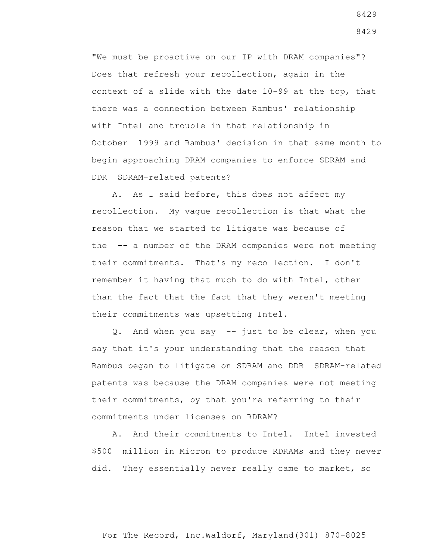"We must be proactive on our IP with DRAM companies"? Does that refresh your recollection, again in the context of a slide with the date 10-99 at the top, that there was a connection between Rambus' relationship with Intel and trouble in that relationship in October 1999 and Rambus' decision in that same month to begin approaching DRAM companies to enforce SDRAM and DDR SDRAM-related patents?

 A. As I said before, this does not affect my recollection. My vague recollection is that what the reason that we started to litigate was because of the -- a number of the DRAM companies were not meeting their commitments. That's my recollection. I don't remember it having that much to do with Intel, other than the fact that the fact that they weren't meeting their commitments was upsetting Intel.

 Q. And when you say -- just to be clear, when you say that it's your understanding that the reason that Rambus began to litigate on SDRAM and DDR SDRAM-related patents was because the DRAM companies were not meeting their commitments, by that you're referring to their commitments under licenses on RDRAM?

 A. And their commitments to Intel. Intel invested \$500 million in Micron to produce RDRAMs and they never did. They essentially never really came to market, so

For The Record, Inc.Waldorf, Maryland(301) 870-8025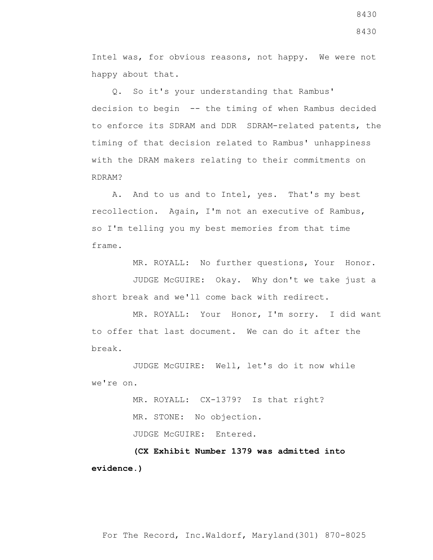Intel was, for obvious reasons, not happy. We were not happy about that.

 Q. So it's your understanding that Rambus' decision to begin -- the timing of when Rambus decided to enforce its SDRAM and DDR SDRAM-related patents, the timing of that decision related to Rambus' unhappiness with the DRAM makers relating to their commitments on RDRAM?

 A. And to us and to Intel, yes. That's my best recollection. Again, I'm not an executive of Rambus, so I'm telling you my best memories from that time frame.

MR. ROYALL: No further questions, Your Honor.

 JUDGE McGUIRE: Okay. Why don't we take just a short break and we'll come back with redirect.

 MR. ROYALL: Your Honor, I'm sorry. I did want to offer that last document. We can do it after the break.

 JUDGE McGUIRE: Well, let's do it now while we're on.

> MR. ROYALL: CX-1379? Is that right? MR. STONE: No objection. JUDGE McGUIRE: Entered.

 **(CX Exhibit Number 1379 was admitted into evidence.)**

8430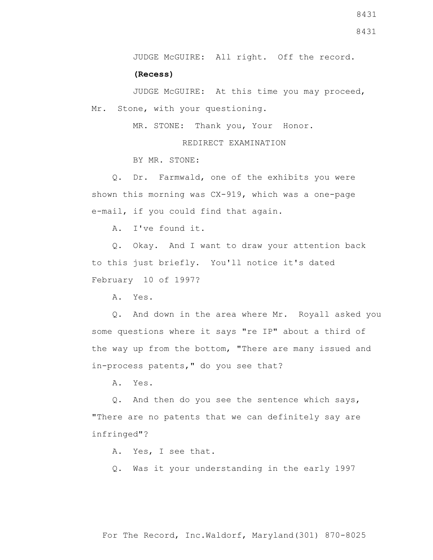JUDGE McGUIRE: All right. Off the record.

**(Recess)**

 JUDGE McGUIRE: At this time you may proceed, Mr. Stone, with your questioning.

MR. STONE: Thank you, Your Honor.

REDIRECT EXAMINATION

BY MR. STONE:

 Q. Dr. Farmwald, one of the exhibits you were shown this morning was CX-919, which was a one-page e-mail, if you could find that again.

A. I've found it.

 Q. Okay. And I want to draw your attention back to this just briefly. You'll notice it's dated February 10 of 1997?

A. Yes.

 Q. And down in the area where Mr. Royall asked you some questions where it says "re IP" about a third of the way up from the bottom, "There are many issued and in-process patents," do you see that?

A. Yes.

 Q. And then do you see the sentence which says, "There are no patents that we can definitely say are infringed"?

A. Yes, I see that.

Q. Was it your understanding in the early 1997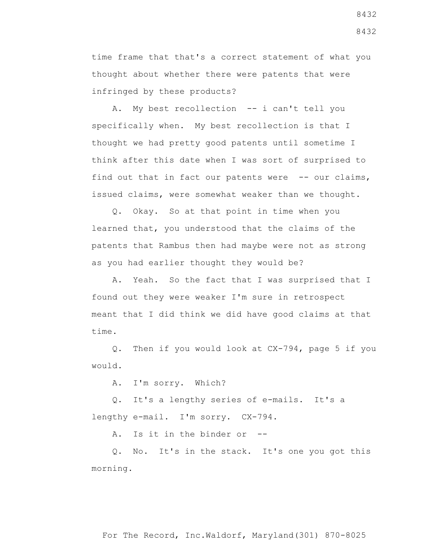time frame that that's a correct statement of what you thought about whether there were patents that were infringed by these products?

A. My best recollection -- i can't tell you specifically when. My best recollection is that I thought we had pretty good patents until sometime I think after this date when I was sort of surprised to find out that in fact our patents were -- our claims, issued claims, were somewhat weaker than we thought.

 Q. Okay. So at that point in time when you learned that, you understood that the claims of the patents that Rambus then had maybe were not as strong as you had earlier thought they would be?

 A. Yeah. So the fact that I was surprised that I found out they were weaker I'm sure in retrospect meant that I did think we did have good claims at that time.

 Q. Then if you would look at CX-794, page 5 if you would.

A. I'm sorry. Which?

 Q. It's a lengthy series of e-mails. It's a lengthy e-mail. I'm sorry. CX-794.

A. Is it in the binder or --

 Q. No. It's in the stack. It's one you got this morning.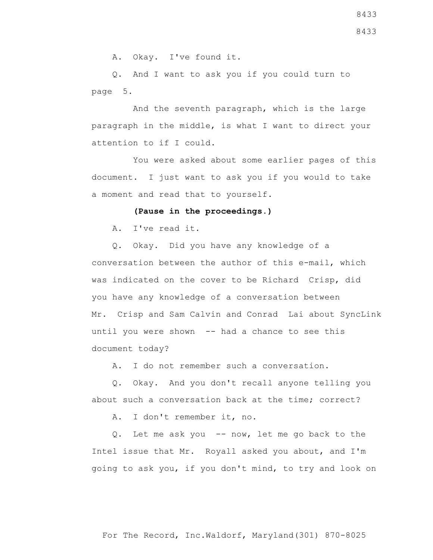A. Okay. I've found it.

 Q. And I want to ask you if you could turn to page 5.

 And the seventh paragraph, which is the large paragraph in the middle, is what I want to direct your attention to if I could.

 You were asked about some earlier pages of this document. I just want to ask you if you would to take a moment and read that to yourself.

## **(Pause in the proceedings.)**

A. I've read it.

 Q. Okay. Did you have any knowledge of a conversation between the author of this e-mail, which was indicated on the cover to be Richard Crisp, did you have any knowledge of a conversation between Mr. Crisp and Sam Calvin and Conrad Lai about SyncLink until you were shown -- had a chance to see this document today?

A. I do not remember such a conversation.

 Q. Okay. And you don't recall anyone telling you about such a conversation back at the time; correct?

A. I don't remember it, no.

 Q. Let me ask you -- now, let me go back to the Intel issue that Mr. Royall asked you about, and I'm going to ask you, if you don't mind, to try and look on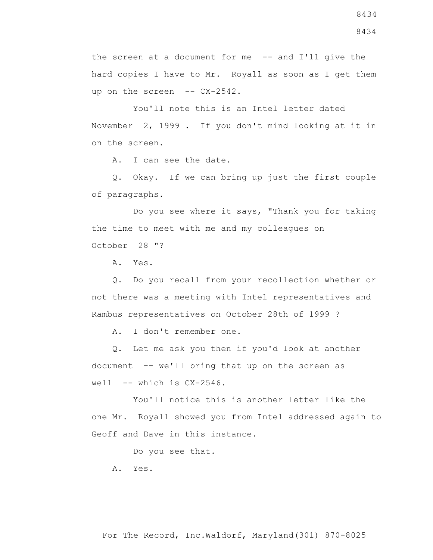the screen at a document for me -- and I'll give the hard copies I have to Mr. Royall as soon as I get them up on the screen -- CX-2542.

 You'll note this is an Intel letter dated November 2, 1999 . If you don't mind looking at it in on the screen.

A. I can see the date.

 Q. Okay. If we can bring up just the first couple of paragraphs.

 Do you see where it says, "Thank you for taking the time to meet with me and my colleagues on October 28 "?

A. Yes.

 Q. Do you recall from your recollection whether or not there was a meeting with Intel representatives and Rambus representatives on October 28th of 1999 ?

A. I don't remember one.

 Q. Let me ask you then if you'd look at another document -- we'll bring that up on the screen as well  $--$  which is  $CX-2546$ .

 You'll notice this is another letter like the one Mr. Royall showed you from Intel addressed again to Geoff and Dave in this instance.

Do you see that.

A. Yes.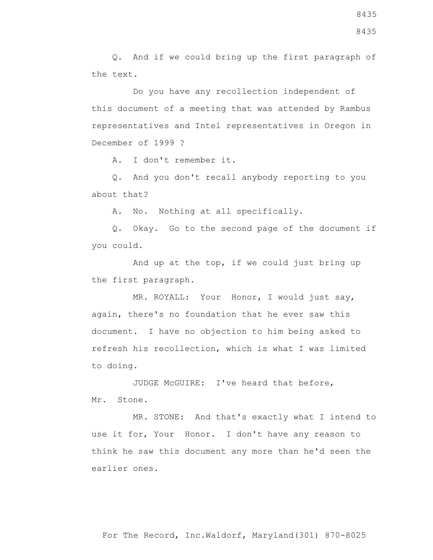Q. And if we could bring up the first paragraph of the text.

 Do you have any recollection independent of this document of a meeting that was attended by Rambus representatives and Intel representatives in Oregon in December of 1999 ?

A. I don't remember it.

 Q. And you don't recall anybody reporting to you about that?

A. No. Nothing at all specifically.

 Q. Okay. Go to the second page of the document if you could.

 And up at the top, if we could just bring up the first paragraph.

 MR. ROYALL: Your Honor, I would just say, again, there's no foundation that he ever saw this document. I have no objection to him being asked to refresh his recollection, which is what I was limited to doing.

 JUDGE McGUIRE: I've heard that before, Mr. Stone.

 MR. STONE: And that's exactly what I intend to use it for, Your Honor. I don't have any reason to think he saw this document any more than he'd seen the earlier ones.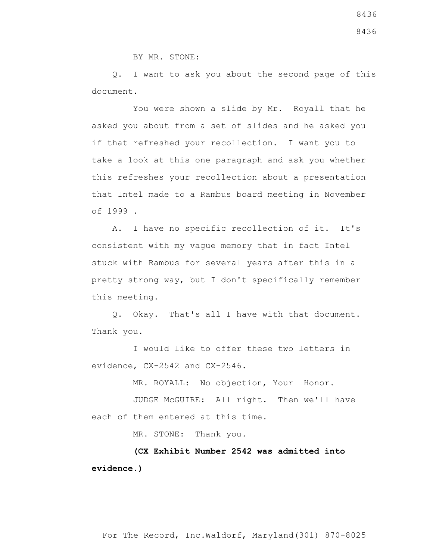8436

BY MR. STONE:

 Q. I want to ask you about the second page of this document.

 You were shown a slide by Mr. Royall that he asked you about from a set of slides and he asked you if that refreshed your recollection. I want you to take a look at this one paragraph and ask you whether this refreshes your recollection about a presentation that Intel made to a Rambus board meeting in November of 1999 .

 A. I have no specific recollection of it. It's consistent with my vague memory that in fact Intel stuck with Rambus for several years after this in a pretty strong way, but I don't specifically remember this meeting.

 Q. Okay. That's all I have with that document. Thank you.

 I would like to offer these two letters in evidence, CX-2542 and CX-2546.

MR. ROYALL: No objection, Your Honor.

 JUDGE McGUIRE: All right. Then we'll have each of them entered at this time.

MR. STONE: Thank you.

 **(CX Exhibit Number 2542 was admitted into evidence.)**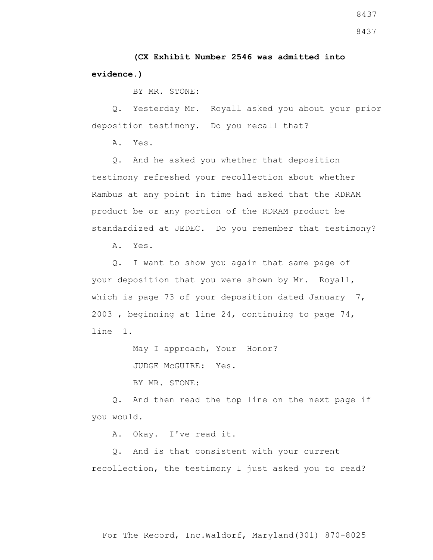**(CX Exhibit Number 2546 was admitted into evidence.)**

BY MR. STONE:

 Q. Yesterday Mr. Royall asked you about your prior deposition testimony. Do you recall that?

A. Yes.

 Q. And he asked you whether that deposition testimony refreshed your recollection about whether Rambus at any point in time had asked that the RDRAM product be or any portion of the RDRAM product be standardized at JEDEC. Do you remember that testimony?

A. Yes.

 Q. I want to show you again that same page of your deposition that you were shown by Mr. Royall, which is page 73 of your deposition dated January 7, 2003 , beginning at line 24, continuing to page 74, line 1.

May I approach, Your Honor?

JUDGE McGUIRE: Yes.

BY MR. STONE:

 Q. And then read the top line on the next page if you would.

A. Okay. I've read it.

 Q. And is that consistent with your current recollection, the testimony I just asked you to read?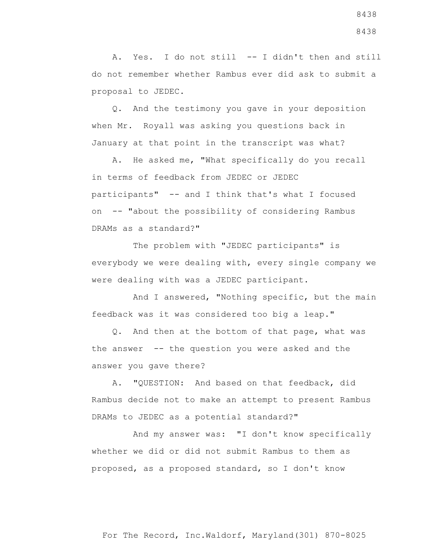A. Yes. I do not still -- I didn't then and still do not remember whether Rambus ever did ask to submit a proposal to JEDEC.

 Q. And the testimony you gave in your deposition when Mr. Royall was asking you questions back in January at that point in the transcript was what?

 A. He asked me, "What specifically do you recall in terms of feedback from JEDEC or JEDEC participants" -- and I think that's what I focused on -- "about the possibility of considering Rambus DRAMs as a standard?"

 The problem with "JEDEC participants" is everybody we were dealing with, every single company we were dealing with was a JEDEC participant.

 And I answered, "Nothing specific, but the main feedback was it was considered too big a leap."

 Q. And then at the bottom of that page, what was the answer  $-$ - the question you were asked and the answer you gave there?

 A. "QUESTION: And based on that feedback, did Rambus decide not to make an attempt to present Rambus DRAMs to JEDEC as a potential standard?"

 And my answer was: "I don't know specifically whether we did or did not submit Rambus to them as proposed, as a proposed standard, so I don't know

8438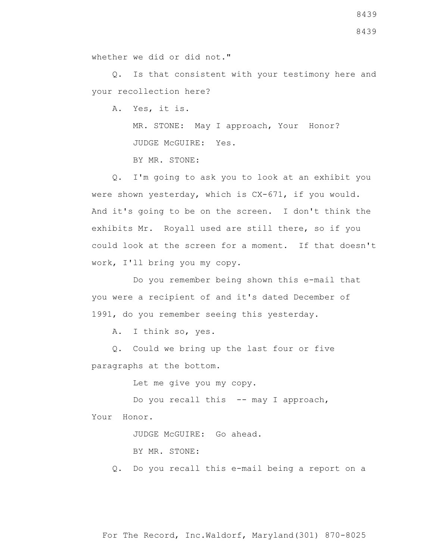Q. Is that consistent with your testimony here and your recollection here?

A. Yes, it is.

 MR. STONE: May I approach, Your Honor? JUDGE McGUIRE: Yes.

BY MR. STONE:

 Q. I'm going to ask you to look at an exhibit you were shown yesterday, which is CX-671, if you would. And it's going to be on the screen. I don't think the exhibits Mr. Royall used are still there, so if you could look at the screen for a moment. If that doesn't work, I'll bring you my copy.

 Do you remember being shown this e-mail that you were a recipient of and it's dated December of 1991, do you remember seeing this yesterday.

A. I think so, yes.

 Q. Could we bring up the last four or five paragraphs at the bottom.

Let me give you my copy.

Do you recall this -- may I approach, Your Honor.

JUDGE McGUIRE: Go ahead.

BY MR. STONE:

Q. Do you recall this e-mail being a report on a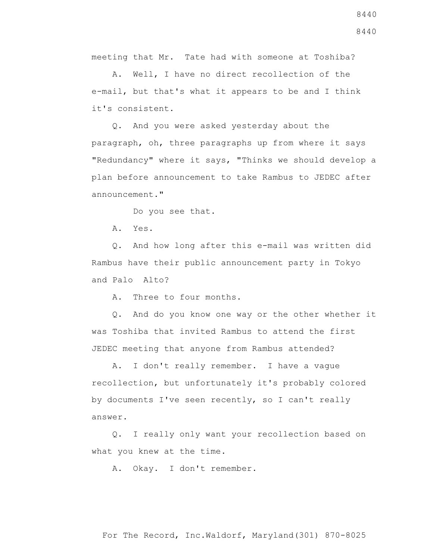meeting that Mr. Tate had with someone at Toshiba?

 A. Well, I have no direct recollection of the e-mail, but that's what it appears to be and I think it's consistent.

 Q. And you were asked yesterday about the paragraph, oh, three paragraphs up from where it says "Redundancy" where it says, "Thinks we should develop a plan before announcement to take Rambus to JEDEC after announcement."

Do you see that.

A. Yes.

 Q. And how long after this e-mail was written did Rambus have their public announcement party in Tokyo and Palo Alto?

A. Three to four months.

 Q. And do you know one way or the other whether it was Toshiba that invited Rambus to attend the first JEDEC meeting that anyone from Rambus attended?

 A. I don't really remember. I have a vague recollection, but unfortunately it's probably colored by documents I've seen recently, so I can't really answer.

 Q. I really only want your recollection based on what you knew at the time.

A. Okay. I don't remember.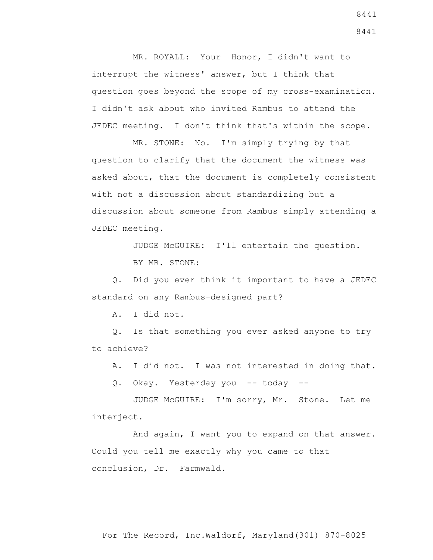MR. ROYALL: Your Honor, I didn't want to interrupt the witness' answer, but I think that question goes beyond the scope of my cross-examination. I didn't ask about who invited Rambus to attend the JEDEC meeting. I don't think that's within the scope.

 MR. STONE: No. I'm simply trying by that question to clarify that the document the witness was asked about, that the document is completely consistent with not a discussion about standardizing but a discussion about someone from Rambus simply attending a JEDEC meeting.

JUDGE McGUIRE: I'll entertain the question.

BY MR. STONE:

 Q. Did you ever think it important to have a JEDEC standard on any Rambus-designed part?

A. I did not.

 Q. Is that something you ever asked anyone to try to achieve?

A. I did not. I was not interested in doing that.

Q. Okay. Yesterday you -- today --

 JUDGE McGUIRE: I'm sorry, Mr. Stone. Let me interject.

 And again, I want you to expand on that answer. Could you tell me exactly why you came to that conclusion, Dr. Farmwald.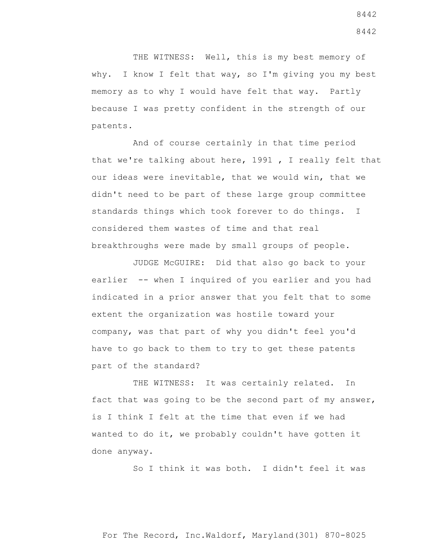THE WITNESS: Well, this is my best memory of why. I know I felt that way, so I'm giving you my best memory as to why I would have felt that way. Partly because I was pretty confident in the strength of our patents.

 And of course certainly in that time period that we're talking about here, 1991 , I really felt that our ideas were inevitable, that we would win, that we didn't need to be part of these large group committee standards things which took forever to do things. I considered them wastes of time and that real breakthroughs were made by small groups of people.

 JUDGE McGUIRE: Did that also go back to your earlier -- when I inquired of you earlier and you had indicated in a prior answer that you felt that to some extent the organization was hostile toward your company, was that part of why you didn't feel you'd have to go back to them to try to get these patents part of the standard?

THE WITNESS: It was certainly related. In fact that was going to be the second part of my answer, is I think I felt at the time that even if we had wanted to do it, we probably couldn't have gotten it done anyway.

So I think it was both. I didn't feel it was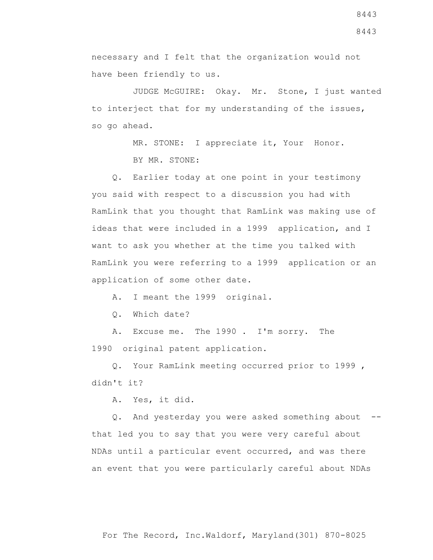necessary and I felt that the organization would not have been friendly to us.

 JUDGE McGUIRE: Okay. Mr. Stone, I just wanted to interject that for my understanding of the issues, so go ahead.

> MR. STONE: I appreciate it, Your Honor. BY MR. STONE:

 Q. Earlier today at one point in your testimony you said with respect to a discussion you had with RamLink that you thought that RamLink was making use of ideas that were included in a 1999 application, and I want to ask you whether at the time you talked with RamLink you were referring to a 1999 application or an application of some other date.

A. I meant the 1999 original.

Q. Which date?

 A. Excuse me. The 1990 . I'm sorry. The 1990 original patent application.

 Q. Your RamLink meeting occurred prior to 1999 , didn't it?

A. Yes, it did.

 Q. And yesterday you were asked something about - that led you to say that you were very careful about NDAs until a particular event occurred, and was there an event that you were particularly careful about NDAs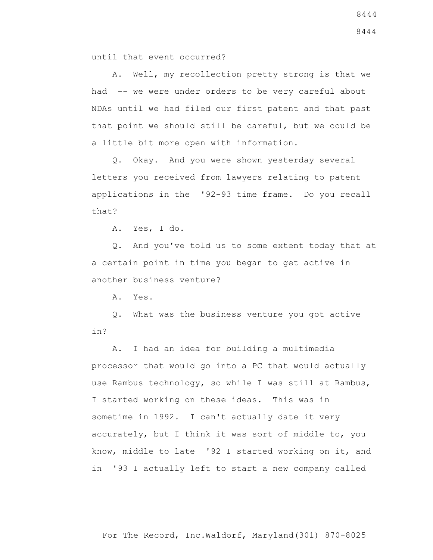until that event occurred?

 A. Well, my recollection pretty strong is that we had -- we were under orders to be very careful about NDAs until we had filed our first patent and that past that point we should still be careful, but we could be a little bit more open with information.

 Q. Okay. And you were shown yesterday several letters you received from lawyers relating to patent applications in the '92-93 time frame. Do you recall that?

A. Yes, I do.

 Q. And you've told us to some extent today that at a certain point in time you began to get active in another business venture?

A. Yes.

 Q. What was the business venture you got active in?

 A. I had an idea for building a multimedia processor that would go into a PC that would actually use Rambus technology, so while I was still at Rambus, I started working on these ideas. This was in sometime in 1992. I can't actually date it very accurately, but I think it was sort of middle to, you know, middle to late '92 I started working on it, and in '93 I actually left to start a new company called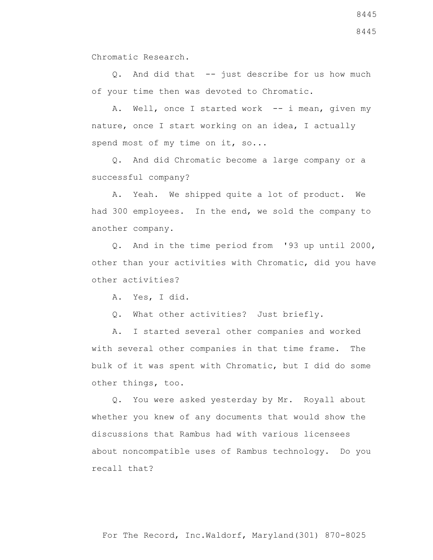Chromatic Research.

Q. And did that -- just describe for us how much of your time then was devoted to Chromatic.

A. Well, once I started work -- i mean, given my nature, once I start working on an idea, I actually spend most of my time on it, so...

 Q. And did Chromatic become a large company or a successful company?

 A. Yeah. We shipped quite a lot of product. We had 300 employees. In the end, we sold the company to another company.

 Q. And in the time period from '93 up until 2000, other than your activities with Chromatic, did you have other activities?

A. Yes, I did.

Q. What other activities? Just briefly.

 A. I started several other companies and worked with several other companies in that time frame. The bulk of it was spent with Chromatic, but I did do some other things, too.

 Q. You were asked yesterday by Mr. Royall about whether you knew of any documents that would show the discussions that Rambus had with various licensees about noncompatible uses of Rambus technology. Do you recall that?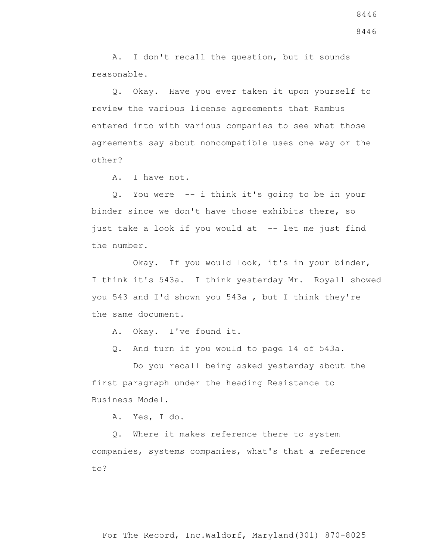A. I don't recall the question, but it sounds reasonable.

 Q. Okay. Have you ever taken it upon yourself to review the various license agreements that Rambus entered into with various companies to see what those agreements say about noncompatible uses one way or the other?

A. I have not.

 Q. You were -- i think it's going to be in your binder since we don't have those exhibits there, so just take a look if you would at -- let me just find the number.

 Okay. If you would look, it's in your binder, I think it's 543a. I think yesterday Mr. Royall showed you 543 and I'd shown you 543a , but I think they're the same document.

A. Okay. I've found it.

Q. And turn if you would to page 14 of 543a.

 Do you recall being asked yesterday about the first paragraph under the heading Resistance to Business Model.

A. Yes, I do.

 Q. Where it makes reference there to system companies, systems companies, what's that a reference to?

8446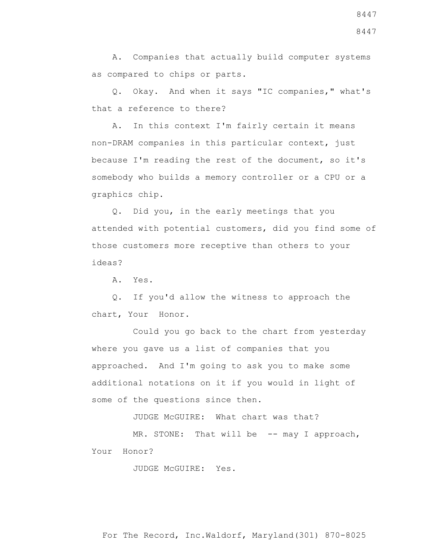A. Companies that actually build computer systems as compared to chips or parts.

 Q. Okay. And when it says "IC companies," what's that a reference to there?

 A. In this context I'm fairly certain it means non-DRAM companies in this particular context, just because I'm reading the rest of the document, so it's somebody who builds a memory controller or a CPU or a graphics chip.

 Q. Did you, in the early meetings that you attended with potential customers, did you find some of those customers more receptive than others to your ideas?

A. Yes.

 Q. If you'd allow the witness to approach the chart, Your Honor.

 Could you go back to the chart from yesterday where you gave us a list of companies that you approached. And I'm going to ask you to make some additional notations on it if you would in light of some of the questions since then.

JUDGE McGUIRE: What chart was that?

MR. STONE: That will be -- may I approach, Your Honor?

JUDGE McGUIRE: Yes.

For The Record, Inc.Waldorf, Maryland(301) 870-8025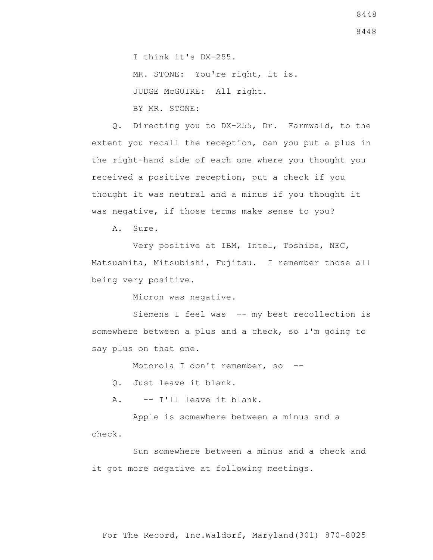8448

 I think it's DX-255. MR. STONE: You're right, it is. JUDGE McGUIRE: All right. BY MR. STONE:

 Q. Directing you to DX-255, Dr. Farmwald, to the extent you recall the reception, can you put a plus in the right-hand side of each one where you thought you received a positive reception, put a check if you thought it was neutral and a minus if you thought it was negative, if those terms make sense to you?

A. Sure.

 Very positive at IBM, Intel, Toshiba, NEC, Matsushita, Mitsubishi, Fujitsu. I remember those all being very positive.

Micron was negative.

Siemens I feel was -- my best recollection is somewhere between a plus and a check, so I'm going to say plus on that one.

Motorola I don't remember, so --

Q. Just leave it blank.

A. -- I'll leave it blank.

 Apple is somewhere between a minus and a check.

 Sun somewhere between a minus and a check and it got more negative at following meetings.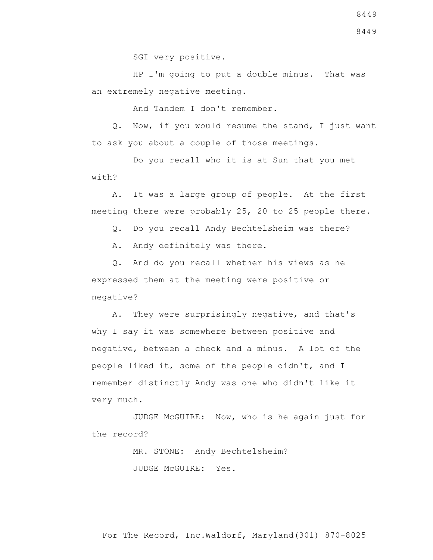SGI very positive.

 HP I'm going to put a double minus. That was an extremely negative meeting.

And Tandem I don't remember.

 Q. Now, if you would resume the stand, I just want to ask you about a couple of those meetings.

 Do you recall who it is at Sun that you met with?

 A. It was a large group of people. At the first meeting there were probably 25, 20 to 25 people there.

Q. Do you recall Andy Bechtelsheim was there?

A. Andy definitely was there.

 Q. And do you recall whether his views as he expressed them at the meeting were positive or negative?

 A. They were surprisingly negative, and that's why I say it was somewhere between positive and negative, between a check and a minus. A lot of the people liked it, some of the people didn't, and I remember distinctly Andy was one who didn't like it very much.

 JUDGE McGUIRE: Now, who is he again just for the record?

> MR. STONE: Andy Bechtelsheim? JUDGE McGUIRE: Yes.

For The Record, Inc.Waldorf, Maryland(301) 870-8025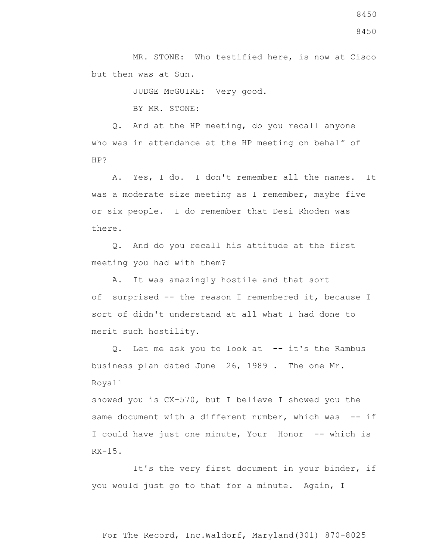MR. STONE: Who testified here, is now at Cisco but then was at Sun.

JUDGE McGUIRE: Very good.

BY MR. STONE:

 Q. And at the HP meeting, do you recall anyone who was in attendance at the HP meeting on behalf of HP?

 A. Yes, I do. I don't remember all the names. It was a moderate size meeting as I remember, maybe five or six people. I do remember that Desi Rhoden was there.

 Q. And do you recall his attitude at the first meeting you had with them?

 A. It was amazingly hostile and that sort of surprised -- the reason I remembered it, because I sort of didn't understand at all what I had done to merit such hostility.

 Q. Let me ask you to look at -- it's the Rambus business plan dated June 26, 1989 . The one Mr. Royall

showed you is CX-570, but I believe I showed you the same document with a different number, which was -- if I could have just one minute, Your Honor -- which is  $RX-15$ .

 It's the very first document in your binder, if you would just go to that for a minute. Again, I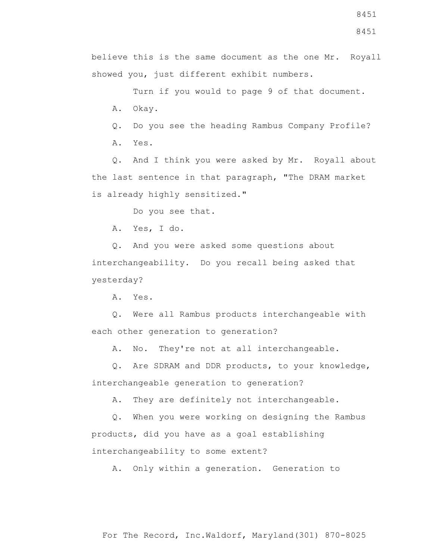believe this is the same document as the one Mr. Royall showed you, just different exhibit numbers.

 Turn if you would to page 9 of that document. A. Okay.

Q. Do you see the heading Rambus Company Profile?

A. Yes.

 Q. And I think you were asked by Mr. Royall about the last sentence in that paragraph, "The DRAM market is already highly sensitized."

Do you see that.

A. Yes, I do.

 Q. And you were asked some questions about interchangeability. Do you recall being asked that yesterday?

A. Yes.

 Q. Were all Rambus products interchangeable with each other generation to generation?

A. No. They're not at all interchangeable.

 Q. Are SDRAM and DDR products, to your knowledge, interchangeable generation to generation?

A. They are definitely not interchangeable.

 Q. When you were working on designing the Rambus products, did you have as a goal establishing interchangeability to some extent?

A. Only within a generation. Generation to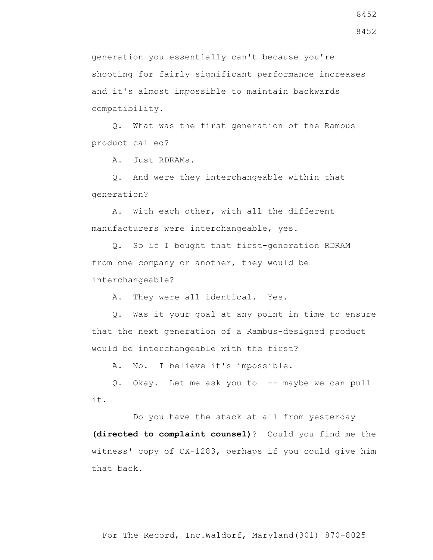generation you essentially can't because you're shooting for fairly significant performance increases and it's almost impossible to maintain backwards compatibility.

 Q. What was the first generation of the Rambus product called?

A. Just RDRAMs.

 Q. And were they interchangeable within that generation?

 A. With each other, with all the different manufacturers were interchangeable, yes.

 Q. So if I bought that first-generation RDRAM from one company or another, they would be interchangeable?

A. They were all identical. Yes.

 Q. Was it your goal at any point in time to ensure that the next generation of a Rambus-designed product would be interchangeable with the first?

A. No. I believe it's impossible.

Q. Okay. Let me ask you to -- maybe we can pull it.

 Do you have the stack at all from yesterday **(directed to complaint counsel)**? Could you find me the witness' copy of CX-1283, perhaps if you could give him that back.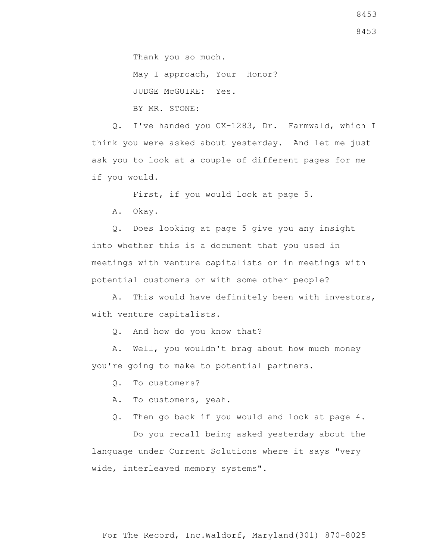Thank you so much.

May I approach, Your Honor? JUDGE McGUIRE: Yes. BY MR. STONE:

 Q. I've handed you CX-1283, Dr. Farmwald, which I think you were asked about yesterday. And let me just ask you to look at a couple of different pages for me if you would.

First, if you would look at page 5.

A. Okay.

 Q. Does looking at page 5 give you any insight into whether this is a document that you used in meetings with venture capitalists or in meetings with potential customers or with some other people?

 A. This would have definitely been with investors, with venture capitalists.

Q. And how do you know that?

 A. Well, you wouldn't brag about how much money you're going to make to potential partners.

Q. To customers?

A. To customers, yeah.

Q. Then go back if you would and look at page 4.

 Do you recall being asked yesterday about the language under Current Solutions where it says "very wide, interleaved memory systems".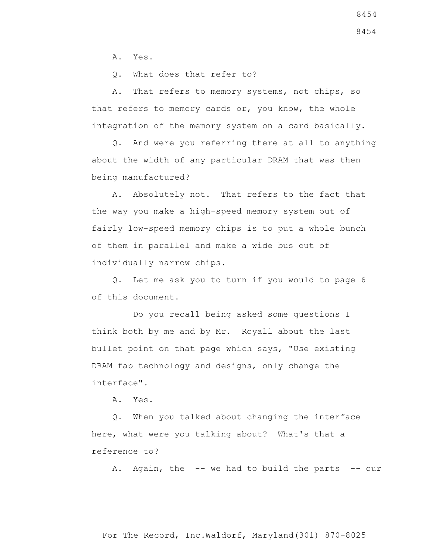A. Yes.

Q. What does that refer to?

 A. That refers to memory systems, not chips, so that refers to memory cards or, you know, the whole integration of the memory system on a card basically.

 Q. And were you referring there at all to anything about the width of any particular DRAM that was then being manufactured?

 A. Absolutely not. That refers to the fact that the way you make a high-speed memory system out of fairly low-speed memory chips is to put a whole bunch of them in parallel and make a wide bus out of individually narrow chips.

 Q. Let me ask you to turn if you would to page 6 of this document.

 Do you recall being asked some questions I think both by me and by Mr. Royall about the last bullet point on that page which says, "Use existing DRAM fab technology and designs, only change the interface".

A. Yes.

 Q. When you talked about changing the interface here, what were you talking about? What's that a reference to?

A. Again, the -- we had to build the parts -- our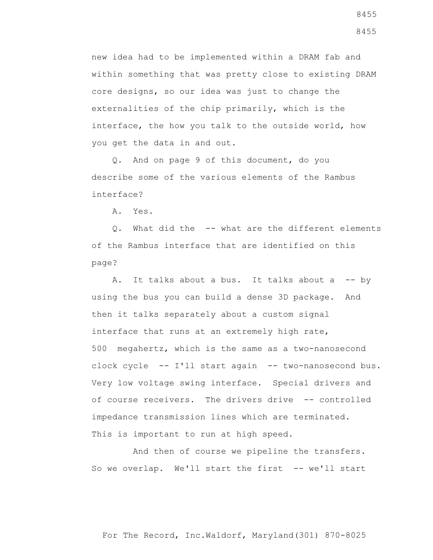new idea had to be implemented within a DRAM fab and within something that was pretty close to existing DRAM core designs, so our idea was just to change the externalities of the chip primarily, which is the interface, the how you talk to the outside world, how you get the data in and out.

 Q. And on page 9 of this document, do you describe some of the various elements of the Rambus interface?

A. Yes.

 Q. What did the -- what are the different elements of the Rambus interface that are identified on this page?

A. It talks about a bus. It talks about a -- by using the bus you can build a dense 3D package. And then it talks separately about a custom signal interface that runs at an extremely high rate, 500 megahertz, which is the same as a two-nanosecond clock cycle -- I'll start again -- two-nanosecond bus. Very low voltage swing interface. Special drivers and of course receivers. The drivers drive -- controlled impedance transmission lines which are terminated. This is important to run at high speed.

 And then of course we pipeline the transfers. So we overlap. We'll start the first -- we'll start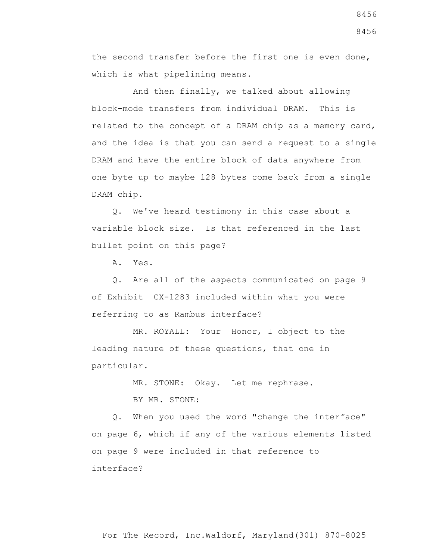the second transfer before the first one is even done, which is what pipelining means.

 And then finally, we talked about allowing block-mode transfers from individual DRAM. This is related to the concept of a DRAM chip as a memory card, and the idea is that you can send a request to a single DRAM and have the entire block of data anywhere from one byte up to maybe 128 bytes come back from a single DRAM chip.

 Q. We've heard testimony in this case about a variable block size. Is that referenced in the last bullet point on this page?

A. Yes.

 Q. Are all of the aspects communicated on page 9 of Exhibit CX-1283 included within what you were referring to as Rambus interface?

 MR. ROYALL: Your Honor, I object to the leading nature of these questions, that one in particular.

> MR. STONE: Okay. Let me rephrase. BY MR. STONE:

 Q. When you used the word "change the interface" on page 6, which if any of the various elements listed on page 9 were included in that reference to interface?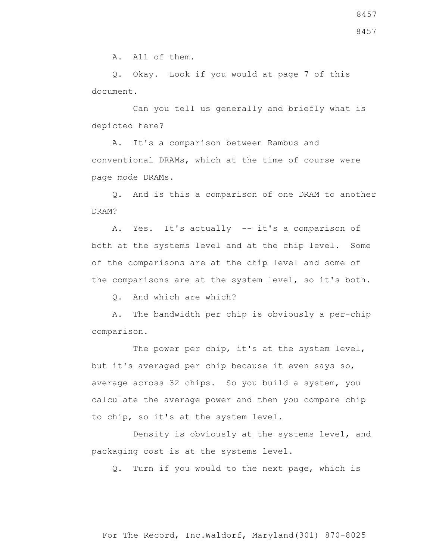A. All of them.

 Q. Okay. Look if you would at page 7 of this document.

 Can you tell us generally and briefly what is depicted here?

 A. It's a comparison between Rambus and conventional DRAMs, which at the time of course were page mode DRAMs.

 Q. And is this a comparison of one DRAM to another DRAM?

 A. Yes. It's actually -- it's a comparison of both at the systems level and at the chip level. Some of the comparisons are at the chip level and some of the comparisons are at the system level, so it's both.

Q. And which are which?

 A. The bandwidth per chip is obviously a per-chip comparison.

The power per chip, it's at the system level, but it's averaged per chip because it even says so, average across 32 chips. So you build a system, you calculate the average power and then you compare chip to chip, so it's at the system level.

 Density is obviously at the systems level, and packaging cost is at the systems level.

Q. Turn if you would to the next page, which is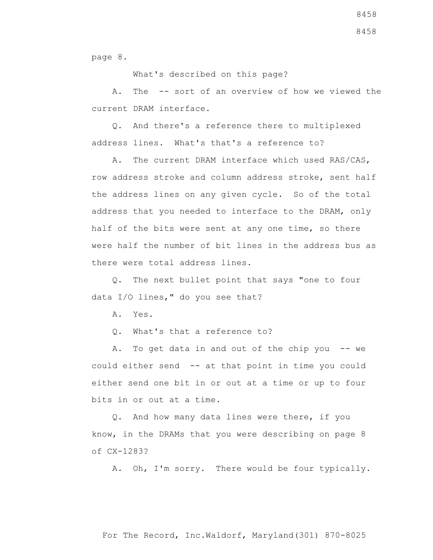8458

page 8.

What's described on this page?

 A. The -- sort of an overview of how we viewed the current DRAM interface.

 Q. And there's a reference there to multiplexed address lines. What's that's a reference to?

 A. The current DRAM interface which used RAS/CAS, row address stroke and column address stroke, sent half the address lines on any given cycle. So of the total address that you needed to interface to the DRAM, only half of the bits were sent at any one time, so there were half the number of bit lines in the address bus as there were total address lines.

 Q. The next bullet point that says "one to four data I/O lines," do you see that?

A. Yes.

Q. What's that a reference to?

A. To get data in and out of the chip you -- we could either send -- at that point in time you could either send one bit in or out at a time or up to four bits in or out at a time.

 Q. And how many data lines were there, if you know, in the DRAMs that you were describing on page 8 of CX-1283?

A. Oh, I'm sorry. There would be four typically.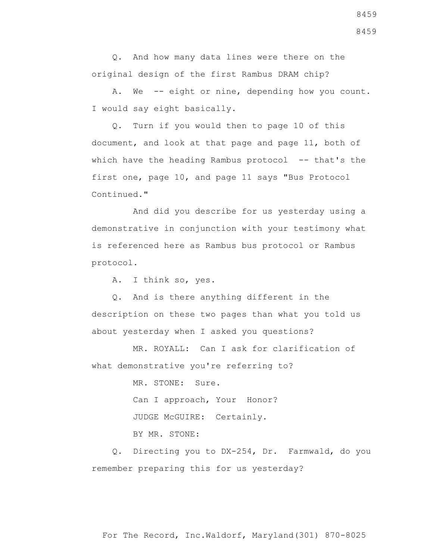Q. And how many data lines were there on the original design of the first Rambus DRAM chip?

 A. We -- eight or nine, depending how you count. I would say eight basically.

 Q. Turn if you would then to page 10 of this document, and look at that page and page 11, both of which have the heading Rambus protocol -- that's the first one, page 10, and page 11 says "Bus Protocol Continued."

 And did you describe for us yesterday using a demonstrative in conjunction with your testimony what is referenced here as Rambus bus protocol or Rambus protocol.

A. I think so, yes.

 Q. And is there anything different in the description on these two pages than what you told us about yesterday when I asked you questions?

 MR. ROYALL: Can I ask for clarification of what demonstrative you're referring to?

> MR. STONE: Sure. Can I approach, Your Honor? JUDGE McGUIRE: Certainly. BY MR. STONE:

 Q. Directing you to DX-254, Dr. Farmwald, do you remember preparing this for us yesterday?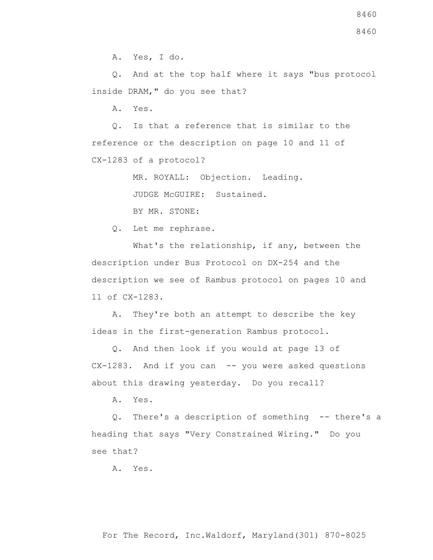A. Yes, I do.

 Q. And at the top half where it says "bus protocol inside DRAM," do you see that?

A. Yes.

 Q. Is that a reference that is similar to the reference or the description on page 10 and 11 of CX-1283 of a protocol?

MR. ROYALL: Objection. Leading.

JUDGE McGUIRE: Sustained.

BY MR. STONE:

Q. Let me rephrase.

What's the relationship, if any, between the description under Bus Protocol on DX-254 and the description we see of Rambus protocol on pages 10 and 11 of CX-1283.

 A. They're both an attempt to describe the key ideas in the first-generation Rambus protocol.

 Q. And then look if you would at page 13 of  $CX-1283$ . And if you can  $-$  you were asked questions about this drawing yesterday. Do you recall?

A. Yes.

 Q. There's a description of something -- there's a heading that says "Very Constrained Wiring." Do you see that?

A. Yes.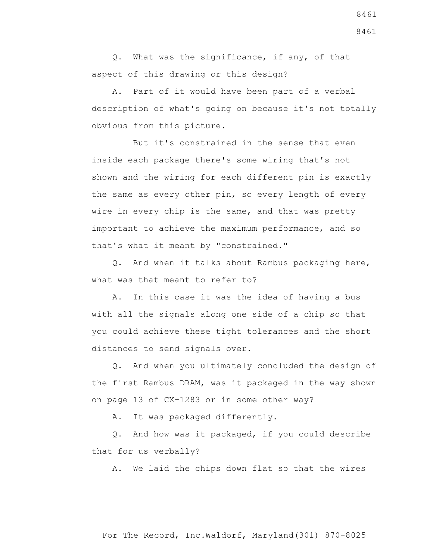Q. What was the significance, if any, of that aspect of this drawing or this design?

 A. Part of it would have been part of a verbal description of what's going on because it's not totally obvious from this picture.

 But it's constrained in the sense that even inside each package there's some wiring that's not shown and the wiring for each different pin is exactly the same as every other pin, so every length of every wire in every chip is the same, and that was pretty important to achieve the maximum performance, and so that's what it meant by "constrained."

 Q. And when it talks about Rambus packaging here, what was that meant to refer to?

 A. In this case it was the idea of having a bus with all the signals along one side of a chip so that you could achieve these tight tolerances and the short distances to send signals over.

 Q. And when you ultimately concluded the design of the first Rambus DRAM, was it packaged in the way shown on page 13 of CX-1283 or in some other way?

A. It was packaged differently.

 Q. And how was it packaged, if you could describe that for us verbally?

A. We laid the chips down flat so that the wires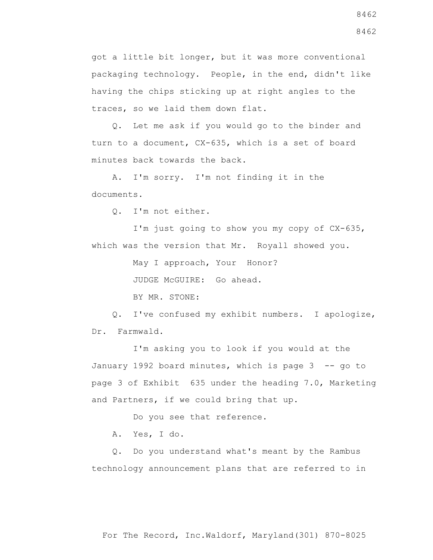got a little bit longer, but it was more conventional packaging technology. People, in the end, didn't like having the chips sticking up at right angles to the traces, so we laid them down flat.

 Q. Let me ask if you would go to the binder and turn to a document, CX-635, which is a set of board minutes back towards the back.

 A. I'm sorry. I'm not finding it in the documents.

Q. I'm not either.

 I'm just going to show you my copy of CX-635, which was the version that Mr. Royall showed you.

May I approach, Your Honor?

JUDGE McGUIRE: Go ahead.

BY MR. STONE:

 Q. I've confused my exhibit numbers. I apologize, Dr. Farmwald.

 I'm asking you to look if you would at the January 1992 board minutes, which is page 3 -- go to page 3 of Exhibit 635 under the heading 7.0, Marketing and Partners, if we could bring that up.

Do you see that reference.

A. Yes, I do.

 Q. Do you understand what's meant by the Rambus technology announcement plans that are referred to in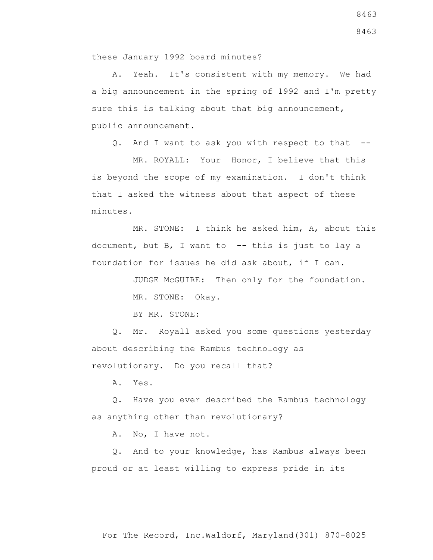A. Yeah. It's consistent with my memory. We had a big announcement in the spring of 1992 and I'm pretty sure this is talking about that big announcement, public announcement.

Q. And I want to ask you with respect to that --

 MR. ROYALL: Your Honor, I believe that this is beyond the scope of my examination. I don't think that I asked the witness about that aspect of these minutes.

 MR. STONE: I think he asked him, A, about this document, but B, I want to  $-$ - this is just to lay a foundation for issues he did ask about, if I can.

> JUDGE McGUIRE: Then only for the foundation. MR. STONE: Okay.

BY MR. STONE:

 Q. Mr. Royall asked you some questions yesterday about describing the Rambus technology as revolutionary. Do you recall that?

A. Yes.

 Q. Have you ever described the Rambus technology as anything other than revolutionary?

A. No, I have not.

 Q. And to your knowledge, has Rambus always been proud or at least willing to express pride in its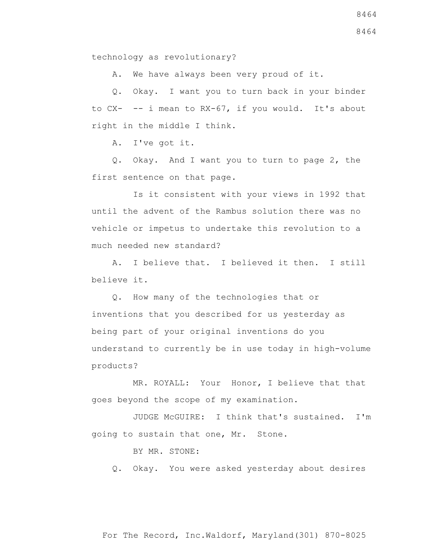A. We have always been very proud of it.

 Q. Okay. I want you to turn back in your binder to CX- -- i mean to RX-67, if you would. It's about right in the middle I think.

A. I've got it.

 Q. Okay. And I want you to turn to page 2, the first sentence on that page.

 Is it consistent with your views in 1992 that until the advent of the Rambus solution there was no vehicle or impetus to undertake this revolution to a much needed new standard?

 A. I believe that. I believed it then. I still believe it.

 Q. How many of the technologies that or inventions that you described for us yesterday as being part of your original inventions do you understand to currently be in use today in high-volume products?

 MR. ROYALL: Your Honor, I believe that that goes beyond the scope of my examination.

 JUDGE McGUIRE: I think that's sustained. I'm going to sustain that one, Mr. Stone.

BY MR. STONE:

Q. Okay. You were asked yesterday about desires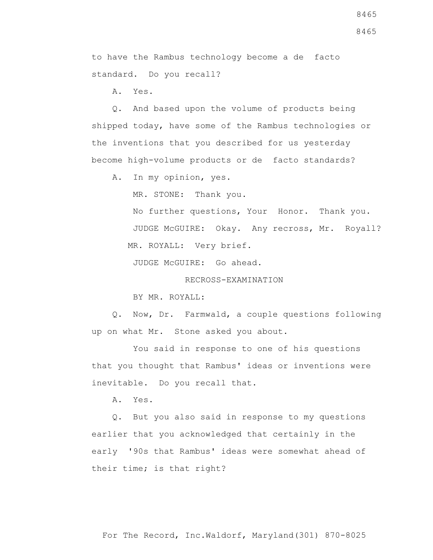8465

8465

to have the Rambus technology become a de facto standard. Do you recall?

A. Yes.

 Q. And based upon the volume of products being shipped today, have some of the Rambus technologies or the inventions that you described for us yesterday become high-volume products or de facto standards?

A. In my opinion, yes.

MR. STONE: Thank you.

 No further questions, Your Honor. Thank you. JUDGE McGUIRE: Okay. Any recross, Mr. Royall? MR. ROYALL: Very brief.

JUDGE McGUIRE: Go ahead.

RECROSS-EXAMINATION

BY MR. ROYALL:

 Q. Now, Dr. Farmwald, a couple questions following up on what Mr. Stone asked you about.

 You said in response to one of his questions that you thought that Rambus' ideas or inventions were inevitable. Do you recall that.

A. Yes.

 Q. But you also said in response to my questions earlier that you acknowledged that certainly in the early '90s that Rambus' ideas were somewhat ahead of their time; is that right?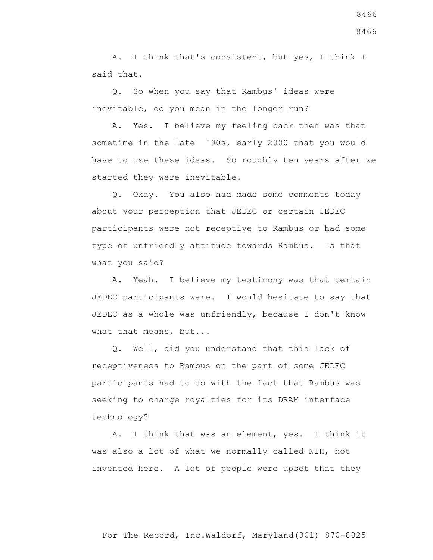A. I think that's consistent, but yes, I think I said that.

 Q. So when you say that Rambus' ideas were inevitable, do you mean in the longer run?

 A. Yes. I believe my feeling back then was that sometime in the late '90s, early 2000 that you would have to use these ideas. So roughly ten years after we started they were inevitable.

 Q. Okay. You also had made some comments today about your perception that JEDEC or certain JEDEC participants were not receptive to Rambus or had some type of unfriendly attitude towards Rambus. Is that what you said?

 A. Yeah. I believe my testimony was that certain JEDEC participants were. I would hesitate to say that JEDEC as a whole was unfriendly, because I don't know what that means, but...

 Q. Well, did you understand that this lack of receptiveness to Rambus on the part of some JEDEC participants had to do with the fact that Rambus was seeking to charge royalties for its DRAM interface technology?

 A. I think that was an element, yes. I think it was also a lot of what we normally called NIH, not invented here. A lot of people were upset that they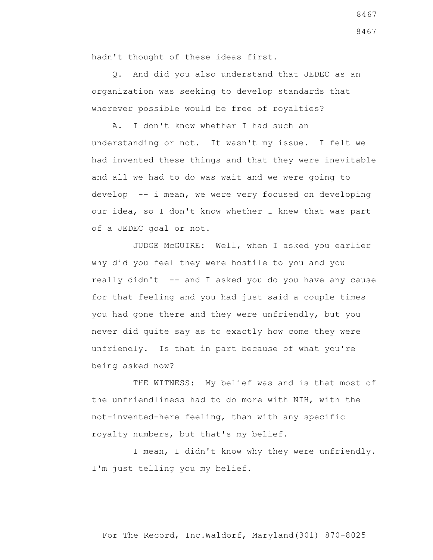hadn't thought of these ideas first.

 Q. And did you also understand that JEDEC as an organization was seeking to develop standards that wherever possible would be free of royalties?

 A. I don't know whether I had such an understanding or not. It wasn't my issue. I felt we had invented these things and that they were inevitable and all we had to do was wait and we were going to develop -- i mean, we were very focused on developing our idea, so I don't know whether I knew that was part of a JEDEC goal or not.

 JUDGE McGUIRE: Well, when I asked you earlier why did you feel they were hostile to you and you really didn't -- and I asked you do you have any cause for that feeling and you had just said a couple times you had gone there and they were unfriendly, but you never did quite say as to exactly how come they were unfriendly. Is that in part because of what you're being asked now?

THE WITNESS: My belief was and is that most of the unfriendliness had to do more with NIH, with the not-invented-here feeling, than with any specific royalty numbers, but that's my belief.

 I mean, I didn't know why they were unfriendly. I'm just telling you my belief.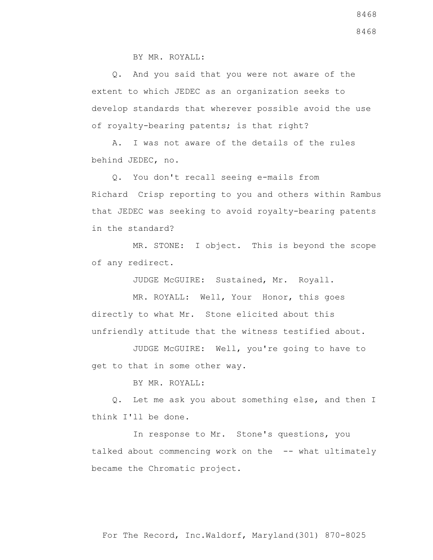BY MR. ROYALL:

 Q. And you said that you were not aware of the extent to which JEDEC as an organization seeks to develop standards that wherever possible avoid the use of royalty-bearing patents; is that right?

 A. I was not aware of the details of the rules behind JEDEC, no.

 Q. You don't recall seeing e-mails from Richard Crisp reporting to you and others within Rambus that JEDEC was seeking to avoid royalty-bearing patents in the standard?

 MR. STONE: I object. This is beyond the scope of any redirect.

JUDGE McGUIRE: Sustained, Mr. Royall.

 MR. ROYALL: Well, Your Honor, this goes directly to what Mr. Stone elicited about this unfriendly attitude that the witness testified about.

 JUDGE McGUIRE: Well, you're going to have to get to that in some other way.

BY MR. ROYALL:

 Q. Let me ask you about something else, and then I think I'll be done.

 In response to Mr. Stone's questions, you talked about commencing work on the -- what ultimately became the Chromatic project.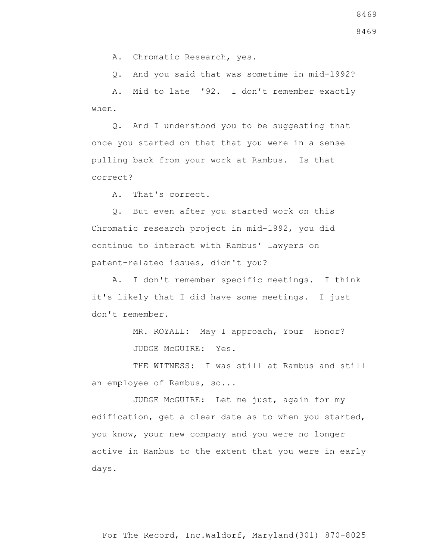A. Chromatic Research, yes.

Q. And you said that was sometime in mid-1992?

 A. Mid to late '92. I don't remember exactly when.

 Q. And I understood you to be suggesting that once you started on that that you were in a sense pulling back from your work at Rambus. Is that correct?

A. That's correct.

 Q. But even after you started work on this Chromatic research project in mid-1992, you did continue to interact with Rambus' lawyers on patent-related issues, didn't you?

 A. I don't remember specific meetings. I think it's likely that I did have some meetings. I just don't remember.

> MR. ROYALL: May I approach, Your Honor? JUDGE McGUIRE: Yes.

THE WITNESS: I was still at Rambus and still an employee of Rambus, so...

 JUDGE McGUIRE: Let me just, again for my edification, get a clear date as to when you started, you know, your new company and you were no longer active in Rambus to the extent that you were in early days.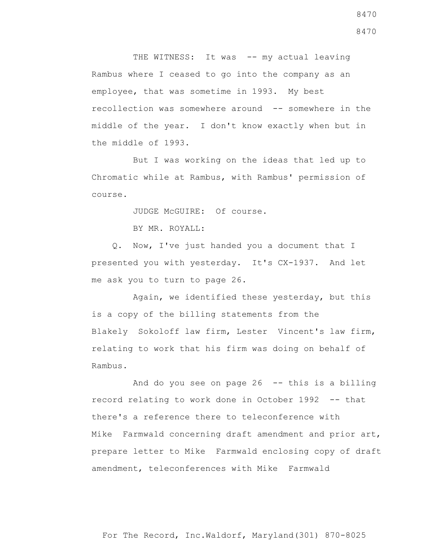THE WITNESS: It was -- my actual leaving Rambus where I ceased to go into the company as an employee, that was sometime in 1993. My best recollection was somewhere around -- somewhere in the middle of the year. I don't know exactly when but in the middle of 1993.

 But I was working on the ideas that led up to Chromatic while at Rambus, with Rambus' permission of course.

JUDGE McGUIRE: Of course.

BY MR. ROYALL:

 Q. Now, I've just handed you a document that I presented you with yesterday. It's CX-1937. And let me ask you to turn to page 26.

 Again, we identified these yesterday, but this is a copy of the billing statements from the Blakely Sokoloff law firm, Lester Vincent's law firm, relating to work that his firm was doing on behalf of Rambus.

And do you see on page  $26$  -- this is a billing record relating to work done in October 1992 -- that there's a reference there to teleconference with Mike Farmwald concerning draft amendment and prior art, prepare letter to Mike Farmwald enclosing copy of draft amendment, teleconferences with Mike Farmwald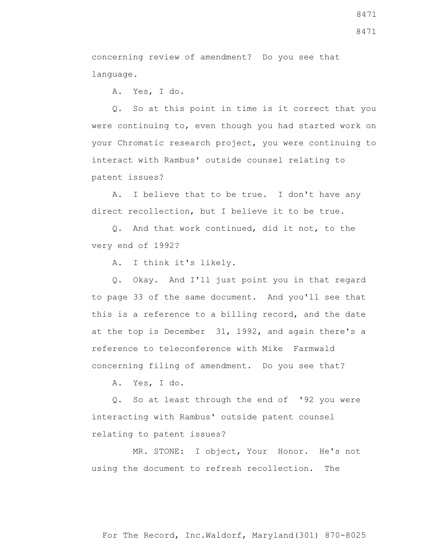concerning review of amendment? Do you see that language.

A. Yes, I do.

 Q. So at this point in time is it correct that you were continuing to, even though you had started work on your Chromatic research project, you were continuing to interact with Rambus' outside counsel relating to patent issues?

 A. I believe that to be true. I don't have any direct recollection, but I believe it to be true.

 Q. And that work continued, did it not, to the very end of 1992?

A. I think it's likely.

 Q. Okay. And I'll just point you in that regard to page 33 of the same document. And you'll see that this is a reference to a billing record, and the date at the top is December 31, 1992, and again there's a reference to teleconference with Mike Farmwald concerning filing of amendment. Do you see that?

A. Yes, I do.

 Q. So at least through the end of '92 you were interacting with Rambus' outside patent counsel relating to patent issues?

 MR. STONE: I object, Your Honor. He's not using the document to refresh recollection. The

8471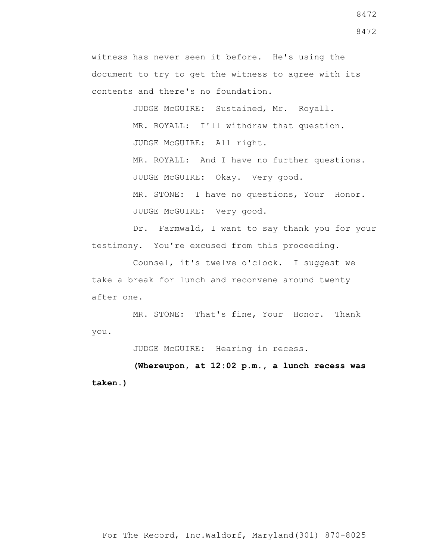JUDGE McGUIRE: Sustained, Mr. Royall. MR. ROYALL: I'll withdraw that question. JUDGE McGUIRE: All right. MR. ROYALL: And I have no further questions. JUDGE McGUIRE: Okay. Very good. MR. STONE: I have no questions, Your Honor. JUDGE McGUIRE: Very good.

 Dr. Farmwald, I want to say thank you for your testimony. You're excused from this proceeding.

 Counsel, it's twelve o'clock. I suggest we take a break for lunch and reconvene around twenty after one.

 MR. STONE: That's fine, Your Honor. Thank you.

JUDGE McGUIRE: Hearing in recess.

**(Whereupon, at 12:02 p.m., a lunch recess was taken.)**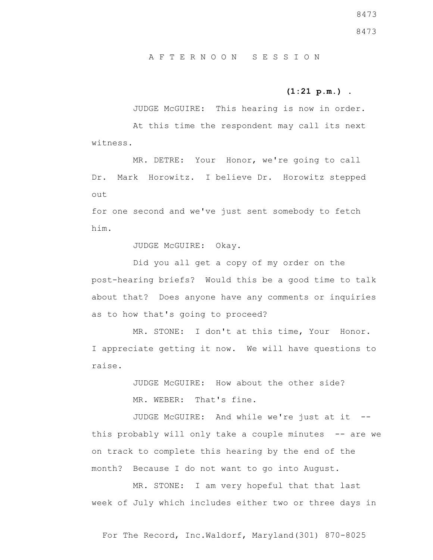A F T E R N O O N S E S S I O N

## **(1:21 p.m.)** .

 JUDGE McGUIRE: This hearing is now in order. At this time the respondent may call its next witness.

 MR. DETRE: Your Honor, we're going to call Dr. Mark Horowitz. I believe Dr. Horowitz stepped out

for one second and we've just sent somebody to fetch him.

JUDGE McGUIRE: Okay.

 Did you all get a copy of my order on the post-hearing briefs? Would this be a good time to talk about that? Does anyone have any comments or inquiries as to how that's going to proceed?

MR. STONE: I don't at this time, Your Honor. I appreciate getting it now. We will have questions to raise.

> JUDGE McGUIRE: How about the other side? MR. WEBER: That's fine.

JUDGE McGUIRE: And while we're just at it -this probably will only take a couple minutes -- are we on track to complete this hearing by the end of the month? Because I do not want to go into August.

MR. STONE: I am very hopeful that that last week of July which includes either two or three days in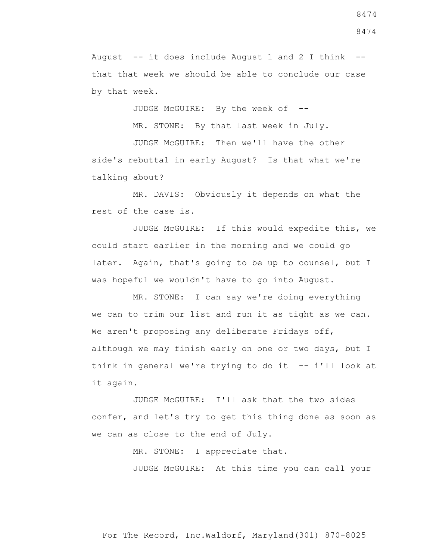August  $-$ - it does include August 1 and 2 I think  $-$ that that week we should be able to conclude our case by that week.

JUDGE McGUIRE: By the week of --

MR. STONE: By that last week in July.

 JUDGE McGUIRE: Then we'll have the other side's rebuttal in early August? Is that what we're talking about?

 MR. DAVIS: Obviously it depends on what the rest of the case is.

 JUDGE McGUIRE: If this would expedite this, we could start earlier in the morning and we could go later. Again, that's going to be up to counsel, but I was hopeful we wouldn't have to go into August.

 MR. STONE: I can say we're doing everything we can to trim our list and run it as tight as we can. We aren't proposing any deliberate Fridays off, although we may finish early on one or two days, but I think in general we're trying to do it -- i'll look at it again.

 JUDGE McGUIRE: I'll ask that the two sides confer, and let's try to get this thing done as soon as we can as close to the end of July.

MR. STONE: I appreciate that.

JUDGE McGUIRE: At this time you can call your

For The Record, Inc.Waldorf, Maryland(301) 870-8025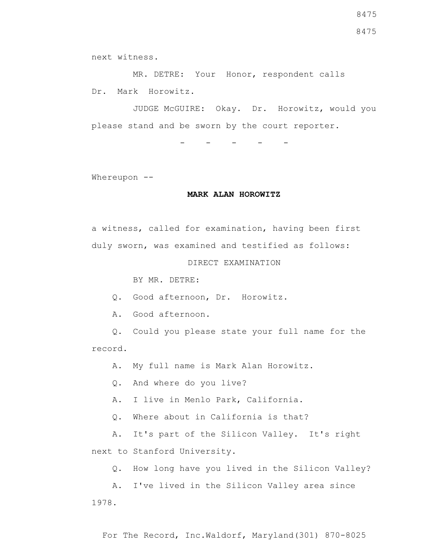MR. DETRE: Your Honor, respondent calls Dr. Mark Horowitz.

 JUDGE McGUIRE: Okay. Dr. Horowitz, would you please stand and be sworn by the court reporter.

- - - - -

Whereupon --

### **MARK ALAN HOROWITZ**

a witness, called for examination, having been first duly sworn, was examined and testified as follows:

DIRECT EXAMINATION

BY MR. DETRE:

Q. Good afternoon, Dr. Horowitz.

A. Good afternoon.

 Q. Could you please state your full name for the record.

A. My full name is Mark Alan Horowitz.

Q. And where do you live?

A. I live in Menlo Park, California.

Q. Where about in California is that?

 A. It's part of the Silicon Valley. It's right next to Stanford University.

Q. How long have you lived in the Silicon Valley?

 A. I've lived in the Silicon Valley area since 1978.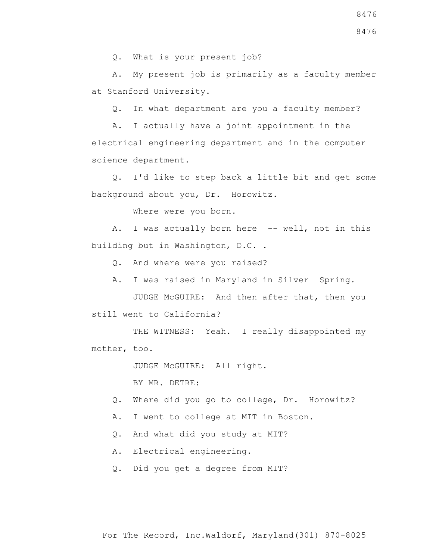A. My present job is primarily as a faculty member at Stanford University.

Q. In what department are you a faculty member?

 A. I actually have a joint appointment in the electrical engineering department and in the computer science department.

 Q. I'd like to step back a little bit and get some background about you, Dr. Horowitz.

Where were you born.

A. I was actually born here -- well, not in this building but in Washington, D.C. .

Q. And where were you raised?

A. I was raised in Maryland in Silver Spring.

 JUDGE McGUIRE: And then after that, then you still went to California?

THE WITNESS: Yeah. I really disappointed my mother, too.

JUDGE McGUIRE: All right.

BY MR. DETRE:

- Q. Where did you go to college, Dr. Horowitz?
- A. I went to college at MIT in Boston.

Q. And what did you study at MIT?

A. Electrical engineering.

Q. Did you get a degree from MIT?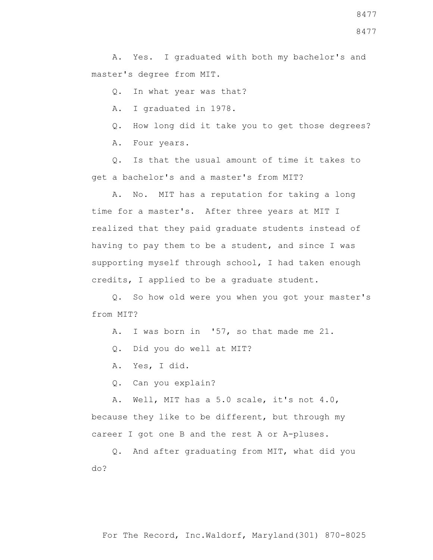A. Yes. I graduated with both my bachelor's and master's degree from MIT.

Q. In what year was that?

A. I graduated in 1978.

Q. How long did it take you to get those degrees?

A. Four years.

 Q. Is that the usual amount of time it takes to get a bachelor's and a master's from MIT?

 A. No. MIT has a reputation for taking a long time for a master's. After three years at MIT I realized that they paid graduate students instead of having to pay them to be a student, and since I was supporting myself through school, I had taken enough credits, I applied to be a graduate student.

 Q. So how old were you when you got your master's from MIT?

A. I was born in '57, so that made me 21.

Q. Did you do well at MIT?

A. Yes, I did.

Q. Can you explain?

 A. Well, MIT has a 5.0 scale, it's not 4.0, because they like to be different, but through my career I got one B and the rest A or A-pluses.

 Q. And after graduating from MIT, what did you do?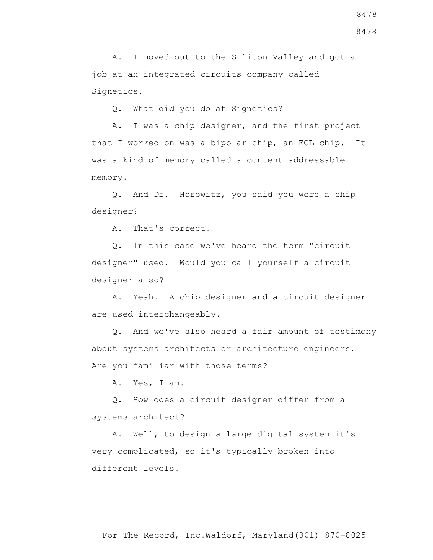A. I moved out to the Silicon Valley and got a job at an integrated circuits company called Signetics.

Q. What did you do at Signetics?

 A. I was a chip designer, and the first project that I worked on was a bipolar chip, an ECL chip. It was a kind of memory called a content addressable memory.

 Q. And Dr. Horowitz, you said you were a chip designer?

A. That's correct.

 Q. In this case we've heard the term "circuit designer" used. Would you call yourself a circuit designer also?

 A. Yeah. A chip designer and a circuit designer are used interchangeably.

 Q. And we've also heard a fair amount of testimony about systems architects or architecture engineers. Are you familiar with those terms?

A. Yes, I am.

 Q. How does a circuit designer differ from a systems architect?

 A. Well, to design a large digital system it's very complicated, so it's typically broken into different levels.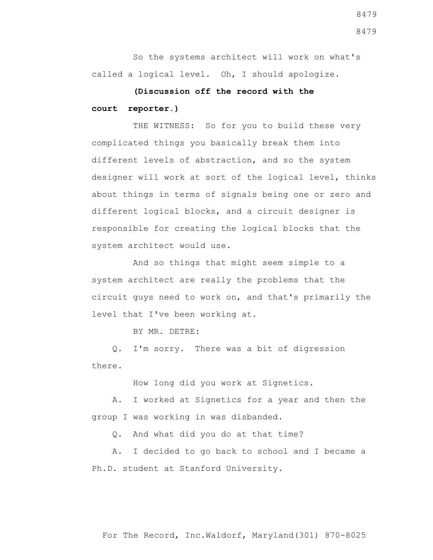So the systems architect will work on what's called a logical level. Oh, I should apologize.

# **(Discussion off the record with the court reporter.)**

THE WITNESS: So for you to build these very complicated things you basically break them into different levels of abstraction, and so the system designer will work at sort of the logical level, thinks about things in terms of signals being one or zero and different logical blocks, and a circuit designer is responsible for creating the logical blocks that the system architect would use.

 And so things that might seem simple to a system architect are really the problems that the circuit guys need to work on, and that's primarily the level that I've been working at.

BY MR. DETRE:

 Q. I'm sorry. There was a bit of digression there.

How long did you work at Signetics.

 A. I worked at Signetics for a year and then the group I was working in was disbanded.

Q. And what did you do at that time?

 A. I decided to go back to school and I became a Ph.D. student at Stanford University.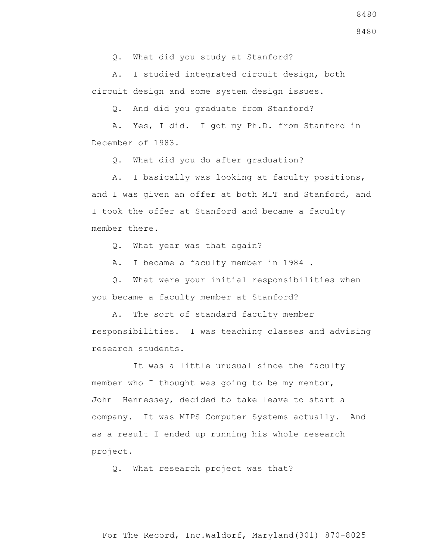Q. What did you study at Stanford?

 A. I studied integrated circuit design, both circuit design and some system design issues.

Q. And did you graduate from Stanford?

 A. Yes, I did. I got my Ph.D. from Stanford in December of 1983.

Q. What did you do after graduation?

 A. I basically was looking at faculty positions, and I was given an offer at both MIT and Stanford, and I took the offer at Stanford and became a faculty member there.

Q. What year was that again?

A. I became a faculty member in 1984 .

 Q. What were your initial responsibilities when you became a faculty member at Stanford?

 A. The sort of standard faculty member responsibilities. I was teaching classes and advising research students.

 It was a little unusual since the faculty member who I thought was going to be my mentor, John Hennessey, decided to take leave to start a company. It was MIPS Computer Systems actually. And as a result I ended up running his whole research project.

Q. What research project was that?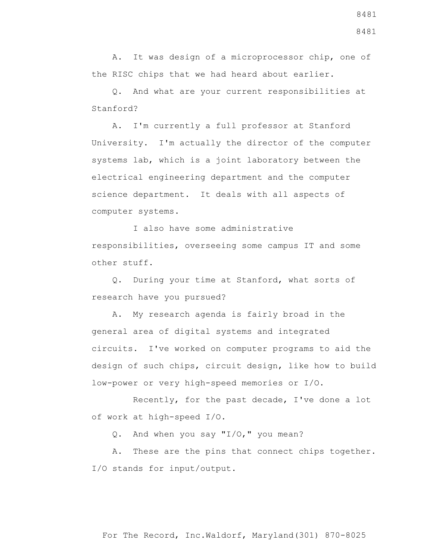A. It was design of a microprocessor chip, one of the RISC chips that we had heard about earlier.

 Q. And what are your current responsibilities at Stanford?

 A. I'm currently a full professor at Stanford University. I'm actually the director of the computer systems lab, which is a joint laboratory between the electrical engineering department and the computer science department. It deals with all aspects of computer systems.

 I also have some administrative responsibilities, overseeing some campus IT and some other stuff.

 Q. During your time at Stanford, what sorts of research have you pursued?

 A. My research agenda is fairly broad in the general area of digital systems and integrated circuits. I've worked on computer programs to aid the design of such chips, circuit design, like how to build low-power or very high-speed memories or I/O.

 Recently, for the past decade, I've done a lot of work at high-speed I/O.

Q. And when you say "I/O," you mean?

 A. These are the pins that connect chips together. I/O stands for input/output.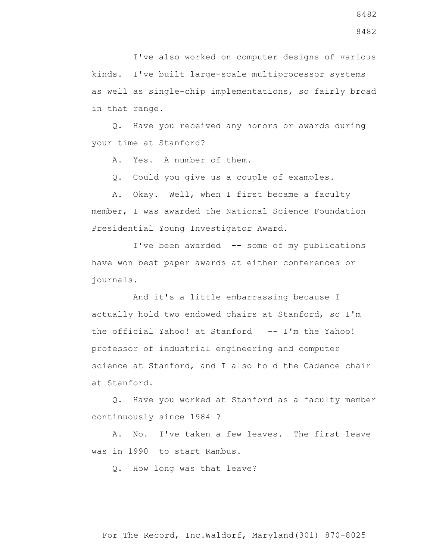I've also worked on computer designs of various kinds. I've built large-scale multiprocessor systems as well as single-chip implementations, so fairly broad in that range.

 Q. Have you received any honors or awards during your time at Stanford?

A. Yes. A number of them.

Q. Could you give us a couple of examples.

 A. Okay. Well, when I first became a faculty member, I was awarded the National Science Foundation Presidential Young Investigator Award.

 I've been awarded -- some of my publications have won best paper awards at either conferences or journals.

 And it's a little embarrassing because I actually hold two endowed chairs at Stanford, so I'm the official Yahoo! at Stanford -- I'm the Yahoo! professor of industrial engineering and computer science at Stanford, and I also hold the Cadence chair at Stanford.

 Q. Have you worked at Stanford as a faculty member continuously since 1984 ?

 A. No. I've taken a few leaves. The first leave was in 1990 to start Rambus.

Q. How long was that leave?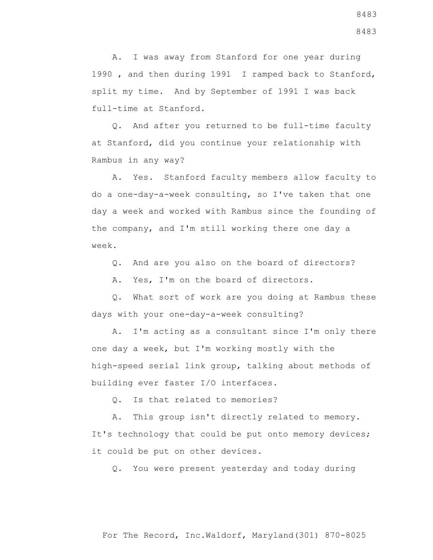A. I was away from Stanford for one year during 1990 , and then during 1991 I ramped back to Stanford, split my time. And by September of 1991 I was back full-time at Stanford.

 Q. And after you returned to be full-time faculty at Stanford, did you continue your relationship with Rambus in any way?

 A. Yes. Stanford faculty members allow faculty to do a one-day-a-week consulting, so I've taken that one day a week and worked with Rambus since the founding of the company, and I'm still working there one day a week.

Q. And are you also on the board of directors?

A. Yes, I'm on the board of directors.

 Q. What sort of work are you doing at Rambus these days with your one-day-a-week consulting?

 A. I'm acting as a consultant since I'm only there one day a week, but I'm working mostly with the high-speed serial link group, talking about methods of building ever faster I/O interfaces.

Q. Is that related to memories?

 A. This group isn't directly related to memory. It's technology that could be put onto memory devices; it could be put on other devices.

Q. You were present yesterday and today during

8483 8483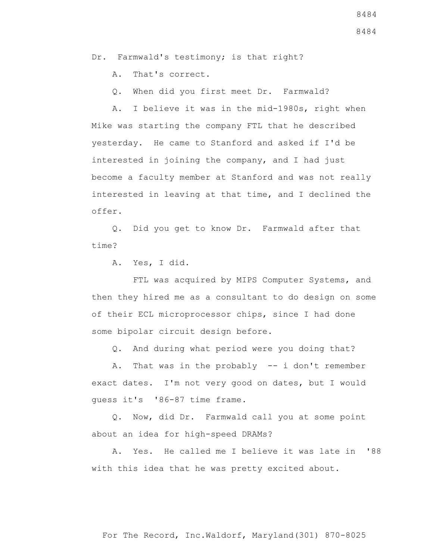Dr. Farmwald's testimony; is that right?

A. That's correct.

Q. When did you first meet Dr. Farmwald?

 A. I believe it was in the mid-1980s, right when Mike was starting the company FTL that he described yesterday. He came to Stanford and asked if I'd be interested in joining the company, and I had just become a faculty member at Stanford and was not really interested in leaving at that time, and I declined the offer.

 Q. Did you get to know Dr. Farmwald after that time?

A. Yes, I did.

FTL was acquired by MIPS Computer Systems, and then they hired me as a consultant to do design on some of their ECL microprocessor chips, since I had done some bipolar circuit design before.

Q. And during what period were you doing that?

 A. That was in the probably -- i don't remember exact dates. I'm not very good on dates, but I would guess it's '86-87 time frame.

 Q. Now, did Dr. Farmwald call you at some point about an idea for high-speed DRAMs?

 A. Yes. He called me I believe it was late in '88 with this idea that he was pretty excited about.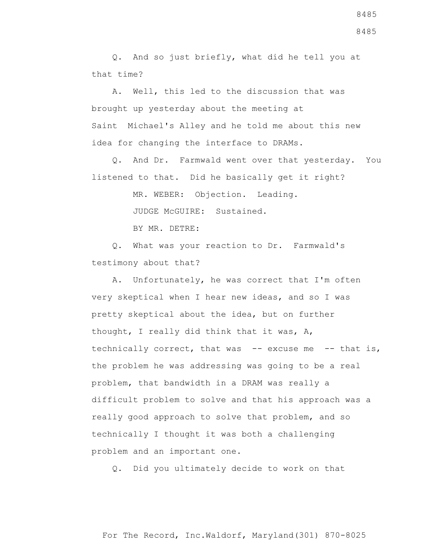Q. And so just briefly, what did he tell you at that time?

 A. Well, this led to the discussion that was brought up yesterday about the meeting at Saint Michael's Alley and he told me about this new idea for changing the interface to DRAMs.

 Q. And Dr. Farmwald went over that yesterday. You listened to that. Did he basically get it right?

MR. WEBER: Objection. Leading.

JUDGE McGUIRE: Sustained.

BY MR. DETRE:

 Q. What was your reaction to Dr. Farmwald's testimony about that?

 A. Unfortunately, he was correct that I'm often very skeptical when I hear new ideas, and so I was pretty skeptical about the idea, but on further thought, I really did think that it was, A, technically correct, that was -- excuse me -- that is, the problem he was addressing was going to be a real problem, that bandwidth in a DRAM was really a difficult problem to solve and that his approach was a really good approach to solve that problem, and so technically I thought it was both a challenging problem and an important one.

Q. Did you ultimately decide to work on that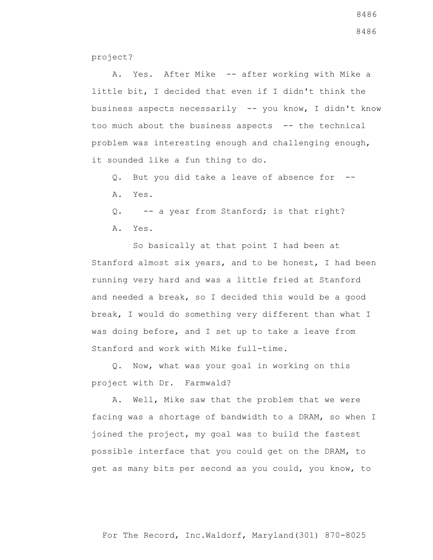project?

 A. Yes. After Mike -- after working with Mike a little bit, I decided that even if I didn't think the business aspects necessarily -- you know, I didn't know too much about the business aspects -- the technical problem was interesting enough and challenging enough, it sounded like a fun thing to do.

- Q. But you did take a leave of absence for --
- A. Yes.

Q. -- a year from Stanford; is that right?

A. Yes.

 So basically at that point I had been at Stanford almost six years, and to be honest, I had been running very hard and was a little fried at Stanford and needed a break, so I decided this would be a good break, I would do something very different than what I was doing before, and I set up to take a leave from Stanford and work with Mike full-time.

 Q. Now, what was your goal in working on this project with Dr. Farmwald?

 A. Well, Mike saw that the problem that we were facing was a shortage of bandwidth to a DRAM, so when I joined the project, my goal was to build the fastest possible interface that you could get on the DRAM, to get as many bits per second as you could, you know, to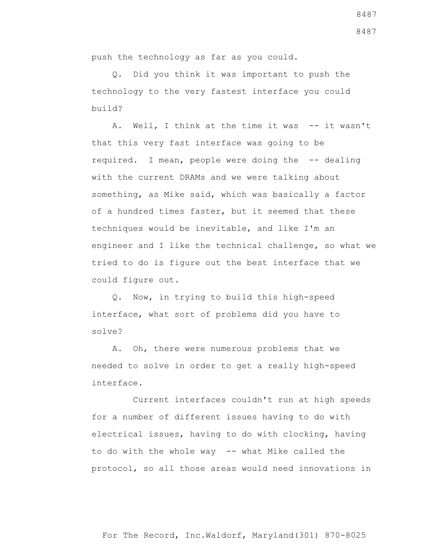push the technology as far as you could.

 Q. Did you think it was important to push the technology to the very fastest interface you could build?

A. Well, I think at the time it was -- it wasn't that this very fast interface was going to be required. I mean, people were doing the -- dealing with the current DRAMs and we were talking about something, as Mike said, which was basically a factor of a hundred times faster, but it seemed that these techniques would be inevitable, and like I'm an engineer and I like the technical challenge, so what we tried to do is figure out the best interface that we could figure out.

 Q. Now, in trying to build this high-speed interface, what sort of problems did you have to solve?

 A. Oh, there were numerous problems that we needed to solve in order to get a really high-speed interface.

 Current interfaces couldn't run at high speeds for a number of different issues having to do with electrical issues, having to do with clocking, having to do with the whole way -- what Mike called the protocol, so all those areas would need innovations in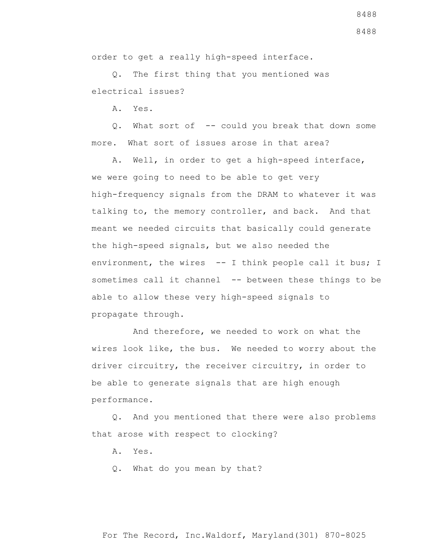order to get a really high-speed interface.

 Q. The first thing that you mentioned was electrical issues?

A. Yes.

Q. What sort of -- could you break that down some more. What sort of issues arose in that area?

 A. Well, in order to get a high-speed interface, we were going to need to be able to get very high-frequency signals from the DRAM to whatever it was talking to, the memory controller, and back. And that meant we needed circuits that basically could generate the high-speed signals, but we also needed the environment, the wires -- I think people call it bus; I sometimes call it channel -- between these things to be able to allow these very high-speed signals to propagate through.

 And therefore, we needed to work on what the wires look like, the bus. We needed to worry about the driver circuitry, the receiver circuitry, in order to be able to generate signals that are high enough performance.

 Q. And you mentioned that there were also problems that arose with respect to clocking?

A. Yes.

Q. What do you mean by that?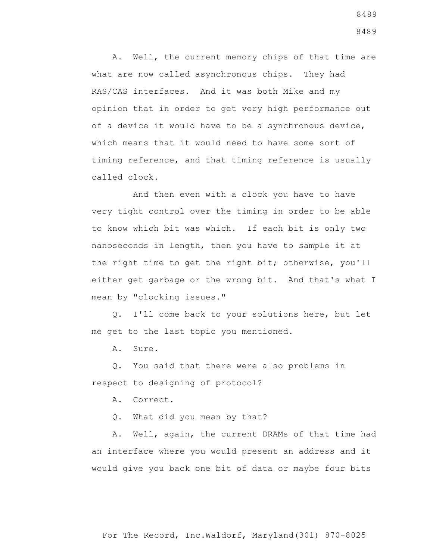A. Well, the current memory chips of that time are what are now called asynchronous chips. They had RAS/CAS interfaces. And it was both Mike and my opinion that in order to get very high performance out of a device it would have to be a synchronous device, which means that it would need to have some sort of timing reference, and that timing reference is usually called clock.

 And then even with a clock you have to have very tight control over the timing in order to be able to know which bit was which. If each bit is only two nanoseconds in length, then you have to sample it at the right time to get the right bit; otherwise, you'll either get garbage or the wrong bit. And that's what I mean by "clocking issues."

 Q. I'll come back to your solutions here, but let me get to the last topic you mentioned.

A. Sure.

 Q. You said that there were also problems in respect to designing of protocol?

A. Correct.

Q. What did you mean by that?

 A. Well, again, the current DRAMs of that time had an interface where you would present an address and it would give you back one bit of data or maybe four bits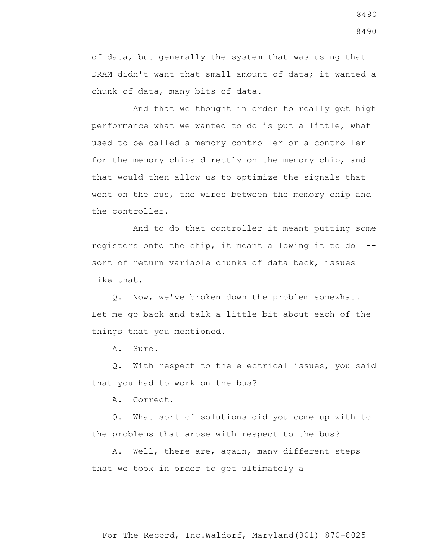of data, but generally the system that was using that DRAM didn't want that small amount of data; it wanted a chunk of data, many bits of data.

 And that we thought in order to really get high performance what we wanted to do is put a little, what used to be called a memory controller or a controller for the memory chips directly on the memory chip, and that would then allow us to optimize the signals that went on the bus, the wires between the memory chip and the controller.

 And to do that controller it meant putting some registers onto the chip, it meant allowing it to do - sort of return variable chunks of data back, issues like that.

 Q. Now, we've broken down the problem somewhat. Let me go back and talk a little bit about each of the things that you mentioned.

A. Sure.

 Q. With respect to the electrical issues, you said that you had to work on the bus?

A. Correct.

 Q. What sort of solutions did you come up with to the problems that arose with respect to the bus?

 A. Well, there are, again, many different steps that we took in order to get ultimately a

8490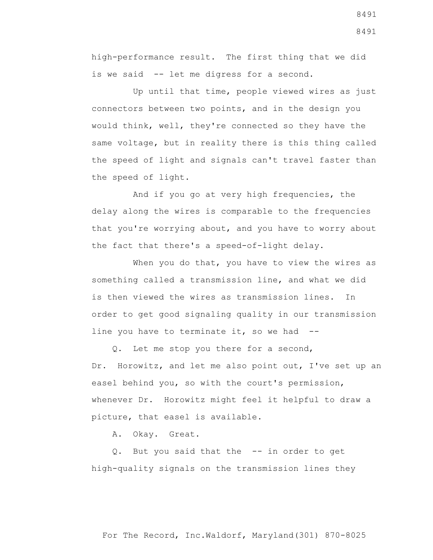high-performance result. The first thing that we did is we said -- let me digress for a second.

 Up until that time, people viewed wires as just connectors between two points, and in the design you would think, well, they're connected so they have the same voltage, but in reality there is this thing called the speed of light and signals can't travel faster than the speed of light.

 And if you go at very high frequencies, the delay along the wires is comparable to the frequencies that you're worrying about, and you have to worry about the fact that there's a speed-of-light delay.

When you do that, you have to view the wires as something called a transmission line, and what we did is then viewed the wires as transmission lines. In order to get good signaling quality in our transmission line you have to terminate it, so we had --

 Q. Let me stop you there for a second, Dr. Horowitz, and let me also point out, I've set up an easel behind you, so with the court's permission, whenever Dr. Horowitz might feel it helpful to draw a picture, that easel is available.

A. Okay. Great.

 Q. But you said that the -- in order to get high-quality signals on the transmission lines they

8491 8491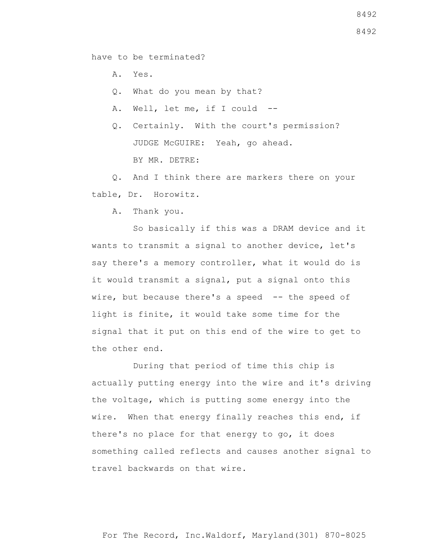have to be terminated?

A. Yes.

Q. What do you mean by that?

A. Well, let me, if I could --

 Q. Certainly. With the court's permission? JUDGE McGUIRE: Yeah, go ahead. BY MR. DETRE:

 Q. And I think there are markers there on your table, Dr. Horowitz.

A. Thank you.

 So basically if this was a DRAM device and it wants to transmit a signal to another device, let's say there's a memory controller, what it would do is it would transmit a signal, put a signal onto this wire, but because there's a speed -- the speed of light is finite, it would take some time for the signal that it put on this end of the wire to get to the other end.

 During that period of time this chip is actually putting energy into the wire and it's driving the voltage, which is putting some energy into the wire. When that energy finally reaches this end, if there's no place for that energy to go, it does something called reflects and causes another signal to travel backwards on that wire.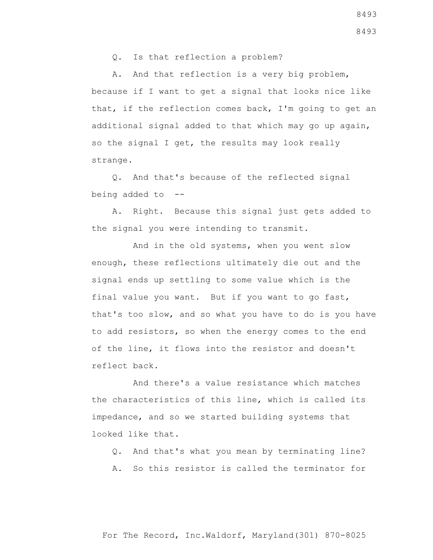Q. Is that reflection a problem?

 A. And that reflection is a very big problem, because if I want to get a signal that looks nice like that, if the reflection comes back, I'm going to get an additional signal added to that which may go up again, so the signal I get, the results may look really strange.

 Q. And that's because of the reflected signal being added to --

 A. Right. Because this signal just gets added to the signal you were intending to transmit.

 And in the old systems, when you went slow enough, these reflections ultimately die out and the signal ends up settling to some value which is the final value you want. But if you want to go fast, that's too slow, and so what you have to do is you have to add resistors, so when the energy comes to the end of the line, it flows into the resistor and doesn't reflect back.

 And there's a value resistance which matches the characteristics of this line, which is called its impedance, and so we started building systems that looked like that.

- Q. And that's what you mean by terminating line?
- A. So this resistor is called the terminator for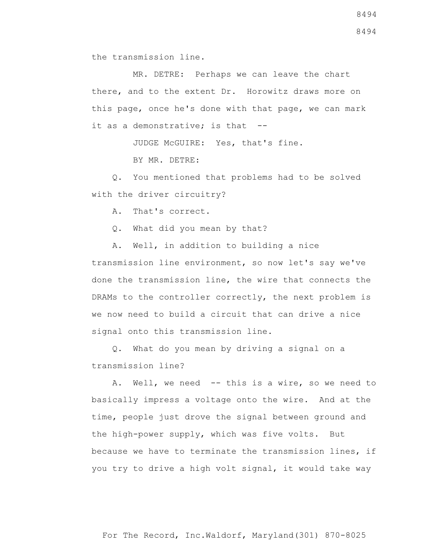the transmission line.

 MR. DETRE: Perhaps we can leave the chart there, and to the extent Dr. Horowitz draws more on this page, once he's done with that page, we can mark it as a demonstrative; is that --

JUDGE McGUIRE: Yes, that's fine.

BY MR. DETRE:

 Q. You mentioned that problems had to be solved with the driver circuitry?

A. That's correct.

Q. What did you mean by that?

 A. Well, in addition to building a nice transmission line environment, so now let's say we've done the transmission line, the wire that connects the DRAMs to the controller correctly, the next problem is we now need to build a circuit that can drive a nice signal onto this transmission line.

 Q. What do you mean by driving a signal on a transmission line?

 A. Well, we need -- this is a wire, so we need to basically impress a voltage onto the wire. And at the time, people just drove the signal between ground and the high-power supply, which was five volts. But because we have to terminate the transmission lines, if you try to drive a high volt signal, it would take way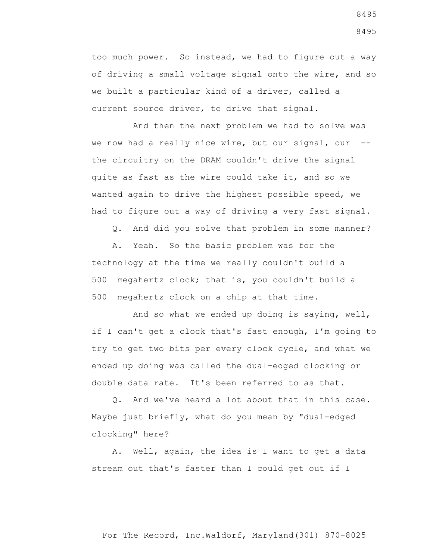too much power. So instead, we had to figure out a way of driving a small voltage signal onto the wire, and so we built a particular kind of a driver, called a current source driver, to drive that signal.

 And then the next problem we had to solve was we now had a really nice wire, but our signal, our - the circuitry on the DRAM couldn't drive the signal quite as fast as the wire could take it, and so we wanted again to drive the highest possible speed, we had to figure out a way of driving a very fast signal.

Q. And did you solve that problem in some manner?

 A. Yeah. So the basic problem was for the technology at the time we really couldn't build a 500 megahertz clock; that is, you couldn't build a 500 megahertz clock on a chip at that time.

 And so what we ended up doing is saying, well, if I can't get a clock that's fast enough, I'm going to try to get two bits per every clock cycle, and what we ended up doing was called the dual-edged clocking or double data rate. It's been referred to as that.

 Q. And we've heard a lot about that in this case. Maybe just briefly, what do you mean by "dual-edged clocking" here?

 A. Well, again, the idea is I want to get a data stream out that's faster than I could get out if I

For The Record, Inc.Waldorf, Maryland(301) 870-8025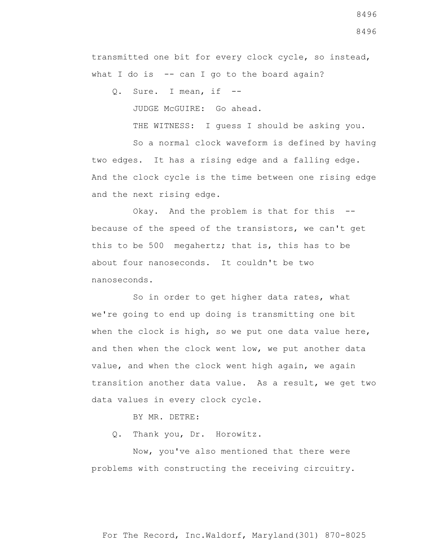For The Record, Inc.Waldorf, Maryland(301) 870-8025

8496 8496

transmitted one bit for every clock cycle, so instead, what I do is  $-$  can I go to the board again?

Q. Sure. I mean, if --

JUDGE McGUIRE: Go ahead.

THE WITNESS: I guess I should be asking you.

 So a normal clock waveform is defined by having two edges. It has a rising edge and a falling edge. And the clock cycle is the time between one rising edge and the next rising edge.

 Okay. And the problem is that for this - because of the speed of the transistors, we can't get this to be 500 megahertz; that is, this has to be about four nanoseconds. It couldn't be two nanoseconds.

 So in order to get higher data rates, what we're going to end up doing is transmitting one bit when the clock is high, so we put one data value here, and then when the clock went low, we put another data value, and when the clock went high again, we again transition another data value. As a result, we get two data values in every clock cycle.

BY MR. DETRE:

Q. Thank you, Dr. Horowitz.

 Now, you've also mentioned that there were problems with constructing the receiving circuitry.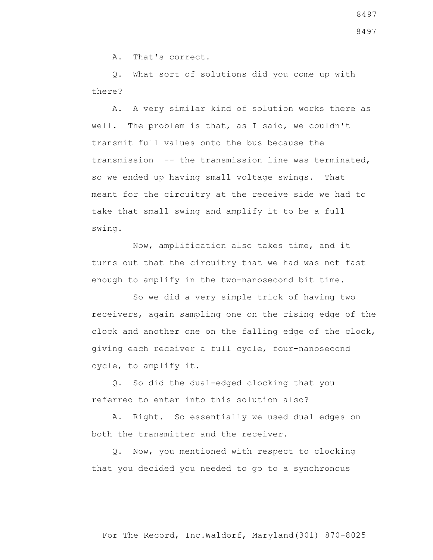A. That's correct.

 Q. What sort of solutions did you come up with there?

 A. A very similar kind of solution works there as well. The problem is that, as I said, we couldn't transmit full values onto the bus because the transmission -- the transmission line was terminated, so we ended up having small voltage swings. That meant for the circuitry at the receive side we had to take that small swing and amplify it to be a full swing.

 Now, amplification also takes time, and it turns out that the circuitry that we had was not fast enough to amplify in the two-nanosecond bit time.

 So we did a very simple trick of having two receivers, again sampling one on the rising edge of the clock and another one on the falling edge of the clock, giving each receiver a full cycle, four-nanosecond cycle, to amplify it.

 Q. So did the dual-edged clocking that you referred to enter into this solution also?

 A. Right. So essentially we used dual edges on both the transmitter and the receiver.

 Q. Now, you mentioned with respect to clocking that you decided you needed to go to a synchronous

For The Record, Inc.Waldorf, Maryland(301) 870-8025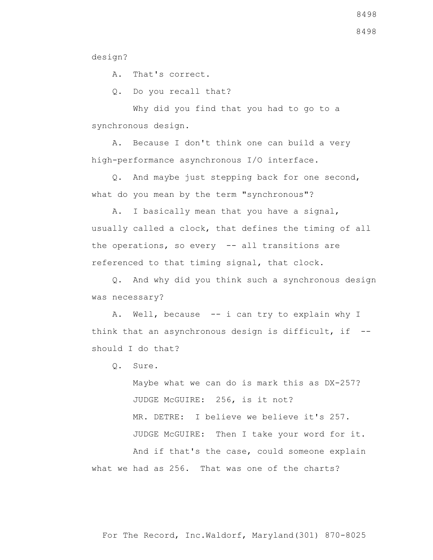design?

A. That's correct.

Q. Do you recall that?

 Why did you find that you had to go to a synchronous design.

 A. Because I don't think one can build a very high-performance asynchronous I/O interface.

 Q. And maybe just stepping back for one second, what do you mean by the term "synchronous"?

 A. I basically mean that you have a signal, usually called a clock, that defines the timing of all the operations, so every -- all transitions are referenced to that timing signal, that clock.

 Q. And why did you think such a synchronous design was necessary?

 A. Well, because -- i can try to explain why I think that an asynchronous design is difficult, if - should I do that?

Q. Sure.

 Maybe what we can do is mark this as DX-257? JUDGE McGUIRE: 256, is it not? MR. DETRE: I believe we believe it's 257. JUDGE McGUIRE: Then I take your word for it. And if that's the case, could someone explain what we had as 256. That was one of the charts?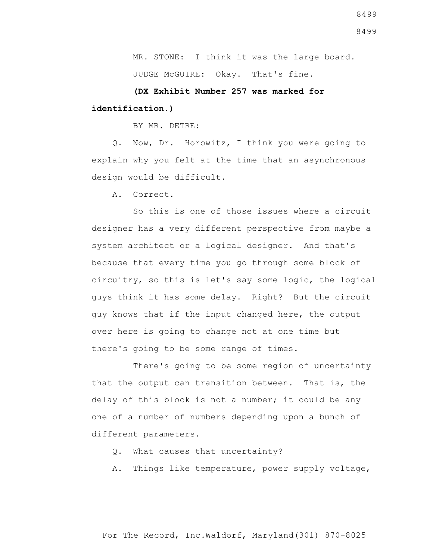MR. STONE: I think it was the large board.

JUDGE McGUIRE: Okay. That's fine.

# **(DX Exhibit Number 257 was marked for identification.)**

BY MR. DETRE:

 Q. Now, Dr. Horowitz, I think you were going to explain why you felt at the time that an asynchronous design would be difficult.

A. Correct.

 So this is one of those issues where a circuit designer has a very different perspective from maybe a system architect or a logical designer. And that's because that every time you go through some block of circuitry, so this is let's say some logic, the logical guys think it has some delay. Right? But the circuit guy knows that if the input changed here, the output over here is going to change not at one time but there's going to be some range of times.

 There's going to be some region of uncertainty that the output can transition between. That is, the delay of this block is not a number; it could be any one of a number of numbers depending upon a bunch of different parameters.

- Q. What causes that uncertainty?
- A. Things like temperature, power supply voltage,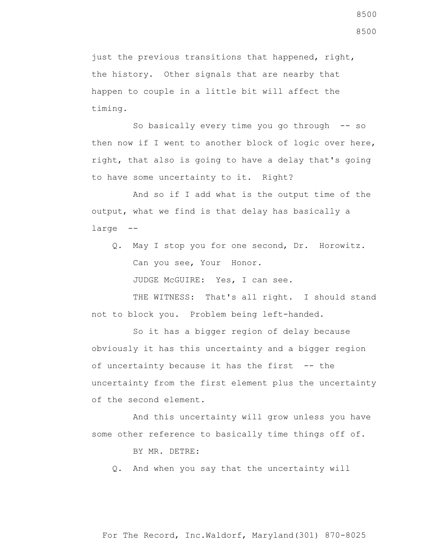just the previous transitions that happened, right, the history. Other signals that are nearby that happen to couple in a little bit will affect the timing.

So basically every time you go through -- so then now if I went to another block of logic over here, right, that also is going to have a delay that's going to have some uncertainty to it. Right?

 And so if I add what is the output time of the output, what we find is that delay has basically a large --

 Q. May I stop you for one second, Dr. Horowitz. Can you see, Your Honor.

JUDGE McGUIRE: Yes, I can see.

THE WITNESS: That's all right. I should stand not to block you. Problem being left-handed.

 So it has a bigger region of delay because obviously it has this uncertainty and a bigger region of uncertainty because it has the first -- the uncertainty from the first element plus the uncertainty of the second element.

 And this uncertainty will grow unless you have some other reference to basically time things off of.

BY MR. DETRE:

Q. And when you say that the uncertainty will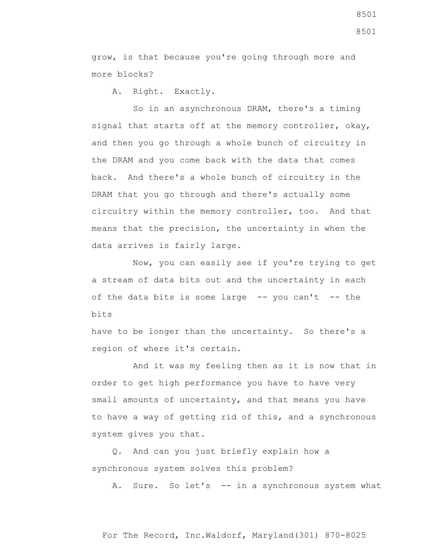grow, is that because you're going through more and more blocks?

A. Right. Exactly.

 So in an asynchronous DRAM, there's a timing signal that starts off at the memory controller, okay, and then you go through a whole bunch of circuitry in the DRAM and you come back with the data that comes back. And there's a whole bunch of circuitry in the DRAM that you go through and there's actually some circuitry within the memory controller, too. And that means that the precision, the uncertainty in when the data arrives is fairly large.

 Now, you can easily see if you're trying to get a stream of data bits out and the uncertainty in each of the data bits is some large  $-$ - you can't  $-$ - the bits

have to be longer than the uncertainty. So there's a region of where it's certain.

 And it was my feeling then as it is now that in order to get high performance you have to have very small amounts of uncertainty, and that means you have to have a way of getting rid of this, and a synchronous system gives you that.

 Q. And can you just briefly explain how a synchronous system solves this problem?

A. Sure. So let's -- in a synchronous system what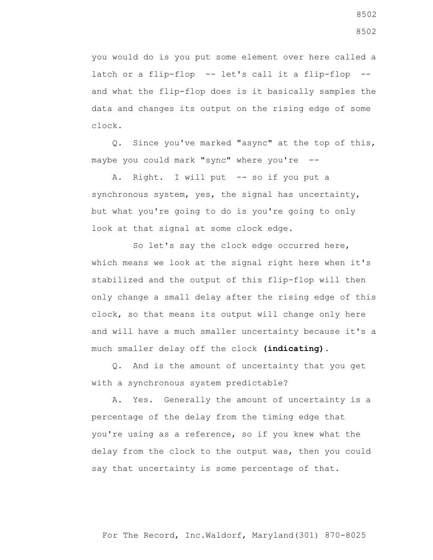you would do is you put some element over here called a latch or a flip-flop -- let's call it a flip-flop - and what the flip-flop does is it basically samples the data and changes its output on the rising edge of some clock.

 Q. Since you've marked "async" at the top of this, maybe you could mark "sync" where you're --

Right. I will put -- so if you put a synchronous system, yes, the signal has uncertainty, but what you're going to do is you're going to only look at that signal at some clock edge.

 So let's say the clock edge occurred here, which means we look at the signal right here when it's stabilized and the output of this flip-flop will then only change a small delay after the rising edge of this clock, so that means its output will change only here and will have a much smaller uncertainty because it's a much smaller delay off the clock **(indicating)**.

 Q. And is the amount of uncertainty that you get with a synchronous system predictable?

 A. Yes. Generally the amount of uncertainty is a percentage of the delay from the timing edge that you're using as a reference, so if you knew what the delay from the clock to the output was, then you could say that uncertainty is some percentage of that.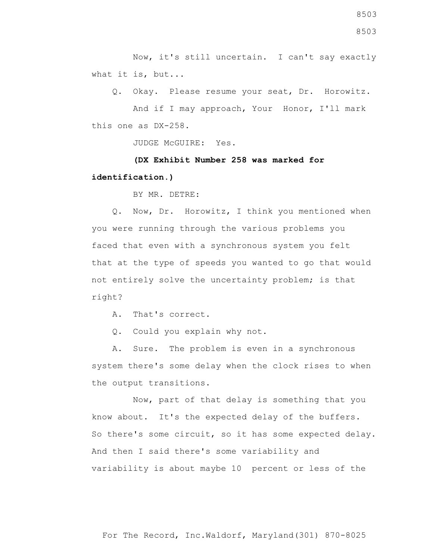Now, it's still uncertain. I can't say exactly what it is, but...

Q. Okay. Please resume your seat, Dr. Horowitz.

 And if I may approach, Your Honor, I'll mark this one as DX-258.

JUDGE McGUIRE: Yes.

 **(DX Exhibit Number 258 was marked for identification.)**

BY MR. DETRE:

 Q. Now, Dr. Horowitz, I think you mentioned when you were running through the various problems you faced that even with a synchronous system you felt that at the type of speeds you wanted to go that would not entirely solve the uncertainty problem; is that right?

A. That's correct.

Q. Could you explain why not.

 A. Sure. The problem is even in a synchronous system there's some delay when the clock rises to when the output transitions.

 Now, part of that delay is something that you know about. It's the expected delay of the buffers. So there's some circuit, so it has some expected delay. And then I said there's some variability and variability is about maybe 10 percent or less of the

For The Record, Inc.Waldorf, Maryland(301) 870-8025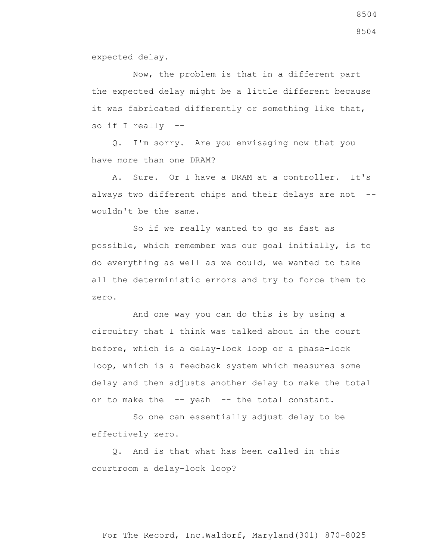expected delay.

 Now, the problem is that in a different part the expected delay might be a little different because it was fabricated differently or something like that, so if I really --

 Q. I'm sorry. Are you envisaging now that you have more than one DRAM?

 A. Sure. Or I have a DRAM at a controller. It's always two different chips and their delays are not -wouldn't be the same.

 So if we really wanted to go as fast as possible, which remember was our goal initially, is to do everything as well as we could, we wanted to take all the deterministic errors and try to force them to zero.

 And one way you can do this is by using a circuitry that I think was talked about in the court before, which is a delay-lock loop or a phase-lock loop, which is a feedback system which measures some delay and then adjusts another delay to make the total or to make the -- yeah -- the total constant.

 So one can essentially adjust delay to be effectively zero.

 Q. And is that what has been called in this courtroom a delay-lock loop?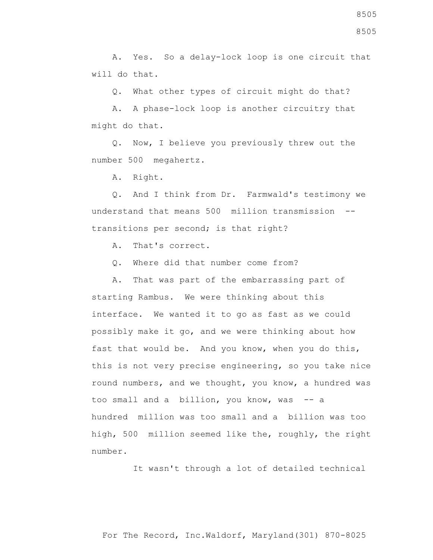A. Yes. So a delay-lock loop is one circuit that will do that.

Q. What other types of circuit might do that?

 A. A phase-lock loop is another circuitry that might do that.

 Q. Now, I believe you previously threw out the number 500 megahertz.

A. Right.

 Q. And I think from Dr. Farmwald's testimony we understand that means 500 million transmission - transitions per second; is that right?

A. That's correct.

Q. Where did that number come from?

 A. That was part of the embarrassing part of starting Rambus. We were thinking about this interface. We wanted it to go as fast as we could possibly make it go, and we were thinking about how fast that would be. And you know, when you do this, this is not very precise engineering, so you take nice round numbers, and we thought, you know, a hundred was too small and a billion, you know, was -- a hundred million was too small and a billion was too high, 500 million seemed like the, roughly, the right number.

It wasn't through a lot of detailed technical

For The Record, Inc.Waldorf, Maryland(301) 870-8025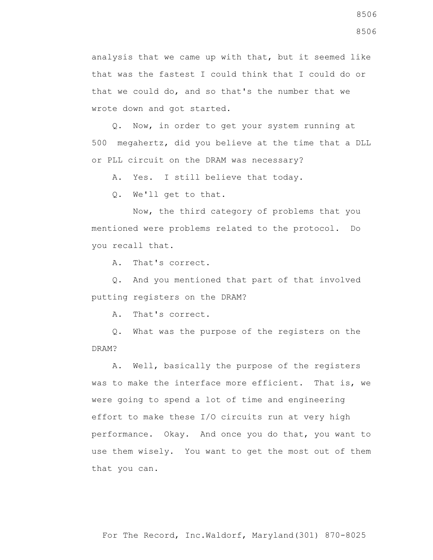analysis that we came up with that, but it seemed like that was the fastest I could think that I could do or that we could do, and so that's the number that we wrote down and got started.

 Q. Now, in order to get your system running at 500 megahertz, did you believe at the time that a DLL or PLL circuit on the DRAM was necessary?

A. Yes. I still believe that today.

Q. We'll get to that.

 Now, the third category of problems that you mentioned were problems related to the protocol. Do you recall that.

A. That's correct.

 Q. And you mentioned that part of that involved putting registers on the DRAM?

A. That's correct.

 Q. What was the purpose of the registers on the DRAM?

 A. Well, basically the purpose of the registers was to make the interface more efficient. That is, we were going to spend a lot of time and engineering effort to make these I/O circuits run at very high performance. Okay. And once you do that, you want to use them wisely. You want to get the most out of them that you can.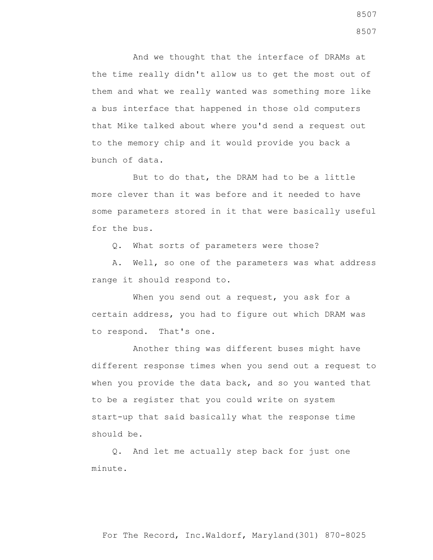And we thought that the interface of DRAMs at the time really didn't allow us to get the most out of them and what we really wanted was something more like a bus interface that happened in those old computers that Mike talked about where you'd send a request out to the memory chip and it would provide you back a bunch of data.

 But to do that, the DRAM had to be a little more clever than it was before and it needed to have some parameters stored in it that were basically useful for the bus.

Q. What sorts of parameters were those?

 A. Well, so one of the parameters was what address range it should respond to.

When you send out a request, you ask for a certain address, you had to figure out which DRAM was to respond. That's one.

 Another thing was different buses might have different response times when you send out a request to when you provide the data back, and so you wanted that to be a register that you could write on system start-up that said basically what the response time should be.

 Q. And let me actually step back for just one minute.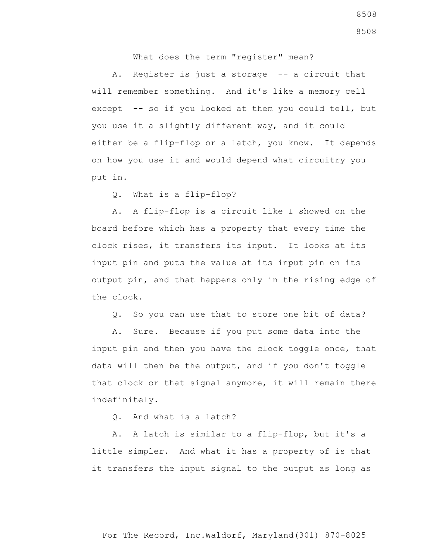What does the term "register" mean?

A. Register is just a storage -- a circuit that will remember something. And it's like a memory cell except -- so if you looked at them you could tell, but you use it a slightly different way, and it could either be a flip-flop or a latch, you know. It depends on how you use it and would depend what circuitry you put in.

Q. What is a flip-flop?

 A. A flip-flop is a circuit like I showed on the board before which has a property that every time the clock rises, it transfers its input. It looks at its input pin and puts the value at its input pin on its output pin, and that happens only in the rising edge of the clock.

Q. So you can use that to store one bit of data?

 A. Sure. Because if you put some data into the input pin and then you have the clock toggle once, that data will then be the output, and if you don't toggle that clock or that signal anymore, it will remain there indefinitely.

Q. And what is a latch?

 A. A latch is similar to a flip-flop, but it's a little simpler. And what it has a property of is that it transfers the input signal to the output as long as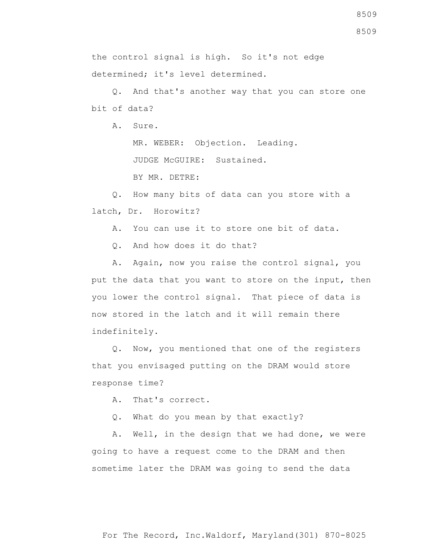8509

8509

the control signal is high. So it's not edge determined; it's level determined.

 Q. And that's another way that you can store one bit of data?

A. Sure.

MR. WEBER: Objection. Leading.

JUDGE McGUIRE: Sustained.

BY MR. DETRE:

 Q. How many bits of data can you store with a latch, Dr. Horowitz?

A. You can use it to store one bit of data.

Q. And how does it do that?

 A. Again, now you raise the control signal, you put the data that you want to store on the input, then you lower the control signal. That piece of data is now stored in the latch and it will remain there indefinitely.

 Q. Now, you mentioned that one of the registers that you envisaged putting on the DRAM would store response time?

A. That's correct.

Q. What do you mean by that exactly?

 A. Well, in the design that we had done, we were going to have a request come to the DRAM and then sometime later the DRAM was going to send the data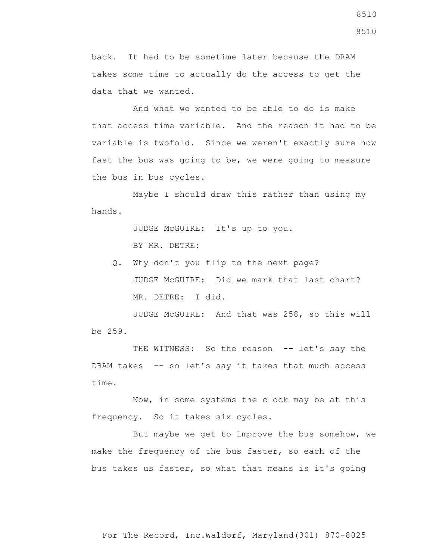back. It had to be sometime later because the DRAM takes some time to actually do the access to get the data that we wanted.

 And what we wanted to be able to do is make that access time variable. And the reason it had to be variable is twofold. Since we weren't exactly sure how fast the bus was going to be, we were going to measure the bus in bus cycles.

 Maybe I should draw this rather than using my hands.

> JUDGE McGUIRE: It's up to you. BY MR. DETRE:

 Q. Why don't you flip to the next page? JUDGE McGUIRE: Did we mark that last chart? MR. DETRE: I did.

 JUDGE McGUIRE: And that was 258, so this will be 259.

THE WITNESS: So the reason -- let's say the DRAM takes -- so let's say it takes that much access time.

 Now, in some systems the clock may be at this frequency. So it takes six cycles.

 But maybe we get to improve the bus somehow, we make the frequency of the bus faster, so each of the bus takes us faster, so what that means is it's going

For The Record, Inc.Waldorf, Maryland(301) 870-8025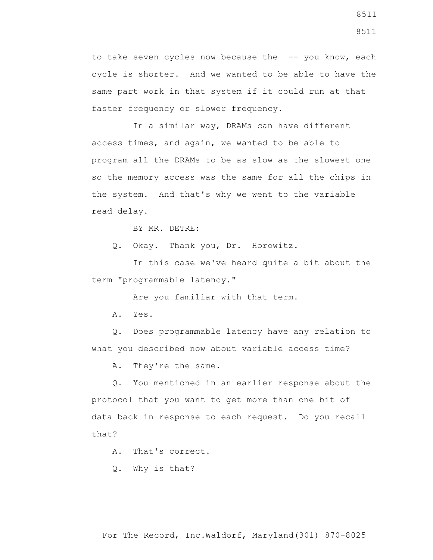to take seven cycles now because the -- you know, each cycle is shorter. And we wanted to be able to have the same part work in that system if it could run at that faster frequency or slower frequency.

 In a similar way, DRAMs can have different access times, and again, we wanted to be able to program all the DRAMs to be as slow as the slowest one so the memory access was the same for all the chips in the system. And that's why we went to the variable read delay.

BY MR. DETRE:

Q. Okay. Thank you, Dr. Horowitz.

 In this case we've heard quite a bit about the term "programmable latency."

Are you familiar with that term.

A. Yes.

 Q. Does programmable latency have any relation to what you described now about variable access time?

A. They're the same.

 Q. You mentioned in an earlier response about the protocol that you want to get more than one bit of data back in response to each request. Do you recall that?

A. That's correct.

Q. Why is that?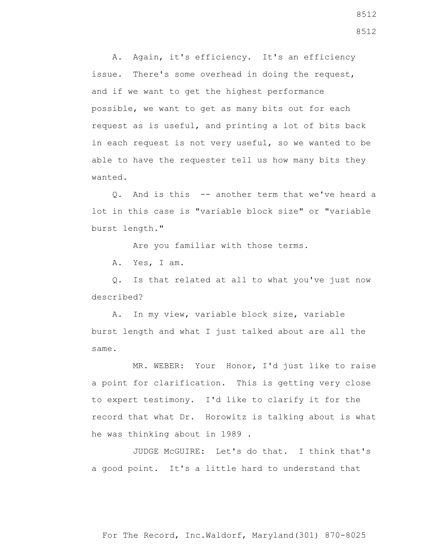A. Again, it's efficiency. It's an efficiency issue. There's some overhead in doing the request, and if we want to get the highest performance possible, we want to get as many bits out for each request as is useful, and printing a lot of bits back in each request is not very useful, so we wanted to be able to have the requester tell us how many bits they wanted.

 Q. And is this -- another term that we've heard a lot in this case is "variable block size" or "variable burst length."

Are you familiar with those terms.

A. Yes, I am.

 Q. Is that related at all to what you've just now described?

 A. In my view, variable block size, variable burst length and what I just talked about are all the same.

 MR. WEBER: Your Honor, I'd just like to raise a point for clarification. This is getting very close to expert testimony. I'd like to clarify it for the record that what Dr. Horowitz is talking about is what he was thinking about in 1989 .

 JUDGE McGUIRE: Let's do that. I think that's a good point. It's a little hard to understand that

8512 8512

For The Record, Inc.Waldorf, Maryland(301) 870-8025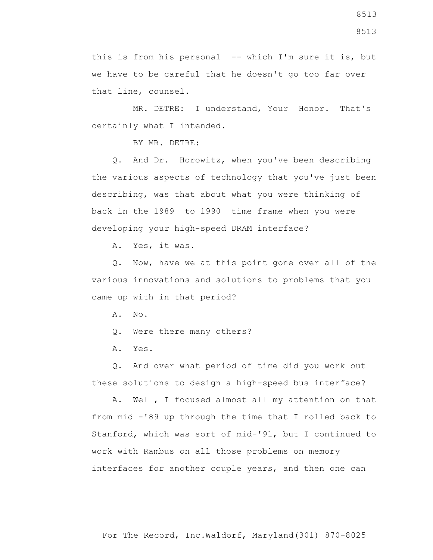this is from his personal -- which I'm sure it is, but we have to be careful that he doesn't go too far over that line, counsel.

 MR. DETRE: I understand, Your Honor. That's certainly what I intended.

BY MR. DETRE:

 Q. And Dr. Horowitz, when you've been describing the various aspects of technology that you've just been describing, was that about what you were thinking of back in the 1989 to 1990 time frame when you were developing your high-speed DRAM interface?

A. Yes, it was.

 Q. Now, have we at this point gone over all of the various innovations and solutions to problems that you came up with in that period?

A. No.

Q. Were there many others?

A. Yes.

 Q. And over what period of time did you work out these solutions to design a high-speed bus interface?

 A. Well, I focused almost all my attention on that from mid -'89 up through the time that I rolled back to Stanford, which was sort of mid-'91, but I continued to work with Rambus on all those problems on memory interfaces for another couple years, and then one can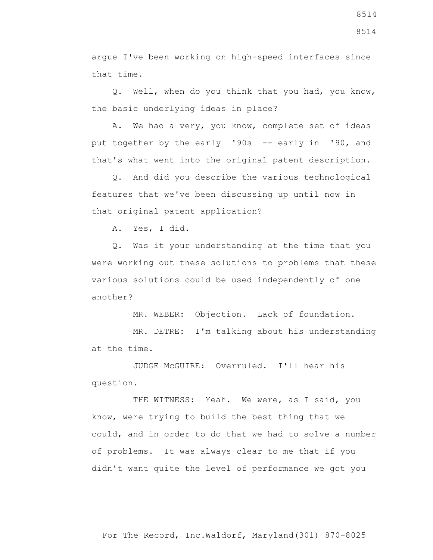argue I've been working on high-speed interfaces since that time.

 Q. Well, when do you think that you had, you know, the basic underlying ideas in place?

 A. We had a very, you know, complete set of ideas put together by the early '90s -- early in '90, and that's what went into the original patent description.

 Q. And did you describe the various technological features that we've been discussing up until now in that original patent application?

A. Yes, I did.

 Q. Was it your understanding at the time that you were working out these solutions to problems that these various solutions could be used independently of one another?

MR. WEBER: Objection. Lack of foundation.

 MR. DETRE: I'm talking about his understanding at the time.

 JUDGE McGUIRE: Overruled. I'll hear his question.

THE WITNESS: Yeah. We were, as I said, you know, were trying to build the best thing that we could, and in order to do that we had to solve a number of problems. It was always clear to me that if you didn't want quite the level of performance we got you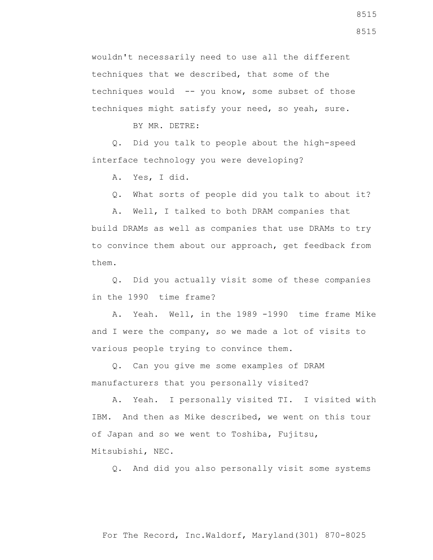wouldn't necessarily need to use all the different techniques that we described, that some of the techniques would -- you know, some subset of those techniques might satisfy your need, so yeah, sure.

BY MR. DETRE:

 Q. Did you talk to people about the high-speed interface technology you were developing?

A. Yes, I did.

Q. What sorts of people did you talk to about it?

 A. Well, I talked to both DRAM companies that build DRAMs as well as companies that use DRAMs to try to convince them about our approach, get feedback from them.

 Q. Did you actually visit some of these companies in the 1990 time frame?

 A. Yeah. Well, in the 1989 -1990 time frame Mike and I were the company, so we made a lot of visits to various people trying to convince them.

 Q. Can you give me some examples of DRAM manufacturers that you personally visited?

 A. Yeah. I personally visited TI. I visited with IBM. And then as Mike described, we went on this tour of Japan and so we went to Toshiba, Fujitsu, Mitsubishi, NEC.

Q. And did you also personally visit some systems

For The Record, Inc.Waldorf, Maryland(301) 870-8025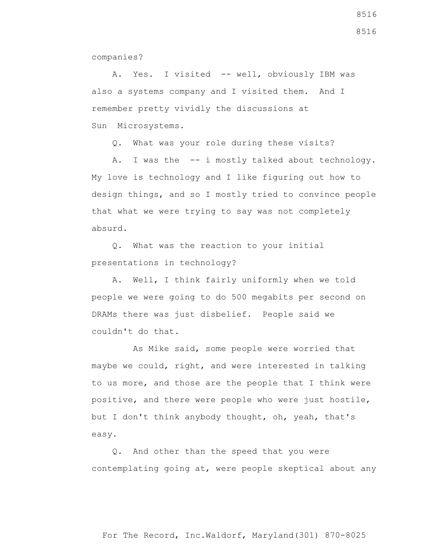companies?

A. Yes. I visited -- well, obviously IBM was also a systems company and I visited them. And I remember pretty vividly the discussions at Sun Microsystems.

Q. What was your role during these visits?

A. I was the -- i mostly talked about technology. My love is technology and I like figuring out how to design things, and so I mostly tried to convince people that what we were trying to say was not completely absurd.

 Q. What was the reaction to your initial presentations in technology?

 A. Well, I think fairly uniformly when we told people we were going to do 500 megabits per second on DRAMs there was just disbelief. People said we couldn't do that.

 As Mike said, some people were worried that maybe we could, right, and were interested in talking to us more, and those are the people that I think were positive, and there were people who were just hostile, but I don't think anybody thought, oh, yeah, that's easy.

 Q. And other than the speed that you were contemplating going at, were people skeptical about any

For The Record, Inc.Waldorf, Maryland(301) 870-8025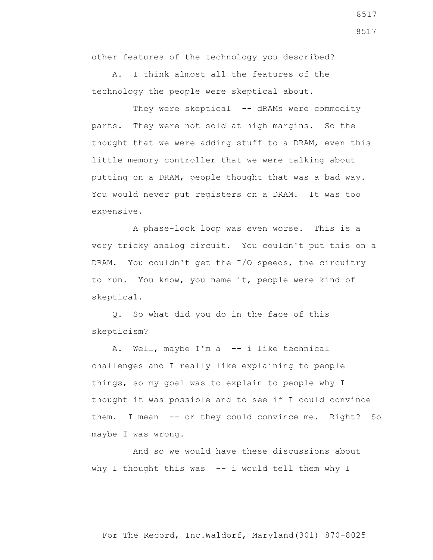other features of the technology you described?

 A. I think almost all the features of the technology the people were skeptical about.

They were skeptical -- dRAMs were commodity parts. They were not sold at high margins. So the thought that we were adding stuff to a DRAM, even this little memory controller that we were talking about putting on a DRAM, people thought that was a bad way. You would never put registers on a DRAM. It was too expensive.

 A phase-lock loop was even worse. This is a very tricky analog circuit. You couldn't put this on a DRAM. You couldn't get the I/O speeds, the circuitry to run. You know, you name it, people were kind of skeptical.

 Q. So what did you do in the face of this skepticism?

A. Well, maybe I'm a -- i like technical challenges and I really like explaining to people things, so my goal was to explain to people why I thought it was possible and to see if I could convince them. I mean -- or they could convince me. Right? So maybe I was wrong.

 And so we would have these discussions about why I thought this was  $-$ - i would tell them why I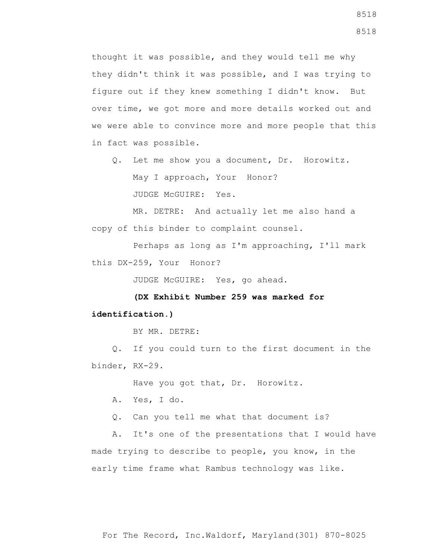thought it was possible, and they would tell me why they didn't think it was possible, and I was trying to figure out if they knew something I didn't know. But over time, we got more and more details worked out and we were able to convince more and more people that this in fact was possible.

 Q. Let me show you a document, Dr. Horowitz. May I approach, Your Honor? JUDGE McGUIRE: Yes.

 MR. DETRE: And actually let me also hand a copy of this binder to complaint counsel.

 Perhaps as long as I'm approaching, I'll mark this DX-259, Your Honor?

JUDGE McGUIRE: Yes, go ahead.

 **(DX Exhibit Number 259 was marked for**

## **identification.)**

BY MR. DETRE:

 Q. If you could turn to the first document in the binder, RX-29.

Have you got that, Dr. Horowitz.

A. Yes, I do.

Q. Can you tell me what that document is?

 A. It's one of the presentations that I would have made trying to describe to people, you know, in the early time frame what Rambus technology was like.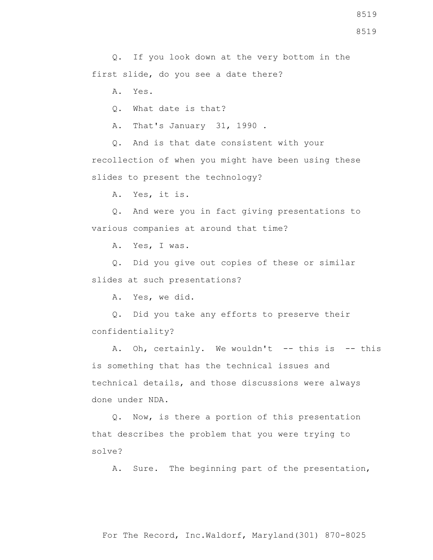8519

 Q. If you look down at the very bottom in the first slide, do you see a date there?

A. Yes.

Q. What date is that?

A. That's January 31, 1990 .

 Q. And is that date consistent with your recollection of when you might have been using these slides to present the technology?

A. Yes, it is.

 Q. And were you in fact giving presentations to various companies at around that time?

A. Yes, I was.

 Q. Did you give out copies of these or similar slides at such presentations?

A. Yes, we did.

 Q. Did you take any efforts to preserve their confidentiality?

A. Oh, certainly. We wouldn't -- this is -- this is something that has the technical issues and technical details, and those discussions were always done under NDA.

 Q. Now, is there a portion of this presentation that describes the problem that you were trying to solve?

A. Sure. The beginning part of the presentation,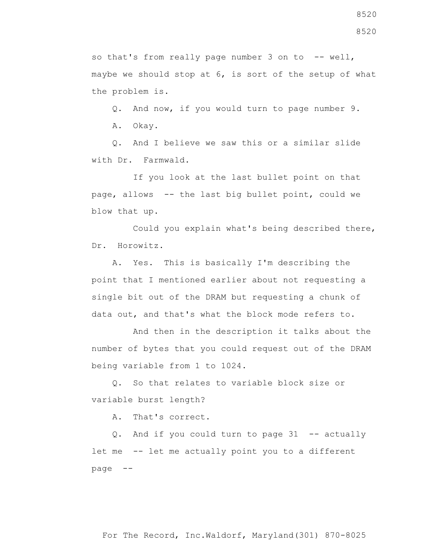so that's from really page number  $3$  on to  $-$ - well, maybe we should stop at 6, is sort of the setup of what the problem is.

 Q. And now, if you would turn to page number 9. A. Okay.

 Q. And I believe we saw this or a similar slide with Dr. Farmwald.

 If you look at the last bullet point on that page, allows -- the last big bullet point, could we blow that up.

 Could you explain what's being described there, Dr. Horowitz.

 A. Yes. This is basically I'm describing the point that I mentioned earlier about not requesting a single bit out of the DRAM but requesting a chunk of data out, and that's what the block mode refers to.

 And then in the description it talks about the number of bytes that you could request out of the DRAM being variable from 1 to 1024.

 Q. So that relates to variable block size or variable burst length?

A. That's correct.

 Q. And if you could turn to page 31 -- actually let me -- let me actually point you to a different page --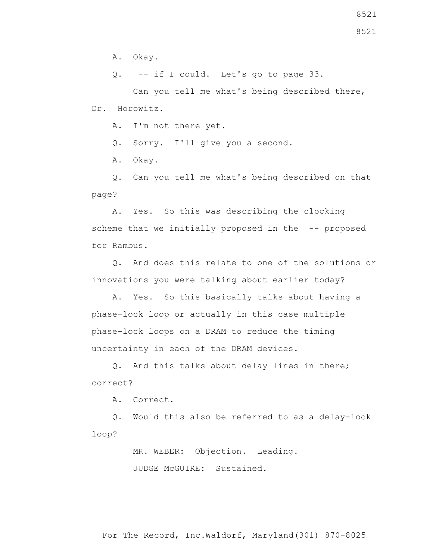A. Okay.

Q. -- if I could. Let's go to page 33.

 Can you tell me what's being described there, Dr. Horowitz.

A. I'm not there yet.

Q. Sorry. I'll give you a second.

A. Okay.

 Q. Can you tell me what's being described on that page?

 A. Yes. So this was describing the clocking scheme that we initially proposed in the -- proposed for Rambus.

 Q. And does this relate to one of the solutions or innovations you were talking about earlier today?

 A. Yes. So this basically talks about having a phase-lock loop or actually in this case multiple phase-lock loops on a DRAM to reduce the timing uncertainty in each of the DRAM devices.

 Q. And this talks about delay lines in there; correct?

A. Correct.

 Q. Would this also be referred to as a delay-lock loop?

> MR. WEBER: Objection. Leading. JUDGE McGUIRE: Sustained.

For The Record, Inc.Waldorf, Maryland(301) 870-8025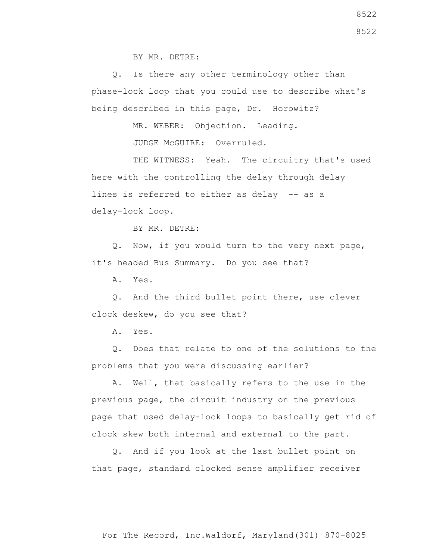BY MR. DETRE:

 Q. Is there any other terminology other than phase-lock loop that you could use to describe what's being described in this page, Dr. Horowitz?

MR. WEBER: Objection. Leading.

JUDGE McGUIRE: Overruled.

THE WITNESS: Yeah. The circuitry that's used here with the controlling the delay through delay lines is referred to either as delay -- as a delay-lock loop.

BY MR. DETRE:

 Q. Now, if you would turn to the very next page, it's headed Bus Summary. Do you see that?

A. Yes.

 Q. And the third bullet point there, use clever clock deskew, do you see that?

A. Yes.

 Q. Does that relate to one of the solutions to the problems that you were discussing earlier?

 A. Well, that basically refers to the use in the previous page, the circuit industry on the previous page that used delay-lock loops to basically get rid of clock skew both internal and external to the part.

 Q. And if you look at the last bullet point on that page, standard clocked sense amplifier receiver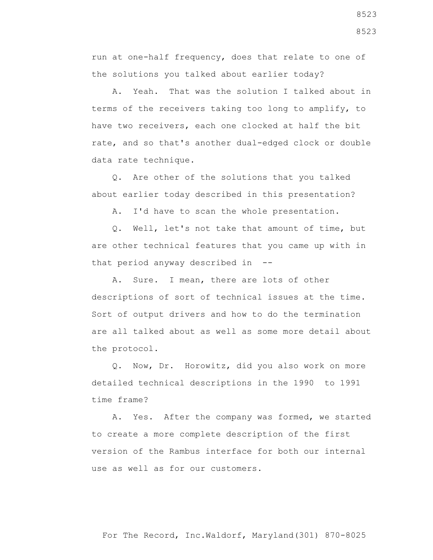run at one-half frequency, does that relate to one of the solutions you talked about earlier today?

 A. Yeah. That was the solution I talked about in terms of the receivers taking too long to amplify, to have two receivers, each one clocked at half the bit rate, and so that's another dual-edged clock or double data rate technique.

 Q. Are other of the solutions that you talked about earlier today described in this presentation?

A. I'd have to scan the whole presentation.

 Q. Well, let's not take that amount of time, but are other technical features that you came up with in that period anyway described in --

 A. Sure. I mean, there are lots of other descriptions of sort of technical issues at the time. Sort of output drivers and how to do the termination are all talked about as well as some more detail about the protocol.

 Q. Now, Dr. Horowitz, did you also work on more detailed technical descriptions in the 1990 to 1991 time frame?

 A. Yes. After the company was formed, we started to create a more complete description of the first version of the Rambus interface for both our internal use as well as for our customers.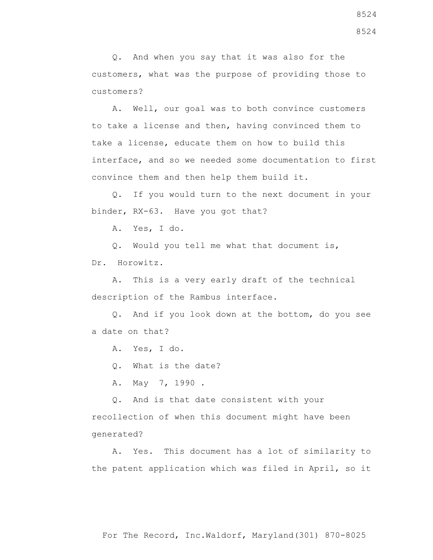Q. And when you say that it was also for the customers, what was the purpose of providing those to customers?

 A. Well, our goal was to both convince customers to take a license and then, having convinced them to take a license, educate them on how to build this interface, and so we needed some documentation to first convince them and then help them build it.

 Q. If you would turn to the next document in your binder, RX-63. Have you got that?

A. Yes, I do.

Q. Would you tell me what that document is,

Dr. Horowitz.

 A. This is a very early draft of the technical description of the Rambus interface.

 Q. And if you look down at the bottom, do you see a date on that?

A. Yes, I do.

Q. What is the date?

A. May 7, 1990 .

 Q. And is that date consistent with your recollection of when this document might have been generated?

 A. Yes. This document has a lot of similarity to the patent application which was filed in April, so it

For The Record, Inc.Waldorf, Maryland(301) 870-8025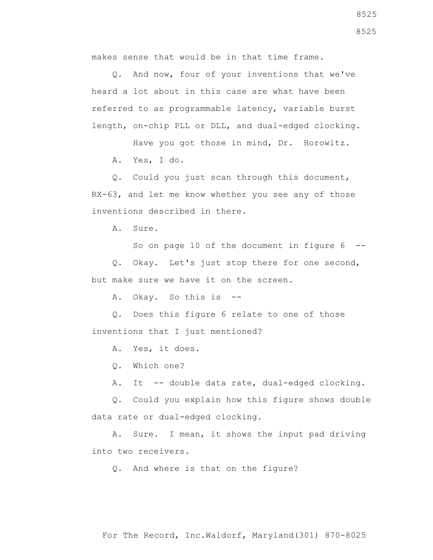makes sense that would be in that time frame.

 Q. And now, four of your inventions that we've heard a lot about in this case are what have been referred to as programmable latency, variable burst length, on-chip PLL or DLL, and dual-edged clocking.

Have you got those in mind, Dr. Horowitz.

A. Yes, I do.

 Q. Could you just scan through this document, RX-63, and let me know whether you see any of those inventions described in there.

A. Sure.

So on page 10 of the document in figure  $6 - -$ 

 Q. Okay. Let's just stop there for one second, but make sure we have it on the screen.

A. Okay. So this is --

 Q. Does this figure 6 relate to one of those inventions that I just mentioned?

A. Yes, it does.

Q. Which one?

A. It -- double data rate, dual-edged clocking.

 Q. Could you explain how this figure shows double data rate or dual-edged clocking.

 A. Sure. I mean, it shows the input pad driving into two receivers.

Q. And where is that on the figure?

For The Record, Inc.Waldorf, Maryland(301) 870-8025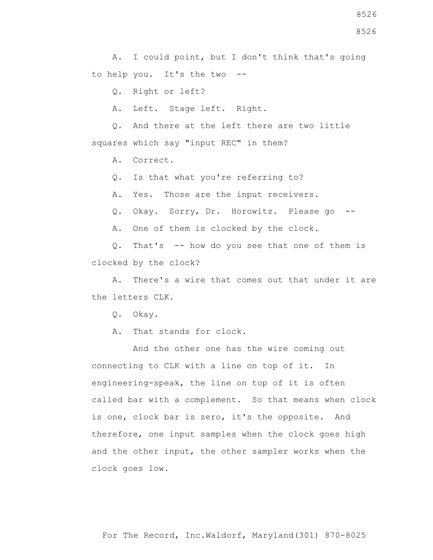A. I could point, but I don't think that's going to help you. It's the two --

Q. Right or left?

A. Left. Stage left. Right.

 Q. And there at the left there are two little squares which say "input REC" in them?

A. Correct.

Q. Is that what you're referring to?

A. Yes. Those are the input receivers.

Q. Okay. Sorry, Dr. Horowitz. Please go --

A. One of them is clocked by the clock.

 Q. That's -- how do you see that one of them is clocked by the clock?

 A. There's a wire that comes out that under it are the letters CLK.

Q. Okay.

A. That stands for clock.

 And the other one has the wire coming out connecting to CLK with a line on top of it. In engineering-speak, the line on top of it is often called bar with a complement. So that means when clock is one, clock bar is zero, it's the opposite. And therefore, one input samples when the clock goes high and the other input, the other sampler works when the clock goes low.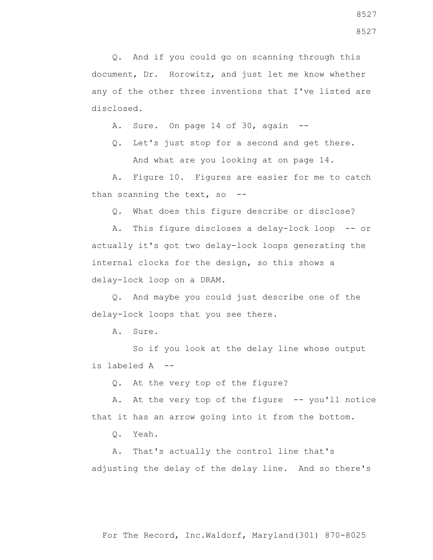Q. And if you could go on scanning through this document, Dr. Horowitz, and just let me know whether any of the other three inventions that I've listed are disclosed.

A. Sure. On page 14 of 30, again --

 Q. Let's just stop for a second and get there. And what are you looking at on page 14.

 A. Figure 10. Figures are easier for me to catch than scanning the text, so --

Q. What does this figure describe or disclose?

 A. This figure discloses a delay-lock loop -- or actually it's got two delay-lock loops generating the internal clocks for the design, so this shows a delay-lock loop on a DRAM.

 Q. And maybe you could just describe one of the delay-lock loops that you see there.

A. Sure.

 So if you look at the delay line whose output is labeled A --

Q. At the very top of the figure?

A. At the very top of the figure -- you'll notice that it has an arrow going into it from the bottom.

Q. Yeah.

 A. That's actually the control line that's adjusting the delay of the delay line. And so there's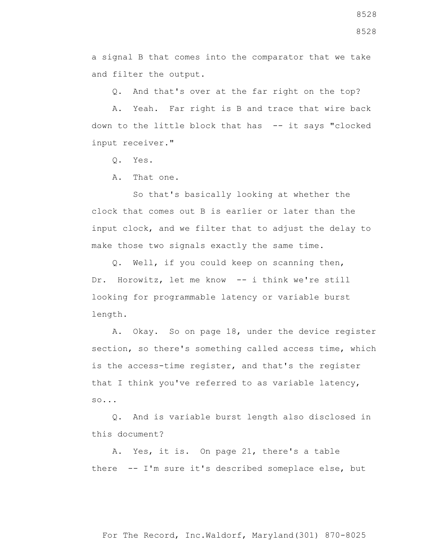a signal B that comes into the comparator that we take and filter the output.

Q. And that's over at the far right on the top?

 A. Yeah. Far right is B and trace that wire back down to the little block that has -- it says "clocked input receiver."

Q. Yes.

A. That one.

 So that's basically looking at whether the clock that comes out B is earlier or later than the input clock, and we filter that to adjust the delay to make those two signals exactly the same time.

 Q. Well, if you could keep on scanning then, Dr. Horowitz, let me know -- i think we're still looking for programmable latency or variable burst length.

 A. Okay. So on page 18, under the device register section, so there's something called access time, which is the access-time register, and that's the register that I think you've referred to as variable latency, so...

 Q. And is variable burst length also disclosed in this document?

 A. Yes, it is. On page 21, there's a table there -- I'm sure it's described someplace else, but

For The Record, Inc.Waldorf, Maryland(301) 870-8025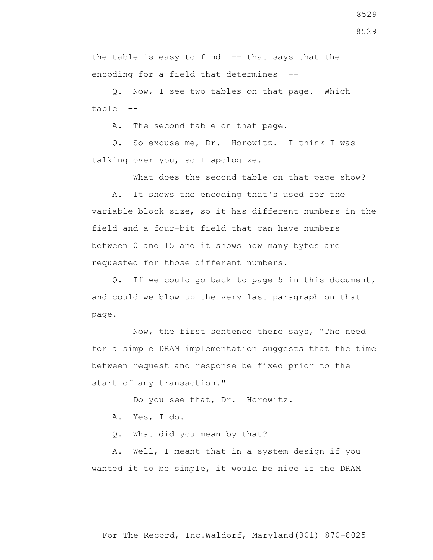the table is easy to find -- that says that the encoding for a field that determines --

 Q. Now, I see two tables on that page. Which table --

A. The second table on that page.

 Q. So excuse me, Dr. Horowitz. I think I was talking over you, so I apologize.

What does the second table on that page show?

 A. It shows the encoding that's used for the variable block size, so it has different numbers in the field and a four-bit field that can have numbers between 0 and 15 and it shows how many bytes are requested for those different numbers.

 Q. If we could go back to page 5 in this document, and could we blow up the very last paragraph on that page.

 Now, the first sentence there says, "The need for a simple DRAM implementation suggests that the time between request and response be fixed prior to the start of any transaction."

Do you see that, Dr. Horowitz.

A. Yes, I do.

Q. What did you mean by that?

 A. Well, I meant that in a system design if you wanted it to be simple, it would be nice if the DRAM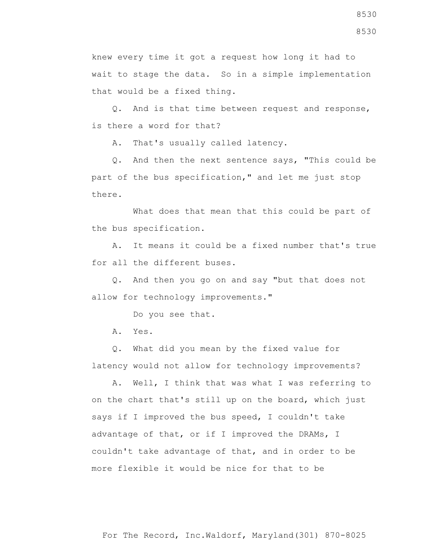knew every time it got a request how long it had to wait to stage the data. So in a simple implementation that would be a fixed thing.

 Q. And is that time between request and response, is there a word for that?

A. That's usually called latency.

 Q. And then the next sentence says, "This could be part of the bus specification," and let me just stop there.

 What does that mean that this could be part of the bus specification.

 A. It means it could be a fixed number that's true for all the different buses.

 Q. And then you go on and say "but that does not allow for technology improvements."

Do you see that.

A. Yes.

 Q. What did you mean by the fixed value for latency would not allow for technology improvements?

 A. Well, I think that was what I was referring to on the chart that's still up on the board, which just says if I improved the bus speed, I couldn't take advantage of that, or if I improved the DRAMs, I couldn't take advantage of that, and in order to be more flexible it would be nice for that to be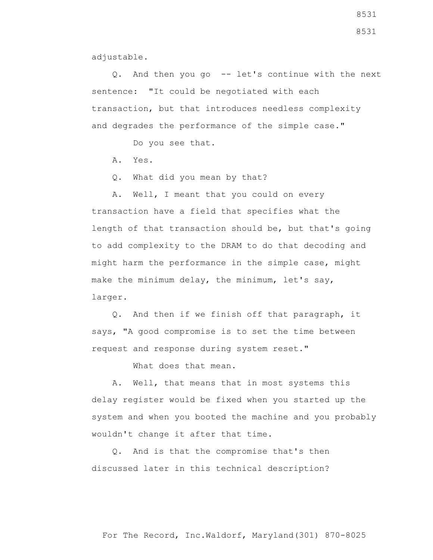adjustable.

 Q. And then you go -- let's continue with the next sentence: "It could be negotiated with each transaction, but that introduces needless complexity and degrades the performance of the simple case."

Do you see that.

A. Yes.

Q. What did you mean by that?

 A. Well, I meant that you could on every transaction have a field that specifies what the length of that transaction should be, but that's going to add complexity to the DRAM to do that decoding and might harm the performance in the simple case, might make the minimum delay, the minimum, let's say, larger.

 Q. And then if we finish off that paragraph, it says, "A good compromise is to set the time between request and response during system reset."

What does that mean.

 A. Well, that means that in most systems this delay register would be fixed when you started up the system and when you booted the machine and you probably wouldn't change it after that time.

 Q. And is that the compromise that's then discussed later in this technical description?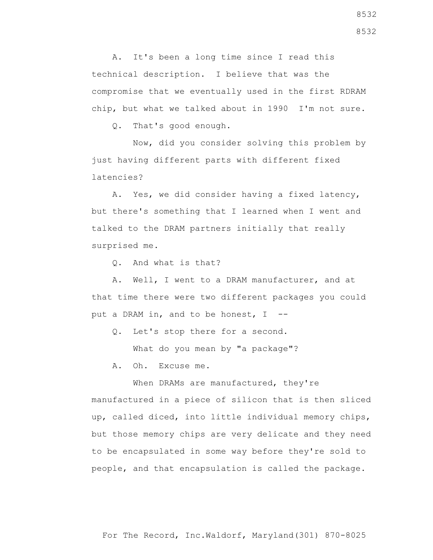A. It's been a long time since I read this technical description. I believe that was the compromise that we eventually used in the first RDRAM chip, but what we talked about in 1990 I'm not sure.

Q. That's good enough.

 Now, did you consider solving this problem by just having different parts with different fixed latencies?

 A. Yes, we did consider having a fixed latency, but there's something that I learned when I went and talked to the DRAM partners initially that really surprised me.

Q. And what is that?

 A. Well, I went to a DRAM manufacturer, and at that time there were two different packages you could put a DRAM in, and to be honest, I --

Q. Let's stop there for a second.

What do you mean by "a package"?

A. Oh. Excuse me.

When DRAMs are manufactured, they're manufactured in a piece of silicon that is then sliced up, called diced, into little individual memory chips, but those memory chips are very delicate and they need to be encapsulated in some way before they're sold to people, and that encapsulation is called the package.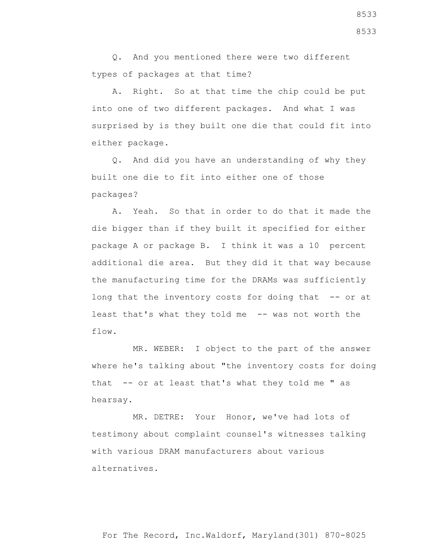Q. And you mentioned there were two different types of packages at that time?

 A. Right. So at that time the chip could be put into one of two different packages. And what I was surprised by is they built one die that could fit into either package.

 Q. And did you have an understanding of why they built one die to fit into either one of those packages?

 A. Yeah. So that in order to do that it made the die bigger than if they built it specified for either package A or package B. I think it was a 10 percent additional die area. But they did it that way because the manufacturing time for the DRAMs was sufficiently long that the inventory costs for doing that -- or at least that's what they told me -- was not worth the flow.

 MR. WEBER: I object to the part of the answer where he's talking about "the inventory costs for doing that -- or at least that's what they told me " as hearsay.

 MR. DETRE: Your Honor, we've had lots of testimony about complaint counsel's witnesses talking with various DRAM manufacturers about various alternatives.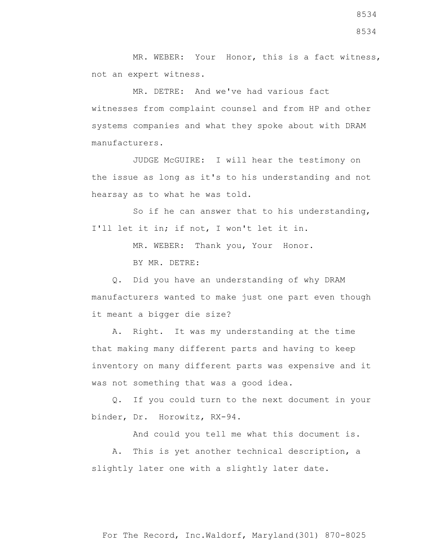MR. WEBER: Your Honor, this is a fact witness, not an expert witness.

 MR. DETRE: And we've had various fact witnesses from complaint counsel and from HP and other systems companies and what they spoke about with DRAM manufacturers.

 JUDGE McGUIRE: I will hear the testimony on the issue as long as it's to his understanding and not hearsay as to what he was told.

 So if he can answer that to his understanding, I'll let it in; if not, I won't let it in.

MR. WEBER: Thank you, Your Honor.

BY MR. DETRE:

 Q. Did you have an understanding of why DRAM manufacturers wanted to make just one part even though it meant a bigger die size?

 A. Right. It was my understanding at the time that making many different parts and having to keep inventory on many different parts was expensive and it was not something that was a good idea.

 Q. If you could turn to the next document in your binder, Dr. Horowitz, RX-94.

And could you tell me what this document is.

 A. This is yet another technical description, a slightly later one with a slightly later date.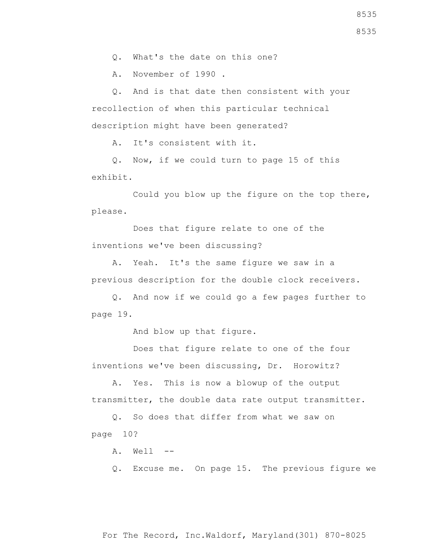Q. What's the date on this one?

A. November of 1990 .

 Q. And is that date then consistent with your recollection of when this particular technical description might have been generated?

A. It's consistent with it.

 Q. Now, if we could turn to page 15 of this exhibit.

 Could you blow up the figure on the top there, please.

 Does that figure relate to one of the inventions we've been discussing?

 A. Yeah. It's the same figure we saw in a previous description for the double clock receivers.

 Q. And now if we could go a few pages further to page 19.

And blow up that figure.

 Does that figure relate to one of the four inventions we've been discussing, Dr. Horowitz?

 A. Yes. This is now a blowup of the output transmitter, the double data rate output transmitter.

 Q. So does that differ from what we saw on page 10?

A. Well --

Q. Excuse me. On page 15. The previous figure we

For The Record, Inc.Waldorf, Maryland(301) 870-8025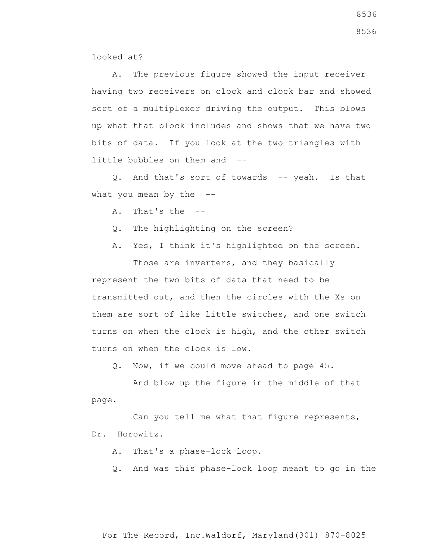looked at?

 A. The previous figure showed the input receiver having two receivers on clock and clock bar and showed sort of a multiplexer driving the output. This blows up what that block includes and shows that we have two bits of data. If you look at the two triangles with little bubbles on them and --

 Q. And that's sort of towards -- yeah. Is that what you mean by the  $-$ -

A. That's the --

- Q. The highlighting on the screen?
- A. Yes, I think it's highlighted on the screen.

 Those are inverters, and they basically represent the two bits of data that need to be transmitted out, and then the circles with the Xs on them are sort of like little switches, and one switch turns on when the clock is high, and the other switch turns on when the clock is low.

Q. Now, if we could move ahead to page 45.

 And blow up the figure in the middle of that page.

 Can you tell me what that figure represents, Dr. Horowitz.

A. That's a phase-lock loop.

Q. And was this phase-lock loop meant to go in the

8536

8536

For The Record, Inc.Waldorf, Maryland(301) 870-8025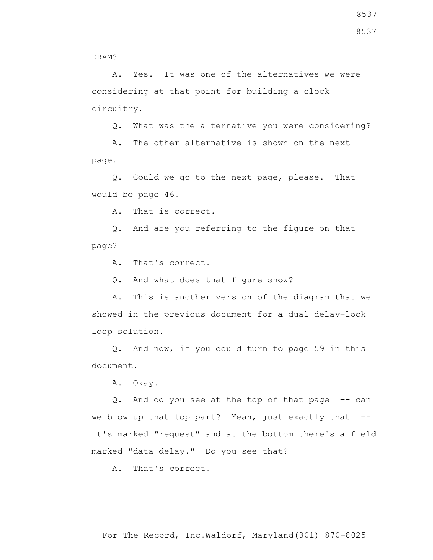A. Yes. It was one of the alternatives we were considering at that point for building a clock circuitry.

Q. What was the alternative you were considering?

 A. The other alternative is shown on the next page.

 Q. Could we go to the next page, please. That would be page 46.

A. That is correct.

 Q. And are you referring to the figure on that page?

A. That's correct.

Q. And what does that figure show?

 A. This is another version of the diagram that we showed in the previous document for a dual delay-lock loop solution.

 Q. And now, if you could turn to page 59 in this document.

A. Okay.

Q. And do you see at the top of that page -- can we blow up that top part? Yeah, just exactly that -it's marked "request" and at the bottom there's a field marked "data delay." Do you see that?

A. That's correct.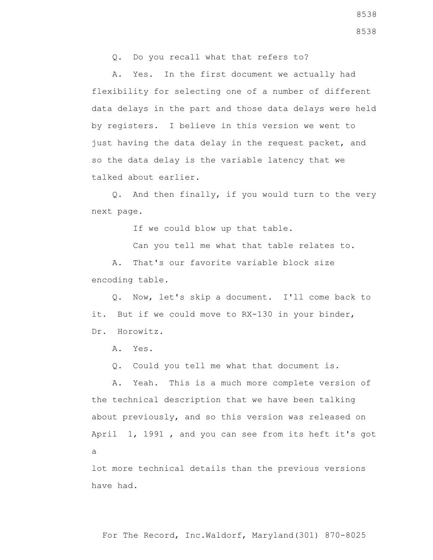Q. Do you recall what that refers to?

 A. Yes. In the first document we actually had flexibility for selecting one of a number of different data delays in the part and those data delays were held by registers. I believe in this version we went to just having the data delay in the request packet, and so the data delay is the variable latency that we talked about earlier.

 Q. And then finally, if you would turn to the very next page.

If we could blow up that table.

Can you tell me what that table relates to.

 A. That's our favorite variable block size encoding table.

 Q. Now, let's skip a document. I'll come back to it. But if we could move to RX-130 in your binder, Dr. Horowitz.

A. Yes.

Q. Could you tell me what that document is.

 A. Yeah. This is a much more complete version of the technical description that we have been talking about previously, and so this version was released on April 1, 1991 , and you can see from its heft it's got a

lot more technical details than the previous versions have had.

8538 8538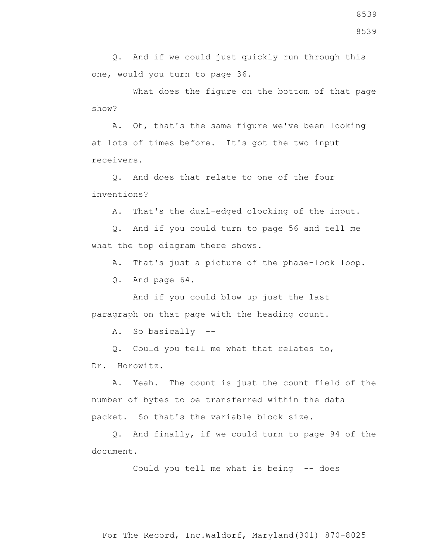Q. And if we could just quickly run through this one, would you turn to page 36.

 What does the figure on the bottom of that page show?

 A. Oh, that's the same figure we've been looking at lots of times before. It's got the two input receivers.

 Q. And does that relate to one of the four inventions?

A. That's the dual-edged clocking of the input.

 Q. And if you could turn to page 56 and tell me what the top diagram there shows.

A. That's just a picture of the phase-lock loop.

Q. And page 64.

 And if you could blow up just the last paragraph on that page with the heading count.

A. So basically --

Q. Could you tell me what that relates to,

Dr. Horowitz.

 A. Yeah. The count is just the count field of the number of bytes to be transferred within the data packet. So that's the variable block size.

 Q. And finally, if we could turn to page 94 of the document.

Could you tell me what is being -- does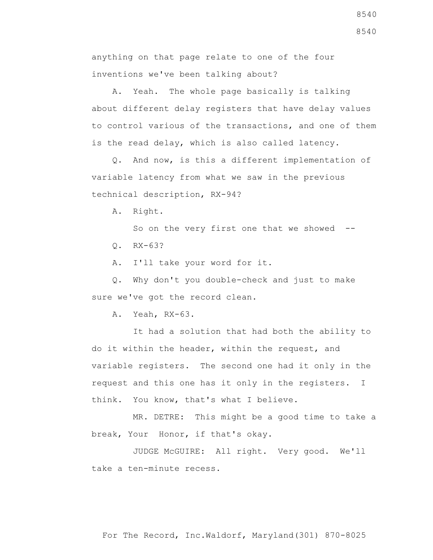anything on that page relate to one of the four inventions we've been talking about?

 A. Yeah. The whole page basically is talking about different delay registers that have delay values to control various of the transactions, and one of them is the read delay, which is also called latency.

 Q. And now, is this a different implementation of variable latency from what we saw in the previous technical description, RX-94?

A. Right.

So on the very first one that we showed  $-$ -

Q. RX-63?

A. I'll take your word for it.

 Q. Why don't you double-check and just to make sure we've got the record clean.

A. Yeah, RX-63.

 It had a solution that had both the ability to do it within the header, within the request, and variable registers. The second one had it only in the request and this one has it only in the registers. I think. You know, that's what I believe.

 MR. DETRE: This might be a good time to take a break, Your Honor, if that's okay.

 JUDGE McGUIRE: All right. Very good. We'll take a ten-minute recess.

8540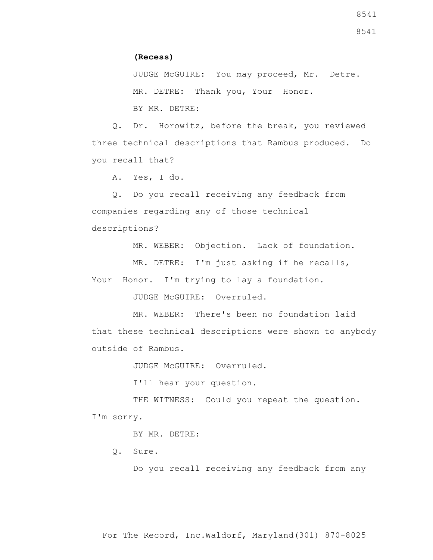8541

## **(Recess)**

 JUDGE McGUIRE: You may proceed, Mr. Detre. MR. DETRE: Thank you, Your Honor. BY MR. DETRE:

 Q. Dr. Horowitz, before the break, you reviewed three technical descriptions that Rambus produced. Do you recall that?

A. Yes, I do.

 Q. Do you recall receiving any feedback from companies regarding any of those technical descriptions?

MR. WEBER: Objection. Lack of foundation.

MR. DETRE: I'm just asking if he recalls,

Your Honor. I'm trying to lay a foundation.

JUDGE McGUIRE: Overruled.

 MR. WEBER: There's been no foundation laid that these technical descriptions were shown to anybody outside of Rambus.

JUDGE McGUIRE: Overruled.

I'll hear your question.

THE WITNESS: Could you repeat the question. I'm sorry.

BY MR. DETRE:

Q. Sure.

Do you recall receiving any feedback from any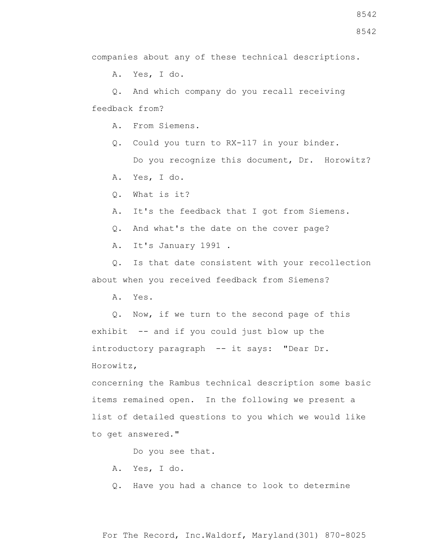companies about any of these technical descriptions.

A. Yes, I do.

 Q. And which company do you recall receiving feedback from?

A. From Siemens.

 Q. Could you turn to RX-117 in your binder. Do you recognize this document, Dr. Horowitz?

A. Yes, I do.

Q. What is it?

A. It's the feedback that I got from Siemens.

Q. And what's the date on the cover page?

A. It's January 1991 .

 Q. Is that date consistent with your recollection about when you received feedback from Siemens?

A. Yes.

 Q. Now, if we turn to the second page of this exhibit -- and if you could just blow up the introductory paragraph -- it says: "Dear Dr. Horowitz,

concerning the Rambus technical description some basic items remained open. In the following we present a list of detailed questions to you which we would like to get answered."

Do you see that.

A. Yes, I do.

Q. Have you had a chance to look to determine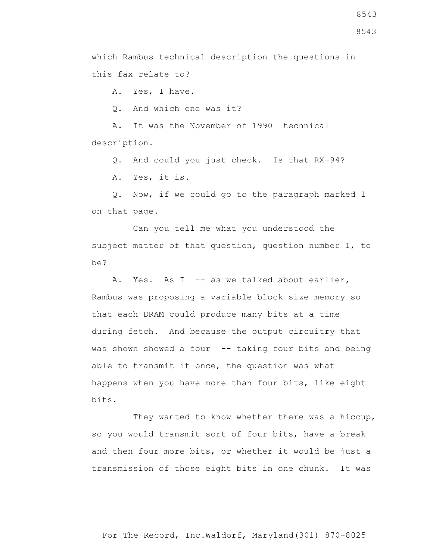which Rambus technical description the questions in this fax relate to?

A. Yes, I have.

Q. And which one was it?

 A. It was the November of 1990 technical description.

Q. And could you just check. Is that RX-94?

A. Yes, it is.

 Q. Now, if we could go to the paragraph marked 1 on that page.

 Can you tell me what you understood the subject matter of that question, question number 1, to be?

A. Yes. As I -- as we talked about earlier, Rambus was proposing a variable block size memory so that each DRAM could produce many bits at a time during fetch. And because the output circuitry that was shown showed a four -- taking four bits and being able to transmit it once, the question was what happens when you have more than four bits, like eight bits.

 They wanted to know whether there was a hiccup, so you would transmit sort of four bits, have a break and then four more bits, or whether it would be just a transmission of those eight bits in one chunk. It was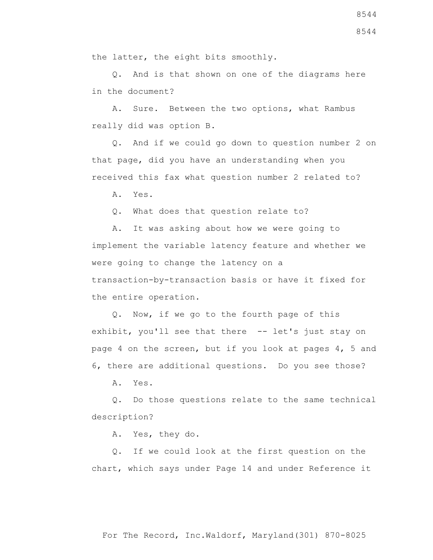Q. And is that shown on one of the diagrams here in the document?

 A. Sure. Between the two options, what Rambus really did was option B.

 Q. And if we could go down to question number 2 on that page, did you have an understanding when you received this fax what question number 2 related to?

A. Yes.

Q. What does that question relate to?

 A. It was asking about how we were going to implement the variable latency feature and whether we were going to change the latency on a transaction-by-transaction basis or have it fixed for the entire operation.

 Q. Now, if we go to the fourth page of this exhibit, you'll see that there -- let's just stay on page 4 on the screen, but if you look at pages 4, 5 and 6, there are additional questions. Do you see those?

A. Yes.

 Q. Do those questions relate to the same technical description?

A. Yes, they do.

 Q. If we could look at the first question on the chart, which says under Page 14 and under Reference it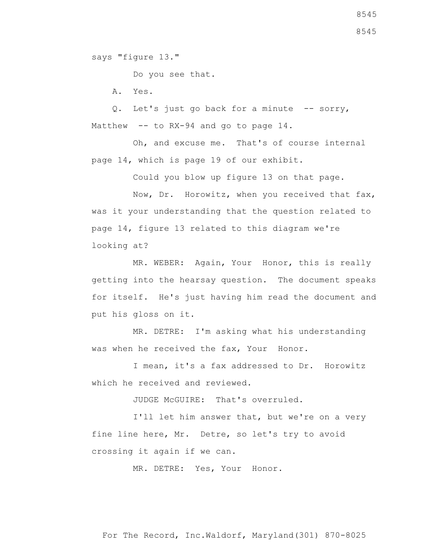says "figure 13."

Do you see that.

A. Yes.

Q. Let's just go back for a minute -- sorry, Matthew -- to RX-94 and go to page 14.

 Oh, and excuse me. That's of course internal page 14, which is page 19 of our exhibit.

Could you blow up figure 13 on that page.

 Now, Dr. Horowitz, when you received that fax, was it your understanding that the question related to page 14, figure 13 related to this diagram we're looking at?

 MR. WEBER: Again, Your Honor, this is really getting into the hearsay question. The document speaks for itself. He's just having him read the document and put his gloss on it.

 MR. DETRE: I'm asking what his understanding was when he received the fax, Your Honor.

 I mean, it's a fax addressed to Dr. Horowitz which he received and reviewed.

JUDGE McGUIRE: That's overruled.

 I'll let him answer that, but we're on a very fine line here, Mr. Detre, so let's try to avoid crossing it again if we can.

MR. DETRE: Yes, Your Honor.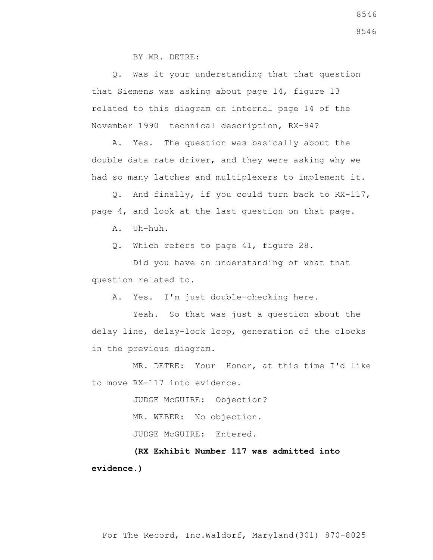BY MR. DETRE:

 Q. Was it your understanding that that question that Siemens was asking about page 14, figure 13 related to this diagram on internal page 14 of the November 1990 technical description, RX-94?

 A. Yes. The question was basically about the double data rate driver, and they were asking why we had so many latches and multiplexers to implement it.

 Q. And finally, if you could turn back to RX-117, page 4, and look at the last question on that page.

A. Uh-huh.

Q. Which refers to page 41, figure 28.

 Did you have an understanding of what that question related to.

A. Yes. I'm just double-checking here.

 Yeah. So that was just a question about the delay line, delay-lock loop, generation of the clocks in the previous diagram.

 MR. DETRE: Your Honor, at this time I'd like to move RX-117 into evidence.

> JUDGE McGUIRE: Objection? MR. WEBER: No objection. JUDGE McGUIRE: Entered.

 **(RX Exhibit Number 117 was admitted into evidence.)**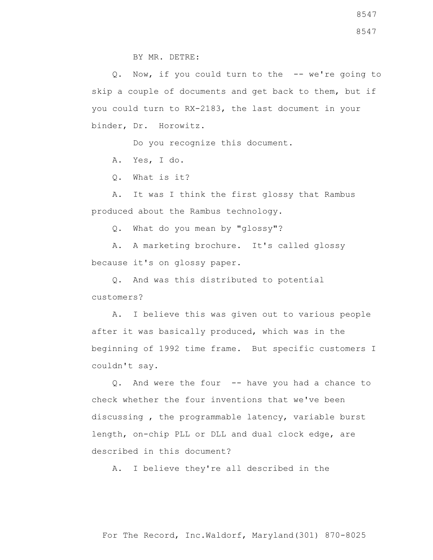8547

BY MR. DETRE:

 Q. Now, if you could turn to the -- we're going to skip a couple of documents and get back to them, but if you could turn to RX-2183, the last document in your binder, Dr. Horowitz.

Do you recognize this document.

A. Yes, I do.

Q. What is it?

 A. It was I think the first glossy that Rambus produced about the Rambus technology.

Q. What do you mean by "glossy"?

 A. A marketing brochure. It's called glossy because it's on glossy paper.

 Q. And was this distributed to potential customers?

 A. I believe this was given out to various people after it was basically produced, which was in the beginning of 1992 time frame. But specific customers I couldn't say.

 Q. And were the four -- have you had a chance to check whether the four inventions that we've been discussing , the programmable latency, variable burst length, on-chip PLL or DLL and dual clock edge, are described in this document?

A. I believe they're all described in the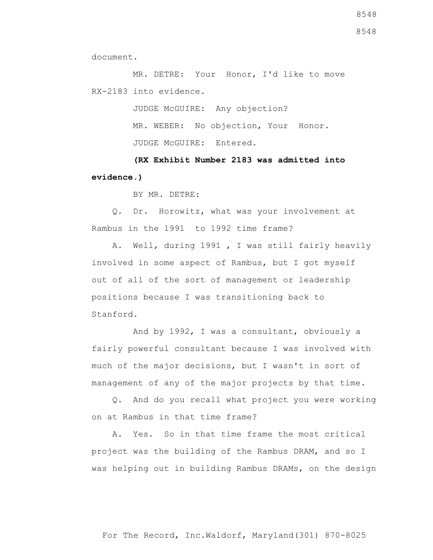8548

document.

 MR. DETRE: Your Honor, I'd like to move RX-2183 into evidence.

> JUDGE McGUIRE: Any objection? MR. WEBER: No objection, Your Honor. JUDGE McGUIRE: Entered.

 **(RX Exhibit Number 2183 was admitted into evidence.)**

BY MR. DETRE:

 Q. Dr. Horowitz, what was your involvement at Rambus in the 1991 to 1992 time frame?

 A. Well, during 1991 , I was still fairly heavily involved in some aspect of Rambus, but I got myself out of all of the sort of management or leadership positions because I was transitioning back to Stanford.

 And by 1992, I was a consultant, obviously a fairly powerful consultant because I was involved with much of the major decisions, but I wasn't in sort of management of any of the major projects by that time.

 Q. And do you recall what project you were working on at Rambus in that time frame?

 A. Yes. So in that time frame the most critical project was the building of the Rambus DRAM, and so I was helping out in building Rambus DRAMs, on the design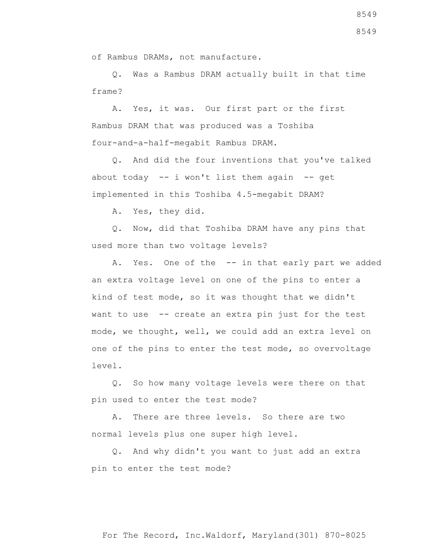of Rambus DRAMs, not manufacture.

 Q. Was a Rambus DRAM actually built in that time frame?

 A. Yes, it was. Our first part or the first Rambus DRAM that was produced was a Toshiba four-and-a-half-megabit Rambus DRAM.

 Q. And did the four inventions that you've talked about today  $-$  i won't list them again  $-$  get implemented in this Toshiba 4.5-megabit DRAM?

A. Yes, they did.

 Q. Now, did that Toshiba DRAM have any pins that used more than two voltage levels?

A. Yes. One of the -- in that early part we added an extra voltage level on one of the pins to enter a kind of test mode, so it was thought that we didn't want to use -- create an extra pin just for the test mode, we thought, well, we could add an extra level on one of the pins to enter the test mode, so overvoltage level.

 Q. So how many voltage levels were there on that pin used to enter the test mode?

 A. There are three levels. So there are two normal levels plus one super high level.

 Q. And why didn't you want to just add an extra pin to enter the test mode?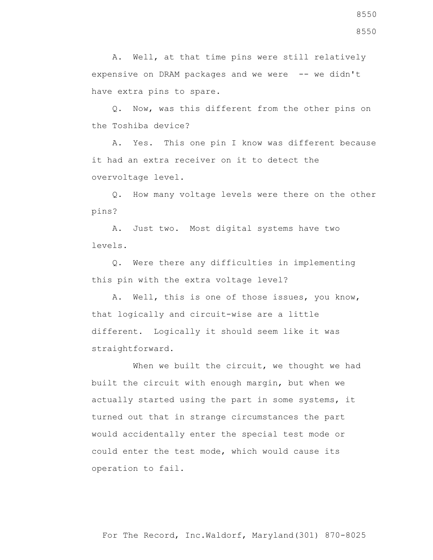A. Well, at that time pins were still relatively expensive on DRAM packages and we were -- we didn't have extra pins to spare.

 Q. Now, was this different from the other pins on the Toshiba device?

 A. Yes. This one pin I know was different because it had an extra receiver on it to detect the overvoltage level.

 Q. How many voltage levels were there on the other pins?

 A. Just two. Most digital systems have two levels.

 Q. Were there any difficulties in implementing this pin with the extra voltage level?

 A. Well, this is one of those issues, you know, that logically and circuit-wise are a little different. Logically it should seem like it was straightforward.

When we built the circuit, we thought we had built the circuit with enough margin, but when we actually started using the part in some systems, it turned out that in strange circumstances the part would accidentally enter the special test mode or could enter the test mode, which would cause its operation to fail.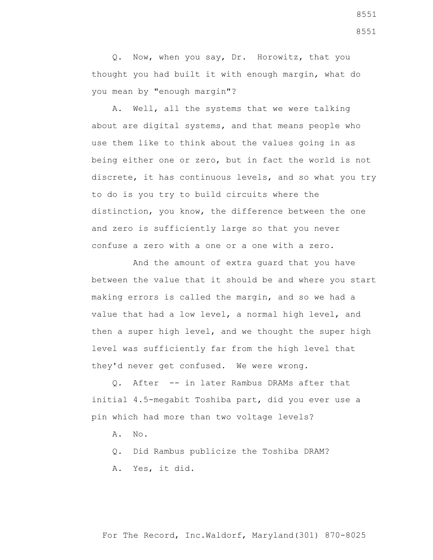Q. Now, when you say, Dr. Horowitz, that you thought you had built it with enough margin, what do you mean by "enough margin"?

 A. Well, all the systems that we were talking about are digital systems, and that means people who use them like to think about the values going in as being either one or zero, but in fact the world is not discrete, it has continuous levels, and so what you try to do is you try to build circuits where the distinction, you know, the difference between the one and zero is sufficiently large so that you never confuse a zero with a one or a one with a zero.

 And the amount of extra guard that you have between the value that it should be and where you start making errors is called the margin, and so we had a value that had a low level, a normal high level, and then a super high level, and we thought the super high level was sufficiently far from the high level that they'd never get confused. We were wrong.

 Q. After -- in later Rambus DRAMs after that initial 4.5-megabit Toshiba part, did you ever use a pin which had more than two voltage levels?

- A. No.
- Q. Did Rambus publicize the Toshiba DRAM?
- A. Yes, it did.

For The Record, Inc.Waldorf, Maryland(301) 870-8025

8551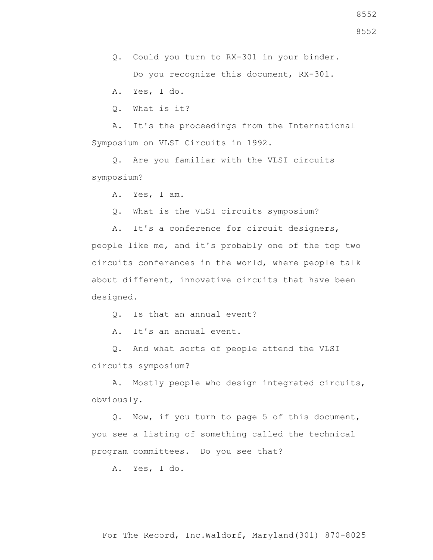Q. Could you turn to RX-301 in your binder. Do you recognize this document, RX-301.

A. Yes, I do.

Q. What is it?

 A. It's the proceedings from the International Symposium on VLSI Circuits in 1992.

 Q. Are you familiar with the VLSI circuits symposium?

A. Yes, I am.

Q. What is the VLSI circuits symposium?

 A. It's a conference for circuit designers, people like me, and it's probably one of the top two circuits conferences in the world, where people talk about different, innovative circuits that have been

designed.

Q. Is that an annual event?

A. It's an annual event.

 Q. And what sorts of people attend the VLSI circuits symposium?

 A. Mostly people who design integrated circuits, obviously.

 Q. Now, if you turn to page 5 of this document, you see a listing of something called the technical program committees. Do you see that?

A. Yes, I do.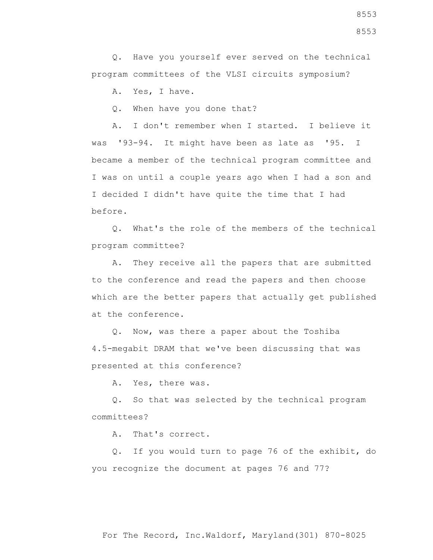Q. Have you yourself ever served on the technical program committees of the VLSI circuits symposium?

A. Yes, I have.

Q. When have you done that?

 A. I don't remember when I started. I believe it was '93-94. It might have been as late as '95. I became a member of the technical program committee and I was on until a couple years ago when I had a son and I decided I didn't have quite the time that I had before.

 Q. What's the role of the members of the technical program committee?

 A. They receive all the papers that are submitted to the conference and read the papers and then choose which are the better papers that actually get published at the conference.

 Q. Now, was there a paper about the Toshiba 4.5-megabit DRAM that we've been discussing that was presented at this conference?

A. Yes, there was.

 Q. So that was selected by the technical program committees?

A. That's correct.

 Q. If you would turn to page 76 of the exhibit, do you recognize the document at pages 76 and 77?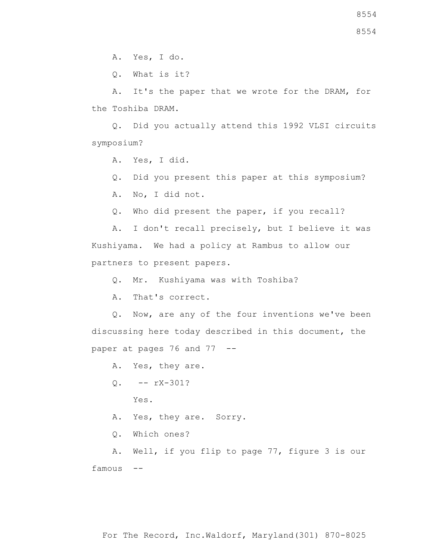Q. What is it?

 A. It's the paper that we wrote for the DRAM, for the Toshiba DRAM.

 Q. Did you actually attend this 1992 VLSI circuits symposium?

A. Yes, I did.

Q. Did you present this paper at this symposium?

A. No, I did not.

Q. Who did present the paper, if you recall?

 A. I don't recall precisely, but I believe it was Kushiyama. We had a policy at Rambus to allow our partners to present papers.

Q. Mr. Kushiyama was with Toshiba?

A. That's correct.

 Q. Now, are any of the four inventions we've been discussing here today described in this document, the paper at pages 76 and 77 --

A. Yes, they are.

 $0. - - rX-301?$ 

Yes.

A. Yes, they are. Sorry.

Q. Which ones?

 A. Well, if you flip to page 77, figure 3 is our famous --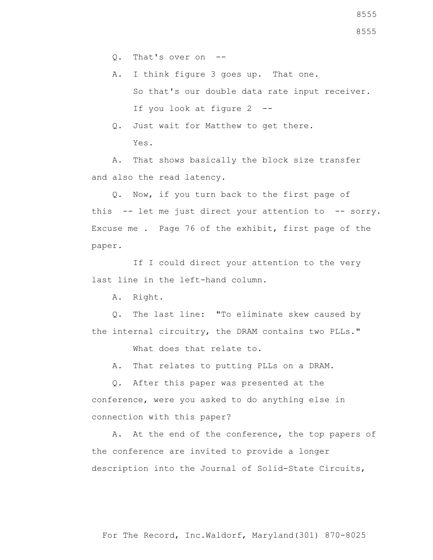A. I think figure 3 goes up. That one. So that's our double data rate input receiver. If you look at figure 2 --

 Q. Just wait for Matthew to get there. Yes.

 A. That shows basically the block size transfer and also the read latency.

 Q. Now, if you turn back to the first page of this -- let me just direct your attention to -- sorry. Excuse me . Page 76 of the exhibit, first page of the paper.

 If I could direct your attention to the very last line in the left-hand column.

A. Right.

 Q. The last line: "To eliminate skew caused by the internal circuitry, the DRAM contains two PLLs."

What does that relate to.

A. That relates to putting PLLs on a DRAM.

 Q. After this paper was presented at the conference, were you asked to do anything else in connection with this paper?

 A. At the end of the conference, the top papers of the conference are invited to provide a longer description into the Journal of Solid-State Circuits,

For The Record, Inc.Waldorf, Maryland(301) 870-8025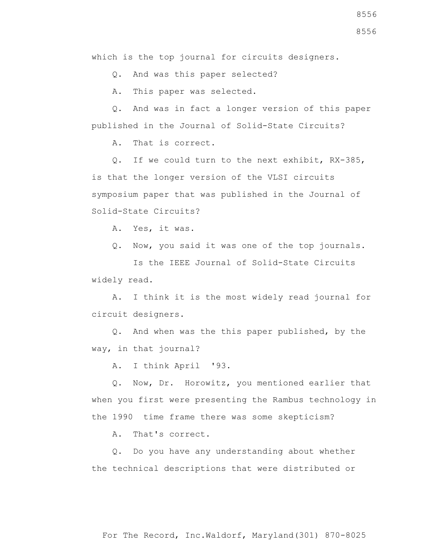Q. And was this paper selected?

A. This paper was selected.

 Q. And was in fact a longer version of this paper published in the Journal of Solid-State Circuits?

A. That is correct.

 Q. If we could turn to the next exhibit, RX-385, is that the longer version of the VLSI circuits symposium paper that was published in the Journal of Solid-State Circuits?

A. Yes, it was.

Q. Now, you said it was one of the top journals.

 Is the IEEE Journal of Solid-State Circuits widely read.

 A. I think it is the most widely read journal for circuit designers.

 Q. And when was the this paper published, by the way, in that journal?

A. I think April '93.

 Q. Now, Dr. Horowitz, you mentioned earlier that when you first were presenting the Rambus technology in the 1990 time frame there was some skepticism?

A. That's correct.

 Q. Do you have any understanding about whether the technical descriptions that were distributed or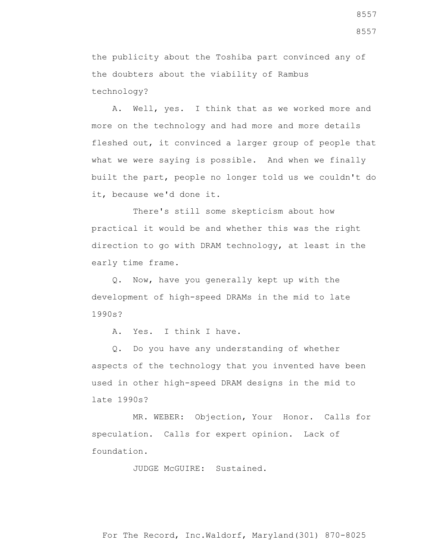the publicity about the Toshiba part convinced any of the doubters about the viability of Rambus technology?

 A. Well, yes. I think that as we worked more and more on the technology and had more and more details fleshed out, it convinced a larger group of people that what we were saying is possible. And when we finally built the part, people no longer told us we couldn't do it, because we'd done it.

 There's still some skepticism about how practical it would be and whether this was the right direction to go with DRAM technology, at least in the early time frame.

 Q. Now, have you generally kept up with the development of high-speed DRAMs in the mid to late 1990s?

A. Yes. I think I have.

 Q. Do you have any understanding of whether aspects of the technology that you invented have been used in other high-speed DRAM designs in the mid to late 1990s?

 MR. WEBER: Objection, Your Honor. Calls for speculation. Calls for expert opinion. Lack of foundation.

JUDGE McGUIRE: Sustained.

For The Record, Inc.Waldorf, Maryland(301) 870-8025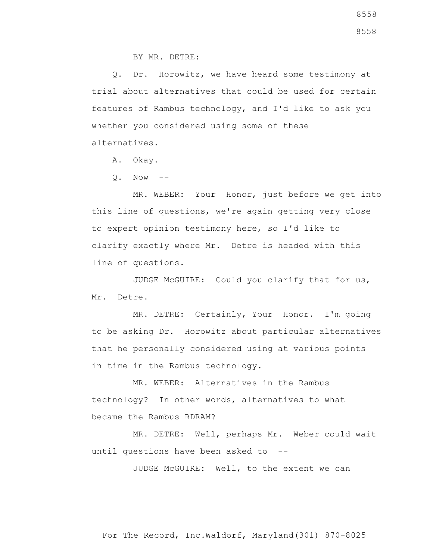BY MR. DETRE:

 Q. Dr. Horowitz, we have heard some testimony at trial about alternatives that could be used for certain features of Rambus technology, and I'd like to ask you whether you considered using some of these alternatives.

A. Okay.

 $Q.$  Now  $-$ 

 MR. WEBER: Your Honor, just before we get into this line of questions, we're again getting very close to expert opinion testimony here, so I'd like to clarify exactly where Mr. Detre is headed with this line of questions.

 JUDGE McGUIRE: Could you clarify that for us, Mr. Detre.

 MR. DETRE: Certainly, Your Honor. I'm going to be asking Dr. Horowitz about particular alternatives that he personally considered using at various points in time in the Rambus technology.

 MR. WEBER: Alternatives in the Rambus technology? In other words, alternatives to what became the Rambus RDRAM?

 MR. DETRE: Well, perhaps Mr. Weber could wait until questions have been asked to --

JUDGE McGUIRE: Well, to the extent we can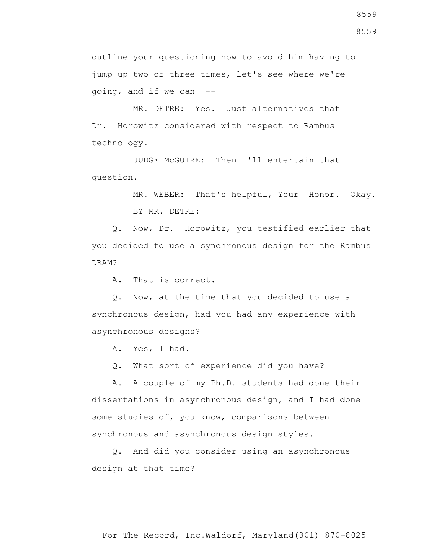outline your questioning now to avoid him having to jump up two or three times, let's see where we're going, and if we can --

 MR. DETRE: Yes. Just alternatives that Dr. Horowitz considered with respect to Rambus technology.

 JUDGE McGUIRE: Then I'll entertain that question.

> MR. WEBER: That's helpful, Your Honor. Okay. BY MR. DETRE:

 Q. Now, Dr. Horowitz, you testified earlier that you decided to use a synchronous design for the Rambus DRAM?

A. That is correct.

 Q. Now, at the time that you decided to use a synchronous design, had you had any experience with asynchronous designs?

A. Yes, I had.

Q. What sort of experience did you have?

 A. A couple of my Ph.D. students had done their dissertations in asynchronous design, and I had done some studies of, you know, comparisons between synchronous and asynchronous design styles.

 Q. And did you consider using an asynchronous design at that time?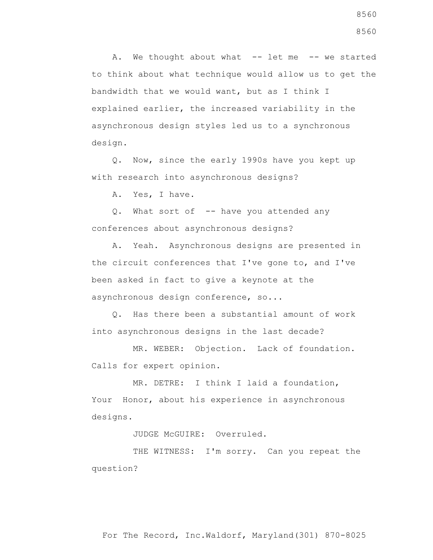A. We thought about what -- let me -- we started to think about what technique would allow us to get the bandwidth that we would want, but as I think I explained earlier, the increased variability in the asynchronous design styles led us to a synchronous design.

 Q. Now, since the early 1990s have you kept up with research into asynchronous designs?

A. Yes, I have.

 Q. What sort of -- have you attended any conferences about asynchronous designs?

 A. Yeah. Asynchronous designs are presented in the circuit conferences that I've gone to, and I've been asked in fact to give a keynote at the asynchronous design conference, so...

 Q. Has there been a substantial amount of work into asynchronous designs in the last decade?

 MR. WEBER: Objection. Lack of foundation. Calls for expert opinion.

 MR. DETRE: I think I laid a foundation, Your Honor, about his experience in asynchronous designs.

JUDGE McGUIRE: Overruled.

THE WITNESS: I'm sorry. Can you repeat the question?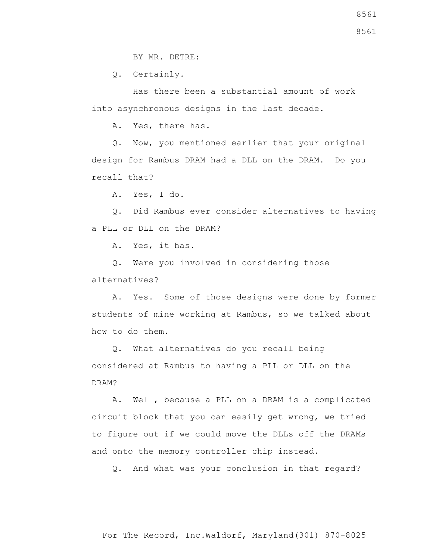BY MR. DETRE:

Q. Certainly.

 Has there been a substantial amount of work into asynchronous designs in the last decade.

A. Yes, there has.

 Q. Now, you mentioned earlier that your original design for Rambus DRAM had a DLL on the DRAM. Do you recall that?

A. Yes, I do.

 Q. Did Rambus ever consider alternatives to having a PLL or DLL on the DRAM?

A. Yes, it has.

 Q. Were you involved in considering those alternatives?

 A. Yes. Some of those designs were done by former students of mine working at Rambus, so we talked about how to do them.

 Q. What alternatives do you recall being considered at Rambus to having a PLL or DLL on the DRAM?

 A. Well, because a PLL on a DRAM is a complicated circuit block that you can easily get wrong, we tried to figure out if we could move the DLLs off the DRAMs and onto the memory controller chip instead.

Q. And what was your conclusion in that regard?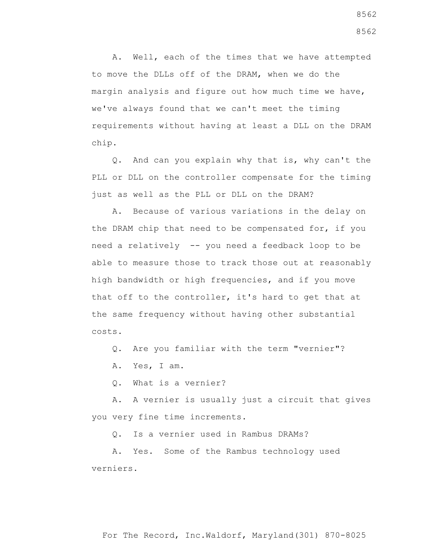A. Well, each of the times that we have attempted to move the DLLs off of the DRAM, when we do the margin analysis and figure out how much time we have, we've always found that we can't meet the timing requirements without having at least a DLL on the DRAM chip.

 Q. And can you explain why that is, why can't the PLL or DLL on the controller compensate for the timing just as well as the PLL or DLL on the DRAM?

 A. Because of various variations in the delay on the DRAM chip that need to be compensated for, if you need a relatively -- you need a feedback loop to be able to measure those to track those out at reasonably high bandwidth or high frequencies, and if you move that off to the controller, it's hard to get that at the same frequency without having other substantial costs.

Q. Are you familiar with the term "vernier"?

A. Yes, I am.

Q. What is a vernier?

 A. A vernier is usually just a circuit that gives you very fine time increments.

Q. Is a vernier used in Rambus DRAMs?

 A. Yes. Some of the Rambus technology used verniers.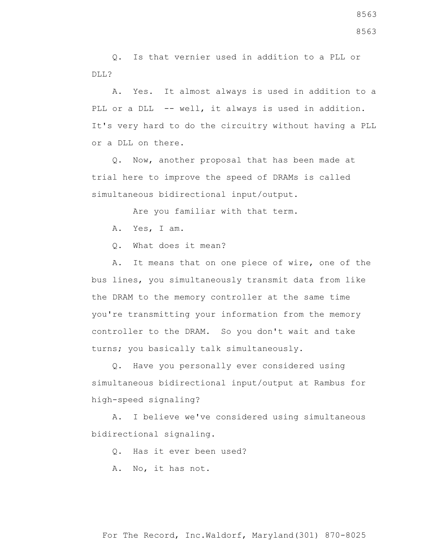Q. Is that vernier used in addition to a PLL or DLL?

 A. Yes. It almost always is used in addition to a PLL or a DLL -- well, it always is used in addition. It's very hard to do the circuitry without having a PLL or a DLL on there.

 Q. Now, another proposal that has been made at trial here to improve the speed of DRAMs is called simultaneous bidirectional input/output.

Are you familiar with that term.

A. Yes, I am.

Q. What does it mean?

 A. It means that on one piece of wire, one of the bus lines, you simultaneously transmit data from like the DRAM to the memory controller at the same time you're transmitting your information from the memory controller to the DRAM. So you don't wait and take turns; you basically talk simultaneously.

 Q. Have you personally ever considered using simultaneous bidirectional input/output at Rambus for high-speed signaling?

 A. I believe we've considered using simultaneous bidirectional signaling.

Q. Has it ever been used?

A. No, it has not.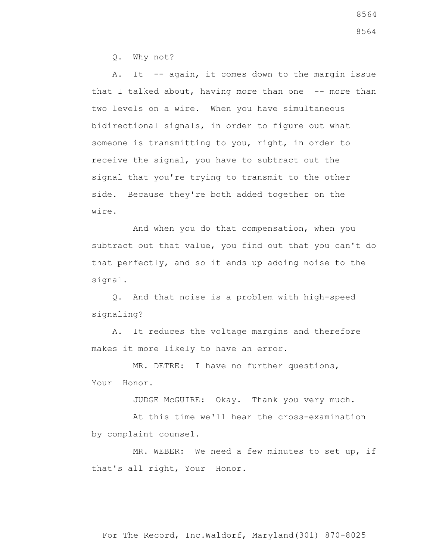Q. Why not?

A. It -- again, it comes down to the margin issue that I talked about, having more than one -- more than two levels on a wire. When you have simultaneous bidirectional signals, in order to figure out what someone is transmitting to you, right, in order to receive the signal, you have to subtract out the signal that you're trying to transmit to the other side. Because they're both added together on the wire.

 And when you do that compensation, when you subtract out that value, you find out that you can't do that perfectly, and so it ends up adding noise to the signal.

 Q. And that noise is a problem with high-speed signaling?

 A. It reduces the voltage margins and therefore makes it more likely to have an error.

 MR. DETRE: I have no further questions, Your Honor.

JUDGE McGUIRE: Okay. Thank you very much.

 At this time we'll hear the cross-examination by complaint counsel.

 MR. WEBER: We need a few minutes to set up, if that's all right, Your Honor.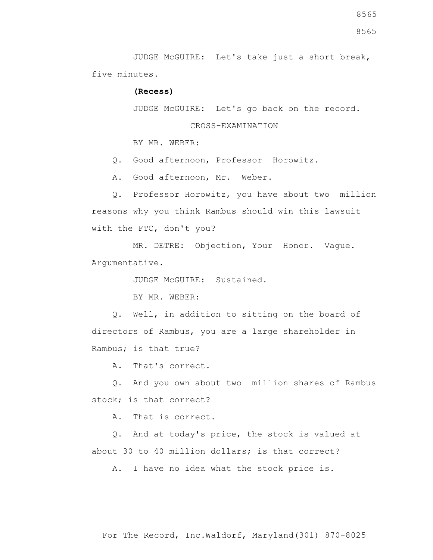JUDGE McGUIRE: Let's take just a short break, five minutes.

## **(Recess)**

JUDGE McGUIRE: Let's go back on the record.

CROSS-EXAMINATION

BY MR. WEBER:

Q. Good afternoon, Professor Horowitz.

A. Good afternoon, Mr. Weber.

 Q. Professor Horowitz, you have about two million reasons why you think Rambus should win this lawsuit with the FTC, don't you?

 MR. DETRE: Objection, Your Honor. Vague. Argumentative.

JUDGE McGUIRE: Sustained.

BY MR. WEBER:

 Q. Well, in addition to sitting on the board of directors of Rambus, you are a large shareholder in Rambus; is that true?

A. That's correct.

 Q. And you own about two million shares of Rambus stock; is that correct?

A. That is correct.

 Q. And at today's price, the stock is valued at about 30 to 40 million dollars; is that correct?

A. I have no idea what the stock price is.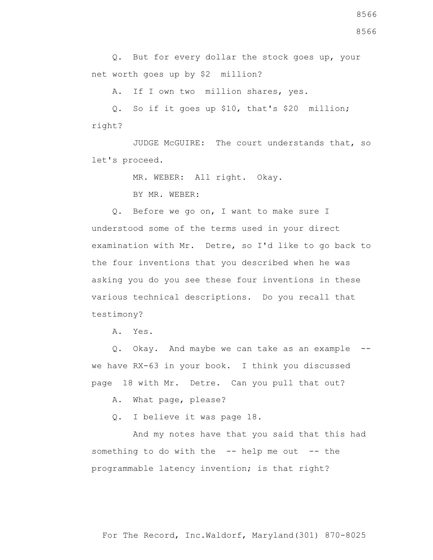For The Record, Inc.Waldorf, Maryland(301) 870-8025

 Q. But for every dollar the stock goes up, your net worth goes up by \$2 million?

A. If I own two million shares, yes.

 Q. So if it goes up \$10, that's \$20 million; right?

 JUDGE McGUIRE: The court understands that, so let's proceed.

MR. WEBER: All right. Okay.

BY MR. WEBER:

 Q. Before we go on, I want to make sure I understood some of the terms used in your direct examination with Mr. Detre, so I'd like to go back to the four inventions that you described when he was asking you do you see these four inventions in these various technical descriptions. Do you recall that testimony?

A. Yes.

 Q. Okay. And maybe we can take as an example - we have RX-63 in your book. I think you discussed page 18 with Mr. Detre. Can you pull that out?

A. What page, please?

Q. I believe it was page 18.

 And my notes have that you said that this had something to do with the -- help me out -- the programmable latency invention; is that right?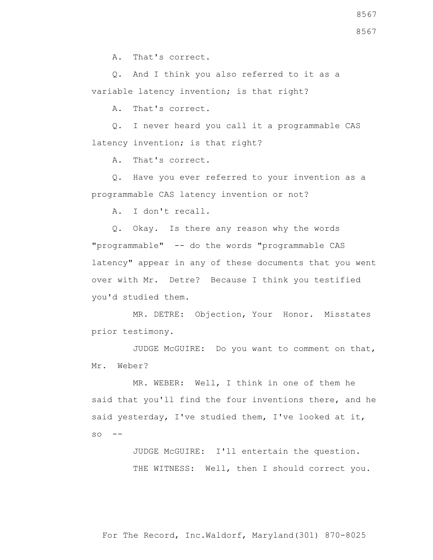A. That's correct.

 Q. And I think you also referred to it as a variable latency invention; is that right?

A. That's correct.

 Q. I never heard you call it a programmable CAS latency invention; is that right?

A. That's correct.

 Q. Have you ever referred to your invention as a programmable CAS latency invention or not?

A. I don't recall.

 Q. Okay. Is there any reason why the words "programmable" -- do the words "programmable CAS latency" appear in any of these documents that you went over with Mr. Detre? Because I think you testified you'd studied them.

 MR. DETRE: Objection, Your Honor. Misstates prior testimony.

 JUDGE McGUIRE: Do you want to comment on that, Mr. Weber?

 MR. WEBER: Well, I think in one of them he said that you'll find the four inventions there, and he said yesterday, I've studied them, I've looked at it,  $SO \t - -$ 

> JUDGE McGUIRE: I'll entertain the question. THE WITNESS: Well, then I should correct you.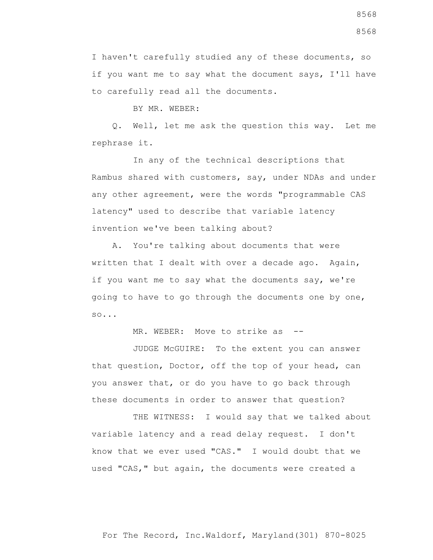8568

I haven't carefully studied any of these documents, so if you want me to say what the document says, I'll have to carefully read all the documents.

BY MR. WEBER:

 Q. Well, let me ask the question this way. Let me rephrase it.

 In any of the technical descriptions that Rambus shared with customers, say, under NDAs and under any other agreement, were the words "programmable CAS latency" used to describe that variable latency invention we've been talking about?

 A. You're talking about documents that were written that I dealt with over a decade ago. Again, if you want me to say what the documents say, we're going to have to go through the documents one by one, so...

MR. WEBER: Move to strike as --

 JUDGE McGUIRE: To the extent you can answer that question, Doctor, off the top of your head, can you answer that, or do you have to go back through these documents in order to answer that question?

THE WITNESS: I would say that we talked about variable latency and a read delay request. I don't know that we ever used "CAS." I would doubt that we used "CAS," but again, the documents were created a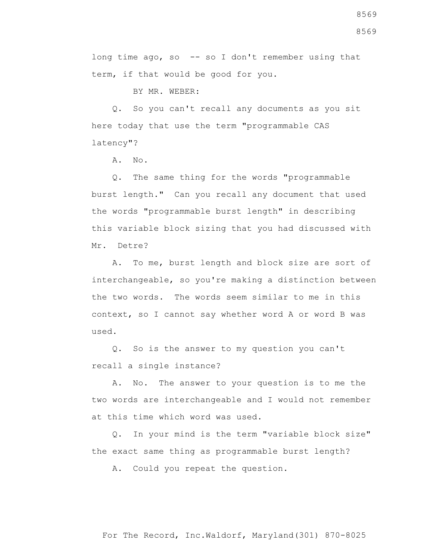long time ago, so -- so I don't remember using that term, if that would be good for you.

BY MR. WEBER:

 Q. So you can't recall any documents as you sit here today that use the term "programmable CAS latency"?

A. No.

 Q. The same thing for the words "programmable burst length." Can you recall any document that used the words "programmable burst length" in describing this variable block sizing that you had discussed with Mr. Detre?

 A. To me, burst length and block size are sort of interchangeable, so you're making a distinction between the two words. The words seem similar to me in this context, so I cannot say whether word A or word B was used.

 Q. So is the answer to my question you can't recall a single instance?

 A. No. The answer to your question is to me the two words are interchangeable and I would not remember at this time which word was used.

 Q. In your mind is the term "variable block size" the exact same thing as programmable burst length?

A. Could you repeat the question.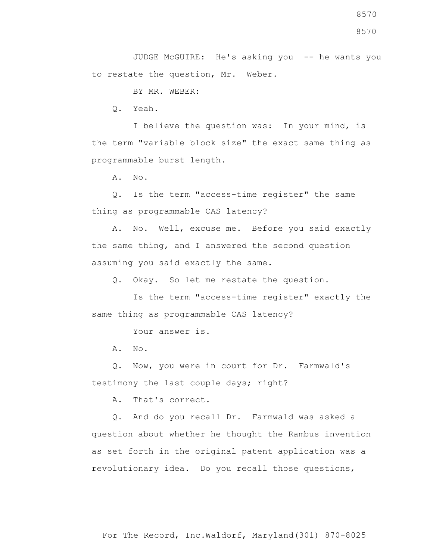BY MR. WEBER:

Q. Yeah.

 I believe the question was: In your mind, is the term "variable block size" the exact same thing as programmable burst length.

A. No.

 Q. Is the term "access-time register" the same thing as programmable CAS latency?

 A. No. Well, excuse me. Before you said exactly the same thing, and I answered the second question assuming you said exactly the same.

Q. Okay. So let me restate the question.

 Is the term "access-time register" exactly the same thing as programmable CAS latency?

Your answer is.

A. No.

 Q. Now, you were in court for Dr. Farmwald's testimony the last couple days; right?

A. That's correct.

 Q. And do you recall Dr. Farmwald was asked a question about whether he thought the Rambus invention as set forth in the original patent application was a revolutionary idea. Do you recall those questions,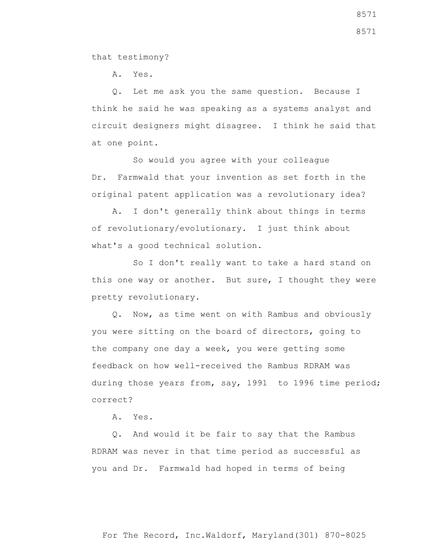that testimony?

A. Yes.

 Q. Let me ask you the same question. Because I think he said he was speaking as a systems analyst and circuit designers might disagree. I think he said that at one point.

 So would you agree with your colleague Dr. Farmwald that your invention as set forth in the original patent application was a revolutionary idea?

 A. I don't generally think about things in terms of revolutionary/evolutionary. I just think about what's a good technical solution.

 So I don't really want to take a hard stand on this one way or another. But sure, I thought they were pretty revolutionary.

 Q. Now, as time went on with Rambus and obviously you were sitting on the board of directors, going to the company one day a week, you were getting some feedback on how well-received the Rambus RDRAM was during those years from, say, 1991 to 1996 time period; correct?

A. Yes.

 Q. And would it be fair to say that the Rambus RDRAM was never in that time period as successful as you and Dr. Farmwald had hoped in terms of being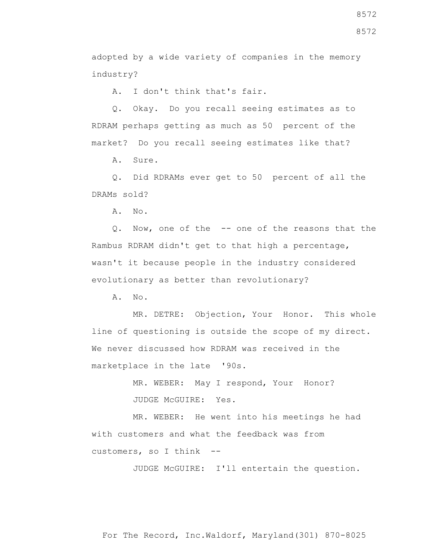adopted by a wide variety of companies in the memory industry?

A. I don't think that's fair.

 Q. Okay. Do you recall seeing estimates as to RDRAM perhaps getting as much as 50 percent of the market? Do you recall seeing estimates like that?

A. Sure.

 Q. Did RDRAMs ever get to 50 percent of all the DRAMs sold?

A. No.

 Q. Now, one of the -- one of the reasons that the Rambus RDRAM didn't get to that high a percentage, wasn't it because people in the industry considered evolutionary as better than revolutionary?

A. No.

 MR. DETRE: Objection, Your Honor. This whole line of questioning is outside the scope of my direct. We never discussed how RDRAM was received in the marketplace in the late '90s.

> MR. WEBER: May I respond, Your Honor? JUDGE McGUIRE: Yes.

 MR. WEBER: He went into his meetings he had with customers and what the feedback was from customers, so I think --

JUDGE McGUIRE: I'll entertain the question.

For The Record, Inc.Waldorf, Maryland(301) 870-8025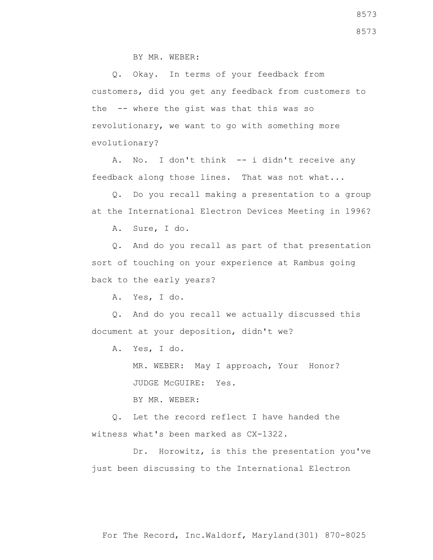BY MR. WEBER:

 Q. Okay. In terms of your feedback from customers, did you get any feedback from customers to the -- where the gist was that this was so revolutionary, we want to go with something more evolutionary?

A. No. I don't think -- i didn't receive any feedback along those lines. That was not what...

 Q. Do you recall making a presentation to a group at the International Electron Devices Meeting in 1996?

A. Sure, I do.

 Q. And do you recall as part of that presentation sort of touching on your experience at Rambus going back to the early years?

A. Yes, I do.

 Q. And do you recall we actually discussed this document at your deposition, didn't we?

A. Yes, I do.

 MR. WEBER: May I approach, Your Honor? JUDGE McGUIRE: Yes.

BY MR. WEBER:

 Q. Let the record reflect I have handed the witness what's been marked as CX-1322.

 Dr. Horowitz, is this the presentation you've just been discussing to the International Electron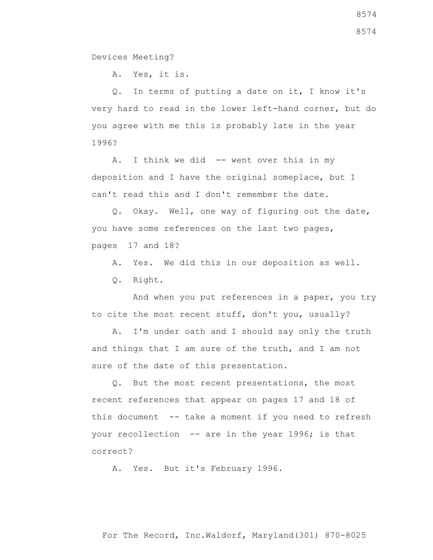Devices Meeting?

A. Yes, it is.

 Q. In terms of putting a date on it, I know it's very hard to read in the lower left-hand corner, but do you agree with me this is probably late in the year 1996?

A. I think we did -- went over this in my deposition and I have the original someplace, but I can't read this and I don't remember the date.

 Q. Okay. Well, one way of figuring out the date, you have some references on the last two pages, pages 17 and 18?

A. Yes. We did this in our deposition as well.

Q. Right.

 And when you put references in a paper, you try to cite the most recent stuff, don't you, usually?

 A. I'm under oath and I should say only the truth and things that I am sure of the truth, and I am not sure of the date of this presentation.

 Q. But the most recent presentations, the most recent references that appear on pages 17 and 18 of this document -- take a moment if you need to refresh your recollection -- are in the year 1996; is that correct?

A. Yes. But it's February 1996.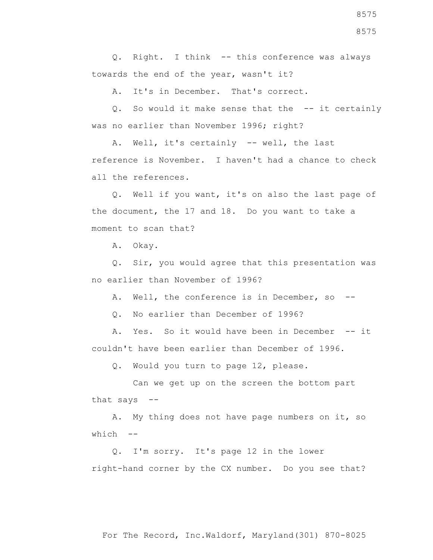Q. Right. I think -- this conference was always towards the end of the year, wasn't it?

A. It's in December. That's correct.

 Q. So would it make sense that the -- it certainly was no earlier than November 1996; right?

 A. Well, it's certainly -- well, the last reference is November. I haven't had a chance to check all the references.

 Q. Well if you want, it's on also the last page of the document, the 17 and 18. Do you want to take a moment to scan that?

A. Okay.

 Q. Sir, you would agree that this presentation was no earlier than November of 1996?

A. Well, the conference is in December, so --

Q. No earlier than December of 1996?

 A. Yes. So it would have been in December -- it couldn't have been earlier than December of 1996.

Q. Would you turn to page 12, please.

 Can we get up on the screen the bottom part that says --

 A. My thing does not have page numbers on it, so which --

 Q. I'm sorry. It's page 12 in the lower right-hand corner by the CX number. Do you see that?

8575 8575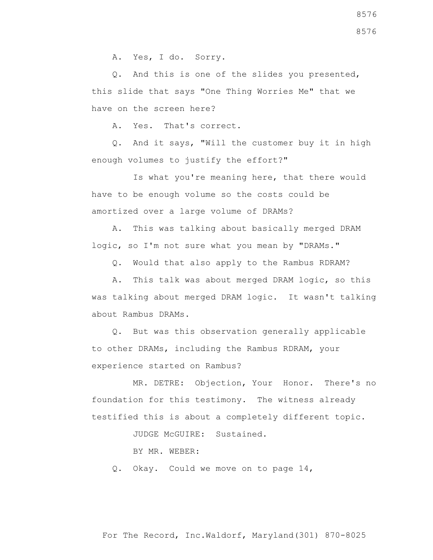A. Yes, I do. Sorry.

 Q. And this is one of the slides you presented, this slide that says "One Thing Worries Me" that we have on the screen here?

A. Yes. That's correct.

 Q. And it says, "Will the customer buy it in high enough volumes to justify the effort?"

 Is what you're meaning here, that there would have to be enough volume so the costs could be amortized over a large volume of DRAMs?

 A. This was talking about basically merged DRAM logic, so I'm not sure what you mean by "DRAMs."

Q. Would that also apply to the Rambus RDRAM?

 A. This talk was about merged DRAM logic, so this was talking about merged DRAM logic. It wasn't talking about Rambus DRAMs.

 Q. But was this observation generally applicable to other DRAMs, including the Rambus RDRAM, your experience started on Rambus?

 MR. DETRE: Objection, Your Honor. There's no foundation for this testimony. The witness already testified this is about a completely different topic.

JUDGE McGUIRE: Sustained.

BY MR. WEBER:

Q. Okay. Could we move on to page 14,

8576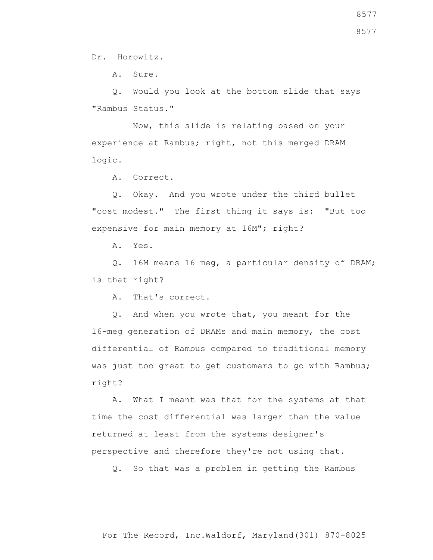Dr. Horowitz.

A. Sure.

 Q. Would you look at the bottom slide that says "Rambus Status."

 Now, this slide is relating based on your experience at Rambus; right, not this merged DRAM logic.

A. Correct.

 Q. Okay. And you wrote under the third bullet "cost modest." The first thing it says is: "But too expensive for main memory at 16M"; right?

A. Yes.

 Q. 16M means 16 meg, a particular density of DRAM; is that right?

A. That's correct.

 Q. And when you wrote that, you meant for the 16-meg generation of DRAMs and main memory, the cost differential of Rambus compared to traditional memory was just too great to get customers to go with Rambus; right?

 A. What I meant was that for the systems at that time the cost differential was larger than the value returned at least from the systems designer's perspective and therefore they're not using that.

Q. So that was a problem in getting the Rambus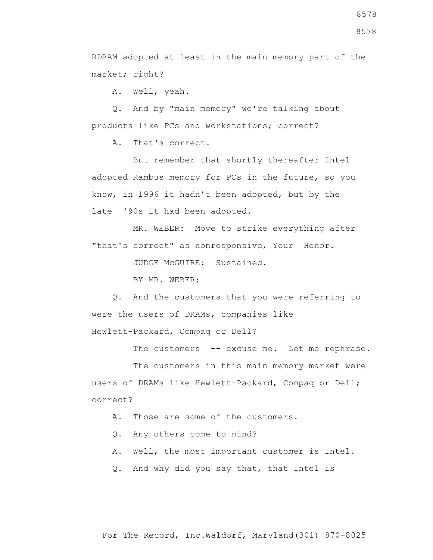RDRAM adopted at least in the main memory part of the market; right?

A. Well, yeah.

 Q. And by "main memory" we're talking about products like PCs and workstations; correct?

A. That's correct.

 But remember that shortly thereafter Intel adopted Rambus memory for PCs in the future, so you know, in 1996 it hadn't been adopted, but by the late '90s it had been adopted.

 MR. WEBER: Move to strike everything after "that's correct" as nonresponsive, Your Honor.

JUDGE McGUIRE: Sustained.

BY MR. WEBER:

 Q. And the customers that you were referring to were the users of DRAMs, companies like

Hewlett-Packard, Compaq or Dell?

The customers -- excuse me. Let me rephrase.

 The customers in this main memory market were users of DRAMs like Hewlett-Packard, Compaq or Dell; correct?

A. Those are some of the customers.

Q. Any others come to mind?

A. Well, the most important customer is Intel.

Q. And why did you say that, that Intel is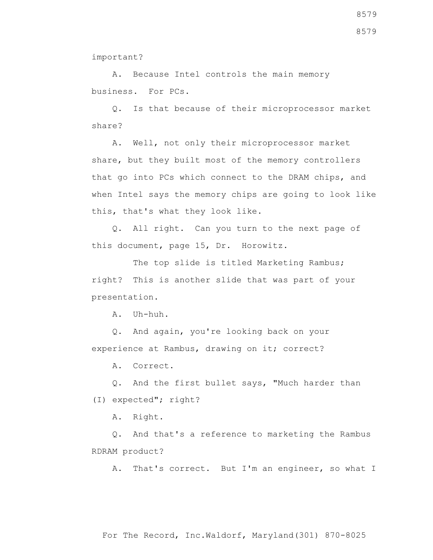8579

important?

 A. Because Intel controls the main memory business. For PCs.

 Q. Is that because of their microprocessor market share?

 A. Well, not only their microprocessor market share, but they built most of the memory controllers that go into PCs which connect to the DRAM chips, and when Intel says the memory chips are going to look like this, that's what they look like.

 Q. All right. Can you turn to the next page of this document, page 15, Dr. Horowitz.

The top slide is titled Marketing Rambus; right? This is another slide that was part of your presentation.

A. Uh-huh.

 Q. And again, you're looking back on your experience at Rambus, drawing on it; correct?

A. Correct.

 Q. And the first bullet says, "Much harder than (I) expected"; right?

A. Right.

 Q. And that's a reference to marketing the Rambus RDRAM product?

A. That's correct. But I'm an engineer, so what I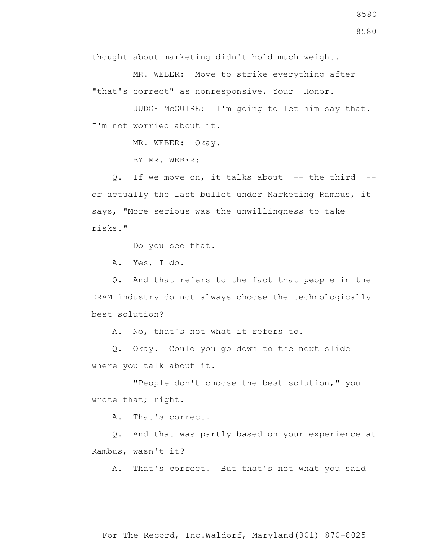thought about marketing didn't hold much weight.

 MR. WEBER: Move to strike everything after "that's correct" as nonresponsive, Your Honor.

 JUDGE McGUIRE: I'm going to let him say that. I'm not worried about it.

MR. WEBER: Okay.

BY MR. WEBER:

Q. If we move on, it talks about -- the third -or actually the last bullet under Marketing Rambus, it says, "More serious was the unwillingness to take risks."

Do you see that.

A. Yes, I do.

 Q. And that refers to the fact that people in the DRAM industry do not always choose the technologically best solution?

A. No, that's not what it refers to.

 Q. Okay. Could you go down to the next slide where you talk about it.

 "People don't choose the best solution," you wrote that; right.

A. That's correct.

 Q. And that was partly based on your experience at Rambus, wasn't it?

A. That's correct. But that's not what you said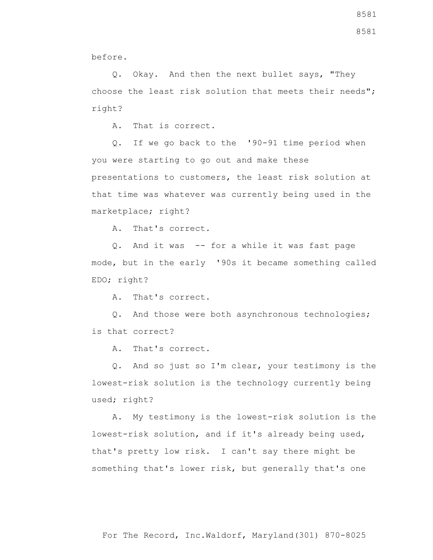Q. Okay. And then the next bullet says, "They choose the least risk solution that meets their needs"; right?

A. That is correct.

 Q. If we go back to the '90-91 time period when you were starting to go out and make these presentations to customers, the least risk solution at that time was whatever was currently being used in the marketplace; right?

A. That's correct.

 Q. And it was -- for a while it was fast page mode, but in the early '90s it became something called EDO; right?

A. That's correct.

 Q. And those were both asynchronous technologies; is that correct?

A. That's correct.

 Q. And so just so I'm clear, your testimony is the lowest-risk solution is the technology currently being used; right?

 A. My testimony is the lowest-risk solution is the lowest-risk solution, and if it's already being used, that's pretty low risk. I can't say there might be something that's lower risk, but generally that's one

8581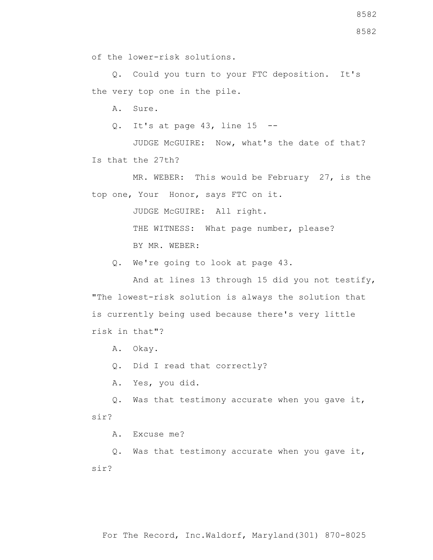of the lower-risk solutions.

 Q. Could you turn to your FTC deposition. It's the very top one in the pile.

A. Sure.

Q. It's at page  $43$ , line  $15$  --

 JUDGE McGUIRE: Now, what's the date of that? Is that the 27th?

MR. WEBER: This would be February 27, is the top one, Your Honor, says FTC on it.

JUDGE McGUIRE: All right.

THE WITNESS: What page number, please? BY MR. WEBER:

Q. We're going to look at page 43.

 And at lines 13 through 15 did you not testify, "The lowest-risk solution is always the solution that is currently being used because there's very little risk in that"?

A. Okay.

Q. Did I read that correctly?

A. Yes, you did.

 Q. Was that testimony accurate when you gave it, sir?

A. Excuse me?

 Q. Was that testimony accurate when you gave it, sir?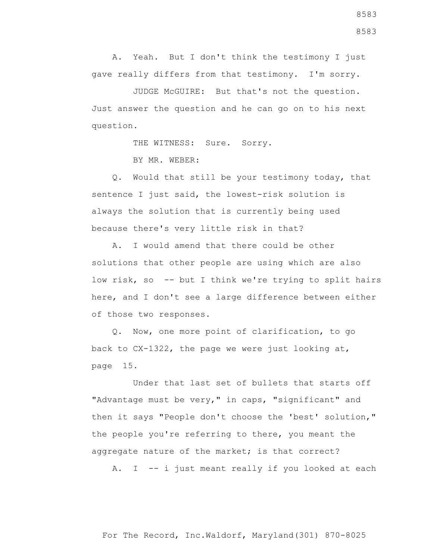A. Yeah. But I don't think the testimony I just gave really differs from that testimony. I'm sorry.

 JUDGE McGUIRE: But that's not the question. Just answer the question and he can go on to his next question.

THE WITNESS: Sure. Sorry.

BY MR. WEBER:

 Q. Would that still be your testimony today, that sentence I just said, the lowest-risk solution is always the solution that is currently being used because there's very little risk in that?

 A. I would amend that there could be other solutions that other people are using which are also low risk, so -- but I think we're trying to split hairs here, and I don't see a large difference between either of those two responses.

 Q. Now, one more point of clarification, to go back to CX-1322, the page we were just looking at, page 15.

 Under that last set of bullets that starts off "Advantage must be very," in caps, "significant" and then it says "People don't choose the 'best' solution," the people you're referring to there, you meant the aggregate nature of the market; is that correct?

A. I -- i just meant really if you looked at each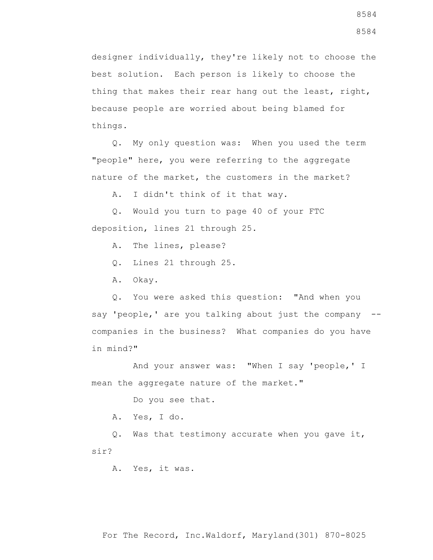designer individually, they're likely not to choose the best solution. Each person is likely to choose the thing that makes their rear hang out the least, right, because people are worried about being blamed for things.

 Q. My only question was: When you used the term "people" here, you were referring to the aggregate nature of the market, the customers in the market?

A. I didn't think of it that way.

 Q. Would you turn to page 40 of your FTC deposition, lines 21 through 25.

A. The lines, please?

Q. Lines 21 through 25.

A. Okay.

 Q. You were asked this question: "And when you say 'people,' are you talking about just the company -companies in the business? What companies do you have in mind?"

 And your answer was: "When I say 'people,' I mean the aggregate nature of the market."

Do you see that.

A. Yes, I do.

 Q. Was that testimony accurate when you gave it, sir?

A. Yes, it was.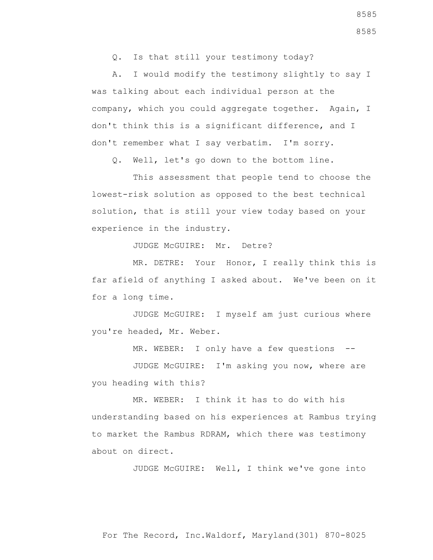Q. Is that still your testimony today?

 A. I would modify the testimony slightly to say I was talking about each individual person at the company, which you could aggregate together. Again, I don't think this is a significant difference, and I don't remember what I say verbatim. I'm sorry.

Q. Well, let's go down to the bottom line.

 This assessment that people tend to choose the lowest-risk solution as opposed to the best technical solution, that is still your view today based on your experience in the industry.

JUDGE McGUIRE: Mr. Detre?

 MR. DETRE: Your Honor, I really think this is far afield of anything I asked about. We've been on it for a long time.

 JUDGE McGUIRE: I myself am just curious where you're headed, Mr. Weber.

MR. WEBER: I only have a few questions --

 JUDGE McGUIRE: I'm asking you now, where are you heading with this?

 MR. WEBER: I think it has to do with his understanding based on his experiences at Rambus trying to market the Rambus RDRAM, which there was testimony about on direct.

JUDGE McGUIRE: Well, I think we've gone into

8585

8585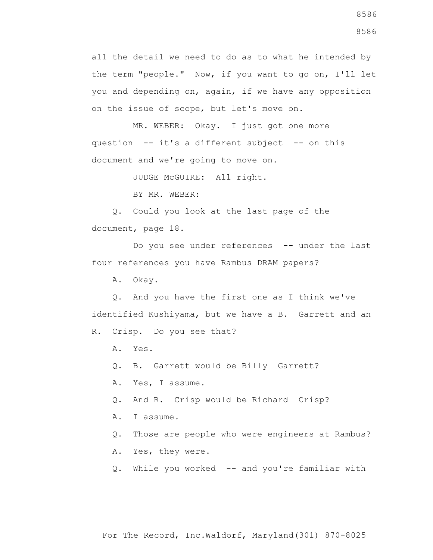all the detail we need to do as to what he intended by the term "people." Now, if you want to go on, I'll let you and depending on, again, if we have any opposition on the issue of scope, but let's move on.

 MR. WEBER: Okay. I just got one more question -- it's a different subject -- on this document and we're going to move on.

JUDGE McGUIRE: All right.

BY MR. WEBER:

 Q. Could you look at the last page of the document, page 18.

Do you see under references -- under the last four references you have Rambus DRAM papers?

A. Okay.

 Q. And you have the first one as I think we've identified Kushiyama, but we have a B. Garrett and an

R. Crisp. Do you see that?

A. Yes.

Q. B. Garrett would be Billy Garrett?

A. Yes, I assume.

Q. And R. Crisp would be Richard Crisp?

A. I assume.

Q. Those are people who were engineers at Rambus?

A. Yes, they were.

Q. While you worked -- and you're familiar with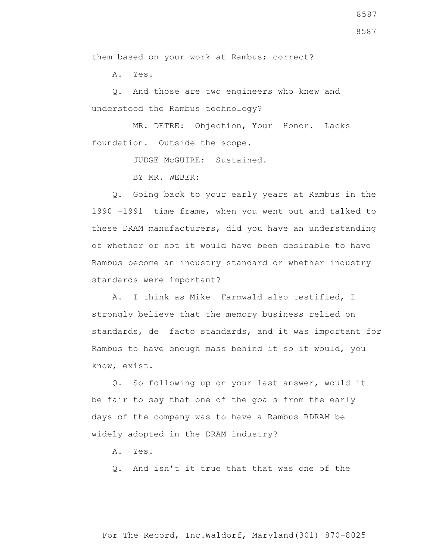them based on your work at Rambus; correct?

A. Yes.

 Q. And those are two engineers who knew and understood the Rambus technology?

 MR. DETRE: Objection, Your Honor. Lacks foundation. Outside the scope.

JUDGE McGUIRE: Sustained.

BY MR. WEBER:

 Q. Going back to your early years at Rambus in the 1990 -1991 time frame, when you went out and talked to these DRAM manufacturers, did you have an understanding of whether or not it would have been desirable to have Rambus become an industry standard or whether industry standards were important?

 A. I think as Mike Farmwald also testified, I strongly believe that the memory business relied on standards, de facto standards, and it was important for Rambus to have enough mass behind it so it would, you know, exist.

 Q. So following up on your last answer, would it be fair to say that one of the goals from the early days of the company was to have a Rambus RDRAM be widely adopted in the DRAM industry?

A. Yes.

Q. And isn't it true that that was one of the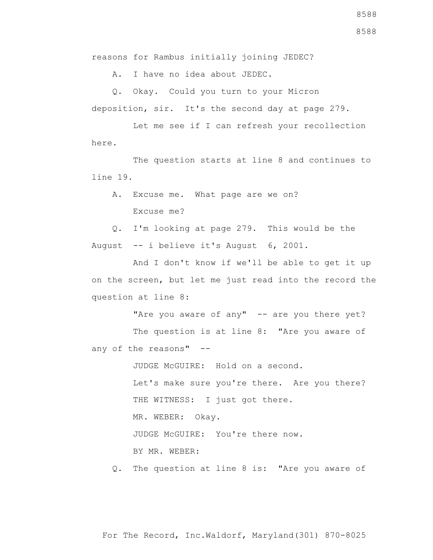A. I have no idea about JEDEC.

 Q. Okay. Could you turn to your Micron deposition, sir. It's the second day at page 279.

 Let me see if I can refresh your recollection here.

 The question starts at line 8 and continues to line 19.

 A. Excuse me. What page are we on? Excuse me?

 Q. I'm looking at page 279. This would be the August -- i believe it's August 6, 2001.

 And I don't know if we'll be able to get it up on the screen, but let me just read into the record the question at line 8:

"Are you aware of any" -- are you there yet?

The question is at line 8: "Are you aware of any of the reasons" --

JUDGE McGUIRE: Hold on a second.

 Let's make sure you're there. Are you there? THE WITNESS: I just got there.

MR. WEBER: Okay.

JUDGE McGUIRE: You're there now.

BY MR. WEBER:

Q. The question at line 8 is: "Are you aware of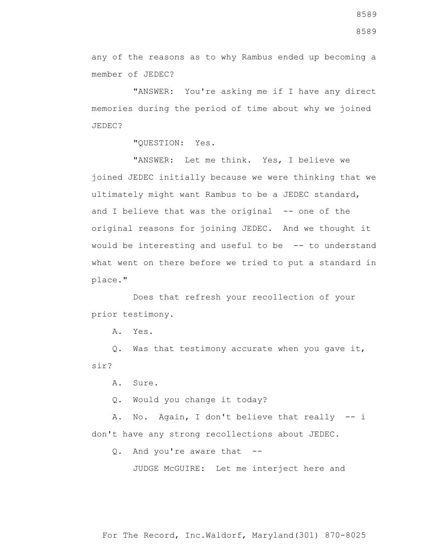any of the reasons as to why Rambus ended up becoming a member of JEDEC?

 "ANSWER: You're asking me if I have any direct memories during the period of time about why we joined JEDEC?

"QUESTION: Yes.

 "ANSWER: Let me think. Yes, I believe we joined JEDEC initially because we were thinking that we ultimately might want Rambus to be a JEDEC standard, and I believe that was the original -- one of the original reasons for joining JEDEC. And we thought it would be interesting and useful to be -- to understand what went on there before we tried to put a standard in place."

 Does that refresh your recollection of your prior testimony.

A. Yes.

 Q. Was that testimony accurate when you gave it, sir?

A. Sure.

Q. Would you change it today?

 A. No. Again, I don't believe that really -- i don't have any strong recollections about JEDEC.

Q. And you're aware that --

JUDGE McGUIRE: Let me interject here and

8589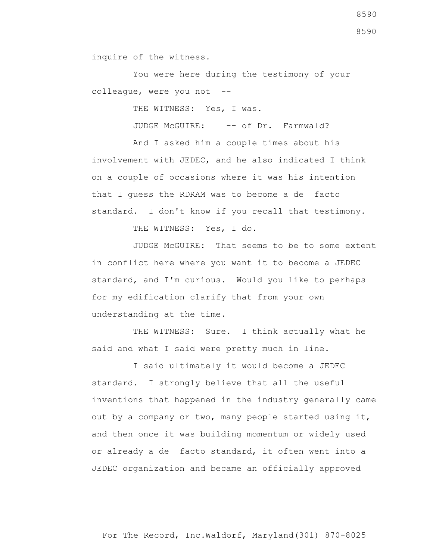inquire of the witness.

 You were here during the testimony of your colleague, were you not --

THE WITNESS: Yes, I was.

JUDGE McGUIRE: -- of Dr. Farmwald?

 And I asked him a couple times about his involvement with JEDEC, and he also indicated I think on a couple of occasions where it was his intention that I guess the RDRAM was to become a de facto standard. I don't know if you recall that testimony.

THE WITNESS: Yes, I do.

 JUDGE McGUIRE: That seems to be to some extent in conflict here where you want it to become a JEDEC standard, and I'm curious. Would you like to perhaps for my edification clarify that from your own understanding at the time.

THE WITNESS: Sure. I think actually what he said and what I said were pretty much in line.

 I said ultimately it would become a JEDEC standard. I strongly believe that all the useful inventions that happened in the industry generally came out by a company or two, many people started using it, and then once it was building momentum or widely used or already a de facto standard, it often went into a JEDEC organization and became an officially approved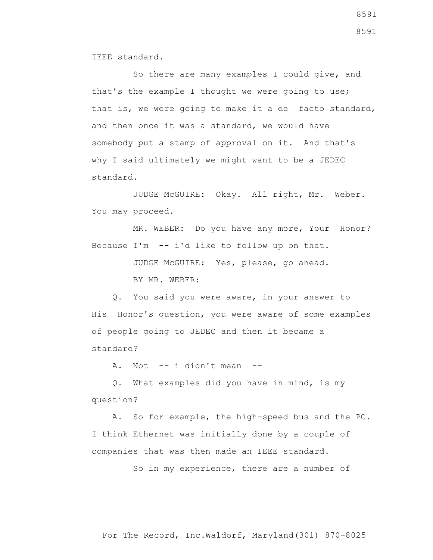IEEE standard.

 So there are many examples I could give, and that's the example I thought we were going to use; that is, we were going to make it a de facto standard, and then once it was a standard, we would have somebody put a stamp of approval on it. And that's why I said ultimately we might want to be a JEDEC standard.

 JUDGE McGUIRE: Okay. All right, Mr. Weber. You may proceed.

MR. WEBER: Do you have any more, Your Honor? Because I'm -- i'd like to follow up on that.

JUDGE McGUIRE: Yes, please, go ahead.

BY MR. WEBER:

 Q. You said you were aware, in your answer to His Honor's question, you were aware of some examples of people going to JEDEC and then it became a standard?

A. Not  $--$  i didn't mean  $--$ 

 Q. What examples did you have in mind, is my question?

 A. So for example, the high-speed bus and the PC. I think Ethernet was initially done by a couple of companies that was then made an IEEE standard.

So in my experience, there are a number of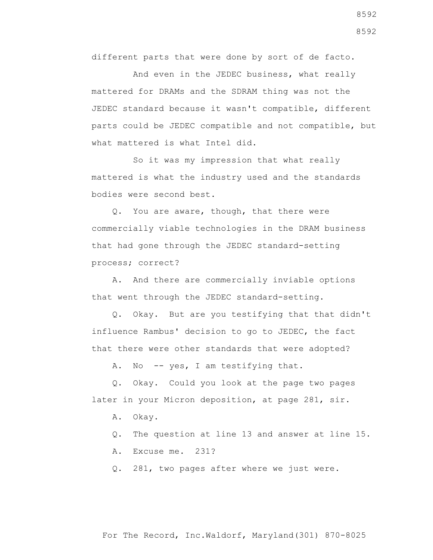different parts that were done by sort of de facto.

 And even in the JEDEC business, what really mattered for DRAMs and the SDRAM thing was not the JEDEC standard because it wasn't compatible, different parts could be JEDEC compatible and not compatible, but what mattered is what Intel did.

 So it was my impression that what really mattered is what the industry used and the standards bodies were second best.

 Q. You are aware, though, that there were commercially viable technologies in the DRAM business that had gone through the JEDEC standard-setting process; correct?

 A. And there are commercially inviable options that went through the JEDEC standard-setting.

 Q. Okay. But are you testifying that that didn't influence Rambus' decision to go to JEDEC, the fact that there were other standards that were adopted?

A. No -- yes, I am testifying that.

 Q. Okay. Could you look at the page two pages later in your Micron deposition, at page 281, sir.

- A. Okay.
- Q. The question at line 13 and answer at line 15.
- A. Excuse me. 231?

Q. 281, two pages after where we just were.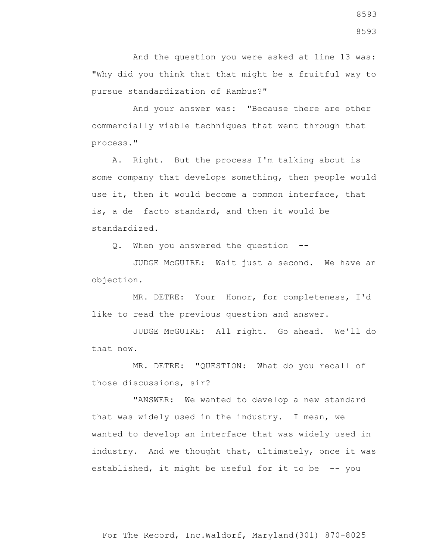And the question you were asked at line 13 was: "Why did you think that that might be a fruitful way to pursue standardization of Rambus?"

 And your answer was: "Because there are other commercially viable techniques that went through that process."

 A. Right. But the process I'm talking about is some company that develops something, then people would use it, then it would become a common interface, that is, a de facto standard, and then it would be standardized.

Q. When you answered the question --

 JUDGE McGUIRE: Wait just a second. We have an objection.

 MR. DETRE: Your Honor, for completeness, I'd like to read the previous question and answer.

 JUDGE McGUIRE: All right. Go ahead. We'll do that now.

 MR. DETRE: "QUESTION: What do you recall of those discussions, sir?

 "ANSWER: We wanted to develop a new standard that was widely used in the industry. I mean, we wanted to develop an interface that was widely used in industry. And we thought that, ultimately, once it was established, it might be useful for it to be -- you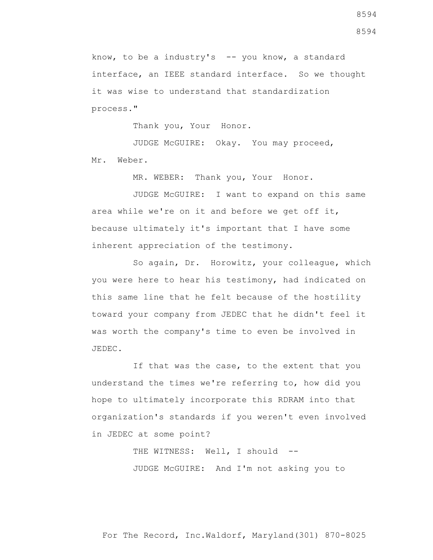know, to be a industry's  $-$ - you know, a standard interface, an IEEE standard interface. So we thought it was wise to understand that standardization process."

Thank you, Your Honor.

 JUDGE McGUIRE: Okay. You may proceed, Mr. Weber.

MR. WEBER: Thank you, Your Honor.

 JUDGE McGUIRE: I want to expand on this same area while we're on it and before we get off it, because ultimately it's important that I have some inherent appreciation of the testimony.

 So again, Dr. Horowitz, your colleague, which you were here to hear his testimony, had indicated on this same line that he felt because of the hostility toward your company from JEDEC that he didn't feel it was worth the company's time to even be involved in JEDEC.

 If that was the case, to the extent that you understand the times we're referring to, how did you hope to ultimately incorporate this RDRAM into that organization's standards if you weren't even involved in JEDEC at some point?

> THE WITNESS: Well, I should --JUDGE McGUIRE: And I'm not asking you to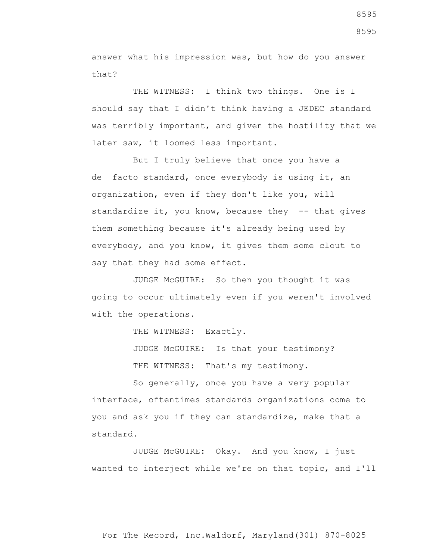answer what his impression was, but how do you answer that?

THE WITNESS: I think two things. One is I should say that I didn't think having a JEDEC standard was terribly important, and given the hostility that we later saw, it loomed less important.

 But I truly believe that once you have a de facto standard, once everybody is using it, an organization, even if they don't like you, will standardize it, you know, because they -- that gives them something because it's already being used by everybody, and you know, it gives them some clout to say that they had some effect.

 JUDGE McGUIRE: So then you thought it was going to occur ultimately even if you weren't involved with the operations.

THE WITNESS: Exactly.

JUDGE McGUIRE: Is that your testimony?

THE WITNESS: That's my testimony.

 So generally, once you have a very popular interface, oftentimes standards organizations come to you and ask you if they can standardize, make that a standard.

 JUDGE McGUIRE: Okay. And you know, I just wanted to interject while we're on that topic, and I'll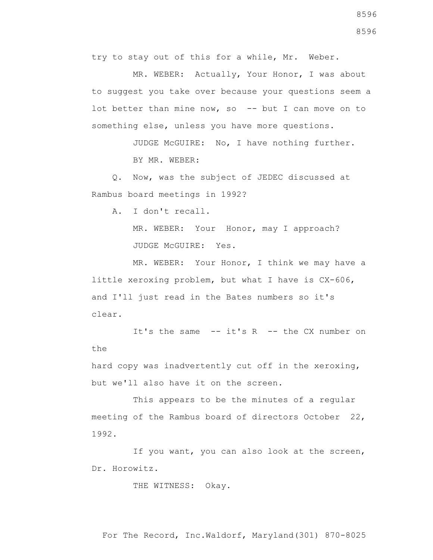try to stay out of this for a while, Mr. Weber.

 MR. WEBER: Actually, Your Honor, I was about to suggest you take over because your questions seem a lot better than mine now, so  $-$ - but I can move on to something else, unless you have more questions.

> JUDGE McGUIRE: No, I have nothing further. BY MR. WEBER:

 Q. Now, was the subject of JEDEC discussed at Rambus board meetings in 1992?

A. I don't recall.

MR. WEBER: Your Honor, may I approach? JUDGE McGUIRE: Yes.

MR. WEBER: Your Honor, I think we may have a little xeroxing problem, but what I have is CX-606, and I'll just read in the Bates numbers so it's clear.

It's the same  $-$  it's  $R$   $-$  the CX number on the

hard copy was inadvertently cut off in the xeroxing, but we'll also have it on the screen.

 This appears to be the minutes of a regular meeting of the Rambus board of directors October 22, 1992.

 If you want, you can also look at the screen, Dr. Horowitz.

THE WITNESS: Okay.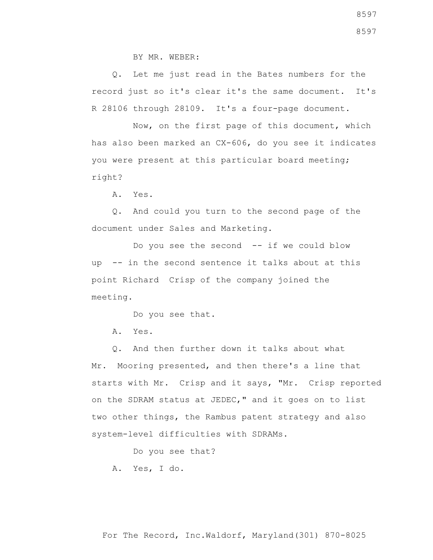BY MR. WEBER:

 Q. Let me just read in the Bates numbers for the record just so it's clear it's the same document. It's R 28106 through 28109. It's a four-page document.

 Now, on the first page of this document, which has also been marked an CX-606, do you see it indicates you were present at this particular board meeting; right?

A. Yes.

 Q. And could you turn to the second page of the document under Sales and Marketing.

 Do you see the second -- if we could blow up -- in the second sentence it talks about at this point Richard Crisp of the company joined the meeting.

Do you see that.

A. Yes.

 Q. And then further down it talks about what Mr. Mooring presented, and then there's a line that starts with Mr. Crisp and it says, "Mr. Crisp reported on the SDRAM status at JEDEC," and it goes on to list two other things, the Rambus patent strategy and also system-level difficulties with SDRAMs.

Do you see that?

A. Yes, I do.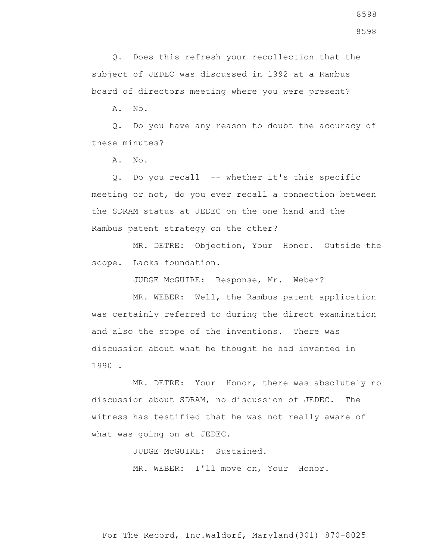Q. Does this refresh your recollection that the subject of JEDEC was discussed in 1992 at a Rambus board of directors meeting where you were present?

A. No.

 Q. Do you have any reason to doubt the accuracy of these minutes?

A. No.

 Q. Do you recall -- whether it's this specific meeting or not, do you ever recall a connection between the SDRAM status at JEDEC on the one hand and the Rambus patent strategy on the other?

 MR. DETRE: Objection, Your Honor. Outside the scope. Lacks foundation.

JUDGE McGUIRE: Response, Mr. Weber?

 MR. WEBER: Well, the Rambus patent application was certainly referred to during the direct examination and also the scope of the inventions. There was discussion about what he thought he had invented in 1990 .

 MR. DETRE: Your Honor, there was absolutely no discussion about SDRAM, no discussion of JEDEC. The witness has testified that he was not really aware of what was going on at JEDEC.

JUDGE McGUIRE: Sustained.

MR. WEBER: I'll move on, Your Honor.

For The Record, Inc.Waldorf, Maryland(301) 870-8025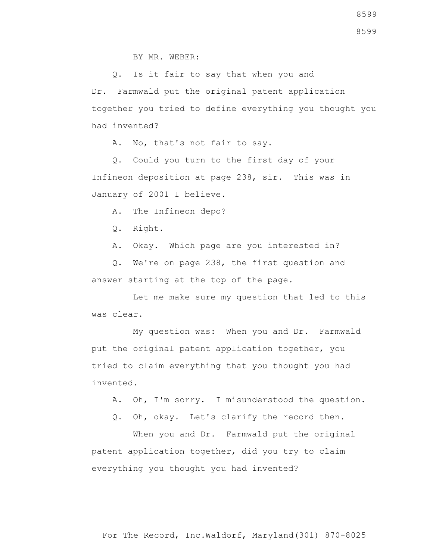Q. Is it fair to say that when you and Dr. Farmwald put the original patent application together you tried to define everything you thought you had invented?

A. No, that's not fair to say.

 Q. Could you turn to the first day of your Infineon deposition at page 238, sir. This was in January of 2001 I believe.

A. The Infineon depo?

Q. Right.

A. Okay. Which page are you interested in?

 Q. We're on page 238, the first question and answer starting at the top of the page.

 Let me make sure my question that led to this was clear.

 My question was: When you and Dr. Farmwald put the original patent application together, you tried to claim everything that you thought you had invented.

- A. Oh, I'm sorry. I misunderstood the question.
- Q. Oh, okay. Let's clarify the record then.

When you and Dr. Farmwald put the original patent application together, did you try to claim everything you thought you had invented?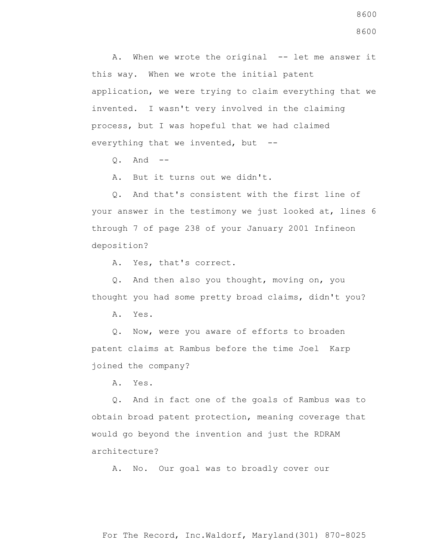A. When we wrote the original -- let me answer it this way. When we wrote the initial patent application, we were trying to claim everything that we invented. I wasn't very involved in the claiming process, but I was hopeful that we had claimed everything that we invented, but --

Q. And --

A. But it turns out we didn't.

 Q. And that's consistent with the first line of your answer in the testimony we just looked at, lines 6 through 7 of page 238 of your January 2001 Infineon deposition?

A. Yes, that's correct.

 Q. And then also you thought, moving on, you thought you had some pretty broad claims, didn't you?

A. Yes.

 Q. Now, were you aware of efforts to broaden patent claims at Rambus before the time Joel Karp joined the company?

A. Yes.

 Q. And in fact one of the goals of Rambus was to obtain broad patent protection, meaning coverage that would go beyond the invention and just the RDRAM architecture?

A. No. Our goal was to broadly cover our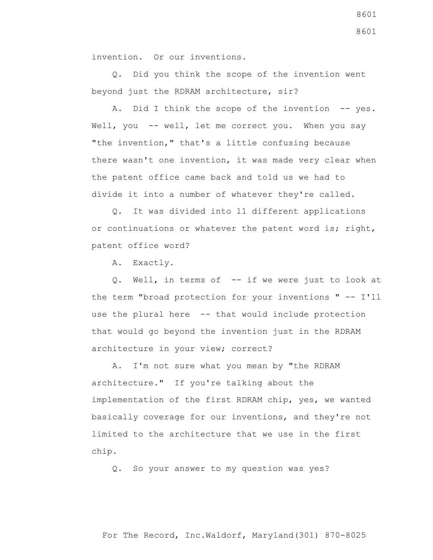invention. Or our inventions.

 Q. Did you think the scope of the invention went beyond just the RDRAM architecture, sir?

A. Did I think the scope of the invention -- yes. Well, you -- well, let me correct you. When you say "the invention," that's a little confusing because there wasn't one invention, it was made very clear when the patent office came back and told us we had to divide it into a number of whatever they're called.

 Q. It was divided into 11 different applications or continuations or whatever the patent word is; right, patent office word?

A. Exactly.

 Q. Well, in terms of -- if we were just to look at the term "broad protection for your inventions " -- I'll use the plural here -- that would include protection that would go beyond the invention just in the RDRAM architecture in your view; correct?

 A. I'm not sure what you mean by "the RDRAM architecture." If you're talking about the implementation of the first RDRAM chip, yes, we wanted basically coverage for our inventions, and they're not limited to the architecture that we use in the first chip.

Q. So your answer to my question was yes?

8601 8601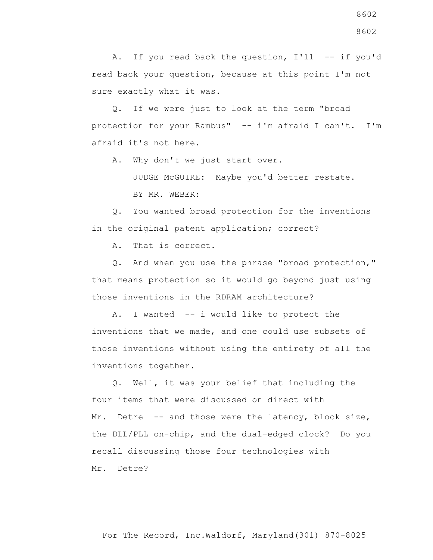A. If you read back the question, I'll -- if you'd read back your question, because at this point I'm not sure exactly what it was.

 Q. If we were just to look at the term "broad protection for your Rambus" -- i'm afraid I can't. I'm afraid it's not here.

A. Why don't we just start over.

 JUDGE McGUIRE: Maybe you'd better restate. BY MR. WEBER:

 Q. You wanted broad protection for the inventions in the original patent application; correct?

A. That is correct.

 Q. And when you use the phrase "broad protection," that means protection so it would go beyond just using those inventions in the RDRAM architecture?

 A. I wanted -- i would like to protect the inventions that we made, and one could use subsets of those inventions without using the entirety of all the inventions together.

 Q. Well, it was your belief that including the four items that were discussed on direct with Mr. Detre -- and those were the latency, block size, the DLL/PLL on-chip, and the dual-edged clock? Do you recall discussing those four technologies with Mr. Detre?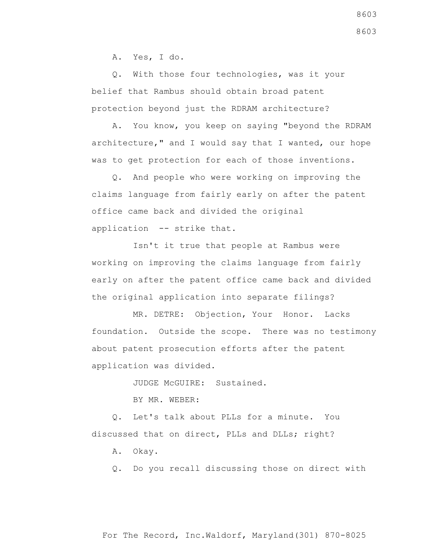A. Yes, I do.

 Q. With those four technologies, was it your belief that Rambus should obtain broad patent protection beyond just the RDRAM architecture?

 A. You know, you keep on saying "beyond the RDRAM architecture," and I would say that I wanted, our hope was to get protection for each of those inventions.

 Q. And people who were working on improving the claims language from fairly early on after the patent office came back and divided the original application -- strike that.

 Isn't it true that people at Rambus were working on improving the claims language from fairly early on after the patent office came back and divided the original application into separate filings?

 MR. DETRE: Objection, Your Honor. Lacks foundation. Outside the scope. There was no testimony about patent prosecution efforts after the patent application was divided.

JUDGE McGUIRE: Sustained.

BY MR. WEBER:

 Q. Let's talk about PLLs for a minute. You discussed that on direct, PLLs and DLLs; right?

A. Okay.

Q. Do you recall discussing those on direct with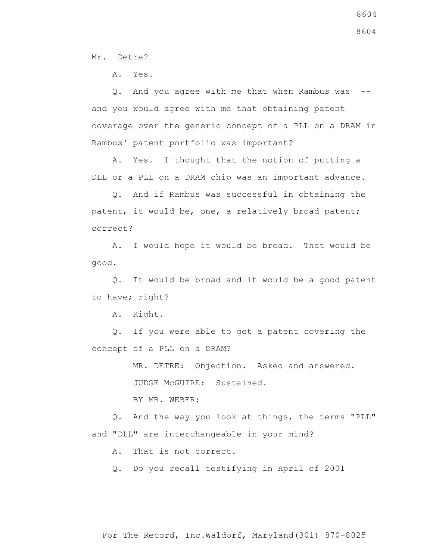Mr. Detre?

A. Yes.

 Q. And you agree with me that when Rambus was - and you would agree with me that obtaining patent coverage over the generic concept of a PLL on a DRAM in Rambus' patent portfolio was important?

 A. Yes. I thought that the notion of putting a DLL or a PLL on a DRAM chip was an important advance.

 Q. And if Rambus was successful in obtaining the patent, it would be, one, a relatively broad patent; correct?

 A. I would hope it would be broad. That would be good.

 Q. It would be broad and it would be a good patent to have; right?

A. Right.

 Q. If you were able to get a patent covering the concept of a PLL on a DRAM?

MR. DETRE: Objection. Asked and answered.

JUDGE McGUIRE: Sustained.

BY MR. WEBER:

 Q. And the way you look at things, the terms "PLL" and "DLL" are interchangeable in your mind?

A. That is not correct.

Q. Do you recall testifying in April of 2001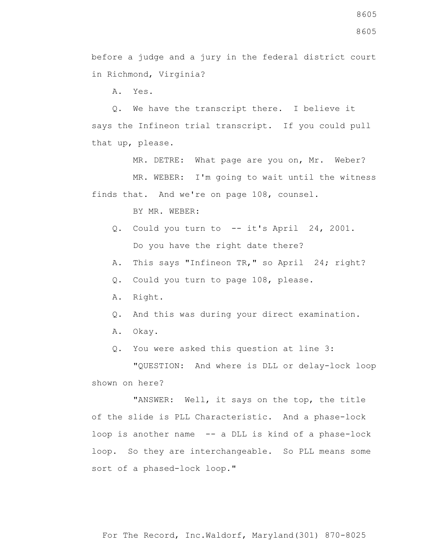before a judge and a jury in the federal district court in Richmond, Virginia?

A. Yes.

 Q. We have the transcript there. I believe it says the Infineon trial transcript. If you could pull that up, please.

MR. DETRE: What page are you on, Mr. Weber?

 MR. WEBER: I'm going to wait until the witness finds that. And we're on page 108, counsel.

BY MR. WEBER:

- Q. Could you turn to -- it's April 24, 2001. Do you have the right date there?
- A. This says "Infineon TR," so April 24; right?
- Q. Could you turn to page 108, please.
- A. Right.
- Q. And this was during your direct examination.
- A. Okay.
- Q. You were asked this question at line 3:

 "QUESTION: And where is DLL or delay-lock loop shown on here?

 "ANSWER: Well, it says on the top, the title of the slide is PLL Characteristic. And a phase-lock loop is another name -- a DLL is kind of a phase-lock loop. So they are interchangeable. So PLL means some sort of a phased-lock loop."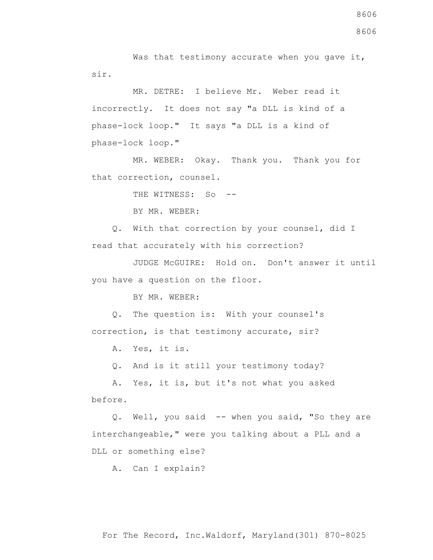Was that testimony accurate when you gave it, sir.

 MR. DETRE: I believe Mr. Weber read it incorrectly. It does not say "a DLL is kind of a phase-lock loop." It says "a DLL is a kind of phase-lock loop."

 MR. WEBER: Okay. Thank you. Thank you for that correction, counsel.

THE WITNESS: So --

BY MR. WEBER:

 Q. With that correction by your counsel, did I read that accurately with his correction?

 JUDGE McGUIRE: Hold on. Don't answer it until you have a question on the floor.

BY MR. WEBER:

 Q. The question is: With your counsel's correction, is that testimony accurate, sir?

A. Yes, it is.

Q. And is it still your testimony today?

 A. Yes, it is, but it's not what you asked before.

 Q. Well, you said -- when you said, "So they are interchangeable," were you talking about a PLL and a DLL or something else?

A. Can I explain?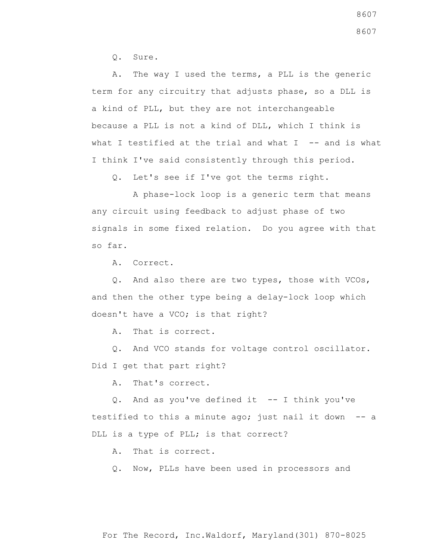Q. Sure.

 A. The way I used the terms, a PLL is the generic term for any circuitry that adjusts phase, so a DLL is a kind of PLL, but they are not interchangeable because a PLL is not a kind of DLL, which I think is what I testified at the trial and what I  $-$ - and is what I think I've said consistently through this period.

Q. Let's see if I've got the terms right.

 A phase-lock loop is a generic term that means any circuit using feedback to adjust phase of two signals in some fixed relation. Do you agree with that so far.

A. Correct.

 Q. And also there are two types, those with VCOs, and then the other type being a delay-lock loop which doesn't have a VCO; is that right?

A. That is correct.

 Q. And VCO stands for voltage control oscillator. Did I get that part right?

A. That's correct.

 Q. And as you've defined it -- I think you've testified to this a minute ago; just nail it down -- a DLL is a type of PLL; is that correct?

A. That is correct.

Q. Now, PLLs have been used in processors and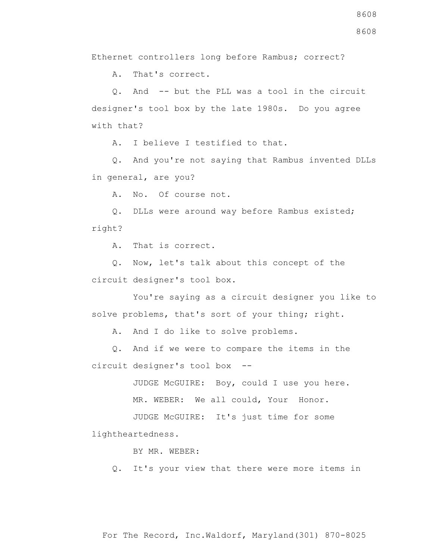Ethernet controllers long before Rambus; correct?

A. That's correct.

 Q. And -- but the PLL was a tool in the circuit designer's tool box by the late 1980s. Do you agree with that?

A. I believe I testified to that.

 Q. And you're not saying that Rambus invented DLLs in general, are you?

A. No. Of course not.

 Q. DLLs were around way before Rambus existed; right?

A. That is correct.

 Q. Now, let's talk about this concept of the circuit designer's tool box.

 You're saying as a circuit designer you like to solve problems, that's sort of your thing; right.

A. And I do like to solve problems.

 Q. And if we were to compare the items in the circuit designer's tool box --

JUDGE McGUIRE: Boy, could I use you here.

MR. WEBER: We all could, Your Honor.

 JUDGE McGUIRE: It's just time for some lightheartedness.

BY MR. WEBER:

Q. It's your view that there were more items in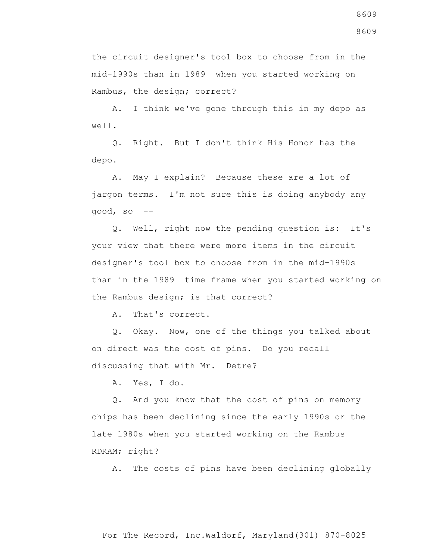the circuit designer's tool box to choose from in the mid-1990s than in 1989 when you started working on Rambus, the design; correct?

 A. I think we've gone through this in my depo as well.

 Q. Right. But I don't think His Honor has the depo.

 A. May I explain? Because these are a lot of jargon terms. I'm not sure this is doing anybody any good, so --

 Q. Well, right now the pending question is: It's your view that there were more items in the circuit designer's tool box to choose from in the mid-1990s than in the 1989 time frame when you started working on the Rambus design; is that correct?

A. That's correct.

 Q. Okay. Now, one of the things you talked about on direct was the cost of pins. Do you recall discussing that with Mr. Detre?

A. Yes, I do.

 Q. And you know that the cost of pins on memory chips has been declining since the early 1990s or the late 1980s when you started working on the Rambus RDRAM; right?

A. The costs of pins have been declining globally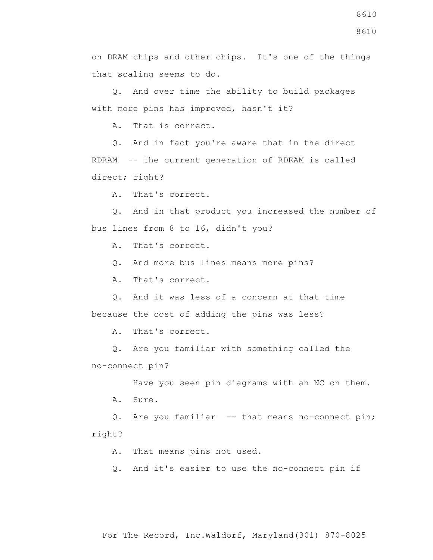on DRAM chips and other chips. It's one of the things that scaling seems to do.

 Q. And over time the ability to build packages with more pins has improved, hasn't it?

A. That is correct.

 Q. And in fact you're aware that in the direct RDRAM -- the current generation of RDRAM is called direct; right?

A. That's correct.

 Q. And in that product you increased the number of bus lines from 8 to 16, didn't you?

A. That's correct.

Q. And more bus lines means more pins?

A. That's correct.

 Q. And it was less of a concern at that time because the cost of adding the pins was less?

A. That's correct.

 Q. Are you familiar with something called the no-connect pin?

Have you seen pin diagrams with an NC on them.

A. Sure.

Q. Are you familiar -- that means no-connect pin; right?

A. That means pins not used.

Q. And it's easier to use the no-connect pin if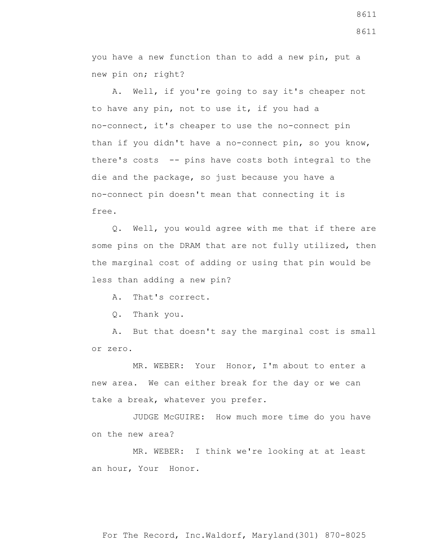you have a new function than to add a new pin, put a new pin on; right?

 A. Well, if you're going to say it's cheaper not to have any pin, not to use it, if you had a no-connect, it's cheaper to use the no-connect pin than if you didn't have a no-connect pin, so you know, there's costs -- pins have costs both integral to the die and the package, so just because you have a no-connect pin doesn't mean that connecting it is free.

 Q. Well, you would agree with me that if there are some pins on the DRAM that are not fully utilized, then the marginal cost of adding or using that pin would be less than adding a new pin?

A. That's correct.

Q. Thank you.

 A. But that doesn't say the marginal cost is small or zero.

 MR. WEBER: Your Honor, I'm about to enter a new area. We can either break for the day or we can take a break, whatever you prefer.

 JUDGE McGUIRE: How much more time do you have on the new area?

 MR. WEBER: I think we're looking at at least an hour, Your Honor.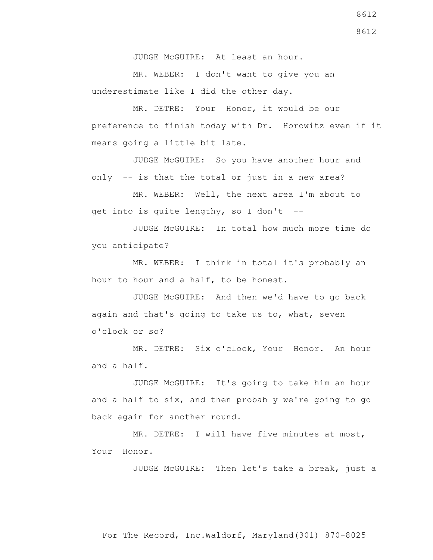JUDGE McGUIRE: At least an hour.

 MR. WEBER: I don't want to give you an underestimate like I did the other day.

 MR. DETRE: Your Honor, it would be our preference to finish today with Dr. Horowitz even if it means going a little bit late.

 JUDGE McGUIRE: So you have another hour and only -- is that the total or just in a new area?

 MR. WEBER: Well, the next area I'm about to get into is quite lengthy, so I don't --

 JUDGE McGUIRE: In total how much more time do you anticipate?

MR. WEBER: I think in total it's probably an hour to hour and a half, to be honest.

 JUDGE McGUIRE: And then we'd have to go back again and that's going to take us to, what, seven o'clock or so?

 MR. DETRE: Six o'clock, Your Honor. An hour and a half.

 JUDGE McGUIRE: It's going to take him an hour and a half to six, and then probably we're going to go back again for another round.

MR. DETRE: I will have five minutes at most, Your Honor.

JUDGE McGUIRE: Then let's take a break, just a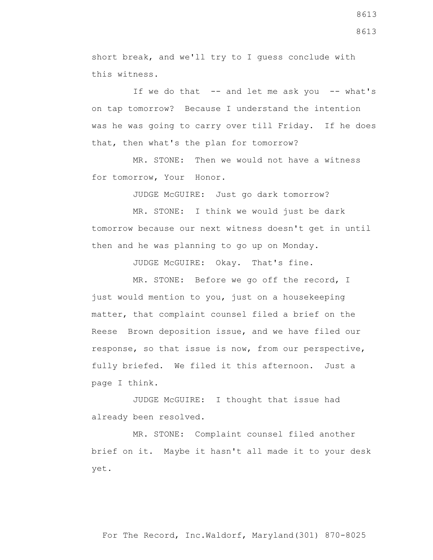short break, and we'll try to I guess conclude with this witness.

If we do that  $-$  and let me ask you  $-$  what's on tap tomorrow? Because I understand the intention was he was going to carry over till Friday. If he does that, then what's the plan for tomorrow?

 MR. STONE: Then we would not have a witness for tomorrow, Your Honor.

JUDGE McGUIRE: Just go dark tomorrow?

 MR. STONE: I think we would just be dark tomorrow because our next witness doesn't get in until then and he was planning to go up on Monday.

JUDGE McGUIRE: Okay. That's fine.

 MR. STONE: Before we go off the record, I just would mention to you, just on a housekeeping matter, that complaint counsel filed a brief on the Reese Brown deposition issue, and we have filed our response, so that issue is now, from our perspective, fully briefed. We filed it this afternoon. Just a page I think.

 JUDGE McGUIRE: I thought that issue had already been resolved.

 MR. STONE: Complaint counsel filed another brief on it. Maybe it hasn't all made it to your desk yet.

8613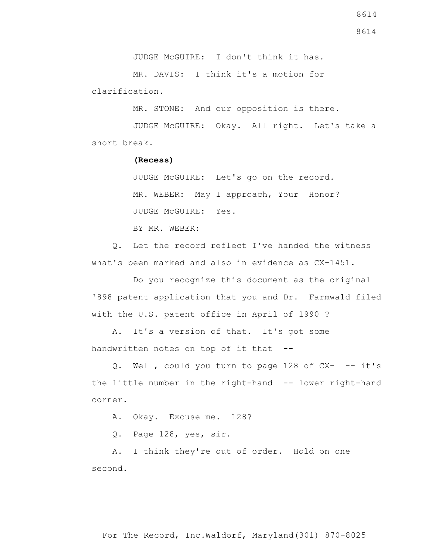JUDGE McGUIRE: I don't think it has.

 MR. DAVIS: I think it's a motion for clarification.

MR. STONE: And our opposition is there.

 JUDGE McGUIRE: Okay. All right. Let's take a short break.

## **(Recess)**

 JUDGE McGUIRE: Let's go on the record. MR. WEBER: May I approach, Your Honor? JUDGE McGUIRE: Yes.

BY MR. WEBER:

 Q. Let the record reflect I've handed the witness what's been marked and also in evidence as CX-1451.

 Do you recognize this document as the original '898 patent application that you and Dr. Farmwald filed with the U.S. patent office in April of 1990 ?

 A. It's a version of that. It's got some handwritten notes on top of it that --

Q. Well, could you turn to page 128 of CX- -- it's the little number in the right-hand -- lower right-hand corner.

A. Okay. Excuse me. 128?

Q. Page 128, yes, sir.

 A. I think they're out of order. Hold on one second.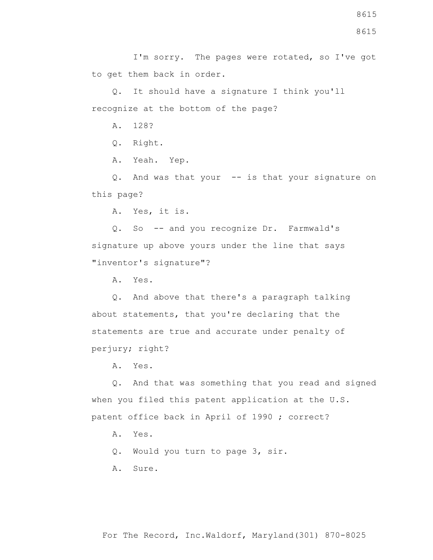I'm sorry. The pages were rotated, so I've got to get them back in order.

 Q. It should have a signature I think you'll recognize at the bottom of the page?

A. 128?

Q. Right.

A. Yeah. Yep.

 Q. And was that your -- is that your signature on this page?

A. Yes, it is.

 Q. So -- and you recognize Dr. Farmwald's signature up above yours under the line that says "inventor's signature"?

A. Yes.

 Q. And above that there's a paragraph talking about statements, that you're declaring that the statements are true and accurate under penalty of perjury; right?

A. Yes.

 Q. And that was something that you read and signed when you filed this patent application at the U.S. patent office back in April of 1990 ; correct?

A. Yes.

Q. Would you turn to page 3, sir.

A. Sure.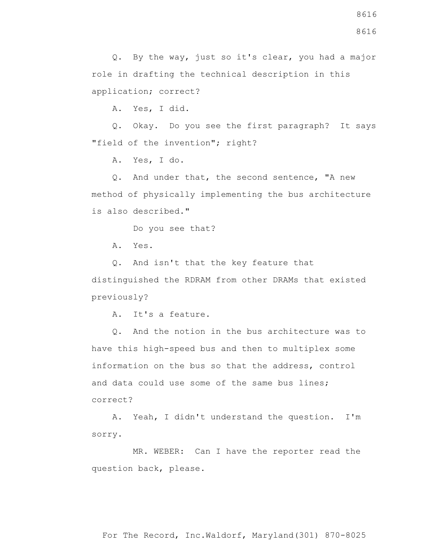A. Yes, I did.

 Q. Okay. Do you see the first paragraph? It says "field of the invention"; right?

A. Yes, I do.

 Q. And under that, the second sentence, "A new method of physically implementing the bus architecture is also described."

Do you see that?

A. Yes.

Q. And isn't that the key feature that

distinguished the RDRAM from other DRAMs that existed previously?

A. It's a feature.

 Q. And the notion in the bus architecture was to have this high-speed bus and then to multiplex some information on the bus so that the address, control and data could use some of the same bus lines; correct?

 A. Yeah, I didn't understand the question. I'm sorry.

 MR. WEBER: Can I have the reporter read the question back, please.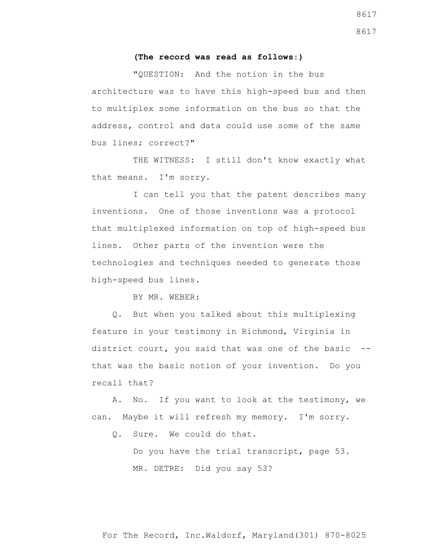## **(The record was read as follows:)**

 "QUESTION: And the notion in the bus architecture was to have this high-speed bus and then to multiplex some information on the bus so that the address, control and data could use some of the same bus lines; correct?"

THE WITNESS: I still don't know exactly what that means. I'm sorry.

 I can tell you that the patent describes many inventions. One of those inventions was a protocol that multiplexed information on top of high-speed bus lines. Other parts of the invention were the technologies and techniques needed to generate those high-speed bus lines.

BY MR. WEBER:

 Q. But when you talked about this multiplexing feature in your testimony in Richmond, Virginia in district court, you said that was one of the basic - that was the basic notion of your invention. Do you recall that?

 A. No. If you want to look at the testimony, we can. Maybe it will refresh my memory. I'm sorry.

Q. Sure. We could do that.

Do you have the trial transcript, page 53. MR. DETRE: Did you say 53?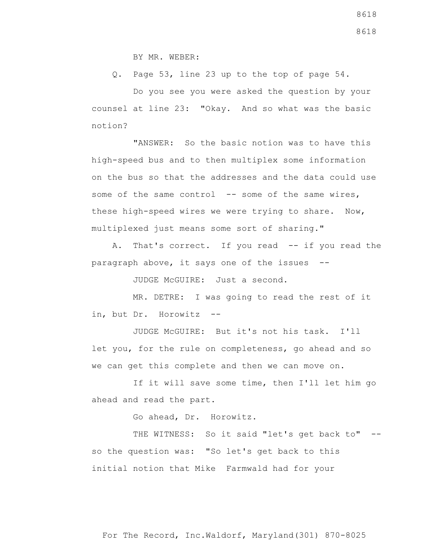BY MR. WEBER:

Q. Page 53, line 23 up to the top of page 54.

 Do you see you were asked the question by your counsel at line 23: "Okay. And so what was the basic notion?

 "ANSWER: So the basic notion was to have this high-speed bus and to then multiplex some information on the bus so that the addresses and the data could use some of the same control -- some of the same wires, these high-speed wires we were trying to share. Now, multiplexed just means some sort of sharing."

 A. That's correct. If you read -- if you read the paragraph above, it says one of the issues --

JUDGE McGUIRE: Just a second.

 MR. DETRE: I was going to read the rest of it in, but Dr. Horowitz --

 JUDGE McGUIRE: But it's not his task. I'll let you, for the rule on completeness, go ahead and so we can get this complete and then we can move on.

 If it will save some time, then I'll let him go ahead and read the part.

Go ahead, Dr. Horowitz.

THE WITNESS: So it said "let's get back to" -so the question was: "So let's get back to this initial notion that Mike Farmwald had for your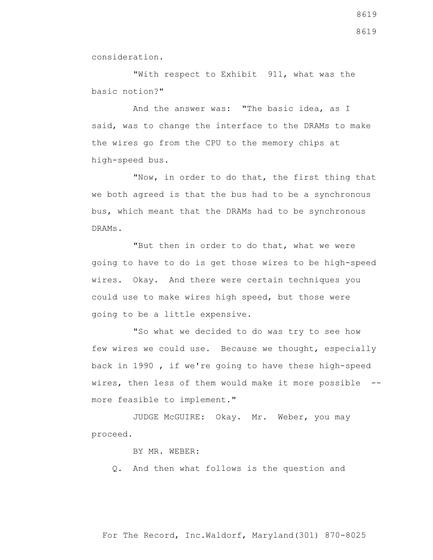consideration.

 "With respect to Exhibit 911, what was the basic notion?"

 And the answer was: "The basic idea, as I said, was to change the interface to the DRAMs to make the wires go from the CPU to the memory chips at high-speed bus.

 "Now, in order to do that, the first thing that we both agreed is that the bus had to be a synchronous bus, which meant that the DRAMs had to be synchronous DRAMs.

 "But then in order to do that, what we were going to have to do is get those wires to be high-speed wires. Okay. And there were certain techniques you could use to make wires high speed, but those were going to be a little expensive.

 "So what we decided to do was try to see how few wires we could use. Because we thought, especially back in 1990 , if we're going to have these high-speed wires, then less of them would make it more possible - more feasible to implement."

 JUDGE McGUIRE: Okay. Mr. Weber, you may proceed.

BY MR. WEBER:

Q. And then what follows is the question and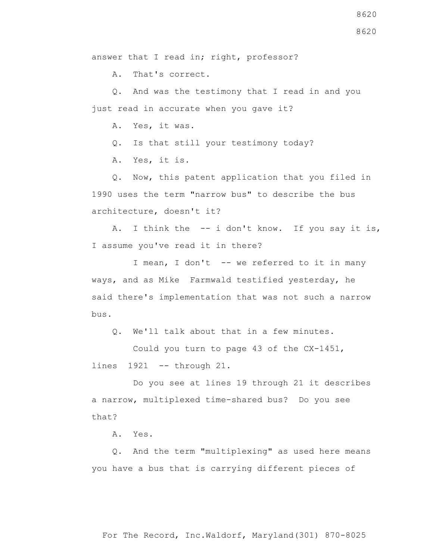answer that I read in; right, professor?

A. That's correct.

 Q. And was the testimony that I read in and you just read in accurate when you gave it?

A. Yes, it was.

Q. Is that still your testimony today?

A. Yes, it is.

 Q. Now, this patent application that you filed in 1990 uses the term "narrow bus" to describe the bus architecture, doesn't it?

 A. I think the -- i don't know. If you say it is, I assume you've read it in there?

I mean, I don't -- we referred to it in many ways, and as Mike Farmwald testified yesterday, he said there's implementation that was not such a narrow bus.

Q. We'll talk about that in a few minutes.

 Could you turn to page 43 of the CX-1451, lines 1921 -- through 21.

 Do you see at lines 19 through 21 it describes a narrow, multiplexed time-shared bus? Do you see that?

A. Yes.

 Q. And the term "multiplexing" as used here means you have a bus that is carrying different pieces of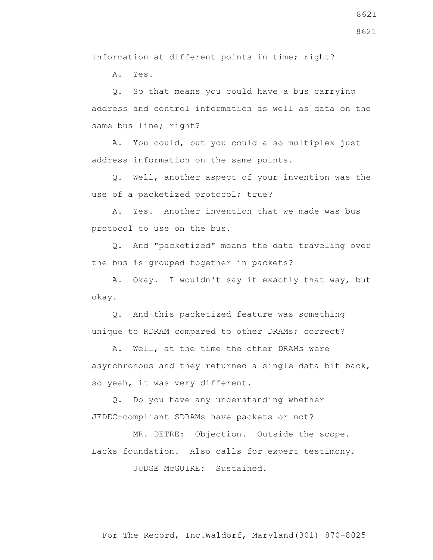information at different points in time; right?

A. Yes.

 Q. So that means you could have a bus carrying address and control information as well as data on the same bus line; right?

 A. You could, but you could also multiplex just address information on the same points.

 Q. Well, another aspect of your invention was the use of a packetized protocol; true?

 A. Yes. Another invention that we made was bus protocol to use on the bus.

 Q. And "packetized" means the data traveling over the bus is grouped together in packets?

 A. Okay. I wouldn't say it exactly that way, but okay.

 Q. And this packetized feature was something unique to RDRAM compared to other DRAMs; correct?

 A. Well, at the time the other DRAMs were asynchronous and they returned a single data bit back, so yeah, it was very different.

 Q. Do you have any understanding whether JEDEC-compliant SDRAMs have packets or not?

 MR. DETRE: Objection. Outside the scope. Lacks foundation. Also calls for expert testimony.

JUDGE McGUIRE: Sustained.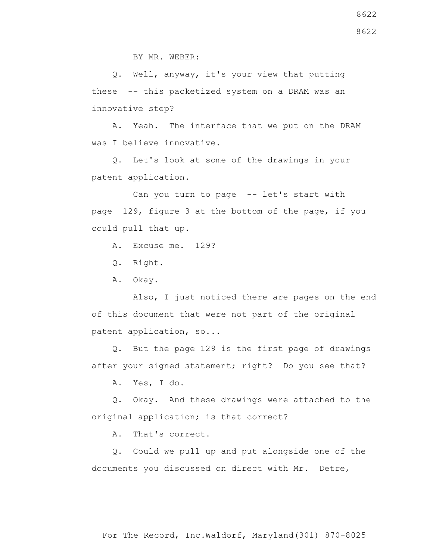BY MR. WEBER:

 Q. Well, anyway, it's your view that putting these -- this packetized system on a DRAM was an innovative step?

 A. Yeah. The interface that we put on the DRAM was I believe innovative.

 Q. Let's look at some of the drawings in your patent application.

 Can you turn to page -- let's start with page 129, figure 3 at the bottom of the page, if you could pull that up.

A. Excuse me. 129?

Q. Right.

A. Okay.

 Also, I just noticed there are pages on the end of this document that were not part of the original patent application, so...

 Q. But the page 129 is the first page of drawings after your signed statement; right? Do you see that?

A. Yes, I do.

 Q. Okay. And these drawings were attached to the original application; is that correct?

A. That's correct.

 Q. Could we pull up and put alongside one of the documents you discussed on direct with Mr. Detre,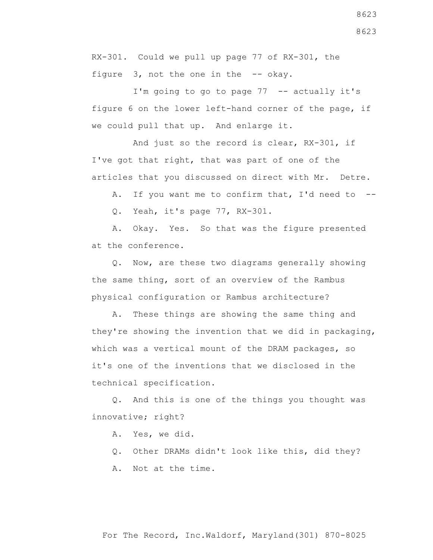8623

RX-301. Could we pull up page 77 of RX-301, the figure 3, not the one in the -- okay.

I'm going to go to page 77 -- actually it's figure 6 on the lower left-hand corner of the page, if we could pull that up. And enlarge it.

 And just so the record is clear, RX-301, if I've got that right, that was part of one of the articles that you discussed on direct with Mr. Detre.

A. If you want me to confirm that, I'd need to --

Q. Yeah, it's page 77, RX-301.

 A. Okay. Yes. So that was the figure presented at the conference.

 Q. Now, are these two diagrams generally showing the same thing, sort of an overview of the Rambus physical configuration or Rambus architecture?

 A. These things are showing the same thing and they're showing the invention that we did in packaging, which was a vertical mount of the DRAM packages, so it's one of the inventions that we disclosed in the technical specification.

 Q. And this is one of the things you thought was innovative; right?

A. Yes, we did.

Q. Other DRAMs didn't look like this, did they?

A. Not at the time.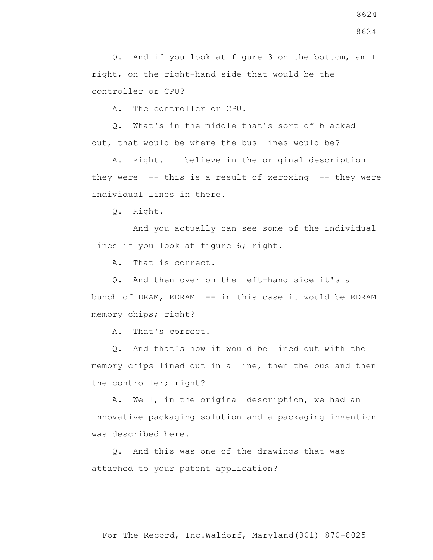Q. And if you look at figure 3 on the bottom, am I right, on the right-hand side that would be the controller or CPU?

A. The controller or CPU.

 Q. What's in the middle that's sort of blacked out, that would be where the bus lines would be?

 A. Right. I believe in the original description they were -- this is a result of xeroxing -- they were individual lines in there.

Q. Right.

 And you actually can see some of the individual lines if you look at figure 6; right.

A. That is correct.

 Q. And then over on the left-hand side it's a bunch of DRAM, RDRAM -- in this case it would be RDRAM memory chips; right?

A. That's correct.

 Q. And that's how it would be lined out with the memory chips lined out in a line, then the bus and then the controller; right?

 A. Well, in the original description, we had an innovative packaging solution and a packaging invention was described here.

 Q. And this was one of the drawings that was attached to your patent application?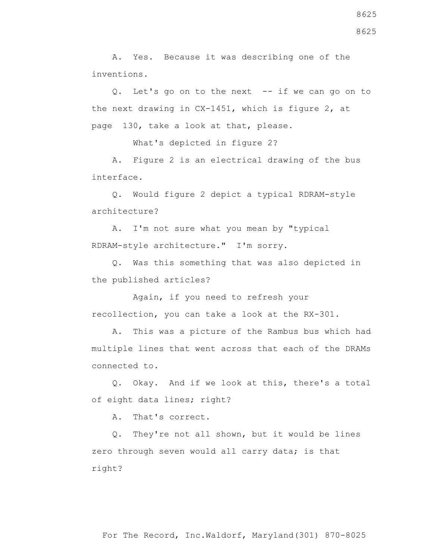A. Yes. Because it was describing one of the inventions.

 Q. Let's go on to the next -- if we can go on to the next drawing in CX-1451, which is figure 2, at page 130, take a look at that, please.

What's depicted in figure 2?

 A. Figure 2 is an electrical drawing of the bus interface.

 Q. Would figure 2 depict a typical RDRAM-style architecture?

 A. I'm not sure what you mean by "typical RDRAM-style architecture." I'm sorry.

 Q. Was this something that was also depicted in the published articles?

 Again, if you need to refresh your recollection, you can take a look at the RX-301.

 A. This was a picture of the Rambus bus which had multiple lines that went across that each of the DRAMs connected to.

 Q. Okay. And if we look at this, there's a total of eight data lines; right?

A. That's correct.

 Q. They're not all shown, but it would be lines zero through seven would all carry data; is that right?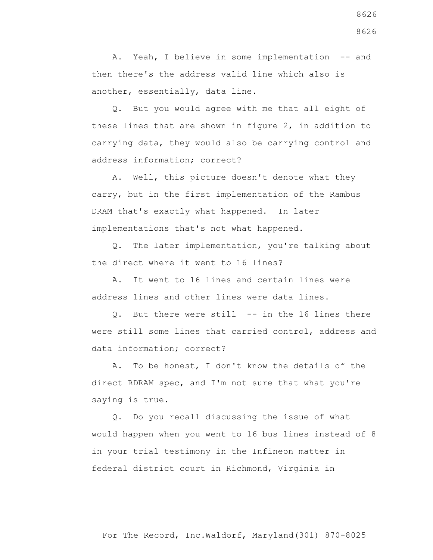A. Yeah, I believe in some implementation -- and then there's the address valid line which also is another, essentially, data line.

 Q. But you would agree with me that all eight of these lines that are shown in figure 2, in addition to carrying data, they would also be carrying control and address information; correct?

 A. Well, this picture doesn't denote what they carry, but in the first implementation of the Rambus DRAM that's exactly what happened. In later implementations that's not what happened.

 Q. The later implementation, you're talking about the direct where it went to 16 lines?

 A. It went to 16 lines and certain lines were address lines and other lines were data lines.

 Q. But there were still -- in the 16 lines there were still some lines that carried control, address and data information; correct?

 A. To be honest, I don't know the details of the direct RDRAM spec, and I'm not sure that what you're saying is true.

 Q. Do you recall discussing the issue of what would happen when you went to 16 bus lines instead of 8 in your trial testimony in the Infineon matter in federal district court in Richmond, Virginia in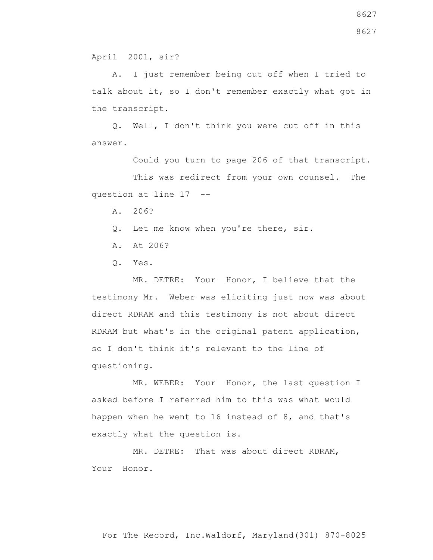April 2001, sir?

 A. I just remember being cut off when I tried to talk about it, so I don't remember exactly what got in the transcript.

 Q. Well, I don't think you were cut off in this answer.

Could you turn to page 206 of that transcript.

 This was redirect from your own counsel. The question at line 17 --

A. 206?

Q. Let me know when you're there, sir.

- A. At 206?
- Q. Yes.

 MR. DETRE: Your Honor, I believe that the testimony Mr. Weber was eliciting just now was about direct RDRAM and this testimony is not about direct RDRAM but what's in the original patent application, so I don't think it's relevant to the line of questioning.

 MR. WEBER: Your Honor, the last question I asked before I referred him to this was what would happen when he went to 16 instead of 8, and that's exactly what the question is.

 MR. DETRE: That was about direct RDRAM, Your Honor.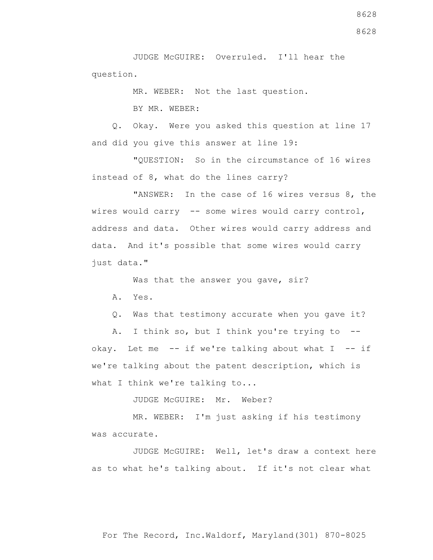JUDGE McGUIRE: Overruled. I'll hear the question.

MR. WEBER: Not the last question.

BY MR. WEBER:

 Q. Okay. Were you asked this question at line 17 and did you give this answer at line 19:

 "QUESTION: So in the circumstance of 16 wires instead of 8, what do the lines carry?

 "ANSWER: In the case of 16 wires versus 8, the wires would carry -- some wires would carry control, address and data. Other wires would carry address and data. And it's possible that some wires would carry just data."

Was that the answer you gave, sir?

A. Yes.

Q. Was that testimony accurate when you gave it?

 A. I think so, but I think you're trying to - okay. Let me  $-$ - if we're talking about what I  $-$ - if we're talking about the patent description, which is what I think we're talking to...

JUDGE McGUIRE: Mr. Weber?

 MR. WEBER: I'm just asking if his testimony was accurate.

 JUDGE McGUIRE: Well, let's draw a context here as to what he's talking about. If it's not clear what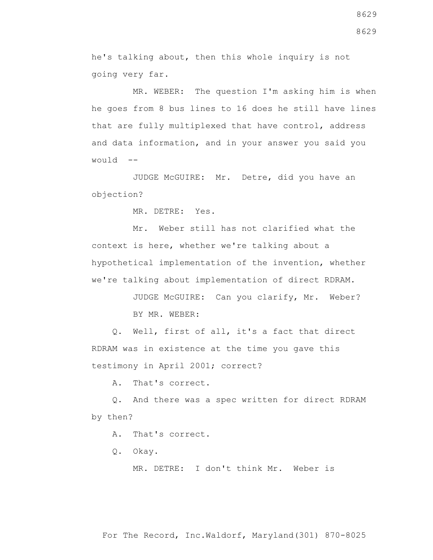he's talking about, then this whole inquiry is not going very far.

 MR. WEBER: The question I'm asking him is when he goes from 8 bus lines to 16 does he still have lines that are fully multiplexed that have control, address and data information, and in your answer you said you  $W\Omega U1d$   $-$ 

 JUDGE McGUIRE: Mr. Detre, did you have an objection?

MR. DETRE: Yes.

 Mr. Weber still has not clarified what the context is here, whether we're talking about a hypothetical implementation of the invention, whether we're talking about implementation of direct RDRAM.

> JUDGE McGUIRE: Can you clarify, Mr. Weber? BY MR. WEBER:

 Q. Well, first of all, it's a fact that direct RDRAM was in existence at the time you gave this testimony in April 2001; correct?

A. That's correct.

 Q. And there was a spec written for direct RDRAM by then?

A. That's correct.

Q. Okay.

MR. DETRE: I don't think Mr. Weber is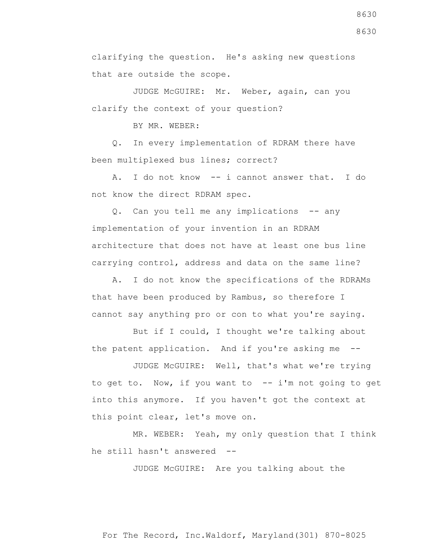clarifying the question. He's asking new questions that are outside the scope.

 JUDGE McGUIRE: Mr. Weber, again, can you clarify the context of your question?

BY MR. WEBER:

 Q. In every implementation of RDRAM there have been multiplexed bus lines; correct?

 A. I do not know -- i cannot answer that. I do not know the direct RDRAM spec.

 Q. Can you tell me any implications -- any implementation of your invention in an RDRAM architecture that does not have at least one bus line carrying control, address and data on the same line?

 A. I do not know the specifications of the RDRAMs that have been produced by Rambus, so therefore I cannot say anything pro or con to what you're saying.

 But if I could, I thought we're talking about the patent application. And if you're asking me --

 JUDGE McGUIRE: Well, that's what we're trying to get to. Now, if you want to -- i'm not going to get into this anymore. If you haven't got the context at this point clear, let's move on.

 MR. WEBER: Yeah, my only question that I think he still hasn't answered --

JUDGE McGUIRE: Are you talking about the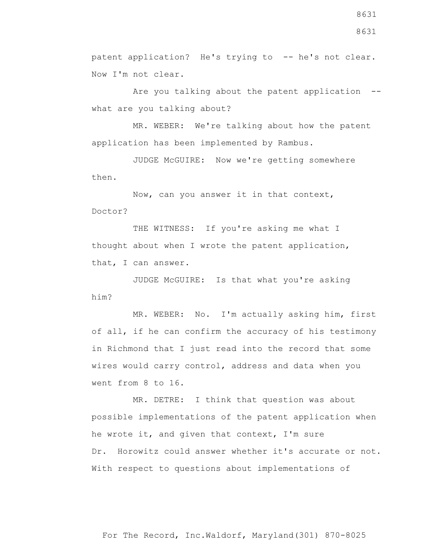patent application? He's trying to -- he's not clear. Now I'm not clear.

 Are you talking about the patent application - what are you talking about?

 MR. WEBER: We're talking about how the patent application has been implemented by Rambus.

 JUDGE McGUIRE: Now we're getting somewhere then.

 Now, can you answer it in that context, Doctor?

THE WITNESS: If you're asking me what I thought about when I wrote the patent application, that, I can answer.

 JUDGE McGUIRE: Is that what you're asking him?

 MR. WEBER: No. I'm actually asking him, first of all, if he can confirm the accuracy of his testimony in Richmond that I just read into the record that some wires would carry control, address and data when you went from 8 to 16.

 MR. DETRE: I think that question was about possible implementations of the patent application when he wrote it, and given that context, I'm sure Dr. Horowitz could answer whether it's accurate or not. With respect to questions about implementations of

For The Record, Inc.Waldorf, Maryland(301) 870-8025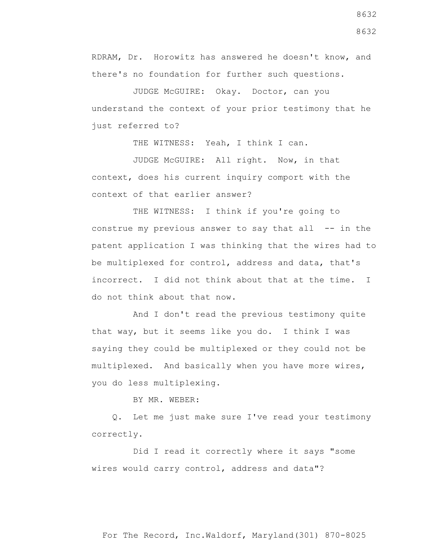RDRAM, Dr. Horowitz has answered he doesn't know, and there's no foundation for further such questions.

 JUDGE McGUIRE: Okay. Doctor, can you understand the context of your prior testimony that he just referred to?

THE WITNESS: Yeah, I think I can.

 JUDGE McGUIRE: All right. Now, in that context, does his current inquiry comport with the context of that earlier answer?

THE WITNESS: I think if you're going to construe my previous answer to say that all -- in the patent application I was thinking that the wires had to be multiplexed for control, address and data, that's incorrect. I did not think about that at the time. I do not think about that now.

 And I don't read the previous testimony quite that way, but it seems like you do. I think I was saying they could be multiplexed or they could not be multiplexed. And basically when you have more wires, you do less multiplexing.

BY MR. WEBER:

 Q. Let me just make sure I've read your testimony correctly.

Did I read it correctly where it says "some wires would carry control, address and data"?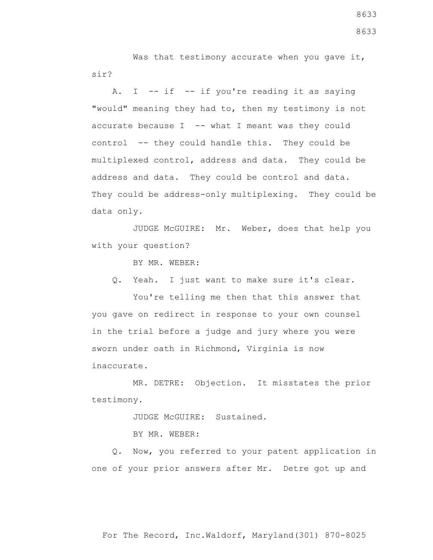Was that testimony accurate when you gave it, sir?

A. I  $-$  if  $-$  if you're reading it as saying "would" meaning they had to, then my testimony is not accurate because  $I$  -- what I meant was they could control -- they could handle this. They could be multiplexed control, address and data. They could be address and data. They could be control and data. They could be address-only multiplexing. They could be data only.

 JUDGE McGUIRE: Mr. Weber, does that help you with your question?

BY MR. WEBER:

Q. Yeah. I just want to make sure it's clear.

 You're telling me then that this answer that you gave on redirect in response to your own counsel in the trial before a judge and jury where you were sworn under oath in Richmond, Virginia is now inaccurate.

 MR. DETRE: Objection. It misstates the prior testimony.

JUDGE McGUIRE: Sustained.

BY MR. WEBER:

 Q. Now, you referred to your patent application in one of your prior answers after Mr. Detre got up and

For The Record, Inc.Waldorf, Maryland(301) 870-8025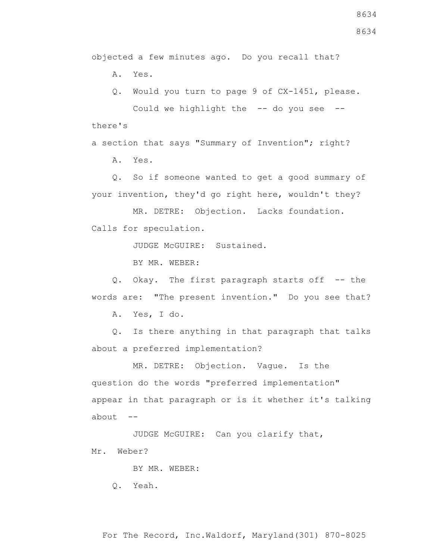objected a few minutes ago. Do you recall that?

A. Yes.

 Q. Would you turn to page 9 of CX-1451, please. Could we highlight the  $-$ - do you see  $-$ there's

a section that says "Summary of Invention"; right?

A. Yes.

 Q. So if someone wanted to get a good summary of your invention, they'd go right here, wouldn't they?

 MR. DETRE: Objection. Lacks foundation. Calls for speculation.

JUDGE McGUIRE: Sustained.

BY MR. WEBER:

 Q. Okay. The first paragraph starts off -- the words are: "The present invention." Do you see that?

A. Yes, I do.

 Q. Is there anything in that paragraph that talks about a preferred implementation?

 MR. DETRE: Objection. Vague. Is the question do the words "preferred implementation" appear in that paragraph or is it whether it's talking about  $--$ 

 JUDGE McGUIRE: Can you clarify that, Mr. Weber?

BY MR. WEBER:

Q. Yeah.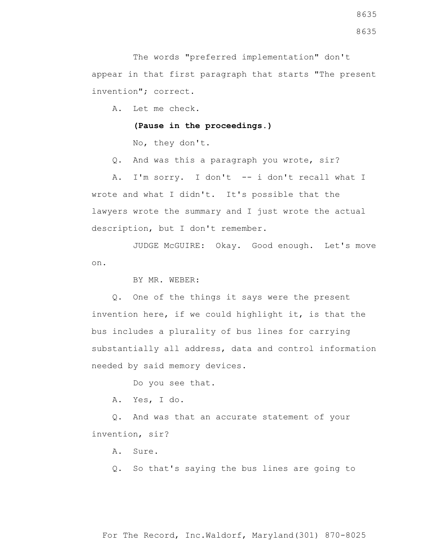The words "preferred implementation" don't appear in that first paragraph that starts "The present invention"; correct.

A. Let me check.

**(Pause in the proceedings.)**

No, they don't.

Q. And was this a paragraph you wrote, sir?

 A. I'm sorry. I don't -- i don't recall what I wrote and what I didn't. It's possible that the lawyers wrote the summary and I just wrote the actual description, but I don't remember.

 JUDGE McGUIRE: Okay. Good enough. Let's move on.

BY MR. WEBER:

 Q. One of the things it says were the present invention here, if we could highlight it, is that the bus includes a plurality of bus lines for carrying substantially all address, data and control information needed by said memory devices.

Do you see that.

A. Yes, I do.

 Q. And was that an accurate statement of your invention, sir?

A. Sure.

Q. So that's saying the bus lines are going to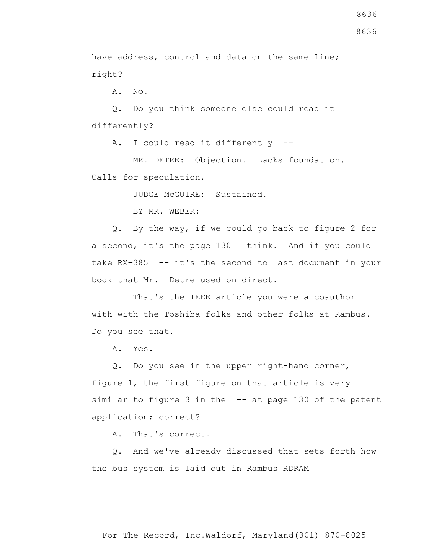8636

have address, control and data on the same line; right?

A. No.

 Q. Do you think someone else could read it differently?

A. I could read it differently --

 MR. DETRE: Objection. Lacks foundation. Calls for speculation.

JUDGE McGUIRE: Sustained.

BY MR. WEBER:

 Q. By the way, if we could go back to figure 2 for a second, it's the page 130 I think. And if you could take RX-385 -- it's the second to last document in your book that Mr. Detre used on direct.

 That's the IEEE article you were a coauthor with with the Toshiba folks and other folks at Rambus. Do you see that.

A. Yes.

 Q. Do you see in the upper right-hand corner, figure 1, the first figure on that article is very similar to figure 3 in the -- at page 130 of the patent application; correct?

A. That's correct.

 Q. And we've already discussed that sets forth how the bus system is laid out in Rambus RDRAM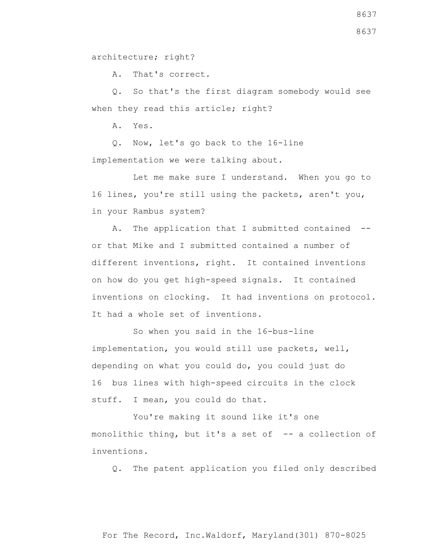architecture; right?

A. That's correct.

 Q. So that's the first diagram somebody would see when they read this article; right?

A. Yes.

 Q. Now, let's go back to the 16-line implementation we were talking about.

 Let me make sure I understand. When you go to 16 lines, you're still using the packets, aren't you, in your Rambus system?

 A. The application that I submitted contained - or that Mike and I submitted contained a number of different inventions, right. It contained inventions on how do you get high-speed signals. It contained inventions on clocking. It had inventions on protocol. It had a whole set of inventions.

 So when you said in the 16-bus-line implementation, you would still use packets, well, depending on what you could do, you could just do 16 bus lines with high-speed circuits in the clock stuff. I mean, you could do that.

 You're making it sound like it's one monolithic thing, but it's a set of -- a collection of inventions.

Q. The patent application you filed only described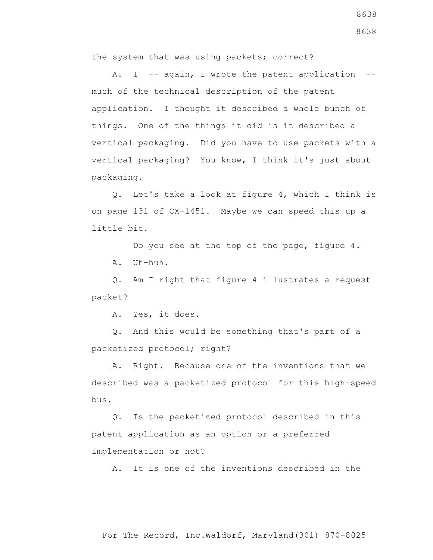the system that was using packets; correct?

A. I -- again, I wrote the patent application -much of the technical description of the patent application. I thought it described a whole bunch of things. One of the things it did is it described a vertical packaging. Did you have to use packets with a vertical packaging? You know, I think it's just about packaging.

 Q. Let's take a look at figure 4, which I think is on page 131 of CX-1451. Maybe we can speed this up a little bit.

Do you see at the top of the page, figure 4.

A. Uh-huh.

 Q. Am I right that figure 4 illustrates a request packet?

A. Yes, it does.

 Q. And this would be something that's part of a packetized protocol; right?

 A. Right. Because one of the inventions that we described was a packetized protocol for this high-speed bus.

 Q. Is the packetized protocol described in this patent application as an option or a preferred implementation or not?

A. It is one of the inventions described in the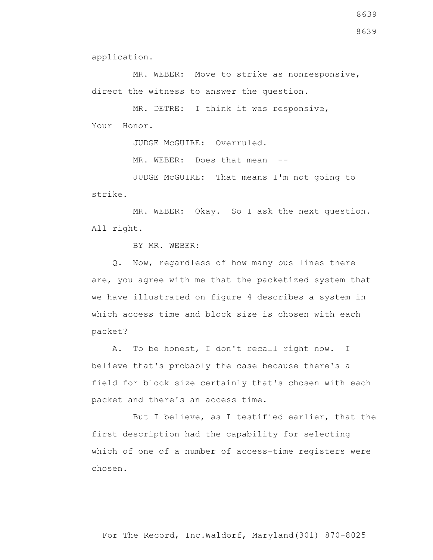application.

MR. WEBER: Move to strike as nonresponsive, direct the witness to answer the question.

 MR. DETRE: I think it was responsive, Your Honor.

JUDGE McGUIRE: Overruled.

MR. WEBER: Does that mean --

 JUDGE McGUIRE: That means I'm not going to strike.

 MR. WEBER: Okay. So I ask the next question. All right.

BY MR. WEBER:

 Q. Now, regardless of how many bus lines there are, you agree with me that the packetized system that we have illustrated on figure 4 describes a system in which access time and block size is chosen with each packet?

 A. To be honest, I don't recall right now. I believe that's probably the case because there's a field for block size certainly that's chosen with each packet and there's an access time.

 But I believe, as I testified earlier, that the first description had the capability for selecting which of one of a number of access-time registers were chosen.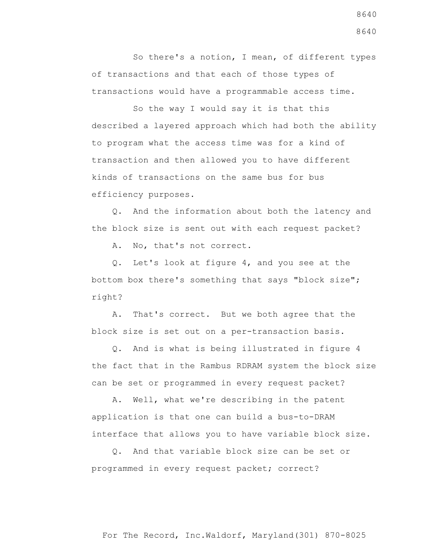So there's a notion, I mean, of different types of transactions and that each of those types of transactions would have a programmable access time.

 So the way I would say it is that this described a layered approach which had both the ability to program what the access time was for a kind of transaction and then allowed you to have different kinds of transactions on the same bus for bus efficiency purposes.

 Q. And the information about both the latency and the block size is sent out with each request packet?

A. No, that's not correct.

 Q. Let's look at figure 4, and you see at the bottom box there's something that says "block size"; right?

 A. That's correct. But we both agree that the block size is set out on a per-transaction basis.

 Q. And is what is being illustrated in figure 4 the fact that in the Rambus RDRAM system the block size can be set or programmed in every request packet?

 A. Well, what we're describing in the patent application is that one can build a bus-to-DRAM interface that allows you to have variable block size.

 Q. And that variable block size can be set or programmed in every request packet; correct?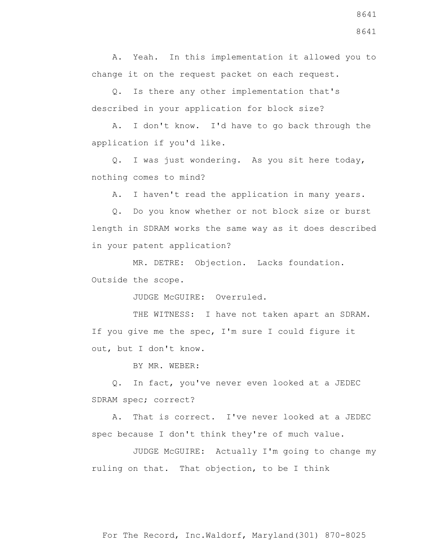A. Yeah. In this implementation it allowed you to change it on the request packet on each request.

 Q. Is there any other implementation that's described in your application for block size?

 A. I don't know. I'd have to go back through the application if you'd like.

 Q. I was just wondering. As you sit here today, nothing comes to mind?

A. I haven't read the application in many years.

 Q. Do you know whether or not block size or burst length in SDRAM works the same way as it does described in your patent application?

 MR. DETRE: Objection. Lacks foundation. Outside the scope.

JUDGE McGUIRE: Overruled.

THE WITNESS: I have not taken apart an SDRAM. If you give me the spec, I'm sure I could figure it out, but I don't know.

BY MR. WEBER:

 Q. In fact, you've never even looked at a JEDEC SDRAM spec; correct?

 A. That is correct. I've never looked at a JEDEC spec because I don't think they're of much value.

 JUDGE McGUIRE: Actually I'm going to change my ruling on that. That objection, to be I think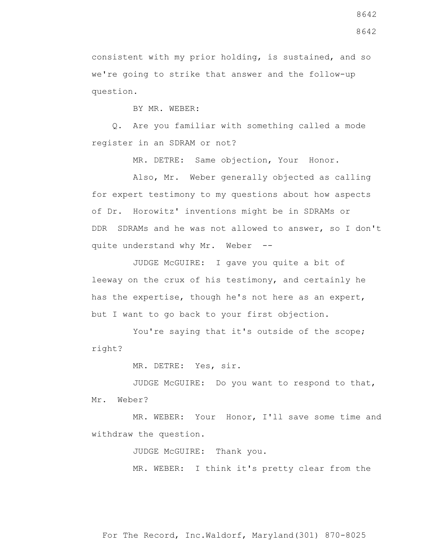consistent with my prior holding, is sustained, and so we're going to strike that answer and the follow-up question.

BY MR. WEBER:

 Q. Are you familiar with something called a mode register in an SDRAM or not?

MR. DETRE: Same objection, Your Honor.

 Also, Mr. Weber generally objected as calling for expert testimony to my questions about how aspects of Dr. Horowitz' inventions might be in SDRAMs or DDR SDRAMs and he was not allowed to answer, so I don't quite understand why Mr. Weber --

 JUDGE McGUIRE: I gave you quite a bit of leeway on the crux of his testimony, and certainly he has the expertise, though he's not here as an expert, but I want to go back to your first objection.

You're saying that it's outside of the scope; right?

MR. DETRE: Yes, sir.

 JUDGE McGUIRE: Do you want to respond to that, Mr. Weber?

 MR. WEBER: Your Honor, I'll save some time and withdraw the question.

JUDGE McGUIRE: Thank you.

MR. WEBER: I think it's pretty clear from the

8642

8642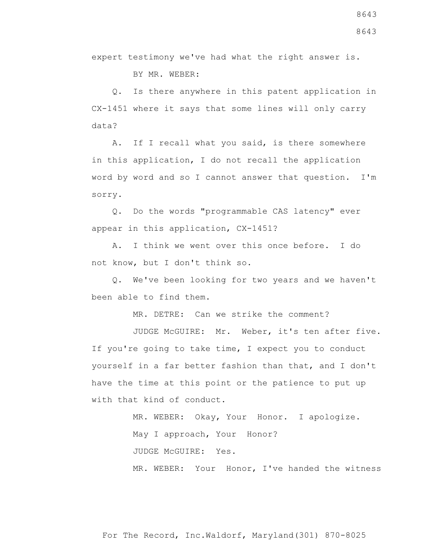BY MR. WEBER:

 Q. Is there anywhere in this patent application in CX-1451 where it says that some lines will only carry data?

 A. If I recall what you said, is there somewhere in this application, I do not recall the application word by word and so I cannot answer that question. I'm sorry.

 Q. Do the words "programmable CAS latency" ever appear in this application, CX-1451?

 A. I think we went over this once before. I do not know, but I don't think so.

 Q. We've been looking for two years and we haven't been able to find them.

MR. DETRE: Can we strike the comment?

 JUDGE McGUIRE: Mr. Weber, it's ten after five. If you're going to take time, I expect you to conduct yourself in a far better fashion than that, and I don't have the time at this point or the patience to put up with that kind of conduct.

> MR. WEBER: Okay, Your Honor. I apologize. May I approach, Your Honor? JUDGE McGUIRE: Yes. MR. WEBER: Your Honor, I've handed the witness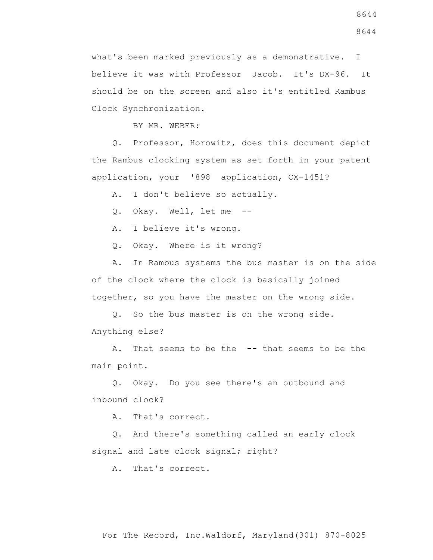what's been marked previously as a demonstrative. I believe it was with Professor Jacob. It's DX-96. It should be on the screen and also it's entitled Rambus Clock Synchronization.

BY MR. WEBER:

 Q. Professor, Horowitz, does this document depict the Rambus clocking system as set forth in your patent application, your '898 application, CX-1451?

A. I don't believe so actually.

Q. Okay. Well, let me --

A. I believe it's wrong.

Q. Okay. Where is it wrong?

 A. In Rambus systems the bus master is on the side of the clock where the clock is basically joined together, so you have the master on the wrong side.

 Q. So the bus master is on the wrong side. Anything else?

 A. That seems to be the -- that seems to be the main point.

 Q. Okay. Do you see there's an outbound and inbound clock?

A. That's correct.

 Q. And there's something called an early clock signal and late clock signal; right?

A. That's correct.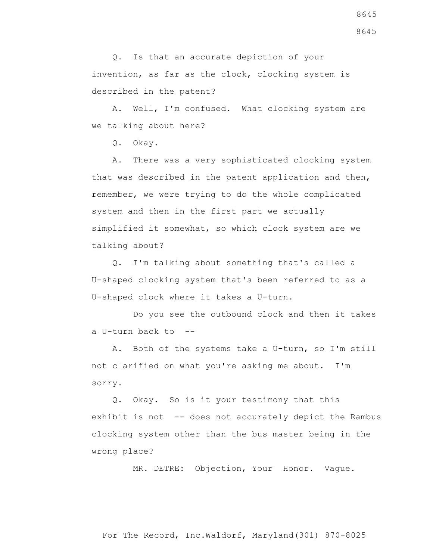Q. Is that an accurate depiction of your invention, as far as the clock, clocking system is described in the patent?

 A. Well, I'm confused. What clocking system are we talking about here?

Q. Okay.

 A. There was a very sophisticated clocking system that was described in the patent application and then, remember, we were trying to do the whole complicated system and then in the first part we actually simplified it somewhat, so which clock system are we talking about?

 Q. I'm talking about something that's called a U-shaped clocking system that's been referred to as a U-shaped clock where it takes a U-turn.

 Do you see the outbound clock and then it takes a U-turn back to --

 A. Both of the systems take a U-turn, so I'm still not clarified on what you're asking me about. I'm sorry.

 Q. Okay. So is it your testimony that this exhibit is not -- does not accurately depict the Rambus clocking system other than the bus master being in the wrong place?

MR. DETRE: Objection, Your Honor. Vague.

For The Record, Inc.Waldorf, Maryland(301) 870-8025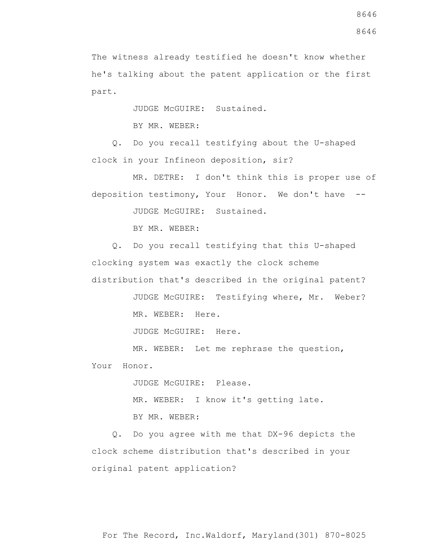The witness already testified he doesn't know whether he's talking about the patent application or the first part.

JUDGE McGUIRE: Sustained.

BY MR. WEBER:

 Q. Do you recall testifying about the U-shaped clock in your Infineon deposition, sir?

 MR. DETRE: I don't think this is proper use of deposition testimony, Your Honor. We don't have --

JUDGE McGUIRE: Sustained.

BY MR. WEBER:

 Q. Do you recall testifying that this U-shaped clocking system was exactly the clock scheme distribution that's described in the original patent?

> JUDGE McGUIRE: Testifying where, Mr. Weber? MR. WEBER: Here.

JUDGE McGUIRE: Here.

MR. WEBER: Let me rephrase the question,

Your Honor.

JUDGE McGUIRE: Please.

MR. WEBER: I know it's getting late.

BY MR. WEBER:

 Q. Do you agree with me that DX-96 depicts the clock scheme distribution that's described in your original patent application?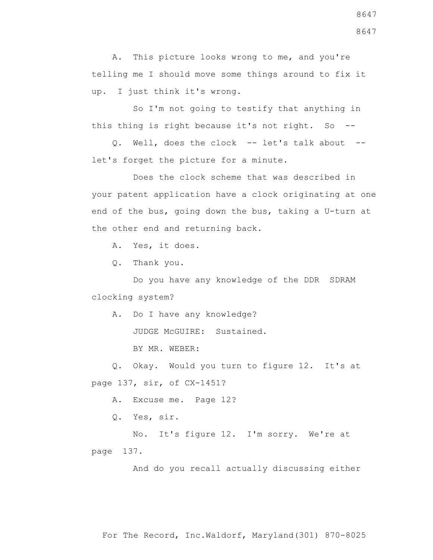A. This picture looks wrong to me, and you're telling me I should move some things around to fix it up. I just think it's wrong.

 So I'm not going to testify that anything in this thing is right because it's not right. So --

 Q. Well, does the clock -- let's talk about - let's forget the picture for a minute.

 Does the clock scheme that was described in your patent application have a clock originating at one end of the bus, going down the bus, taking a U-turn at the other end and returning back.

A. Yes, it does.

Q. Thank you.

 Do you have any knowledge of the DDR SDRAM clocking system?

A. Do I have any knowledge?

JUDGE McGUIRE: Sustained.

BY MR. WEBER:

 Q. Okay. Would you turn to figure 12. It's at page 137, sir, of CX-1451?

A. Excuse me. Page 12?

Q. Yes, sir.

 No. It's figure 12. I'm sorry. We're at page 137.

And do you recall actually discussing either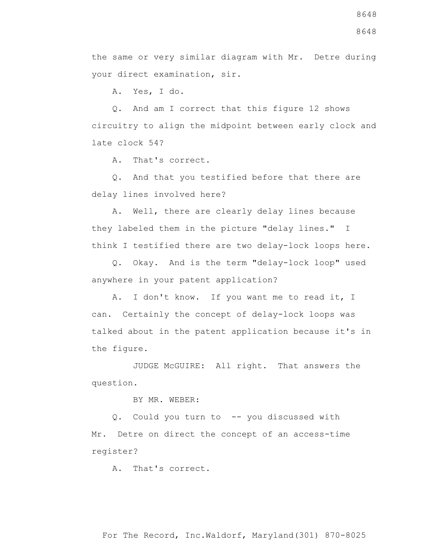A. Yes, I do.

 Q. And am I correct that this figure 12 shows circuitry to align the midpoint between early clock and late clock 54?

A. That's correct.

 Q. And that you testified before that there are delay lines involved here?

 A. Well, there are clearly delay lines because they labeled them in the picture "delay lines." I think I testified there are two delay-lock loops here.

 Q. Okay. And is the term "delay-lock loop" used anywhere in your patent application?

 A. I don't know. If you want me to read it, I can. Certainly the concept of delay-lock loops was talked about in the patent application because it's in the figure.

 JUDGE McGUIRE: All right. That answers the question.

BY MR. WEBER:

 Q. Could you turn to -- you discussed with Mr. Detre on direct the concept of an access-time register?

A. That's correct.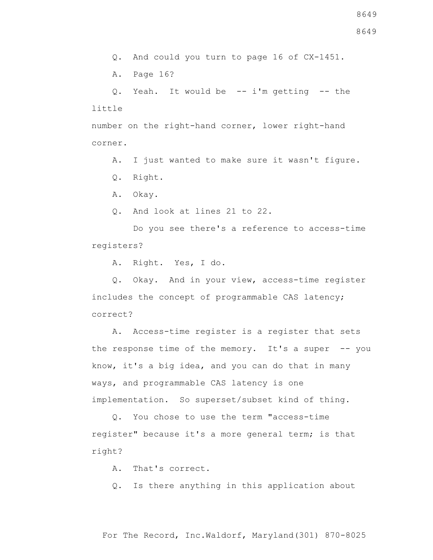8649

Q. And could you turn to page 16 of CX-1451.

A. Page 16?

 Q. Yeah. It would be -- i'm getting -- the little

number on the right-hand corner, lower right-hand corner.

A. I just wanted to make sure it wasn't figure.

Q. Right.

A. Okay.

Q. And look at lines 21 to 22.

 Do you see there's a reference to access-time registers?

A. Right. Yes, I do.

 Q. Okay. And in your view, access-time register includes the concept of programmable CAS latency; correct?

 A. Access-time register is a register that sets the response time of the memory. It's a super -- you know, it's a big idea, and you can do that in many ways, and programmable CAS latency is one implementation. So superset/subset kind of thing.

 Q. You chose to use the term "access-time register" because it's a more general term; is that right?

A. That's correct.

Q. Is there anything in this application about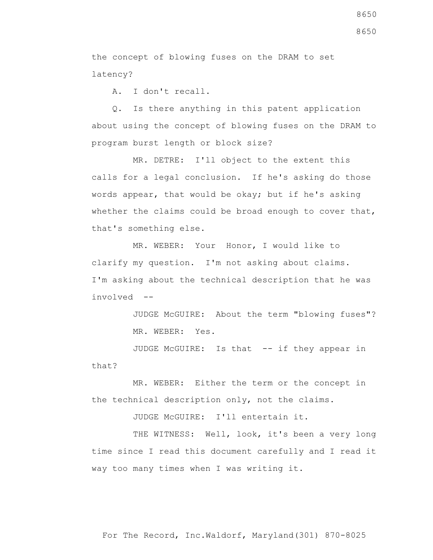the concept of blowing fuses on the DRAM to set latency?

A. I don't recall.

 Q. Is there anything in this patent application about using the concept of blowing fuses on the DRAM to program burst length or block size?

 MR. DETRE: I'll object to the extent this calls for a legal conclusion. If he's asking do those words appear, that would be okay; but if he's asking whether the claims could be broad enough to cover that, that's something else.

 MR. WEBER: Your Honor, I would like to clarify my question. I'm not asking about claims. I'm asking about the technical description that he was involved --

> JUDGE McGUIRE: About the term "blowing fuses"? MR. WEBER: Yes.

JUDGE McGUIRE: Is that -- if they appear in that?

 MR. WEBER: Either the term or the concept in the technical description only, not the claims.

JUDGE McGUIRE: I'll entertain it.

THE WITNESS: Well, look, it's been a very long time since I read this document carefully and I read it way too many times when I was writing it.

8650

8650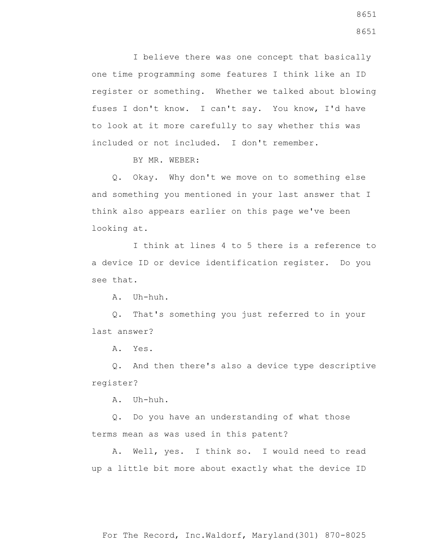I believe there was one concept that basically one time programming some features I think like an ID register or something. Whether we talked about blowing fuses I don't know. I can't say. You know, I'd have to look at it more carefully to say whether this was included or not included. I don't remember.

BY MR. WEBER:

 Q. Okay. Why don't we move on to something else and something you mentioned in your last answer that I think also appears earlier on this page we've been looking at.

 I think at lines 4 to 5 there is a reference to a device ID or device identification register. Do you see that.

A. Uh-huh.

 Q. That's something you just referred to in your last answer?

A. Yes.

 Q. And then there's also a device type descriptive register?

A. Uh-huh.

 Q. Do you have an understanding of what those terms mean as was used in this patent?

 A. Well, yes. I think so. I would need to read up a little bit more about exactly what the device ID

8651 8651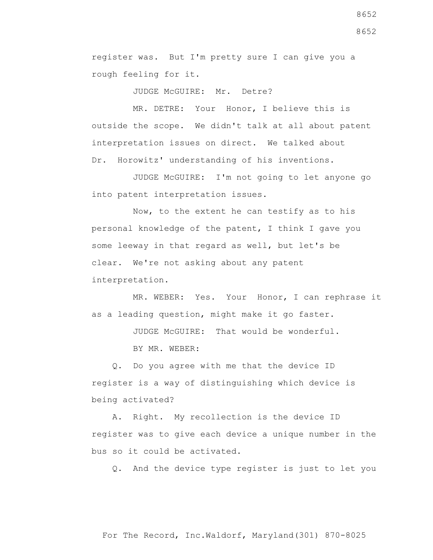register was. But I'm pretty sure I can give you a rough feeling for it.

JUDGE McGUIRE: Mr. Detre?

 MR. DETRE: Your Honor, I believe this is outside the scope. We didn't talk at all about patent interpretation issues on direct. We talked about Dr. Horowitz' understanding of his inventions.

 JUDGE McGUIRE: I'm not going to let anyone go into patent interpretation issues.

 Now, to the extent he can testify as to his personal knowledge of the patent, I think I gave you some leeway in that regard as well, but let's be clear. We're not asking about any patent interpretation.

 MR. WEBER: Yes. Your Honor, I can rephrase it as a leading question, might make it go faster.

JUDGE McGUIRE: That would be wonderful.

BY MR. WEBER:

 Q. Do you agree with me that the device ID register is a way of distinguishing which device is being activated?

 A. Right. My recollection is the device ID register was to give each device a unique number in the bus so it could be activated.

Q. And the device type register is just to let you

8652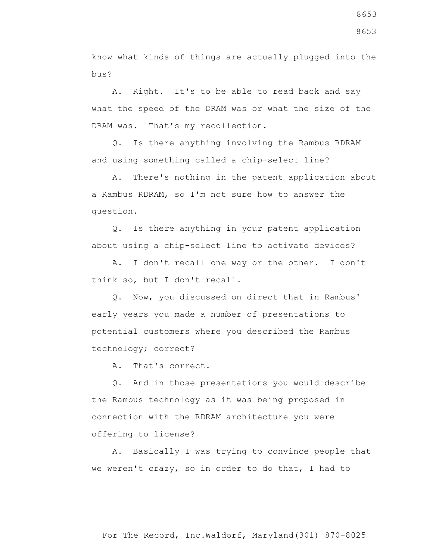know what kinds of things are actually plugged into the bus?

 A. Right. It's to be able to read back and say what the speed of the DRAM was or what the size of the DRAM was. That's my recollection.

 Q. Is there anything involving the Rambus RDRAM and using something called a chip-select line?

 A. There's nothing in the patent application about a Rambus RDRAM, so I'm not sure how to answer the question.

 Q. Is there anything in your patent application about using a chip-select line to activate devices?

 A. I don't recall one way or the other. I don't think so, but I don't recall.

 Q. Now, you discussed on direct that in Rambus' early years you made a number of presentations to potential customers where you described the Rambus technology; correct?

A. That's correct.

 Q. And in those presentations you would describe the Rambus technology as it was being proposed in connection with the RDRAM architecture you were offering to license?

 A. Basically I was trying to convince people that we weren't crazy, so in order to do that, I had to

8653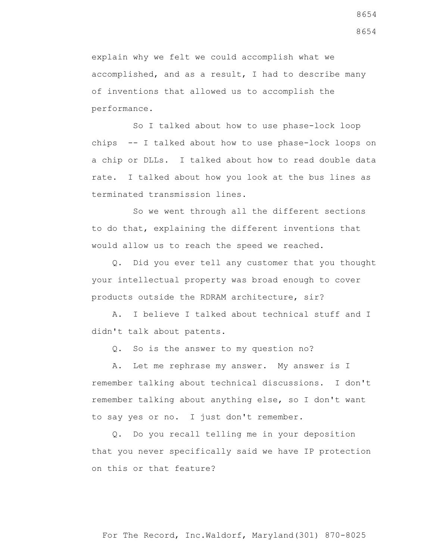explain why we felt we could accomplish what we accomplished, and as a result, I had to describe many of inventions that allowed us to accomplish the performance.

 So I talked about how to use phase-lock loop chips -- I talked about how to use phase-lock loops on a chip or DLLs. I talked about how to read double data rate. I talked about how you look at the bus lines as terminated transmission lines.

 So we went through all the different sections to do that, explaining the different inventions that would allow us to reach the speed we reached.

 Q. Did you ever tell any customer that you thought your intellectual property was broad enough to cover products outside the RDRAM architecture, sir?

 A. I believe I talked about technical stuff and I didn't talk about patents.

Q. So is the answer to my question no?

 A. Let me rephrase my answer. My answer is I remember talking about technical discussions. I don't remember talking about anything else, so I don't want to say yes or no. I just don't remember.

 Q. Do you recall telling me in your deposition that you never specifically said we have IP protection on this or that feature?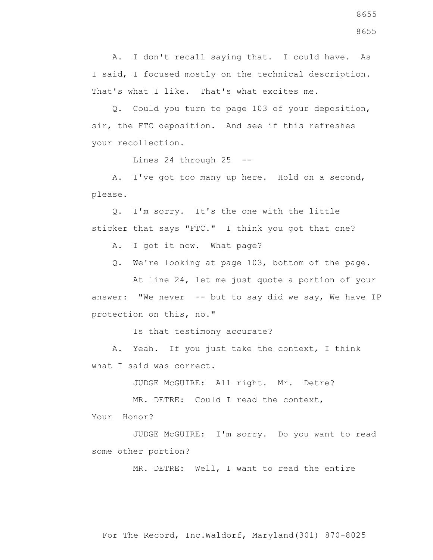A. I don't recall saying that. I could have. As I said, I focused mostly on the technical description. That's what I like. That's what excites me.

 Q. Could you turn to page 103 of your deposition, sir, the FTC deposition. And see if this refreshes your recollection.

Lines 24 through 25 --

 A. I've got too many up here. Hold on a second, please.

 Q. I'm sorry. It's the one with the little sticker that says "FTC." I think you got that one?

A. I got it now. What page?

Q. We're looking at page 103, bottom of the page.

 At line 24, let me just quote a portion of your answer: "We never  $-$ - but to say did we say, We have IP protection on this, no."

Is that testimony accurate?

 A. Yeah. If you just take the context, I think what I said was correct.

JUDGE McGUIRE: All right. Mr. Detre?

MR. DETRE: Could I read the context,

Your Honor?

 JUDGE McGUIRE: I'm sorry. Do you want to read some other portion?

MR. DETRE: Well, I want to read the entire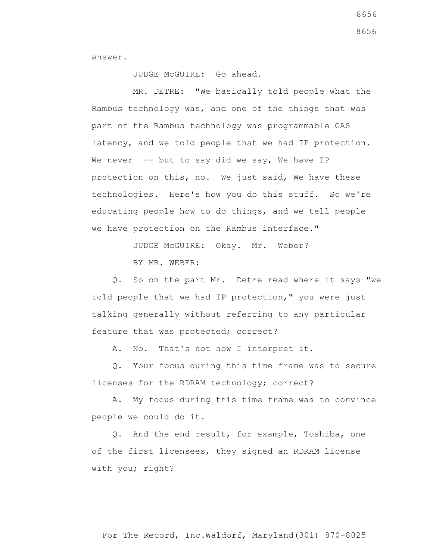answer.

## JUDGE McGUIRE: Go ahead.

 MR. DETRE: "We basically told people what the Rambus technology was, and one of the things that was part of the Rambus technology was programmable CAS latency, and we told people that we had IP protection. We never  $-$ - but to say did we say, We have IP protection on this, no. We just said, We have these technologies. Here's how you do this stuff. So we're educating people how to do things, and we tell people we have protection on the Rambus interface."

JUDGE McGUIRE: Okay. Mr. Weber?

BY MR. WEBER:

 Q. So on the part Mr. Detre read where it says "we told people that we had IP protection," you were just talking generally without referring to any particular feature that was protected; correct?

A. No. That's not how I interpret it.

 Q. Your focus during this time frame was to secure licenses for the RDRAM technology; correct?

 A. My focus during this time frame was to convince people we could do it.

 Q. And the end result, for example, Toshiba, one of the first licensees, they signed an RDRAM license with you; right?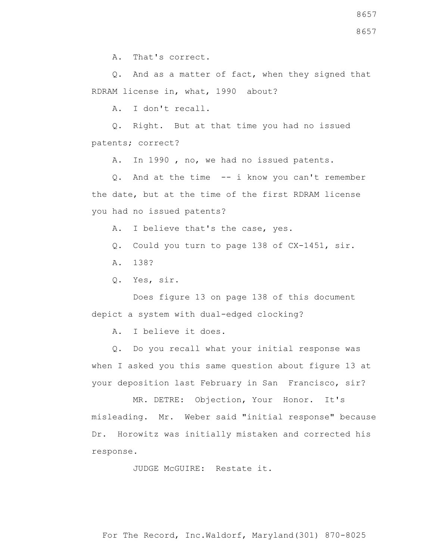A. That's correct.

 Q. And as a matter of fact, when they signed that RDRAM license in, what, 1990 about?

A. I don't recall.

 Q. Right. But at that time you had no issued patents; correct?

A. In 1990 , no, we had no issued patents.

 Q. And at the time -- i know you can't remember the date, but at the time of the first RDRAM license you had no issued patents?

A. I believe that's the case, yes.

Q. Could you turn to page 138 of CX-1451, sir.

A. 138?

Q. Yes, sir.

 Does figure 13 on page 138 of this document depict a system with dual-edged clocking?

A. I believe it does.

 Q. Do you recall what your initial response was when I asked you this same question about figure 13 at your deposition last February in San Francisco, sir?

 MR. DETRE: Objection, Your Honor. It's misleading. Mr. Weber said "initial response" because Dr. Horowitz was initially mistaken and corrected his response.

JUDGE McGUIRE: Restate it.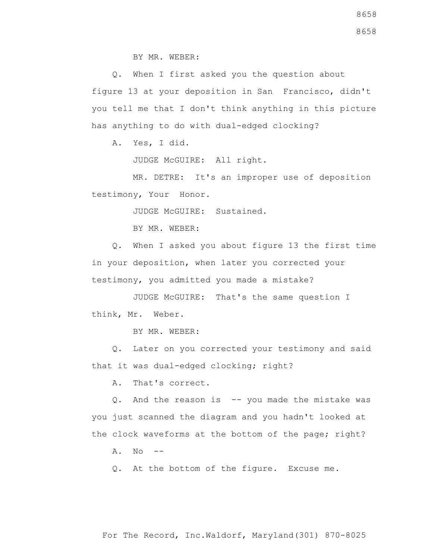BY MR. WEBER:

 Q. When I first asked you the question about figure 13 at your deposition in San Francisco, didn't you tell me that I don't think anything in this picture has anything to do with dual-edged clocking?

A. Yes, I did.

JUDGE McGUIRE: All right.

 MR. DETRE: It's an improper use of deposition testimony, Your Honor.

JUDGE McGUIRE: Sustained.

BY MR. WEBER:

 Q. When I asked you about figure 13 the first time in your deposition, when later you corrected your testimony, you admitted you made a mistake?

 JUDGE McGUIRE: That's the same question I think, Mr. Weber.

BY MR. WEBER:

 Q. Later on you corrected your testimony and said that it was dual-edged clocking; right?

A. That's correct.

 Q. And the reason is -- you made the mistake was you just scanned the diagram and you hadn't looked at the clock waveforms at the bottom of the page; right?

A. No --

Q. At the bottom of the figure. Excuse me.

8658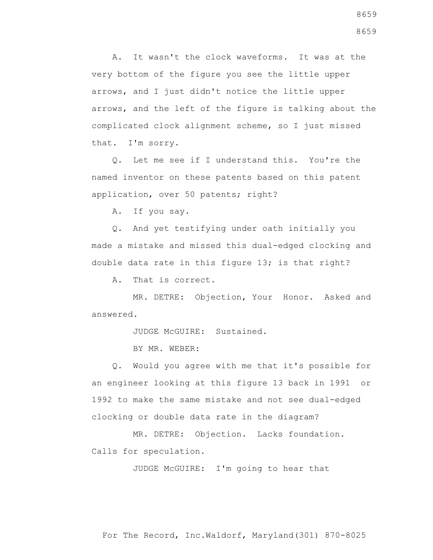A. It wasn't the clock waveforms. It was at the very bottom of the figure you see the little upper arrows, and I just didn't notice the little upper arrows, and the left of the figure is talking about the complicated clock alignment scheme, so I just missed that. I'm sorry.

 Q. Let me see if I understand this. You're the named inventor on these patents based on this patent application, over 50 patents; right?

A. If you say.

 Q. And yet testifying under oath initially you made a mistake and missed this dual-edged clocking and double data rate in this figure 13; is that right?

A. That is correct.

 MR. DETRE: Objection, Your Honor. Asked and answered.

JUDGE McGUIRE: Sustained.

BY MR. WEBER:

 Q. Would you agree with me that it's possible for an engineer looking at this figure 13 back in 1991 or 1992 to make the same mistake and not see dual-edged clocking or double data rate in the diagram?

 MR. DETRE: Objection. Lacks foundation. Calls for speculation.

JUDGE McGUIRE: I'm going to hear that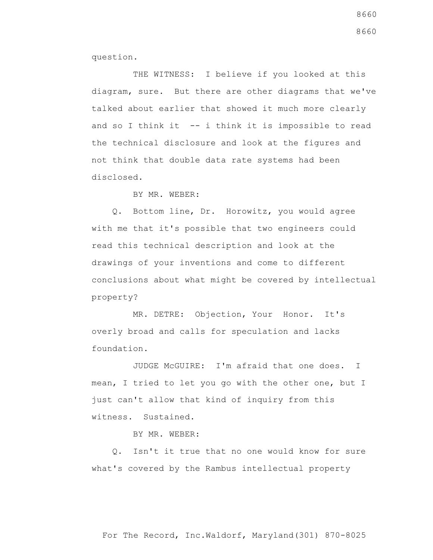question.

THE WITNESS: I believe if you looked at this diagram, sure. But there are other diagrams that we've talked about earlier that showed it much more clearly and so I think it  $-$ - i think it is impossible to read the technical disclosure and look at the figures and not think that double data rate systems had been disclosed.

BY MR. WEBER:

 Q. Bottom line, Dr. Horowitz, you would agree with me that it's possible that two engineers could read this technical description and look at the drawings of your inventions and come to different conclusions about what might be covered by intellectual property?

 MR. DETRE: Objection, Your Honor. It's overly broad and calls for speculation and lacks foundation.

 JUDGE McGUIRE: I'm afraid that one does. I mean, I tried to let you go with the other one, but I just can't allow that kind of inquiry from this witness. Sustained.

BY MR. WEBER:

 Q. Isn't it true that no one would know for sure what's covered by the Rambus intellectual property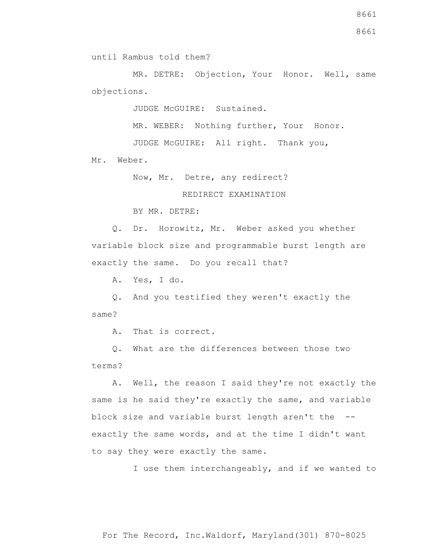MR. DETRE: Objection, Your Honor. Well, same objections.

JUDGE McGUIRE: Sustained.

 MR. WEBER: Nothing further, Your Honor. JUDGE McGUIRE: All right. Thank you, Mr. Weber.

Now, Mr. Detre, any redirect?

## REDIRECT EXAMINATION

BY MR. DETRE:

 Q. Dr. Horowitz, Mr. Weber asked you whether variable block size and programmable burst length are exactly the same. Do you recall that?

A. Yes, I do.

 Q. And you testified they weren't exactly the same?

A. That is correct.

 Q. What are the differences between those two terms?

 A. Well, the reason I said they're not exactly the same is he said they're exactly the same, and variable block size and variable burst length aren't the - exactly the same words, and at the time I didn't want to say they were exactly the same.

I use them interchangeably, and if we wanted to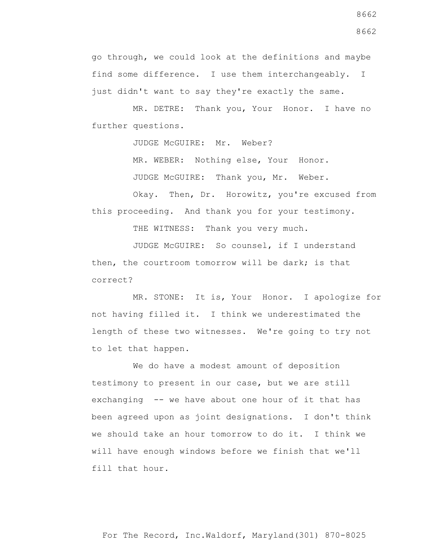go through, we could look at the definitions and maybe find some difference. I use them interchangeably. I just didn't want to say they're exactly the same.

 MR. DETRE: Thank you, Your Honor. I have no further questions.

JUDGE McGUIRE: Mr. Weber?

MR. WEBER: Nothing else, Your Honor.

JUDGE McGUIRE: Thank you, Mr. Weber.

Okay. Then, Dr. Horowitz, you're excused from this proceeding. And thank you for your testimony.

THE WITNESS: Thank you very much.

 JUDGE McGUIRE: So counsel, if I understand then, the courtroom tomorrow will be dark; is that correct?

 MR. STONE: It is, Your Honor. I apologize for not having filled it. I think we underestimated the length of these two witnesses. We're going to try not to let that happen.

 We do have a modest amount of deposition testimony to present in our case, but we are still exchanging -- we have about one hour of it that has been agreed upon as joint designations. I don't think we should take an hour tomorrow to do it. I think we will have enough windows before we finish that we'll fill that hour.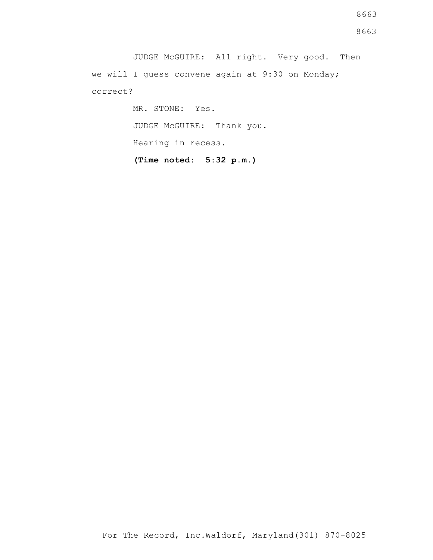JUDGE McGUIRE: All right. Very good. Then we will I guess convene again at 9:30 on Monday; correct?

> MR. STONE: Yes. JUDGE McGUIRE: Thank you. Hearing in recess. **(Time noted: 5:32 p.m.)**